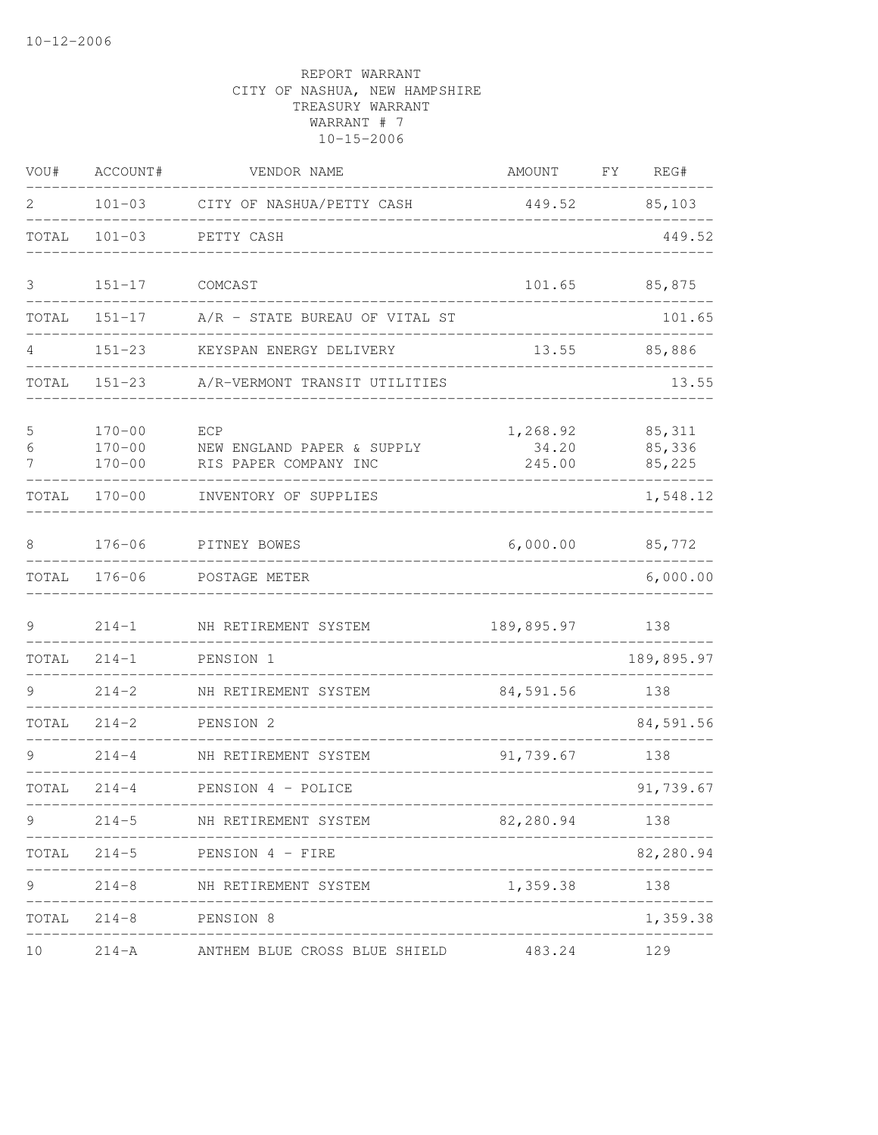| WOU#        | ACCOUNT#                               | VENDOR NAME                                                | AMOUNT                                       | FY | REG#                        |
|-------------|----------------------------------------|------------------------------------------------------------|----------------------------------------------|----|-----------------------------|
| 2           |                                        | 101-03 CITY OF NASHUA/PETTY CASH                           | 449.52                                       |    | 85,103                      |
| TOTAL       | $101 - 03$                             | PETTY CASH                                                 |                                              |    | 449.52                      |
| 3           | $151 - 17$                             | COMCAST                                                    | 101.65                                       |    | 85,875                      |
| TOTAL       | $151 - 17$                             | A/R - STATE BUREAU OF VITAL ST                             |                                              |    | 101.65                      |
| 4           | $151 - 23$                             | KEYSPAN ENERGY DELIVERY                                    | 13.55                                        |    | 85,886                      |
| TOTAL       | $151 - 23$                             | A/R-VERMONT TRANSIT UTILITIES                              |                                              |    | 13.55                       |
| 5<br>6<br>7 | $170 - 00$<br>$170 - 00$<br>$170 - 00$ | ECP<br>NEW ENGLAND PAPER & SUPPLY<br>RIS PAPER COMPANY INC | 1,268.92<br>34.20<br>245.00                  |    | 85, 311<br>85,336<br>85,225 |
| TOTAL       | $170 - 00$                             | INVENTORY OF SUPPLIES                                      |                                              |    | 1,548.12                    |
| 8           | $176 - 06$                             | PITNEY BOWES                                               | 6,000.00                                     |    | 85,772                      |
| TOTAL       | $176 - 06$                             | POSTAGE METER                                              |                                              |    | 6,000.00                    |
| 9           | $214 - 1$                              | NH RETIREMENT SYSTEM                                       | 189,895.97                                   |    | 138                         |
| TOTAL       | $214 - 1$                              | PENSION 1                                                  |                                              |    | 189,895.97                  |
| 9           | $214 - 2$                              | NH RETIREMENT SYSTEM                                       | 84,591.56                                    |    | 138                         |
| TOTAL       | $214 - 2$                              | PENSION 2                                                  |                                              |    | 84,591.56                   |
| 9           | $214 - 4$                              | NH RETIREMENT SYSTEM                                       | 91,739.67                                    |    | 138                         |
| TOTAL       | $214 - 4$                              | PENSION 4 - POLICE                                         |                                              |    | 91,739.67                   |
| 9           |                                        | 214-5 NH RETIREMENT SYSTEM                                 | -------------------------------<br>82,280.94 |    | 138                         |
| TOTAL       |                                        | 214-5 PENSION 4 - FIRE                                     |                                              |    | 82,280.94                   |
| 9           |                                        | 214-8 NH RETIREMENT SYSTEM                                 | 1,359.38                                     |    | 138                         |
| TOTAL       | $214 - 8$                              | PENSION 8                                                  |                                              |    | 1,359.38                    |
| 10          |                                        | 214-A ANTHEM BLUE CROSS BLUE SHIELD                        | 483.24                                       |    | 129                         |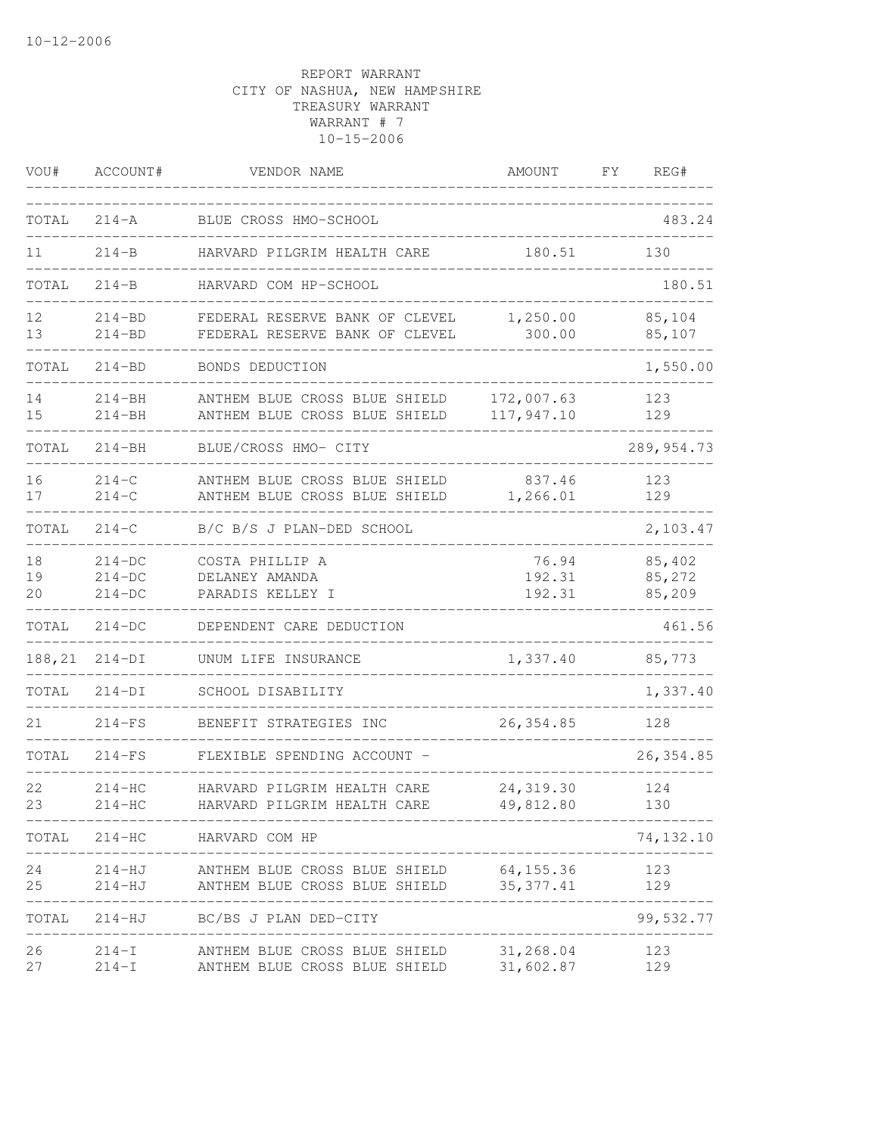| VOU#           | ACCOUNT#                         | VENDOR NAME                                                                                    | AMOUNT                    | FΥ  | REG#                       |
|----------------|----------------------------------|------------------------------------------------------------------------------------------------|---------------------------|-----|----------------------------|
| TOTAL          | $214 - A$                        | BLUE CROSS HMO-SCHOOL                                                                          |                           |     | 483.24                     |
| 11             | $214 - B$                        | HARVARD PILGRIM HEALTH CARE                                                                    | 180.51                    |     | 130                        |
| TOTAL          | $214-B$                          | HARVARD COM HP-SCHOOL                                                                          |                           |     | 180.51                     |
| 12<br>13       | $214 - BD$<br>$214 - BD$         | FEDERAL RESERVE BANK OF CLEVEL<br>FEDERAL RESERVE BANK OF CLEVEL                               | 1,250.00<br>300.00        |     | 85,104<br>85,107           |
| TOTAL          | $214 - BD$                       | BONDS DEDUCTION                                                                                |                           |     | 1,550.00                   |
| 14<br>15       | $214 - BH$<br>$214 - BH$         | ANTHEM BLUE CROSS BLUE SHIELD<br>ANTHEM BLUE CROSS BLUE SHIELD                                 | 172,007.63<br>117,947.10  |     | 123<br>129                 |
| TOTAL          | $214 - BH$                       | BLUE/CROSS HMO- CITY                                                                           |                           |     | 289, 954.73                |
| 16<br>17       | $214-C$<br>$214 - C$             | ANTHEM BLUE CROSS BLUE SHIELD<br>ANTHEM BLUE CROSS BLUE SHIELD                                 | 837.46<br>1,266.01        |     | 123<br>129                 |
| TOTAL          | $214 - C$                        | B/C B/S J PLAN-DED SCHOOL                                                                      |                           |     | 2,103.47                   |
| 18<br>19<br>20 | $214-DC$<br>$214-DC$<br>$214-DC$ | COSTA PHILLIP A<br>DELANEY AMANDA<br>PARADIS KELLEY I                                          | 76.94<br>192.31<br>192.31 |     | 85,402<br>85,272<br>85,209 |
| TOTAL          | $214-DC$                         | DEPENDENT CARE DEDUCTION                                                                       |                           |     | 461.56                     |
| 188,21         | $214-DI$                         | UNUM LIFE INSURANCE                                                                            | 1,337.40                  |     | 85,773                     |
| TOTAL          | $214-DI$                         | SCHOOL DISABILITY                                                                              |                           |     | 1,337.40                   |
| 21             | $214-FS$                         | BENEFIT STRATEGIES INC                                                                         | 26, 354.85                |     | 128                        |
| TOTAL          | $214-FS$                         | FLEXIBLE SPENDING ACCOUNT -                                                                    |                           |     | 26, 354.85                 |
| 22<br>23       | $214-HC$<br>$214-HC$             | HARVARD PILGRIM HEALTH CARE<br>HARVARD PILGRIM HEALTH CARE                                     | 24, 319.30<br>49,812.80   |     | 124<br>130                 |
|                |                                  | TOTAL 214-HC HARVARD COM HP<br>___________________________________                             |                           |     | 74, 132.10                 |
| 24<br>25       | $214-HJ$                         | 214-HJ ANTHEM BLUE CROSS BLUE SHIELD 64,155.36<br>ANTHEM BLUE CROSS BLUE SHIELD 35,377.41      |                           |     | 123<br>129                 |
| TOTAL          |                                  | 214-HJ BC/BS J PLAN DED-CITY                                                                   |                           |     | -----<br>99,532.77         |
| 26<br>27       |                                  | 214-I ANTHEM BLUE CROSS BLUE SHIELD 31,268.04<br>214-I ANTHEM BLUE CROSS BLUE SHIELD 31,602.87 |                           | 123 | 129                        |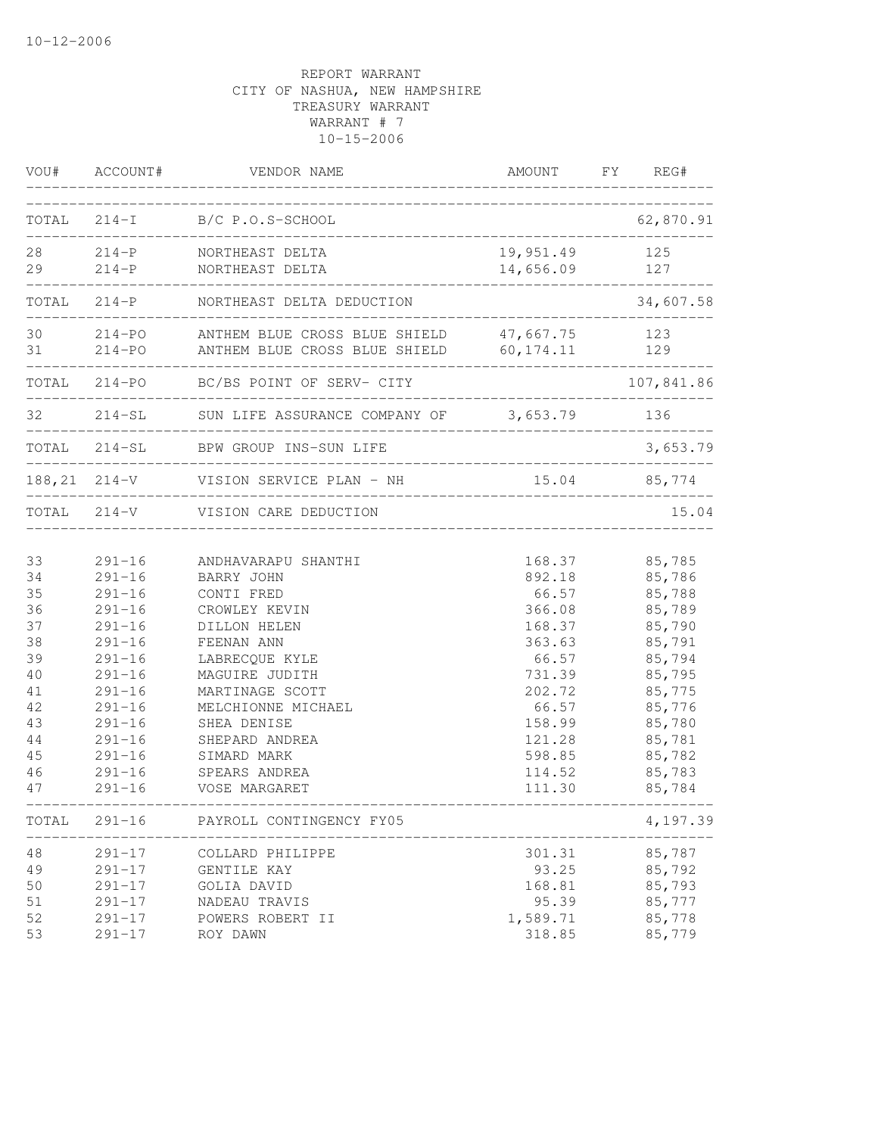|       | VOU# ACCOUNT# | VENDOR NAME                                                                                                    | AMOUNT FY REG#                 |            |
|-------|---------------|----------------------------------------------------------------------------------------------------------------|--------------------------------|------------|
|       |               | TOTAL 214-I B/C P.O.S-SCHOOL                                                                                   |                                | 62,870.91  |
| 29    |               | 28 214-P NORTHEAST DELTA<br>214-P NORTHEAST DELTA                                                              | 19,951.49 125<br>14,656.09 127 |            |
| TOTAL |               | 214-P NORTHEAST DELTA DEDUCTION                                                                                | ________________               | 34,607.58  |
|       |               | 30 214-PO ANTHEM BLUE CROSS BLUE SHIELD 47,667.75 123<br>31 214-PO ANTHEM BLUE CROSS BLUE SHIELD 60,174.11 129 |                                |            |
|       |               | TOTAL 214-PO BC/BS POINT OF SERV- CITY                                                                         |                                | 107,841.86 |
|       |               | 32 214-SL SUN LIFE ASSURANCE COMPANY OF 3,653.79 136                                                           |                                |            |
|       |               | TOTAL 214-SL BPW GROUP INS-SUN LIFE                                                                            |                                | 3,653.79   |
|       |               | 188,21 214-V VISION SERVICE PLAN - NH 15.04 85,774<br>________________________                                 |                                |            |
|       |               | TOTAL 214-V VISION CARE DEDUCTION                                                                              |                                | 15.04      |
| 33    | $291 - 16$    | ANDHAVARAPU SHANTHI                                                                                            | 168.37                         | 85,785     |
| 34    | $291 - 16$    | BARRY JOHN                                                                                                     | 892.18                         | 85,786     |
| 35    | $291 - 16$    | CONTI FRED                                                                                                     | 66.57                          | 85,788     |
| 36    | $291 - 16$    | CROWLEY KEVIN                                                                                                  | 366.08                         | 85,789     |
| 37    | $291 - 16$    | DILLON HELEN                                                                                                   | 168.37                         | 85,790     |
| 38    | $291 - 16$    | FEENAN ANN                                                                                                     | 363.63                         | 85,791     |
| 39    | $291 - 16$    | LABRECQUE KYLE                                                                                                 | 66.57                          | 85,794     |
| 40    | $291 - 16$    | MAGUIRE JUDITH                                                                                                 | 731.39                         | 85,795     |
| 41    | $291 - 16$    | MARTINAGE SCOTT                                                                                                | 202.72                         | 85,775     |
| 42    | $291 - 16$    | MELCHIONNE MICHAEL                                                                                             | 66.57                          | 85,776     |
| 43    | $291 - 16$    | SHEA DENISE                                                                                                    | 158.99                         | 85,780     |
| 44    | $291 - 16$    | SHEPARD ANDREA                                                                                                 | 121.28                         | 85,781     |
| 45    | $291 - 16$    | SIMARD MARK                                                                                                    | 598.85                         | 85,782     |
| 46    | $291 - 16$    | SPEARS ANDREA                                                                                                  | 114.52                         | 85,783     |
| 47    | $291 - 16$    | VOSE MARGARET                                                                                                  | 111.30                         | 85,784     |
| TOTAL | $291 - 16$    | PAYROLL CONTINGENCY FY05                                                                                       |                                | 4,197.39   |
| 48    | $291 - 17$    | COLLARD PHILIPPE                                                                                               | 301.31                         | 85,787     |
| 49    | $291 - 17$    | GENTILE KAY                                                                                                    | 93.25                          | 85,792     |
| 50    | $291 - 17$    | GOLIA DAVID                                                                                                    | 168.81                         | 85,793     |
| 51    | $291 - 17$    | NADEAU TRAVIS                                                                                                  | 95.39                          | 85,777     |
| 52    | $291 - 17$    | POWERS ROBERT II                                                                                               | 1,589.71                       | 85,778     |
| 53    | $291 - 17$    | ROY DAWN                                                                                                       | 318.85                         | 85,779     |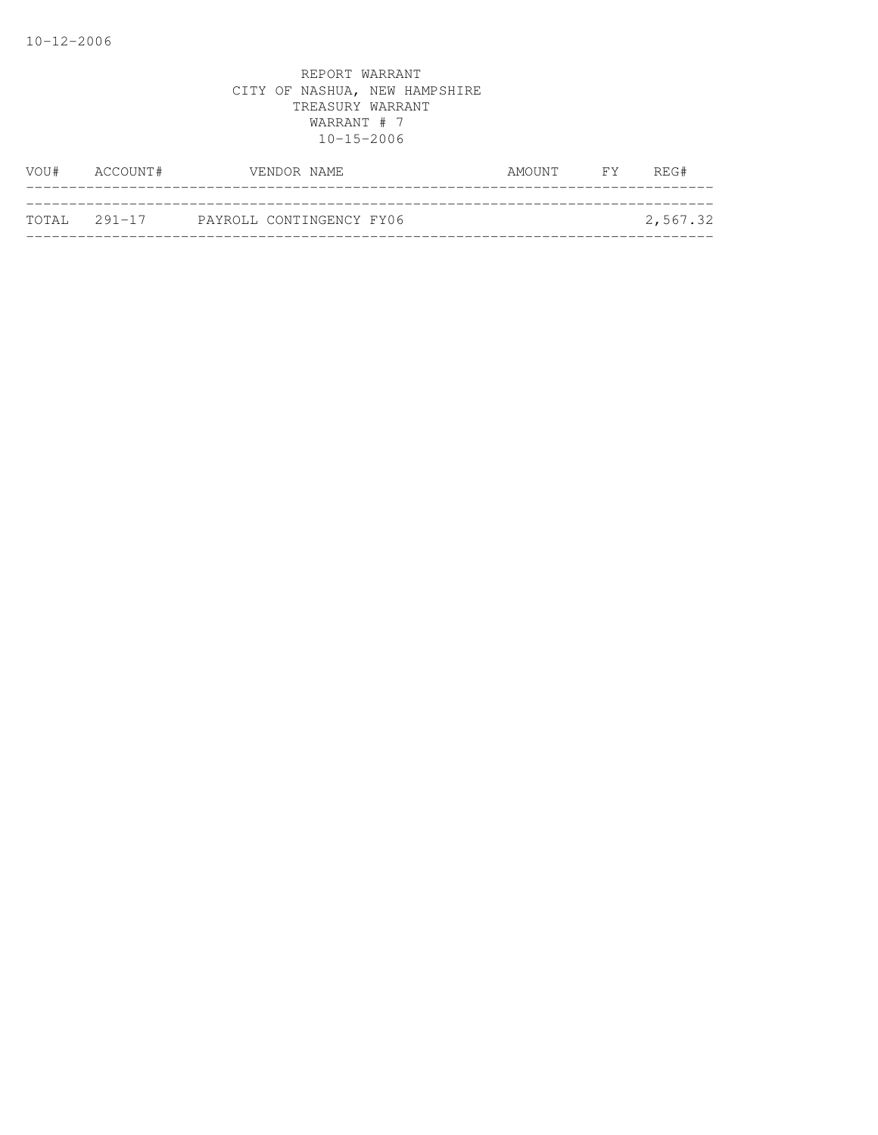| VOU# ACCOUNT# | VENDOR NAME              | AMOUNT FY | REG#     |
|---------------|--------------------------|-----------|----------|
|               |                          |           |          |
| TOTAL 291-17  | PAYROLL CONTINGENCY FY06 |           | 2,567.32 |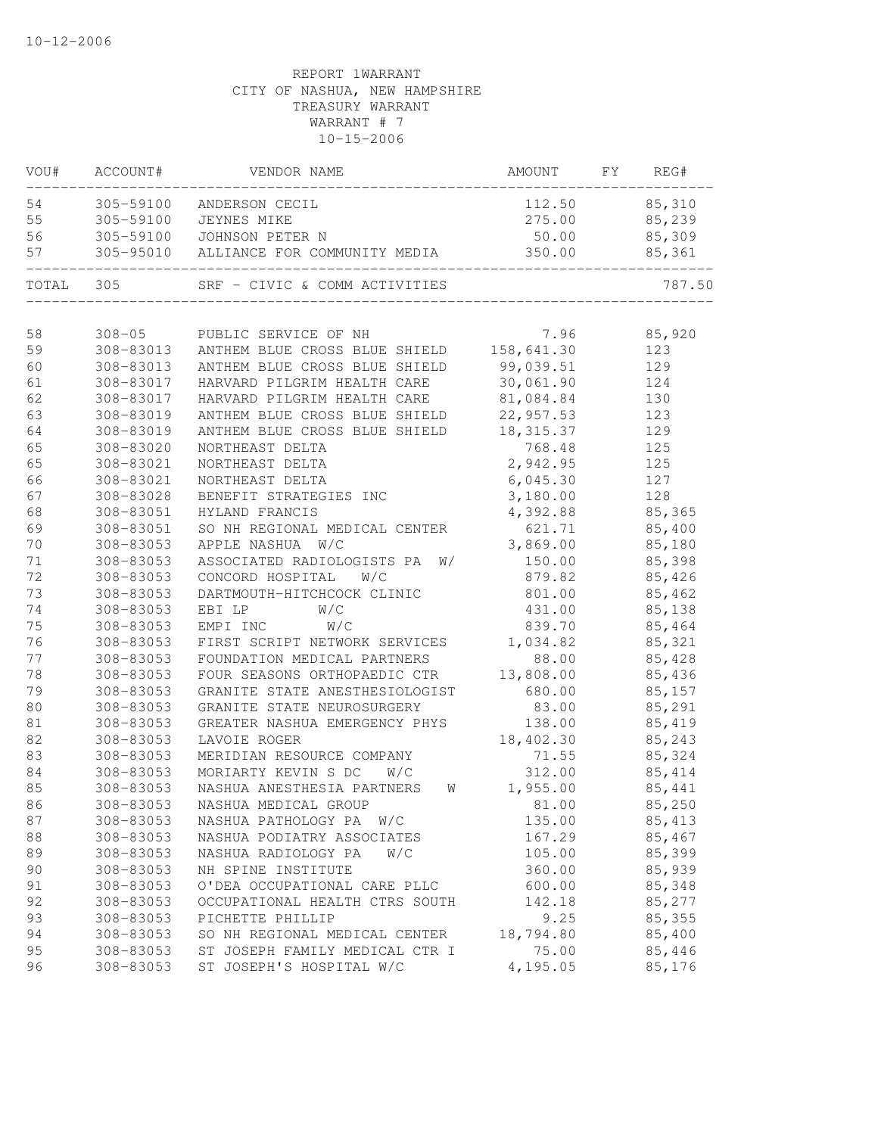| VOU#      | ACCOUNT#  | VENDOR NAME                                        | AMOUNT     | FY | REG#    |
|-----------|-----------|----------------------------------------------------|------------|----|---------|
| 54        |           | 305-59100 ANDERSON CECIL                           | 112.50     |    | 85,310  |
| 55        | 305-59100 | JEYNES MIKE                                        | 275.00     |    | 85,239  |
| 56        | 305-59100 | JOHNSON PETER N                                    | 50.00      |    | 85,309  |
| 57        |           | 305-95010 ALLIANCE FOR COMMUNITY MEDIA             | 350.00     |    | 85,361  |
| TOTAL 305 |           |                                                    |            |    | 787.50  |
|           |           |                                                    |            |    |         |
| 58        |           | 308-05 PUBLIC SERVICE OF NH                        | 7.96       |    | 85,920  |
| 59        |           | 308-83013 ANTHEM BLUE CROSS BLUE SHIELD 158,641.30 |            |    | 123     |
| 60        | 308-83013 | ANTHEM BLUE CROSS BLUE SHIELD 99,039.51            |            |    | 129     |
| 61        | 308-83017 | HARVARD PILGRIM HEALTH CARE                        | 30,061.90  |    | 124     |
| 62        | 308-83017 | HARVARD PILGRIM HEALTH CARE                        | 81,084.84  |    | 130     |
| 63        | 308-83019 | ANTHEM BLUE CROSS BLUE SHIELD                      | 22,957.53  |    | 123     |
| 64        | 308-83019 | ANTHEM BLUE CROSS BLUE SHIELD                      | 18, 315.37 |    | 129     |
| 65        | 308-83020 | NORTHEAST DELTA                                    | 768.48     |    | 125     |
| 65        | 308-83021 | NORTHEAST DELTA                                    | 2,942.95   |    | 125     |
| 66        | 308-83021 | NORTHEAST DELTA                                    | 6,045.30   |    | 127     |
| 67        | 308-83028 | BENEFIT STRATEGIES INC                             | 3,180.00   |    | 128     |
| 68        | 308-83051 | HYLAND FRANCIS                                     | 4,392.88   |    | 85,365  |
| 69        | 308-83051 | SO NH REGIONAL MEDICAL CENTER                      | 621.71     |    | 85,400  |
| 70        | 308-83053 | APPLE NASHUA<br>W/C                                | 3,869.00   |    | 85,180  |
| $7\,1$    | 308-83053 | W/<br>ASSOCIATED RADIOLOGISTS PA                   | 150.00     |    | 85,398  |
| 72        | 308-83053 | CONCORD HOSPITAL<br>W/C                            | 879.82     |    | 85,426  |
| 73        | 308-83053 | DARTMOUTH-HITCHCOCK CLINIC                         | 801.00     |    | 85,462  |
| 74        | 308-83053 | EBI LP<br>W/C                                      | 431.00     |    | 85,138  |
| 75        | 308-83053 | W/C<br>EMPI INC                                    | 839.70     |    | 85,464  |
| 76        | 308-83053 | FIRST SCRIPT NETWORK SERVICES                      | 1,034.82   |    | 85,321  |
| 77        | 308-83053 | FOUNDATION MEDICAL PARTNERS                        | 88.00      |    | 85,428  |
| 78        | 308-83053 | FOUR SEASONS ORTHOPAEDIC CTR                       | 13,808.00  |    | 85,436  |
| 79        | 308-83053 | GRANITE STATE ANESTHESIOLOGIST                     | 680.00     |    | 85,157  |
| 80        | 308-83053 | GRANITE STATE NEUROSURGERY                         | 83.00      |    | 85,291  |
| 81        | 308-83053 | GREATER NASHUA EMERGENCY PHYS                      | 138.00     |    | 85,419  |
| 82        | 308-83053 | LAVOIE ROGER                                       | 18,402.30  |    | 85,243  |
| 83        | 308-83053 | MERIDIAN RESOURCE COMPANY                          | 71.55      |    | 85,324  |
| 84        | 308-83053 | MORIARTY KEVIN S DC<br>W/C                         | 312.00     |    | 85,414  |
| 85        | 308-83053 | NASHUA ANESTHESIA PARTNERS<br><b>W</b>             | 1,955.00   |    | 85,441  |
| 86        | 308-83053 | NASHUA MEDICAL GROUP                               | 81.00      |    | 85,250  |
| 87        | 308-83053 | NASHUA PATHOLOGY PA W/C                            | 135.00     |    | 85, 413 |
| 88        | 308-83053 | NASHUA PODIATRY ASSOCIATES                         | 167.29     |    | 85,467  |
| 89        | 308-83053 | NASHUA RADIOLOGY PA<br>W/C                         | 105.00     |    | 85,399  |
| 90        | 308-83053 | NH SPINE INSTITUTE                                 | 360.00     |    | 85,939  |
| 91        | 308-83053 | O'DEA OCCUPATIONAL CARE PLLC                       | 600.00     |    | 85,348  |
| 92        | 308-83053 | OCCUPATIONAL HEALTH CTRS SOUTH                     | 142.18     |    | 85,277  |
| 93        | 308-83053 | PICHETTE PHILLIP                                   | 9.25       |    | 85,355  |
| 94        | 308-83053 | SO NH REGIONAL MEDICAL CENTER                      | 18,794.80  |    | 85,400  |
| 95        | 308-83053 | ST JOSEPH FAMILY MEDICAL CTR I                     | 75.00      |    | 85,446  |
| 96        | 308-83053 | ST JOSEPH'S HOSPITAL W/C                           | 4,195.05   |    | 85,176  |
|           |           |                                                    |            |    |         |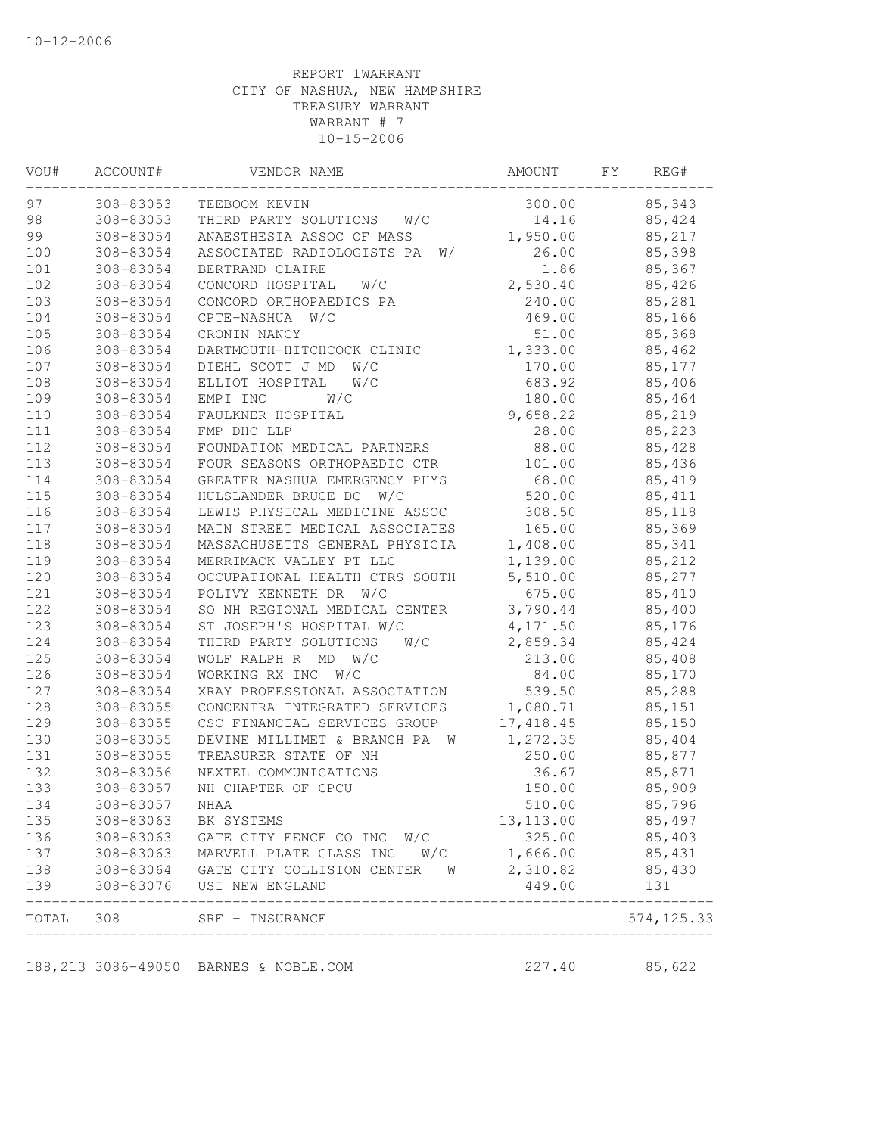| VOU# | ACCOUNT#                            | VENDOR NAME                      | AMOUNT     | FΥ<br>REG#  |
|------|-------------------------------------|----------------------------------|------------|-------------|
| 97   | 308-83053                           | TEEBOOM KEVIN                    | 300.00     | 85,343      |
| 98   | 308-83053                           | W/C<br>THIRD PARTY SOLUTIONS     | 14.16      | 85,424      |
| 99   | 308-83054                           | ANAESTHESIA ASSOC OF MASS        | 1,950.00   | 85,217      |
| 100  | 308-83054                           | ASSOCIATED RADIOLOGISTS PA<br>W/ | 26.00      | 85,398      |
| 101  | 308-83054                           | BERTRAND CLAIRE                  | 1.86       | 85,367      |
| 102  | 308-83054                           | CONCORD HOSPITAL<br>W/C          | 2,530.40   | 85,426      |
| 103  | 308-83054                           | CONCORD ORTHOPAEDICS PA          | 240.00     | 85,281      |
| 104  | 308-83054                           | CPTE-NASHUA W/C                  | 469.00     | 85,166      |
| 105  | 308-83054                           | CRONIN NANCY                     | 51.00      | 85,368      |
| 106  | 308-83054                           | DARTMOUTH-HITCHCOCK CLINIC       | 1,333.00   | 85,462      |
| 107  | 308-83054                           | DIEHL SCOTT J MD<br>W/C          | 170.00     | 85,177      |
| 108  | 308-83054                           | ELLIOT HOSPITAL<br>W/C           | 683.92     | 85,406      |
| 109  | 308-83054                           | EMPI INC<br>W/C                  | 180.00     | 85,464      |
| 110  | 308-83054                           | FAULKNER HOSPITAL                | 9,658.22   | 85,219      |
| 111  | 308-83054                           | FMP DHC LLP                      | 28.00      | 85,223      |
| 112  | 308-83054                           | FOUNDATION MEDICAL PARTNERS      | 88.00      | 85,428      |
| 113  | 308-83054                           | FOUR SEASONS ORTHOPAEDIC CTR     | 101.00     | 85,436      |
| 114  | 308-83054                           | GREATER NASHUA EMERGENCY PHYS    | 68.00      | 85,419      |
| 115  | 308-83054                           | HULSLANDER BRUCE DC W/C          | 520.00     | 85, 411     |
| 116  | 308-83054                           | LEWIS PHYSICAL MEDICINE ASSOC    | 308.50     | 85,118      |
| 117  | 308-83054                           | MAIN STREET MEDICAL ASSOCIATES   | 165.00     | 85,369      |
| 118  | 308-83054                           | MASSACHUSETTS GENERAL PHYSICIA   | 1,408.00   | 85,341      |
| 119  | 308-83054                           | MERRIMACK VALLEY PT LLC          | 1,139.00   | 85,212      |
| 120  | 308-83054                           | OCCUPATIONAL HEALTH CTRS SOUTH   | 5,510.00   | 85,277      |
| 121  | 308-83054                           | POLIVY KENNETH DR W/C            | 675.00     | 85,410      |
| 122  | 308-83054                           | SO NH REGIONAL MEDICAL CENTER    | 3,790.44   | 85,400      |
| 123  | 308-83054                           | ST JOSEPH'S HOSPITAL W/C         | 4,171.50   | 85,176      |
| 124  | 308-83054                           | THIRD PARTY SOLUTIONS<br>W/C     | 2,859.34   | 85,424      |
| 125  | 308-83054                           | WOLF RALPH R MD<br>W/C           | 213.00     | 85,408      |
| 126  | 308-83054                           | WORKING RX INC<br>W/C            | 84.00      | 85,170      |
| 127  | 308-83054                           | XRAY PROFESSIONAL ASSOCIATION    | 539.50     | 85,288      |
| 128  | 308-83055                           | CONCENTRA INTEGRATED SERVICES    | 1,080.71   | 85,151      |
| 129  | 308-83055                           | CSC FINANCIAL SERVICES GROUP     | 17, 418.45 | 85,150      |
| 130  | 308-83055                           | DEVINE MILLIMET & BRANCH PA W    | 1,272.35   | 85,404      |
| 131  | 308-83055                           | TREASURER STATE OF NH            | 250.00     | 85,877      |
| 132  | 308-83056                           | NEXTEL COMMUNICATIONS            | 36.67      | 85,871      |
| 133  | 308-83057                           | NH CHAPTER OF CPCU               | 150.00     | 85,909      |
| 134  | 308-83057                           | NHAA                             | 510.00     | 85,796      |
| 135  | 308-83063                           | BK SYSTEMS                       | 13, 113.00 | 85,497      |
| 136  | 308-83063                           | GATE CITY FENCE CO INC W/C       | 325.00     | 85,403      |
| 137  |                                     | MARVELL PLATE GLASS INC W/C      | 1,666.00   | 85,431      |
| 138  | 308-83063<br>308-83064<br>308-83076 | GATE CITY COLLISION CENTER W     | 2,310.82   | 85,430      |
| 139  |                                     | USI NEW ENGLAND<br>____________  | 449.00     | 131         |
|      |                                     | TOTAL 308 SRF - INSURANCE        |            | 574, 125.33 |

188,213 3086-49050 BARNES & NOBLE.COM 227.40 85,622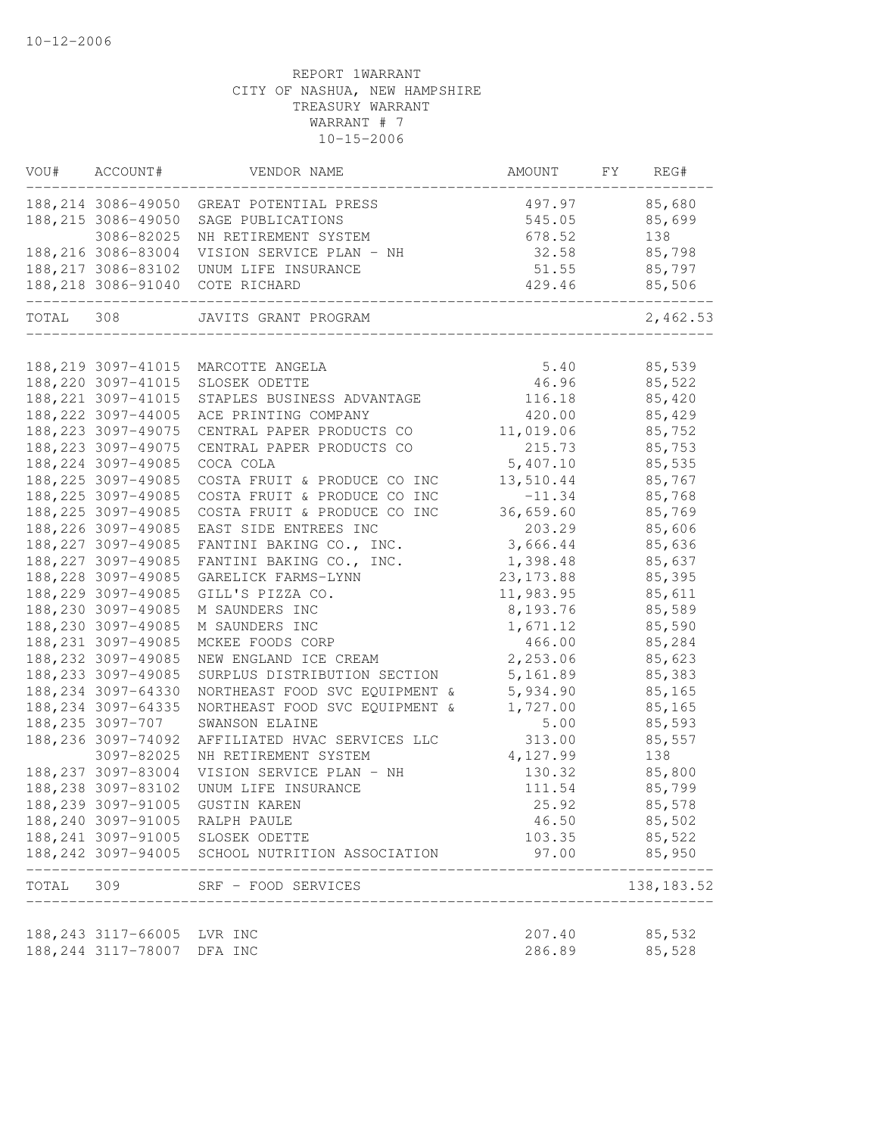| VOU#      | ACCOUNT#                    | VENDOR NAME                                                   | AMOUNT     | FY | REG#         |
|-----------|-----------------------------|---------------------------------------------------------------|------------|----|--------------|
|           |                             | 188, 214 3086-49050 GREAT POTENTIAL PRESS                     | 497.97     |    | 85,680       |
|           | 188, 215 3086-49050         | SAGE PUBLICATIONS                                             | 545.05     |    | 85,699       |
|           | 3086-82025                  | NH RETIREMENT SYSTEM                                          | 678.52     |    | 138          |
|           |                             | 188, 216 3086-83004 VISION SERVICE PLAN - NH                  | 32.58      |    | 85,798       |
|           |                             | 188, 217 3086-83102 UNUM LIFE INSURANCE                       | 51.55      |    | 85,797       |
|           | 188, 218 3086-91040         | COTE RICHARD                                                  | 429.46     |    | 85,506       |
| TOTAL 308 |                             | JAVITS GRANT PROGRAM                                          |            |    | 2,462.53     |
|           | 188, 219 3097-41015         | MARCOTTE ANGELA                                               | 5.40       |    | 85,539       |
|           | 188, 220 3097-41015         | SLOSEK ODETTE                                                 | 46.96      |    | 85,522       |
|           | 188, 221 3097-41015         | STAPLES BUSINESS ADVANTAGE                                    | 116.18     |    | 85,420       |
|           | 188, 222 3097-44005         | ACE PRINTING COMPANY                                          | 420.00     |    | 85,429       |
|           | 188, 223 3097-49075         | CENTRAL PAPER PRODUCTS CO                                     | 11,019.06  |    | 85,752       |
|           | 188, 223 3097-49075         | CENTRAL PAPER PRODUCTS CO                                     | 215.73     |    | 85,753       |
|           | 188, 224 3097-49085         | COCA COLA                                                     | 5,407.10   |    | 85,535       |
|           | 188, 225 3097-49085         | COSTA FRUIT & PRODUCE CO INC                                  | 13,510.44  |    | 85,767       |
|           | 188, 225 3097-49085         | COSTA FRUIT & PRODUCE CO INC                                  | $-11.34$   |    | 85,768       |
|           | 188, 225 3097-49085         | COSTA FRUIT & PRODUCE CO INC                                  | 36,659.60  |    | 85,769       |
|           | 188, 226 3097-49085         | EAST SIDE ENTREES INC                                         | 203.29     |    | 85,606       |
|           | 188, 227 3097-49085         | FANTINI BAKING CO., INC.                                      | 3,666.44   |    | 85,636       |
|           | 188, 227 3097-49085         | FANTINI BAKING CO., INC.                                      | 1,398.48   |    | 85,637       |
|           | 188, 228 3097-49085         | GARELICK FARMS-LYNN                                           | 23, 173.88 |    | 85,395       |
|           | 188, 229 3097-49085         | GILL'S PIZZA CO.                                              | 11,983.95  |    | 85,611       |
|           | 188, 230 3097-49085         | M SAUNDERS INC                                                | 8,193.76   |    | 85,589       |
|           | 188, 230 3097-49085         | M SAUNDERS INC                                                | 1,671.12   |    | 85,590       |
|           | 188, 231 3097-49085         | MCKEE FOODS CORP                                              | 466.00     |    | 85,284       |
|           | 188, 232 3097-49085         | NEW ENGLAND ICE CREAM                                         | 2,253.06   |    | 85,623       |
|           | 188, 233 3097-49085         | SURPLUS DISTRIBUTION SECTION                                  | 5,161.89   |    | 85,383       |
|           | 188, 234 3097-64330         | NORTHEAST FOOD SVC EQUIPMENT &                                | 5,934.90   |    | 85,165       |
|           | 188, 234 3097-64335         | NORTHEAST FOOD SVC EQUIPMENT &                                | 1,727.00   |    | 85,165       |
|           | 188,235 3097-707            | SWANSON ELAINE                                                | 5.00       |    | 85,593       |
|           | 188, 236 3097-74092         | AFFILIATED HVAC SERVICES LLC                                  | 313.00     |    | 85,557       |
|           | 3097-82025                  | NH RETIREMENT SYSTEM                                          | 4,127.99   |    | 138          |
|           | 188, 237 3097-83004         | VISION SERVICE PLAN - NH                                      | 130.32     |    | 85,800       |
|           | 188, 238 3097-83102         | UNUM LIFE INSURANCE                                           | 111.54     |    | 85,799       |
|           | 188, 239 3097-91005         | GUSTIN KAREN                                                  | 25.92      |    | 85,578       |
|           |                             | 188,240 3097-91005 RALPH PAULE                                | 46.50      |    | 85,502       |
|           |                             | 188,241 3097-91005 SLOSEK ODETTE                              | 103.35     |    | 85,522       |
|           |                             | 188,242 3097-94005 SCHOOL NUTRITION ASSOCIATION               | 97.00      |    | 85,950       |
| TOTAL 309 |                             | SRF - FOOD SERVICES<br>______________________________________ |            |    | 138, 183. 52 |
|           |                             |                                                               |            |    |              |
|           | 188, 243 3117-66005 LVR INC |                                                               | 207.40     |    | 85,532       |
|           | 188,244 3117-78007 DFA INC  |                                                               | 286.89     |    | 85,528       |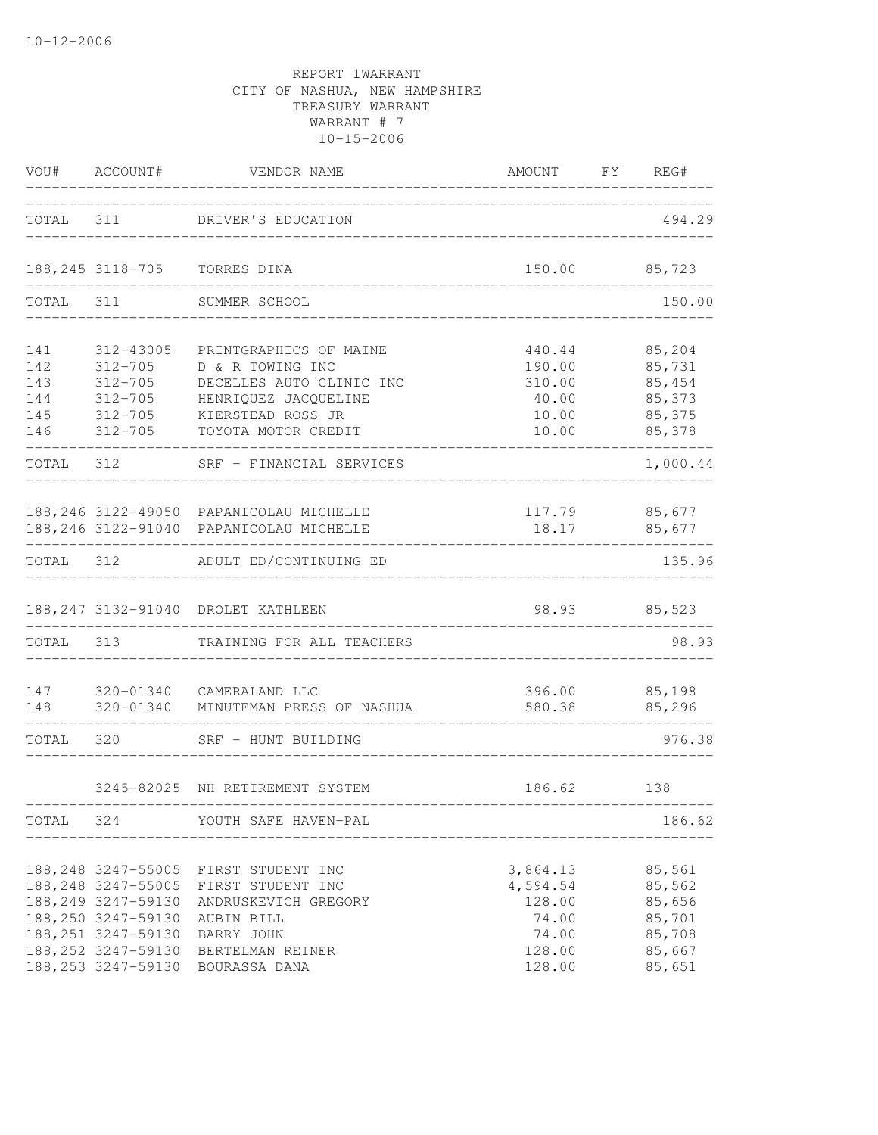| TOTAL                                  |                                                                                                                                                              | 311 DRIVER'S EDUCATION                                                                                                                             |                                                                      | 494.29                                                             |
|----------------------------------------|--------------------------------------------------------------------------------------------------------------------------------------------------------------|----------------------------------------------------------------------------------------------------------------------------------------------------|----------------------------------------------------------------------|--------------------------------------------------------------------|
|                                        |                                                                                                                                                              | 188, 245 3118-705 TORRES DINA                                                                                                                      | 150.00                                                               | 85,723                                                             |
| TOTAL 311                              |                                                                                                                                                              | SUMMER SCHOOL                                                                                                                                      |                                                                      | 150.00                                                             |
| 141<br>142<br>143<br>144<br>145<br>146 | 312-43005<br>$312 - 705$<br>312-705<br>312-705<br>312-705                                                                                                    | PRINTGRAPHICS OF MAINE<br>D & R TOWING INC<br>DECELLES AUTO CLINIC INC<br>HENRIQUEZ JACQUELINE<br>KIERSTEAD ROSS JR<br>312-705 TOYOTA MOTOR CREDIT | 440.44<br>190.00<br>310.00<br>10.00<br>10.00                         | 85,204<br>85,731<br>85,454<br>40.00 85,373<br>85, 375<br>85,378    |
| TOTAL 312                              |                                                                                                                                                              | SRF - FINANCIAL SERVICES                                                                                                                           |                                                                      | 1,000.44                                                           |
|                                        |                                                                                                                                                              | 188, 246 3122-49050 PAPANICOLAU MICHELLE<br>188,246 3122-91040 PAPANICOLAU MICHELLE                                                                | 18.17 85,677                                                         | 117.79 85,677                                                      |
| TOTAL 312                              |                                                                                                                                                              | ADULT ED/CONTINUING ED                                                                                                                             |                                                                      | 135.96                                                             |
|                                        |                                                                                                                                                              | 188, 247 3132-91040 DROLET KATHLEEN                                                                                                                |                                                                      | 98.93 85,523                                                       |
| TOTAL 313                              |                                                                                                                                                              | TRAINING FOR ALL TEACHERS                                                                                                                          |                                                                      | 98.93                                                              |
| 147<br>148                             | $320 - 01340$                                                                                                                                                | 320-01340 CAMERALAND LLC<br>MINUTEMAN PRESS OF NASHUA                                                                                              | 580.38 85,296<br>__________________                                  | 396.00 85,198                                                      |
| TOTAL 320                              |                                                                                                                                                              | SRF - HUNT BUILDING                                                                                                                                |                                                                      | 976.38                                                             |
|                                        |                                                                                                                                                              | 3245-82025 NH RETIREMENT SYSTEM                                                                                                                    | 186.62 138                                                           |                                                                    |
| TOTAL                                  | 324                                                                                                                                                          | YOUTH SAFE HAVEN-PAL                                                                                                                               |                                                                      | 186.62                                                             |
|                                        | 188, 248 3247-55005<br>188, 248 3247-55005<br>188, 249 3247-59130<br>188,250 3247-59130<br>188, 251 3247-59130<br>188, 252 3247-59130<br>188, 253 3247-59130 | FIRST STUDENT INC<br>FIRST STUDENT INC<br>ANDRUSKEVICH GREGORY<br>AUBIN BILL<br>BARRY JOHN<br>BERTELMAN REINER<br>BOURASSA DANA                    | 3,864.13<br>4,594.54<br>128.00<br>74.00<br>74.00<br>128.00<br>128.00 | 85,561<br>85,562<br>85,656<br>85,701<br>85,708<br>85,667<br>85,651 |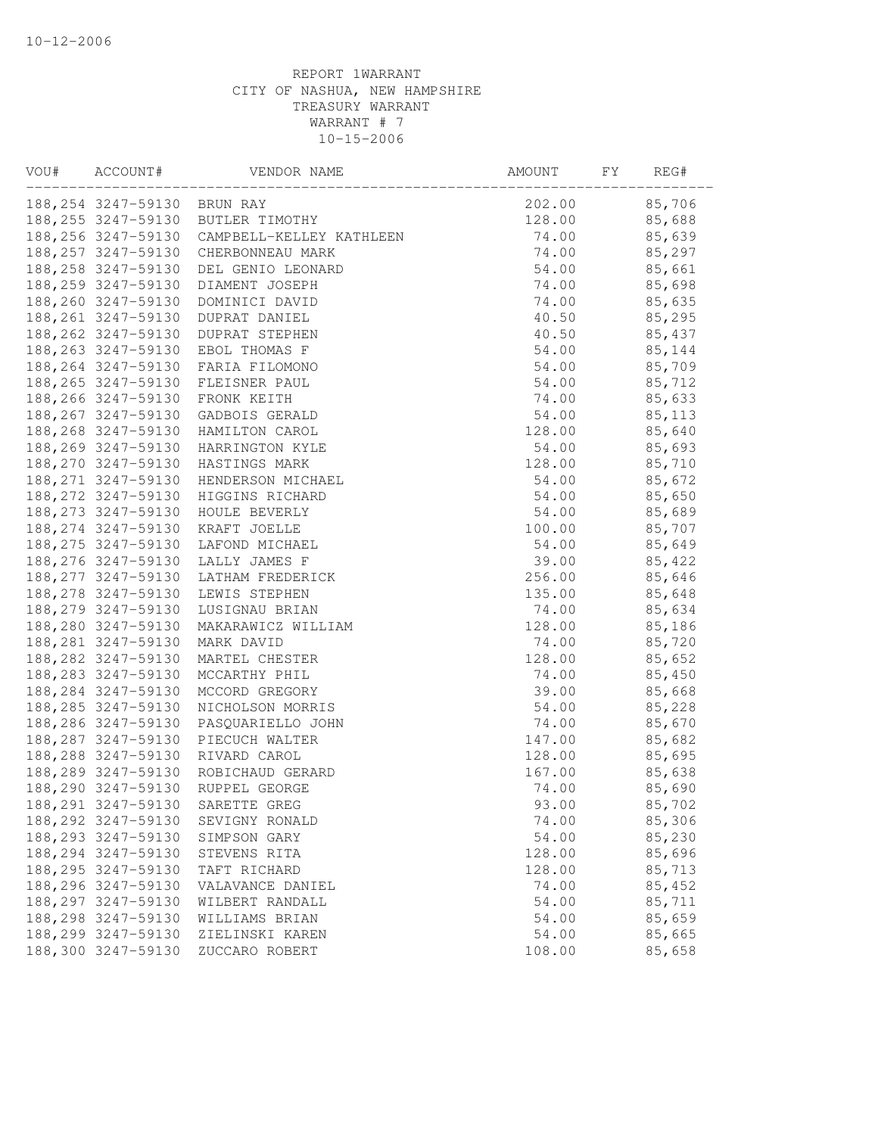| VOU# | ACCOUNT#                     | VENDOR NAME                                  | AMOUNT | FY | REG#    |
|------|------------------------------|----------------------------------------------|--------|----|---------|
|      | 188, 254 3247-59130 BRUN RAY |                                              | 202.00 |    | 85,706  |
|      |                              | 188, 255 3247-59130 BUTLER TIMOTHY           | 128.00 |    | 85,688  |
|      |                              | 188, 256 3247-59130 CAMPBELL-KELLEY KATHLEEN | 74.00  |    | 85,639  |
|      | 188, 257 3247-59130          | CHERBONNEAU MARK                             | 74.00  |    | 85,297  |
|      | 188, 258 3247-59130          | DEL GENIO LEONARD                            | 54.00  |    | 85,661  |
|      | 188, 259 3247-59130          | DIAMENT JOSEPH                               | 74.00  |    | 85,698  |
|      | 188,260 3247-59130           | DOMINICI DAVID                               | 74.00  |    | 85,635  |
|      | 188, 261 3247-59130          | DUPRAT DANIEL                                | 40.50  |    | 85,295  |
|      | 188, 262 3247-59130          | DUPRAT STEPHEN                               | 40.50  |    | 85,437  |
|      |                              | 188,263 3247-59130 EBOL THOMAS F             | 54.00  |    | 85,144  |
|      | 188, 264 3247-59130          | FARIA FILOMONO                               | 54.00  |    | 85,709  |
|      | 188, 265 3247-59130          | FLEISNER PAUL                                | 54.00  |    | 85,712  |
|      | 188, 266 3247-59130          | FRONK KEITH                                  | 74.00  |    | 85,633  |
|      | 188, 267 3247-59130          | GADBOIS GERALD                               | 54.00  |    | 85, 113 |
|      | 188, 268 3247-59130          | HAMILTON CAROL                               | 128.00 |    | 85,640  |
|      |                              | 188,269 3247-59130 HARRINGTON KYLE           | 54.00  |    | 85,693  |
|      |                              | 188, 270 3247-59130 HASTINGS MARK            | 128.00 |    | 85,710  |
|      |                              | 188, 271 3247-59130 HENDERSON MICHAEL        | 54.00  |    | 85,672  |
|      |                              | 188,272 3247-59130 HIGGINS RICHARD           | 54.00  |    | 85,650  |
|      | 188, 273 3247-59130          | HOULE BEVERLY                                | 54.00  |    | 85,689  |
|      | 188, 274 3247-59130          | KRAFT JOELLE                                 | 100.00 |    | 85,707  |
|      | 188, 275 3247-59130          | LAFOND MICHAEL                               | 54.00  |    | 85,649  |
|      | 188, 276 3247-59130          | LALLY JAMES F                                | 39.00  |    | 85,422  |
|      | 188, 277 3247-59130          | LATHAM FREDERICK                             | 256.00 |    | 85,646  |
|      | 188, 278 3247-59130          | LEWIS STEPHEN                                | 135.00 |    | 85,648  |
|      | 188,279 3247-59130           | LUSIGNAU BRIAN                               | 74.00  |    | 85,634  |
|      | 188,280 3247-59130           | MAKARAWICZ WILLIAM                           | 128.00 |    | 85,186  |
|      | 188, 281 3247-59130          | MARK DAVID                                   | 74.00  |    | 85,720  |
|      | 188, 282 3247-59130          | MARTEL CHESTER                               | 128.00 |    | 85,652  |
|      | 188, 283 3247-59130          | MCCARTHY PHIL                                | 74.00  |    | 85,450  |
|      | 188, 284 3247-59130          | MCCORD GREGORY                               | 39.00  |    | 85,668  |
|      | 188, 285 3247-59130          | NICHOLSON MORRIS                             | 54.00  |    | 85,228  |
|      | 188,286 3247-59130           | PASQUARIELLO JOHN                            | 74.00  |    | 85,670  |
|      |                              | 188, 287 3247-59130 PIECUCH WALTER           | 147.00 |    | 85,682  |
|      |                              | 188,288 3247-59130 RIVARD CAROL              | 128.00 |    | 85,695  |
|      |                              | 188,289 3247-59130 ROBICHAUD GERARD          | 167.00 |    | 85,638  |
|      | 188,290 3247-59130           | RUPPEL GEORGE                                | 74.00  |    | 85,690  |
|      | 188, 291 3247-59130          | SARETTE GREG                                 | 93.00  |    | 85,702  |
|      | 188, 292 3247-59130          | SEVIGNY RONALD                               | 74.00  |    | 85,306  |
|      | 188, 293 3247-59130          | SIMPSON GARY                                 | 54.00  |    | 85,230  |
|      | 188, 294 3247-59130          | STEVENS RITA                                 | 128.00 |    | 85,696  |
|      | 188, 295 3247-59130          | TAFT RICHARD                                 | 128.00 |    | 85,713  |
|      | 188, 296 3247-59130          | VALAVANCE DANIEL                             | 74.00  |    | 85,452  |
|      | 188, 297 3247-59130          | WILBERT RANDALL                              | 54.00  |    | 85,711  |
|      | 188, 298 3247-59130          | WILLIAMS BRIAN                               | 54.00  |    | 85,659  |
|      | 188, 299 3247-59130          | ZIELINSKI KAREN                              | 54.00  |    | 85,665  |
|      | 188,300 3247-59130           | ZUCCARO ROBERT                               | 108.00 |    | 85,658  |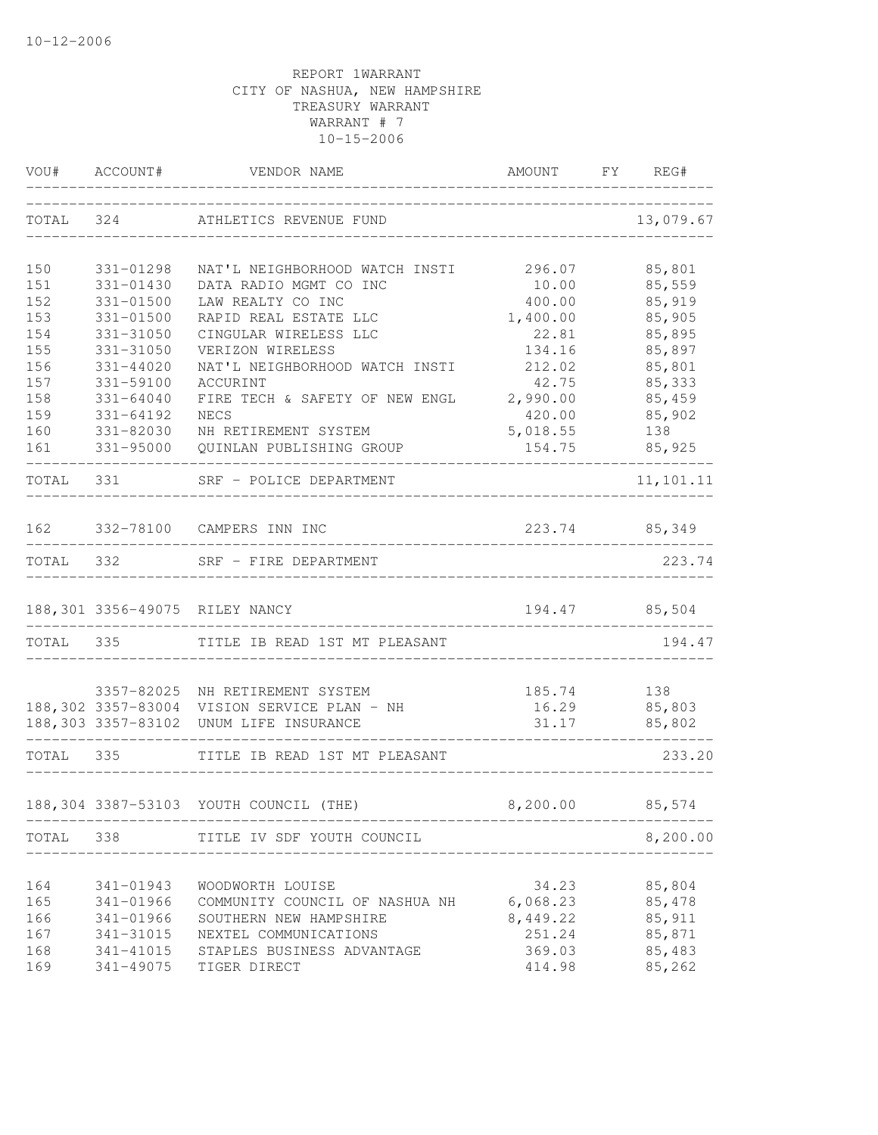|            |                            | VOU# ACCOUNT# VENDOR NAME                                | AMOUNT FY REG#              |                  |
|------------|----------------------------|----------------------------------------------------------|-----------------------------|------------------|
|            |                            | TOTAL 324 ATHLETICS REVENUE FUND                         |                             | 13,079.67        |
| 150        | 331-01298                  | NAT'L NEIGHBORHOOD WATCH INSTI 296.07 85,801             |                             |                  |
| 151        | 331-01430                  | DATA RADIO MGMT CO INC                                   | 10.00                       | 85,559           |
| 152        | $331 - 01500$              | LAW REALTY CO INC                                        | 400.00                      | 85,919           |
| 153        | $331 - 01500$              | RAPID REAL ESTATE LLC                                    | 1,400.00                    | 85,905           |
| 154        | 331-31050                  | CINGULAR WIRELESS LLC                                    | 22.81                       | 85,895           |
| 155        | 331-31050                  | VERIZON WIRELESS                                         | 134.16                      | 85,897           |
| 156<br>157 | $331 - 44020$<br>331-59100 | NAT'L NEIGHBORHOOD WATCH INSTI<br>ACCURINT               | 212.02<br>42.75             | 85,801<br>85,333 |
| 158        | $331 - 64040$              | FIRE TECH & SAFETY OF NEW ENGL 2,990.00                  |                             | 85,459           |
| 159        | 331-64192                  | NECS                                                     | 420.00                      | 85,902           |
| 160        | 331-82030                  | NH RETIREMENT SYSTEM                                     | 5,018.55                    | 138              |
| 161        | 331-95000                  | QUINLAN PUBLISHING GROUP                                 | 154.75                      | 85,925           |
|            | TOTAL 331                  | SRF - POLICE DEPARTMENT                                  |                             | 11,101.11        |
|            |                            | 162 332-78100 CAMPERS INN INC                            | 223.74 85,349               |                  |
|            |                            | TOTAL 332 SRF - FIRE DEPARTMENT                          |                             | 223.74           |
|            |                            |                                                          |                             |                  |
|            |                            | 188,301 3356-49075 RILEY NANCY                           | 194.47 85,504               |                  |
|            |                            | TOTAL 335 TITLE IB READ 1ST MT PLEASANT                  |                             | 194.47           |
|            |                            | 3357-82025 NH RETIREMENT SYSTEM                          | 185.74 138                  |                  |
|            |                            | 188,302 3357-83004 VISION SERVICE PLAN - NH 16.29 85,803 |                             |                  |
|            |                            | 188,303 3357-83102 UNUM LIFE INSURANCE                   |                             | 31.17 85,802     |
| TOTAL 335  |                            | TITLE IB READ 1ST MT PLEASANT                            | ___________________________ | 233.20           |
|            |                            | 188,304 3387-53103 YOUTH COUNCIL (THE)                   | 8,200.00 85,574             |                  |
| TOTAL      | 338                        | TITLE IV SDF YOUTH COUNCIL                               |                             | 8,200.00         |
|            |                            |                                                          |                             |                  |
| 164        | 341-01943                  | WOODWORTH LOUISE                                         | 34.23                       | 85,804           |
| 165        | 341-01966                  | COMMUNITY COUNCIL OF NASHUA NH                           | 6,068.23                    | 85,478           |
| 166        | 341-01966                  | SOUTHERN NEW HAMPSHIRE                                   | 8,449.22                    | 85,911           |
| 167        | 341-31015                  | NEXTEL COMMUNICATIONS                                    | 251.24                      | 85,871           |
| 168<br>169 | 341-41015<br>$341 - 49075$ | STAPLES BUSINESS ADVANTAGE<br>TIGER DIRECT               | 369.03<br>414.98            | 85,483<br>85,262 |
|            |                            |                                                          |                             |                  |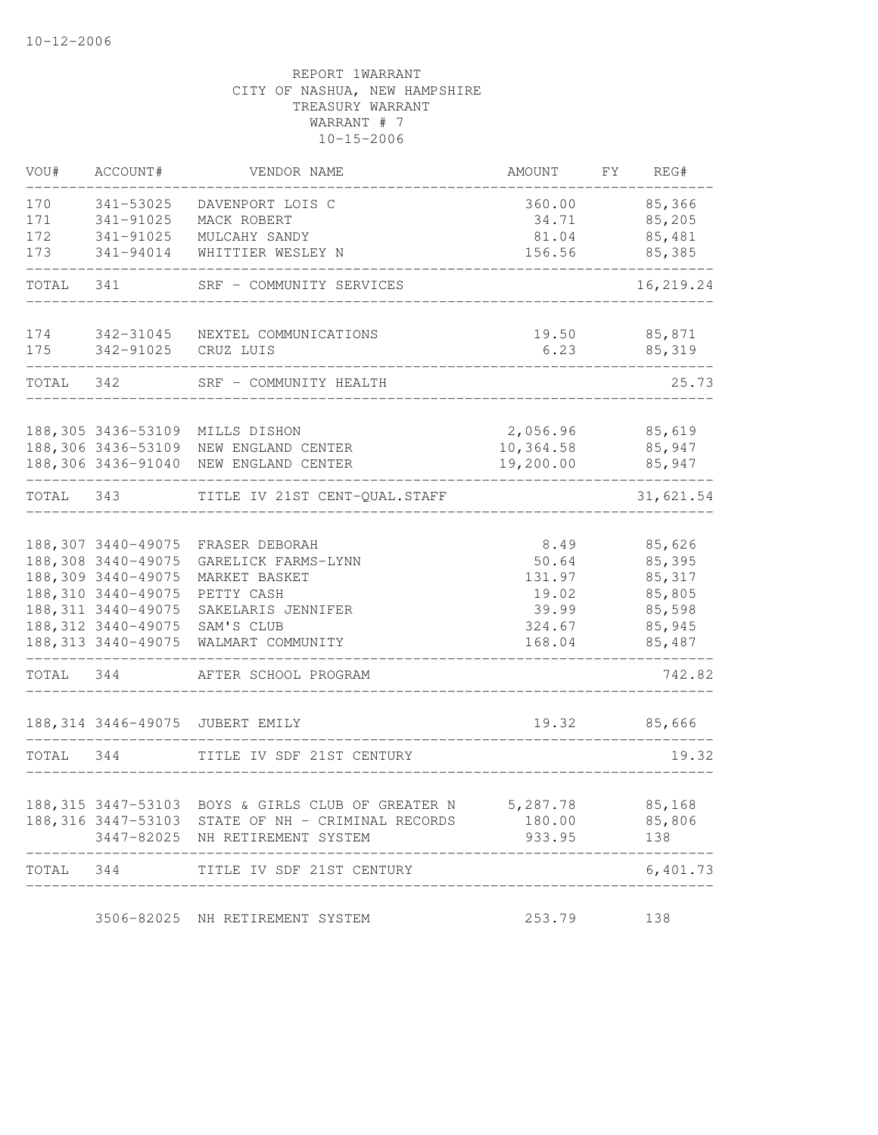| VOU#      | ACCOUNT#            | VENDOR NAME                                                                          | AMOUNT                              | FY | REG#             |
|-----------|---------------------|--------------------------------------------------------------------------------------|-------------------------------------|----|------------------|
| 170       | 341-53025           | DAVENPORT LOIS C                                                                     | 360.00                              |    | 85,366           |
| 171       | 341-91025           | MACK ROBERT                                                                          | 34.71                               |    | 85,205           |
| 172       | 341-91025           | MULCAHY SANDY                                                                        | 81.04                               |    | 85,481           |
| 173       | 341-94014           | WHITTIER WESLEY N                                                                    | 156.56                              |    | 85,385           |
| TOTAL     | 341                 | SRF - COMMUNITY SERVICES                                                             |                                     |    | 16,219.24        |
| 174       | 342-31045           | NEXTEL COMMUNICATIONS                                                                | 19.50                               |    | 85,871           |
| 175       | 342-91025           | CRUZ LUIS                                                                            | 6.23                                |    | 85,319           |
| TOTAL     | 342                 | SRF - COMMUNITY HEALTH                                                               |                                     |    | 25.73            |
|           |                     | 188,305 3436-53109 MILLS DISHON                                                      | 2,056.96                            |    | 85,619           |
|           |                     | 188,306 3436-53109 NEW ENGLAND CENTER                                                | 10,364.58                           |    | 85,947           |
|           |                     | 188,306 3436-91040 NEW ENGLAND CENTER                                                | 19,200.00                           |    | 85,947           |
| TOTAL 343 |                     | TITLE IV 21ST CENT-QUAL.STAFF                                                        |                                     |    | 31,621.54        |
|           |                     |                                                                                      |                                     |    |                  |
|           | 188,308 3440-49075  | 188,307 3440-49075 FRASER DEBORAH                                                    | 8.49<br>50.64                       |    | 85,626           |
|           | 188,309 3440-49075  | GARELICK FARMS-LYNN                                                                  | 131.97                              |    | 85,395<br>85,317 |
|           | 188, 310 3440-49075 | MARKET BASKET<br>PETTY CASH                                                          | 19.02                               |    | 85,805           |
|           | 188, 311 3440-49075 | SAKELARIS JENNIFER                                                                   | 39.99                               |    | 85,598           |
|           | 188, 312 3440-49075 | SAM'S CLUB                                                                           | 324.67                              |    | 85,945           |
|           | 188, 313 3440-49075 | WALMART COMMUNITY                                                                    | 168.04                              |    | 85,487           |
| TOTAL 344 |                     | AFTER SCHOOL PROGRAM                                                                 | __________________                  |    | 742.82           |
|           |                     | 188, 314 3446-49075 JUBERT EMILY                                                     | . _ _ _ _ _ _ _ _ _ _ _ _ _ _ _ _ _ |    | 19.32 85,666     |
| TOTAL 344 |                     | TITLE IV SDF 21ST CENTURY                                                            |                                     |    | 19.32            |
|           |                     |                                                                                      |                                     |    |                  |
|           |                     | 188,315 3447-53103 BOYS & GIRLS CLUB OF GREATER N 5,287.78 85,168                    | 180.00                              |    |                  |
|           |                     | 188,316 3447-53103 STATE OF NH - CRIMINAL RECORDS<br>3447-82025 NH RETIREMENT SYSTEM | 933.95                              |    | 85,806<br>138    |
| TOTAL     | 344                 | TITLE IV SDF 21ST CENTURY                                                            |                                     |    | 6,401.73         |
|           |                     | 3506-82025 NH RETIREMENT SYSTEM                                                      | 253.79                              |    | 138              |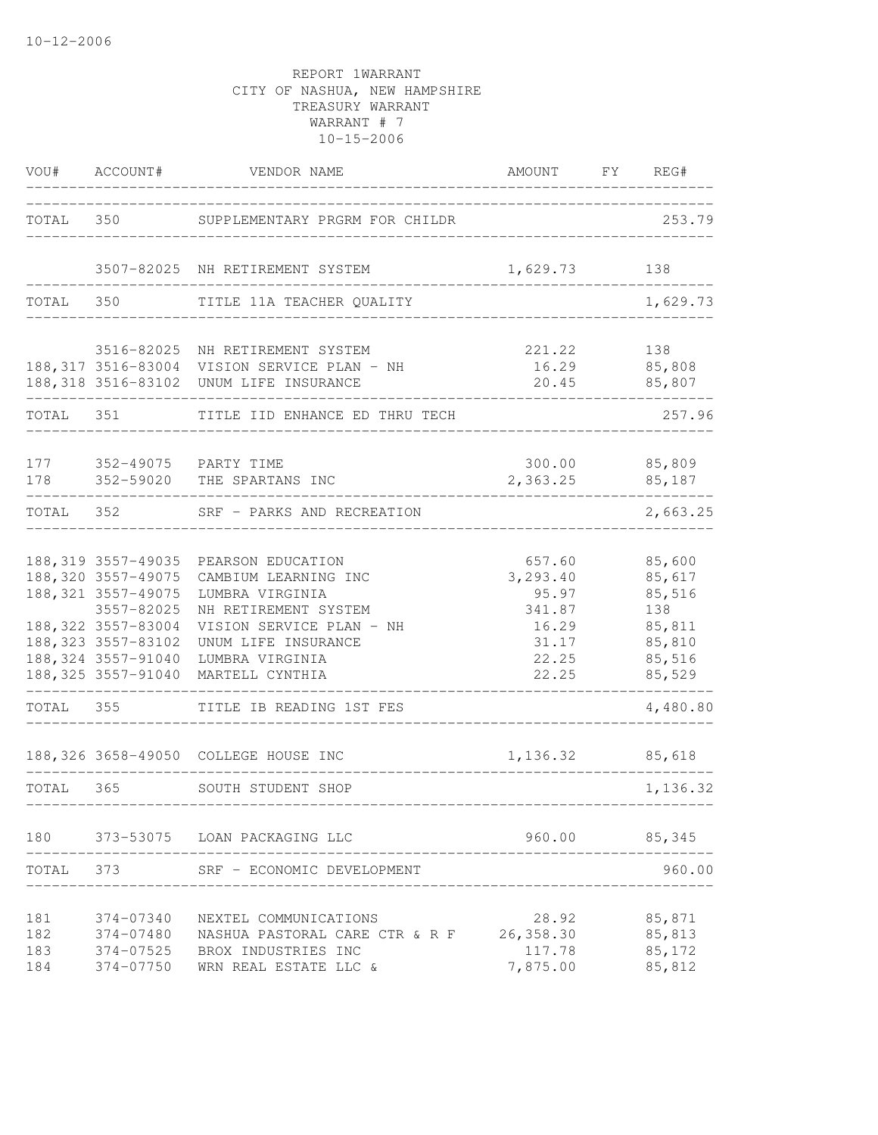|                          | VOU# ACCOUNT#                                                                                                                                     | VENDOR NAME                                                                                                                                                                                       | AMOUNT FY REG#                                                            |                                                                           |
|--------------------------|---------------------------------------------------------------------------------------------------------------------------------------------------|---------------------------------------------------------------------------------------------------------------------------------------------------------------------------------------------------|---------------------------------------------------------------------------|---------------------------------------------------------------------------|
|                          |                                                                                                                                                   | TOTAL 350 SUPPLEMENTARY PRGRM FOR CHILDR                                                                                                                                                          |                                                                           | 253.79                                                                    |
|                          |                                                                                                                                                   | 3507-82025 NH RETIREMENT SYSTEM                                                                                                                                                                   | 1,629.73                                                                  | 138                                                                       |
| TOTAL 350                |                                                                                                                                                   | TITLE 11A TEACHER QUALITY                                                                                                                                                                         |                                                                           | 1,629.73                                                                  |
|                          |                                                                                                                                                   | 3516-82025 NH RETIREMENT SYSTEM<br>188, 317 3516-83004 VISION SERVICE PLAN - NH<br>188, 318 3516-83102 UNUM LIFE INSURANCE                                                                        | 221.22<br>___________________                                             | 138<br>16.29 85,808<br>20.45 85,807                                       |
| TOTAL 351                |                                                                                                                                                   | TITLE IID ENHANCE ED THRU TECH                                                                                                                                                                    |                                                                           | 257.96                                                                    |
| 178                      |                                                                                                                                                   | 177 352-49075 PARTY TIME<br>352-59020 THE SPARTANS INC                                                                                                                                            | 2,363.25                                                                  | 300.00 85,809<br>85,187                                                   |
|                          |                                                                                                                                                   | TOTAL 352 SRF - PARKS AND RECREATION                                                                                                                                                              |                                                                           | 2,663.25                                                                  |
|                          | 188,320 3557-49075<br>188, 321 3557-49075<br>3557-82025<br>188, 322 3557-83004<br>188, 323 3557-83102<br>188,324 3557-91040<br>188,325 3557-91040 | 188, 319 3557-49035 PEARSON EDUCATION<br>CAMBIUM LEARNING INC<br>LUMBRA VIRGINIA<br>NH RETIREMENT SYSTEM<br>VISION SERVICE PLAN - NH<br>UNUM LIFE INSURANCE<br>LUMBRA VIRGINIA<br>MARTELL CYNTHIA | 657.60<br>3,293.40<br>95.97<br>341.87<br>16.29<br>31.17<br>22.25<br>22.25 | 85,600<br>85,617<br>85,516<br>138<br>85,811<br>85,810<br>85,516<br>85,529 |
| TOTAL 355                |                                                                                                                                                   | TITLE IB READING 1ST FES                                                                                                                                                                          |                                                                           | 4,480.80                                                                  |
| TOTAL 365                |                                                                                                                                                   | 188,326 3658-49050 COLLEGE HOUSE INC<br>SOUTH STUDENT SHOP<br>--------------                                                                                                                      | 1,136.32 85,618                                                           | 1,136.32                                                                  |
| 180                      |                                                                                                                                                   | 373-53075 LOAN PACKAGING LLC                                                                                                                                                                      | 960.00                                                                    | 85,345                                                                    |
| TOTAL                    | 373                                                                                                                                               | SRF - ECONOMIC DEVELOPMENT                                                                                                                                                                        |                                                                           | 960.00                                                                    |
| 181<br>182<br>183<br>184 | 374-07340<br>374-07480<br>374-07525<br>374-07750                                                                                                  | NEXTEL COMMUNICATIONS<br>NASHUA PASTORAL CARE CTR & R F<br>BROX INDUSTRIES INC<br>WRN REAL ESTATE LLC &                                                                                           | 28.92<br>26, 358.30<br>117.78<br>7,875.00                                 | 85,871<br>85,813<br>85,172<br>85,812                                      |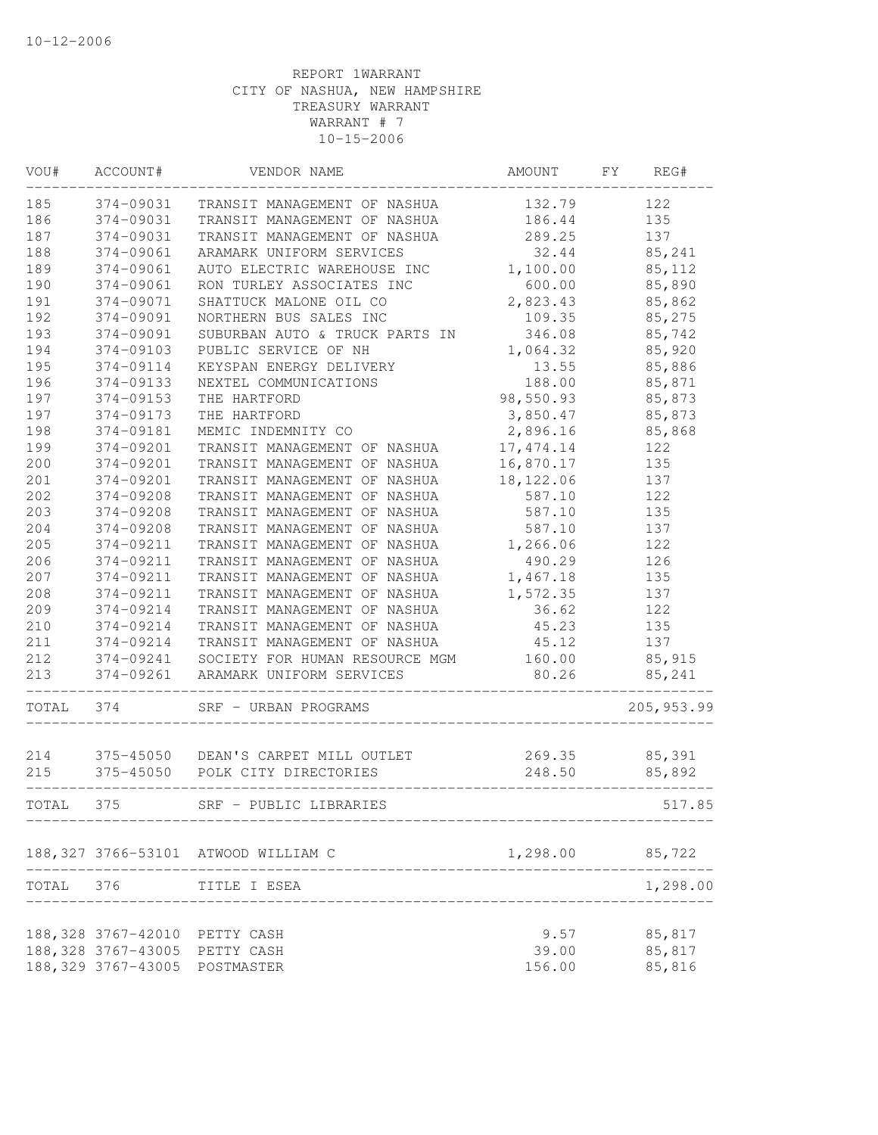| VOU#      | ACCOUNT#            | VENDOR NAME                              | AMOUNT     | FY<br>REG#  |
|-----------|---------------------|------------------------------------------|------------|-------------|
| 185       | 374-09031           | TRANSIT MANAGEMENT OF NASHUA             | 132.79     | 122         |
| 186       | 374-09031           | TRANSIT MANAGEMENT OF NASHUA             | 186.44     | 135         |
| 187       | 374-09031           | TRANSIT MANAGEMENT OF NASHUA             | 289.25     | 137         |
| 188       | 374-09061           | ARAMARK UNIFORM SERVICES                 | 32.44      | 85,241      |
| 189       | 374-09061           | AUTO ELECTRIC WAREHOUSE INC              | 1,100.00   | 85,112      |
| 190       | 374-09061           | RON TURLEY ASSOCIATES INC                | 600.00     | 85,890      |
| 191       | 374-09071           | SHATTUCK MALONE OIL CO                   | 2,823.43   | 85,862      |
| 192       | 374-09091           | NORTHERN BUS SALES INC                   | 109.35     | 85,275      |
| 193       | 374-09091           | SUBURBAN AUTO & TRUCK PARTS IN           | 346.08     | 85,742      |
| 194       | 374-09103           | PUBLIC SERVICE OF NH                     | 1,064.32   | 85,920      |
| 195       | 374-09114           | KEYSPAN ENERGY DELIVERY                  | 13.55      | 85,886      |
| 196       | 374-09133           | NEXTEL COMMUNICATIONS                    | 188.00     | 85,871      |
| 197       | 374-09153           | THE HARTFORD                             | 98,550.93  | 85,873      |
| 197       | 374-09173           | THE HARTFORD                             | 3,850.47   | 85,873      |
| 198       | 374-09181           | MEMIC INDEMNITY CO                       | 2,896.16   | 85,868      |
| 199       | 374-09201           | TRANSIT MANAGEMENT OF NASHUA             | 17, 474.14 | 122         |
| 200       | 374-09201           | TRANSIT MANAGEMENT OF NASHUA             | 16,870.17  | 135         |
| 201       | 374-09201           | TRANSIT MANAGEMENT OF NASHUA             | 18, 122.06 | 137         |
| 202       | 374-09208           | TRANSIT MANAGEMENT OF NASHUA             | 587.10     | 122         |
| 203       | 374-09208           | TRANSIT MANAGEMENT OF NASHUA             | 587.10     | 135         |
| 204       | 374-09208           | TRANSIT MANAGEMENT OF NASHUA             | 587.10     | 137         |
| 205       | 374-09211           | TRANSIT MANAGEMENT OF NASHUA             | 1,266.06   | 122         |
| 206       | 374-09211           | TRANSIT MANAGEMENT OF NASHUA             | 490.29     | 126         |
| 207       | 374-09211           | TRANSIT MANAGEMENT OF NASHUA             | 1,467.18   | 135         |
| 208       | 374-09211           | TRANSIT MANAGEMENT OF NASHUA             | 1,572.35   | 137         |
| 209       | 374-09214           | TRANSIT MANAGEMENT OF NASHUA             | 36.62      | 122         |
| 210       | 374-09214           | TRANSIT MANAGEMENT OF NASHUA             | 45.23      | 135         |
| 211       | 374-09214           | TRANSIT MANAGEMENT OF NASHUA             | 45.12      | 137         |
| 212       |                     | 374-09241 SOCIETY FOR HUMAN RESOURCE MGM | 160.00     | 85,915      |
| 213       | 374-09261           | ARAMARK UNIFORM SERVICES                 | 80.26      | 85,241      |
| TOTAL     | 374                 | SRF - URBAN PROGRAMS                     |            | 205, 953.99 |
| 214       |                     | 375-45050 DEAN'S CARPET MILL OUTLET      | 269.35     | 85,391      |
| 215       |                     | 375-45050 POLK CITY DIRECTORIES          | 248.50     | 85,892      |
|           |                     |                                          |            |             |
| TOTAL     | 375                 | SRF - PUBLIC LIBRARIES                   |            | 517.85      |
|           |                     | 188, 327 3766-53101 ATWOOD WILLIAM C     | 1,298.00   | 85,722      |
| TOTAL 376 |                     | TITLE I ESEA                             |            | 1,298.00    |
|           |                     |                                          |            |             |
|           | 188,328 3767-42010  | PETTY CASH                               | 9.57       | 85,817      |
|           | 188, 328 3767-43005 | PETTY CASH                               | 39.00      | 85,817      |
|           | 188, 329 3767-43005 | POSTMASTER                               | 156.00     | 85,816      |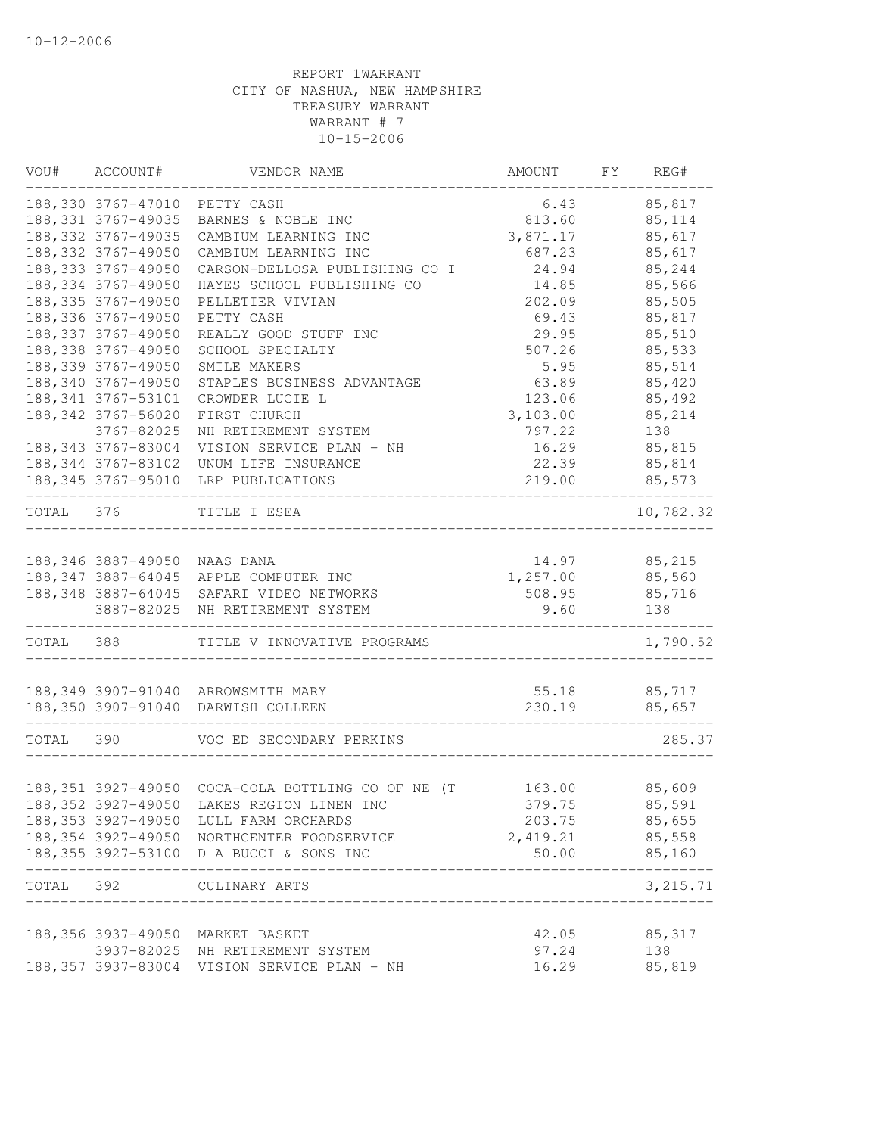|           | VOU# ACCOUNT#                | VENDOR NAME                                             | AMOUNT       | FY | REG#      |
|-----------|------------------------------|---------------------------------------------------------|--------------|----|-----------|
|           | 188,330 3767-47010           | PETTY CASH                                              | 6.43         |    | 85,817    |
|           | 188, 331 3767-49035          | BARNES & NOBLE INC                                      | 813.60       |    | 85, 114   |
|           | 188, 332 3767-49035          | CAMBIUM LEARNING INC                                    | 3,871.17     |    | 85,617    |
|           | 188, 332 3767-49050          | CAMBIUM LEARNING INC                                    | 687.23       |    | 85,617    |
|           | 188, 333 3767-49050          | CARSON-DELLOSA PUBLISHING CO I                          | 24.94        |    | 85,244    |
|           | 188, 334 3767-49050          | HAYES SCHOOL PUBLISHING CO                              | 14.85        |    | 85,566    |
|           | 188, 335 3767-49050          | PELLETIER VIVIAN                                        | 202.09       |    | 85,505    |
|           | 188, 336 3767-49050          | PETTY CASH                                              | 69.43        |    | 85,817    |
|           | 188, 337 3767-49050          | REALLY GOOD STUFF INC                                   | 29.95        |    | 85,510    |
|           | 188, 338 3767-49050          | SCHOOL SPECIALTY                                        | 507.26       |    | 85,533    |
|           | 188, 339 3767-49050          | SMILE MAKERS                                            | 5.95         |    | 85,514    |
|           | 188,340 3767-49050           | STAPLES BUSINESS ADVANTAGE                              | 63.89        |    | 85,420    |
|           | 188, 341 3767-53101          | CROWDER LUCIE L                                         | 123.06       |    | 85,492    |
|           | 188, 342 3767-56020          | FIRST CHURCH                                            | 3,103.00     |    | 85,214    |
|           | 3767-82025                   | NH RETIREMENT SYSTEM                                    | 797.22       |    | 138       |
|           | 188, 343 3767-83004          | VISION SERVICE PLAN - NH                                | 16.29        |    | 85,815    |
|           | 188, 344 3767-83102          | UNUM LIFE INSURANCE                                     | 22.39        |    | 85,814    |
|           | 188, 345 3767-95010          | LRP PUBLICATIONS                                        | 219.00       |    | 85,573    |
| TOTAL 376 |                              | TITLE I ESEA                                            |              |    | 10,782.32 |
|           | 188,346 3887-49050 NAAS DANA |                                                         | 14.97        |    | 85,215    |
|           |                              | 188,347 3887-64045 APPLE COMPUTER INC                   | 1,257.00     |    | 85,560    |
|           |                              | 188, 348 3887-64045 SAFARI VIDEO NETWORKS               | 508.95       |    | 85,716    |
|           | 3887-82025                   | NH RETIREMENT SYSTEM                                    | 9.60         |    | 138       |
| TOTAL 388 |                              | TITLE V INNOVATIVE PROGRAMS                             |              |    | 1,790.52  |
|           |                              | 188,349 3907-91040 ARROWSMITH MARY                      | 55.18        |    | 85,717    |
|           |                              | 188,350 3907-91040 DARWISH COLLEEN                      | 230.19       |    | 85,657    |
|           |                              |                                                         |              |    |           |
| TOTAL     | 390                          | VOC ED SECONDARY PERKINS                                |              |    | 285.37    |
|           |                              |                                                         |              |    |           |
|           |                              | 188,351 3927-49050 COCA-COLA BOTTLING CO OF NE (T       | 163.00       |    | 85,609    |
|           |                              | 188,352 3927-49050 LAKES REGION LINEN INC               | 379.75       |    | 85,591    |
|           |                              | 188, 353 3927-49050 LULL FARM ORCHARDS                  | 203.75       |    | 85,655    |
|           |                              | 188,354 3927-49050 NORTHCENTER FOODSERVICE              | 2,419.21     |    | 85,558    |
|           |                              | 188,355 3927-53100 D A BUCCI & SONS INC<br>____________ | 50.00 85,160 |    | ------    |
| TOTAL 392 |                              | CULINARY ARTS<br>_____________________________          |              |    | 3, 215.71 |
|           |                              | 188,356 3937-49050 MARKET BASKET                        | 42.05        |    | 85,317    |
|           |                              | 3937-82025 NH RETIREMENT SYSTEM                         | 97.24        |    | 138       |
|           |                              | 188,357 3937-83004 VISION SERVICE PLAN - NH             | 16.29        |    | 85,819    |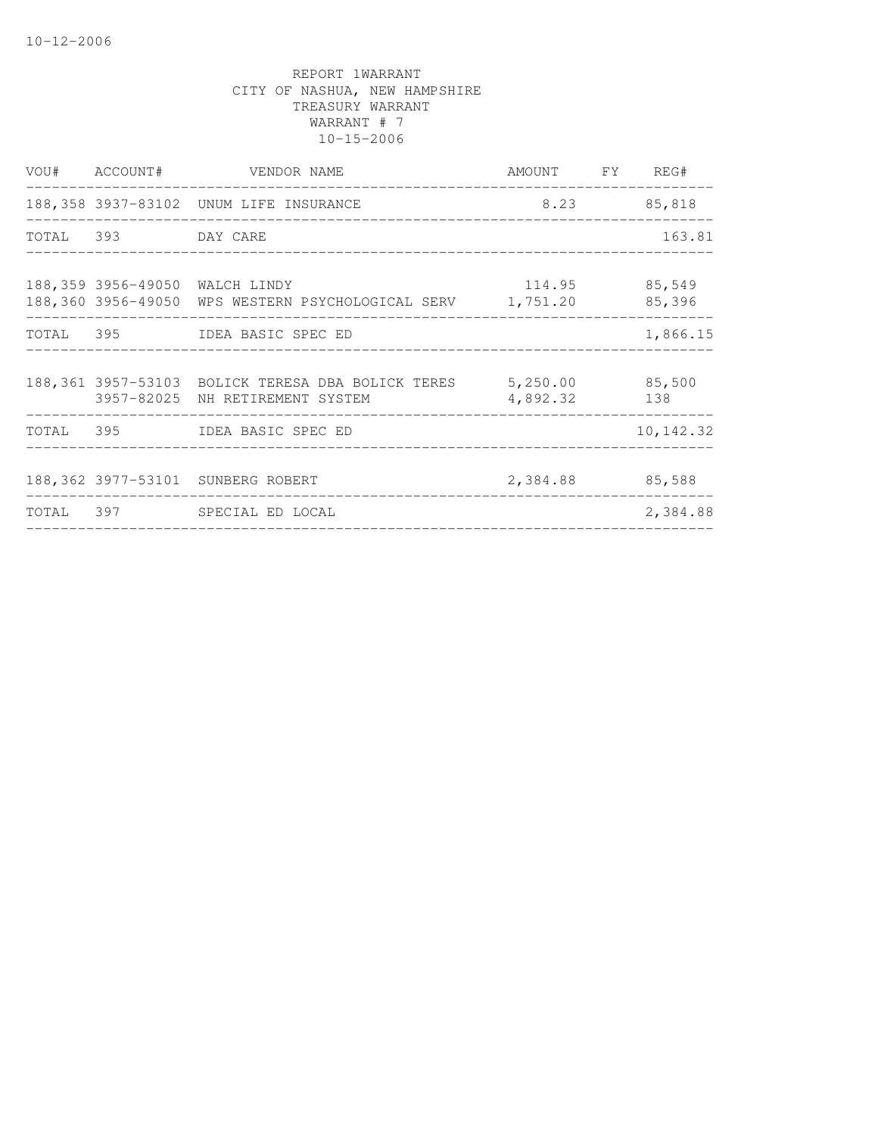|                    | VOU# ACCOUNT# VENDOR NAME                                                                            | AMOUNT FY REG#  |             |
|--------------------|------------------------------------------------------------------------------------------------------|-----------------|-------------|
|                    | 188,358 3937-83102 UNUM LIFE INSURANCE                                                               |                 | 8.23 85,818 |
| TOTAL 393 DAY CARE |                                                                                                      |                 | 163.81      |
|                    | 188,359 3956-49050 WALCH LINDY<br>188,360 3956-49050 WPS WESTERN PSYCHOLOGICAL SERV 1,751.20         | 114.95 85,549   | 85,396      |
|                    | TOTAL 395 IDEA BASIC SPEC ED                                                                         |                 | 1,866.15    |
|                    | 188,361 3957-53103 BOLICK TERESA DBA BOLICK TERES 5,250.00 85,500<br>3957-82025 NH RETIREMENT SYSTEM | 4,892.32        | 138         |
|                    | TOTAL 395 IDEA BASIC SPEC ED                                                                         |                 | 10, 142.32  |
|                    | 188,362 3977-53101 SUNBERG ROBERT                                                                    | 2,384.88 85,588 |             |
|                    | TOTAL 397 SPECIAL ED LOCAL                                                                           |                 | 2,384.88    |
|                    |                                                                                                      |                 |             |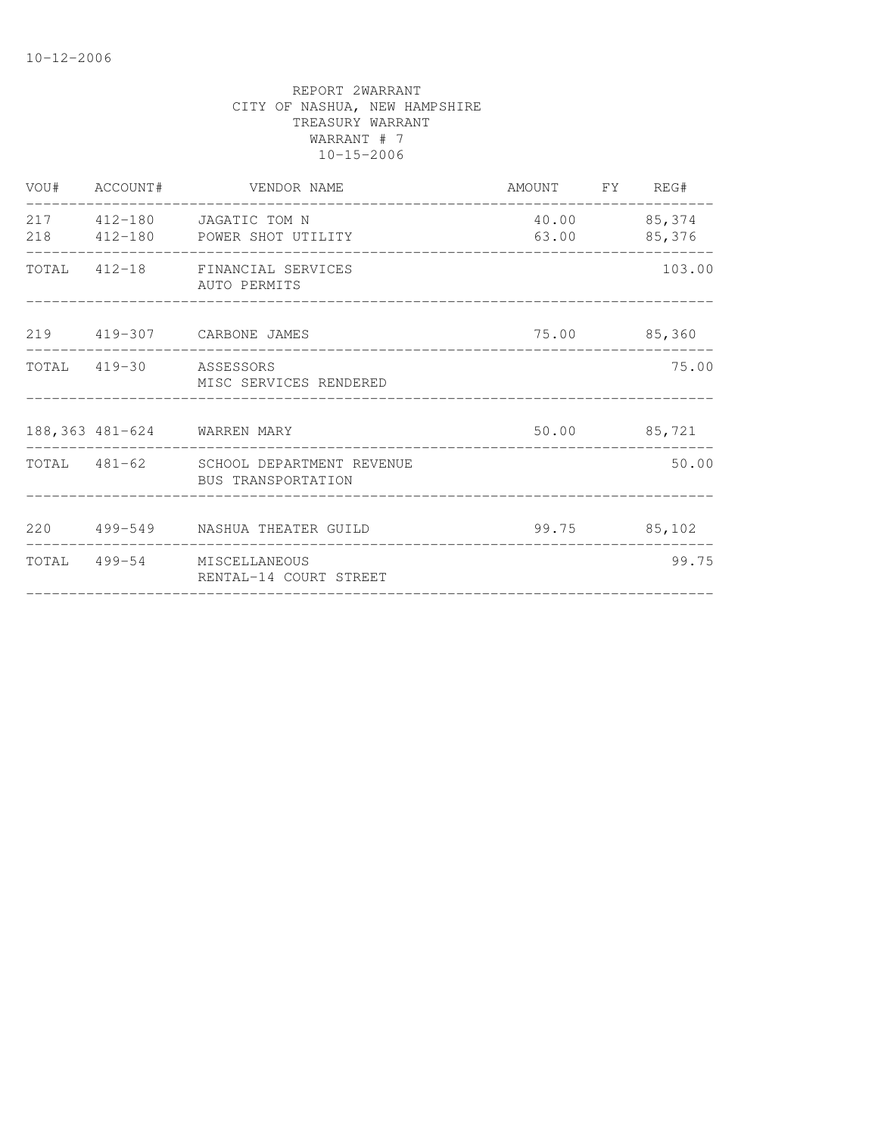| AUTO PERMITS           |                                                                                                                                                                                                                                                                                                                                                       | 103.00                                                                                         |
|------------------------|-------------------------------------------------------------------------------------------------------------------------------------------------------------------------------------------------------------------------------------------------------------------------------------------------------------------------------------------------------|------------------------------------------------------------------------------------------------|
|                        |                                                                                                                                                                                                                                                                                                                                                       |                                                                                                |
| MISC SERVICES RENDERED |                                                                                                                                                                                                                                                                                                                                                       | 75.00                                                                                          |
|                        |                                                                                                                                                                                                                                                                                                                                                       |                                                                                                |
|                        |                                                                                                                                                                                                                                                                                                                                                       | 50.00                                                                                          |
|                        |                                                                                                                                                                                                                                                                                                                                                       |                                                                                                |
| RENTAL-14 COURT STREET |                                                                                                                                                                                                                                                                                                                                                       | 99.75                                                                                          |
|                        | VOU# ACCOUNT# VENDOR NAME<br>217  412-180  JAGATIC TOM N<br>218 412-180 POWER SHOT UTILITY<br>TOTAL 412-18 FINANCIAL SERVICES<br>219 419-307 CARBONE JAMES<br>TOTAL 419-30 ASSESSORS<br>188,363 481-624 WARREN MARY<br>TOTAL 481-62 SCHOOL DEPARTMENT REVENUE<br>BUS TRANSPORTATION<br>220 499-549 NASHUA THEATER GUILD<br>TOTAL 499-54 MISCELLANEOUS | AMOUNT FY REG#<br>40.00 85,374<br>63.00 85,376<br>75.00 85,360<br>50.00 85,721<br>99.75 85,102 |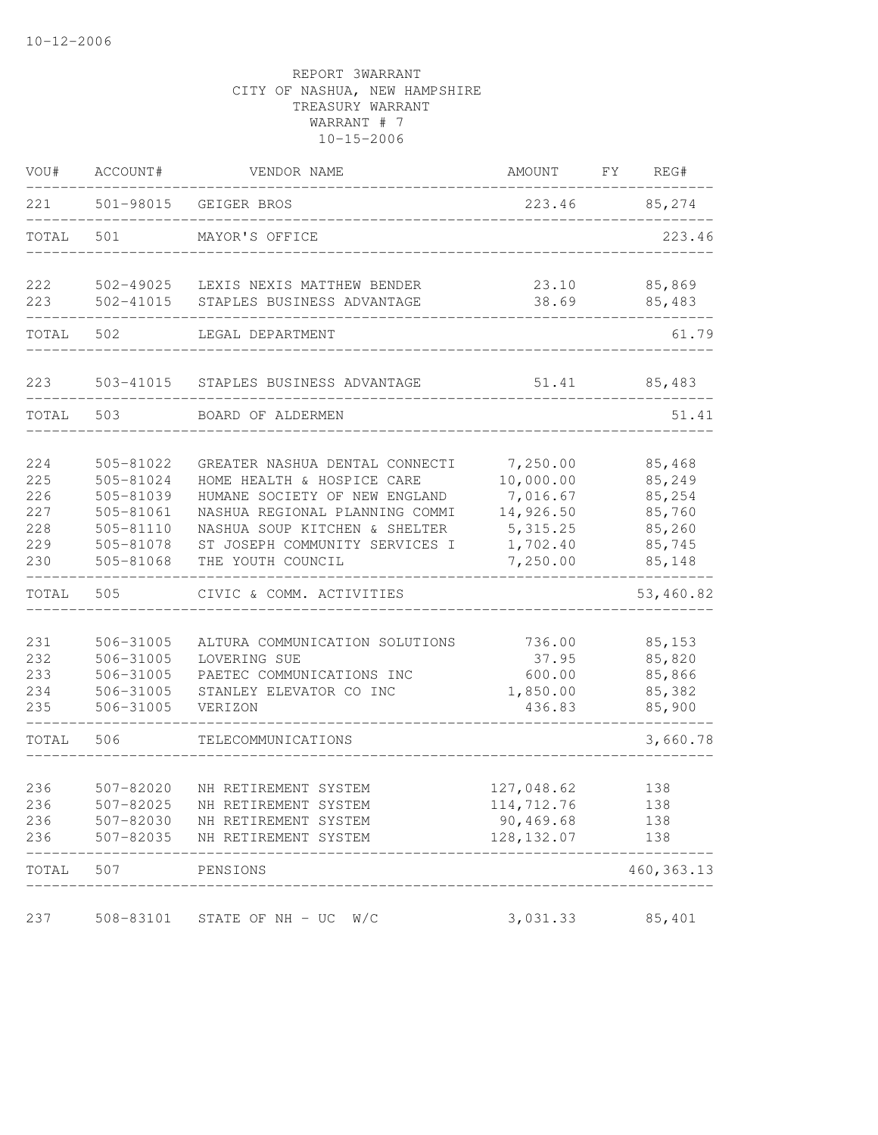| VOU#                                          | ACCOUNT#                                                                                | VENDOR NAME                                                                                                                                                                                                             | AMOUNT                                                                              | FY | REG#                                                               |
|-----------------------------------------------|-----------------------------------------------------------------------------------------|-------------------------------------------------------------------------------------------------------------------------------------------------------------------------------------------------------------------------|-------------------------------------------------------------------------------------|----|--------------------------------------------------------------------|
| 221                                           | 501-98015                                                                               | GEIGER BROS                                                                                                                                                                                                             | 223.46                                                                              |    | 85,274                                                             |
| TOTAL                                         | 501                                                                                     | MAYOR'S OFFICE                                                                                                                                                                                                          |                                                                                     |    | 223.46                                                             |
| 222<br>223                                    | $502 - 41015$                                                                           | 502-49025 LEXIS NEXIS MATTHEW BENDER<br>STAPLES BUSINESS ADVANTAGE                                                                                                                                                      | 23.10<br>38.69                                                                      |    | 85,869<br>85,483                                                   |
| TOTAL                                         | 502                                                                                     | LEGAL DEPARTMENT                                                                                                                                                                                                        |                                                                                     |    | 61.79                                                              |
|                                               |                                                                                         |                                                                                                                                                                                                                         |                                                                                     |    |                                                                    |
| 223                                           | 503-41015                                                                               | STAPLES BUSINESS ADVANTAGE                                                                                                                                                                                              | 51.41                                                                               |    | 85,483                                                             |
| TOTAL                                         | 503                                                                                     | BOARD OF ALDERMEN                                                                                                                                                                                                       |                                                                                     |    | 51.41                                                              |
| 224<br>225<br>226<br>227<br>228<br>229<br>230 | 505-81022<br>505-81024<br>505-81039<br>505-81061<br>505-81110<br>505-81078<br>505-81068 | GREATER NASHUA DENTAL CONNECTI<br>HOME HEALTH & HOSPICE CARE<br>HUMANE SOCIETY OF NEW ENGLAND<br>NASHUA REGIONAL PLANNING COMMI<br>NASHUA SOUP KITCHEN & SHELTER<br>ST JOSEPH COMMUNITY SERVICES I<br>THE YOUTH COUNCIL | 7,250.00<br>10,000.00<br>7,016.67<br>14,926.50<br>5, 315.25<br>1,702.40<br>7,250.00 |    | 85,468<br>85,249<br>85,254<br>85,760<br>85,260<br>85,745<br>85,148 |
| TOTAL                                         | 505                                                                                     | CIVIC & COMM. ACTIVITIES                                                                                                                                                                                                |                                                                                     |    | 53,460.82                                                          |
| 231<br>232<br>233<br>234<br>235               | 506-31005<br>506-31005<br>506-31005<br>506-31005<br>506-31005                           | ALTURA COMMUNICATION SOLUTIONS<br>LOVERING SUE<br>PAETEC COMMUNICATIONS INC<br>STANLEY ELEVATOR CO INC<br>VERIZON                                                                                                       | 736.00<br>37.95<br>600.00<br>1,850.00<br>436.83                                     |    | 85,153<br>85,820<br>85,866<br>85,382<br>85,900                     |
| TOTAL                                         | 506                                                                                     | TELECOMMUNICATIONS                                                                                                                                                                                                      |                                                                                     |    | 3,660.78                                                           |
| 236<br>236<br>236<br>236                      | $507 - 82020$<br>507-82025<br>507-82030<br>507-82035                                    | NH RETIREMENT SYSTEM<br>NH RETIREMENT SYSTEM<br>NH RETIREMENT SYSTEM<br>NH RETIREMENT SYSTEM                                                                                                                            | 127,048.62<br>114,712.76<br>90,469.68<br>128, 132.07                                |    | 138<br>138<br>138<br>138                                           |
| TOTAL                                         | 507                                                                                     | PENSIONS                                                                                                                                                                                                                |                                                                                     |    | 460, 363.13                                                        |
| 237                                           | 508-83101                                                                               | STATE OF NH - UC<br>W/C                                                                                                                                                                                                 | 3,031.33                                                                            |    | 85,401                                                             |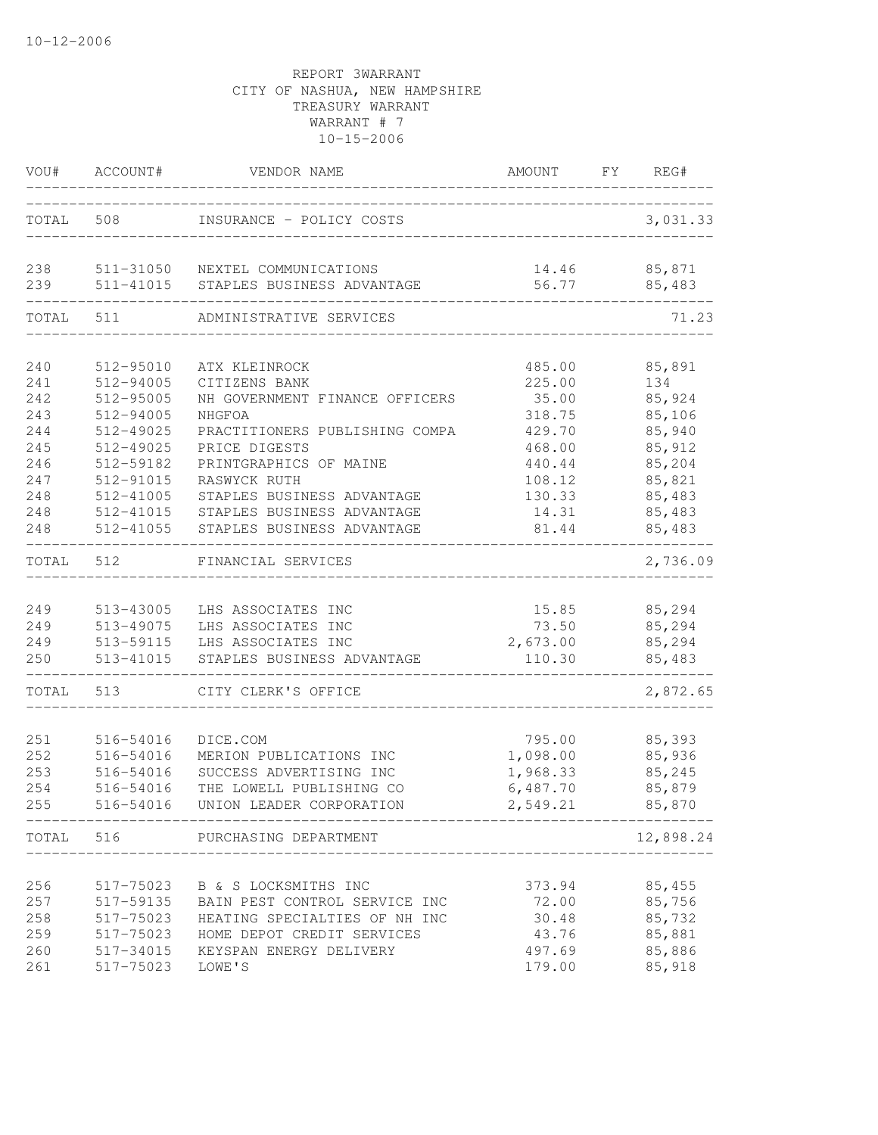|            | VOU# ACCOUNT#          | VENDOR NAME                                                   | AMOUNT FY REG#     |                        |
|------------|------------------------|---------------------------------------------------------------|--------------------|------------------------|
|            | TOTAL 508              | INSURANCE - POLICY COSTS                                      |                    | 3,031.33               |
| 238<br>239 | 511-41015              | 511-31050 NEXTEL COMMUNICATIONS<br>STAPLES BUSINESS ADVANTAGE | 56.77              | 14.46 85,871<br>85,483 |
| TOTAL      | 511                    | ADMINISTRATIVE SERVICES                                       |                    | 71.23                  |
| 240        | 512-95010              | ATX KLEINROCK                                                 | 485.00             | 85,891                 |
| 241        | 512-94005              | CITIZENS BANK                                                 | 225.00             | 134                    |
| 242        | 512-95005              | NH GOVERNMENT FINANCE OFFICERS                                | 35.00              | 85,924                 |
| 243        | 512-94005              | NHGFOA                                                        | 318.75             | 85,106                 |
| 244        | 512-49025              | PRACTITIONERS PUBLISHING COMPA                                | 429.70             | 85,940                 |
| 245        | 512-49025              | PRICE DIGESTS                                                 | 468.00             | 85,912                 |
| 246        | 512-59182              | PRINTGRAPHICS OF MAINE                                        | 440.44             | 85,204                 |
| 247        | 512-91015              | RASWYCK RUTH                                                  | 108.12             | 85,821                 |
| 248        | 512-41005<br>512-41015 | STAPLES BUSINESS ADVANTAGE<br>STAPLES BUSINESS ADVANTAGE      | 130.33<br>14.31    | 85,483<br>85,483       |
| 248<br>248 | 512-41055              | STAPLES BUSINESS ADVANTAGE                                    | 81.44              | 85,483                 |
| TOTAL      | 512                    | FINANCIAL SERVICES                                            |                    | 2,736.09               |
|            |                        |                                                               |                    |                        |
| 249        | 513-43005              | LHS ASSOCIATES INC                                            | 15.85              | 85,294                 |
| 249        | 513-49075              | LHS ASSOCIATES INC                                            | 73.50              | 85,294                 |
| 249<br>250 | 513-59115<br>513-41015 | LHS ASSOCIATES INC<br>STAPLES BUSINESS ADVANTAGE              | 2,673.00<br>110.30 | 85,294<br>85,483       |
| TOTAL      | 513                    | CITY CLERK'S OFFICE                                           |                    | 2,872.65               |
|            |                        |                                                               |                    |                        |
| 251        | 516-54016              | DICE.COM                                                      | 795.00             | 85,393                 |
| 252        | 516-54016              | MERION PUBLICATIONS INC                                       | 1,098.00           | 85,936                 |
| 253        | 516-54016              | SUCCESS ADVERTISING INC                                       | 1,968.33           | 85,245                 |
| 254        | 516-54016              | THE LOWELL PUBLISHING CO                                      | 6,487.70           | 85,879                 |
| 255        | 516-54016              | UNION LEADER CORPORATION                                      | 2,549.21           | 85,870                 |
|            | TOTAL 516              | PURCHASING DEPARTMENT                                         |                    | 12,898.24              |
| 256        |                        | 517-75023 B & S LOCKSMITHS INC                                |                    | 85,455                 |
| 257        | 517-59135              | BAIN PEST CONTROL SERVICE INC                                 | 373.94<br>72.00    | 85,756                 |
| 258        | 517-75023              | HEATING SPECIALTIES OF NH INC                                 | 30.48              | 85,732                 |
| 259        | 517-75023              | HOME DEPOT CREDIT SERVICES                                    | 43.76              | 85,881                 |
| 260        | 517-34015              | KEYSPAN ENERGY DELIVERY                                       | 497.69             | 85,886                 |
| 261        | 517-75023              | LOWE'S                                                        | 179.00             | 85,918                 |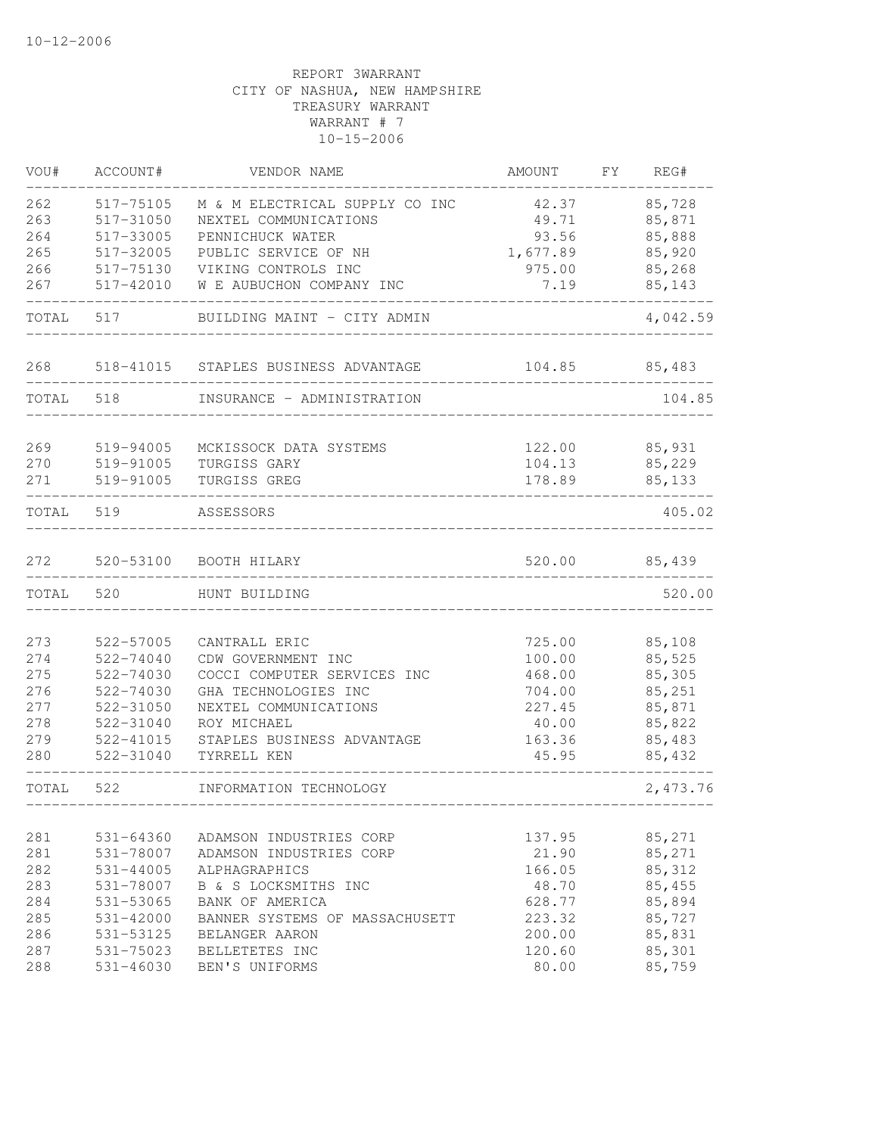| VOU#       | ACCOUNT#                   | VENDOR NAME                           | AMOUNT          | FY | REG#              |
|------------|----------------------------|---------------------------------------|-----------------|----|-------------------|
| 262        | 517-75105                  | M & M ELECTRICAL SUPPLY CO INC        | 42.37           |    | 85,728            |
| 263        | 517-31050                  | NEXTEL COMMUNICATIONS                 | 49.71           |    | 85,871            |
| 264        | 517-33005                  | PENNICHUCK WATER                      | 93.56           |    | 85,888            |
| 265        | 517-32005                  | PUBLIC SERVICE OF NH                  | 1,677.89        |    | 85,920            |
| 266        | 517-75130                  | VIKING CONTROLS INC                   | 975.00          |    | 85,268            |
| 267        | 517-42010                  | W E AUBUCHON COMPANY INC              | 7.19            |    | 85,143            |
| TOTAL      | 517                        | BUILDING MAINT - CITY ADMIN           |                 |    | 4,042.59          |
| 268        | 518-41015                  | STAPLES BUSINESS ADVANTAGE            | 104.85          |    | 85,483            |
| TOTAL 518  |                            | INSURANCE - ADMINISTRATION            |                 |    | 104.85            |
| 269        | 519-94005                  | MCKISSOCK DATA SYSTEMS                | 122.00          |    | 85,931            |
| 270        | 519-91005                  | TURGISS GARY                          | 104.13          |    | 85,229            |
| 271        | 519-91005                  | TURGISS GREG                          | 178.89          |    | 85,133            |
| TOTAL      | 519                        | ASSESSORS                             |                 |    | 405.02            |
| 272        | 520-53100                  | BOOTH HILARY                          | 520.00          |    | 85,439            |
| TOTAL      | 520                        | HUNT BUILDING                         |                 |    | 520.00            |
|            |                            |                                       |                 |    |                   |
| 273        | 522-57005                  | CANTRALL ERIC                         | 725.00          |    | 85,108            |
| 274        | 522-74040                  | CDW GOVERNMENT INC                    | 100.00          |    | 85,525            |
| 275        | 522-74030                  | COCCI COMPUTER SERVICES INC           | 468.00          |    | 85,305            |
| 276        | 522-74030                  | GHA TECHNOLOGIES INC                  | 704.00          |    | 85,251            |
| 277        | 522-31050                  | NEXTEL COMMUNICATIONS                 | 227.45          |    | 85,871            |
| 278        | 522-31040                  | ROY MICHAEL                           | 40.00           |    | 85,822            |
| 279        | 522-41015                  | STAPLES BUSINESS ADVANTAGE            | 163.36          |    | 85,483            |
| 280        | 522-31040                  | TYRRELL KEN                           | 45.95           |    | 85,432            |
| TOTAL      | 522                        | INFORMATION TECHNOLOGY                |                 |    | 2,473.76          |
|            |                            |                                       |                 |    |                   |
| 281        | $531 - 64360$              | ADAMSON INDUSTRIES CORP               | 137.95          |    | 85,271            |
| 281        | 531-78007                  | ADAMSON INDUSTRIES CORP               | 21.90           |    | 85,271            |
| 282<br>283 | $531 - 44005$<br>531-78007 | ALPHAGRAPHICS<br>B & S LOCKSMITHS INC | 166.05<br>48.70 |    | 85, 312<br>85,455 |
| 284        | 531-53065                  | BANK OF AMERICA                       | 628.77          |    | 85,894            |
| 285        | 531-42000                  | BANNER SYSTEMS OF MASSACHUSETT        | 223.32          |    | 85,727            |
| 286        | 531-53125                  | BELANGER AARON                        | 200.00          |    | 85,831            |
| 287        | 531-75023                  | BELLETETES INC                        | 120.60          |    | 85,301            |
| 288        | $531 - 46030$              | BEN'S UNIFORMS                        | 80.00           |    | 85,759            |
|            |                            |                                       |                 |    |                   |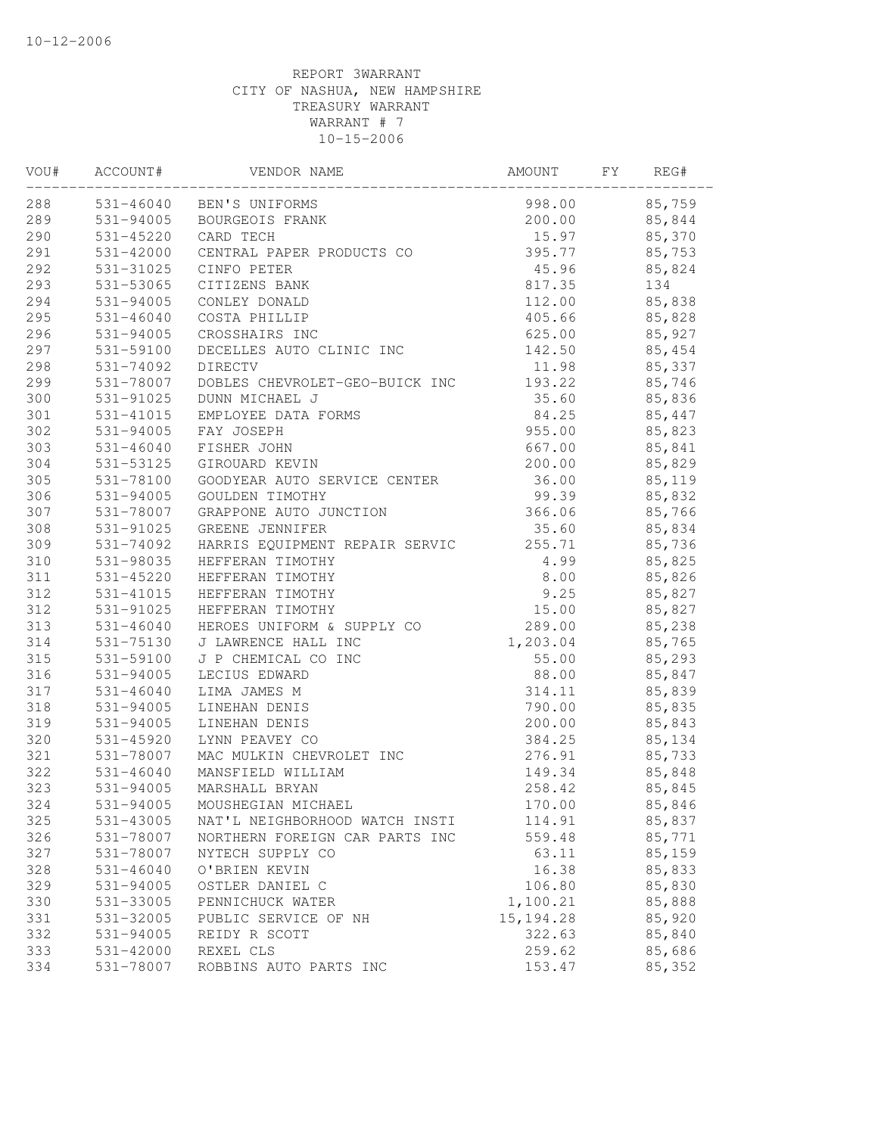| VOU# | ACCOUNT#      | VENDOR NAME                    | AMOUNT     | FY | REG#   |  |
|------|---------------|--------------------------------|------------|----|--------|--|
| 288  |               | 531-46040 BEN'S UNIFORMS       | 998.00     |    | 85,759 |  |
| 289  |               | 531-94005 BOURGEOIS FRANK      | 200.00     |    | 85,844 |  |
| 290  | 531-45220     | CARD TECH                      | 15.97      |    | 85,370 |  |
| 291  | 531-42000     | CENTRAL PAPER PRODUCTS CO      | 395.77     |    | 85,753 |  |
| 292  | 531-31025     | CINFO PETER                    | 45.96      |    | 85,824 |  |
| 293  | 531-53065     | CITIZENS BANK                  | 817.35     |    | 134    |  |
| 294  | 531-94005     | CONLEY DONALD                  | 112.00     |    | 85,838 |  |
| 295  | $531 - 46040$ | COSTA PHILLIP                  | 405.66     |    | 85,828 |  |
| 296  | 531-94005     | CROSSHAIRS INC                 | 625.00     |    | 85,927 |  |
| 297  | 531-59100     | DECELLES AUTO CLINIC INC       | 142.50     |    | 85,454 |  |
| 298  | 531-74092     | DIRECTV                        | 11.98      |    | 85,337 |  |
| 299  | 531-78007     | DOBLES CHEVROLET-GEO-BUICK INC | 193.22     |    | 85,746 |  |
| 300  | 531-91025     | DUNN MICHAEL J                 | 35.60      |    | 85,836 |  |
| 301  | 531-41015     | EMPLOYEE DATA FORMS            | 84.25      |    | 85,447 |  |
| 302  | 531-94005     | FAY JOSEPH                     | 955.00     |    | 85,823 |  |
| 303  | $531 - 46040$ | FISHER JOHN                    | 667.00     |    | 85,841 |  |
| 304  | 531-53125     | GIROUARD KEVIN                 | 200.00     |    | 85,829 |  |
| 305  | 531-78100     | GOODYEAR AUTO SERVICE CENTER   | 36.00      |    | 85,119 |  |
| 306  | 531-94005     | GOULDEN TIMOTHY                | 99.39      |    | 85,832 |  |
| 307  | 531-78007     | GRAPPONE AUTO JUNCTION         | 366.06     |    | 85,766 |  |
| 308  | 531-91025     | GREENE JENNIFER                | 35.60      |    | 85,834 |  |
| 309  | 531-74092     | HARRIS EQUIPMENT REPAIR SERVIC | 255.71     |    | 85,736 |  |
| 310  | 531-98035     | HEFFERAN TIMOTHY               | 4.99       |    | 85,825 |  |
| 311  | 531-45220     | HEFFERAN TIMOTHY               | 8.00       |    | 85,826 |  |
| 312  | 531-41015     | HEFFERAN TIMOTHY               | 9.25       |    | 85,827 |  |
| 312  | 531-91025     | HEFFERAN TIMOTHY               | 15.00      |    | 85,827 |  |
| 313  | $531 - 46040$ | HEROES UNIFORM & SUPPLY CO     | 289.00     |    | 85,238 |  |
| 314  | 531-75130     | J LAWRENCE HALL INC            | 1,203.04   |    | 85,765 |  |
| 315  | 531-59100     | J P CHEMICAL CO INC            | 55.00      |    | 85,293 |  |
| 316  | 531-94005     | LECIUS EDWARD                  | 88.00      |    | 85,847 |  |
| 317  | $531 - 46040$ | LIMA JAMES M                   | 314.11     |    | 85,839 |  |
| 318  | 531-94005     | LINEHAN DENIS                  | 790.00     |    | 85,835 |  |
| 319  | 531-94005     | LINEHAN DENIS                  | 200.00     |    | 85,843 |  |
| 320  | $531 - 45920$ | LYNN PEAVEY CO                 | 384.25     |    | 85,134 |  |
| 321  | 531-78007     | MAC MULKIN CHEVROLET INC       | 276.91     |    | 85,733 |  |
| 322  | 531-46040     | MANSFIELD WILLIAM              | 149.34     |    | 85,848 |  |
| 323  | 531-94005     | MARSHALL BRYAN                 | 258.42     |    | 85,845 |  |
| 324  | 531-94005     | MOUSHEGIAN MICHAEL             | 170.00     |    | 85,846 |  |
| 325  | 531-43005     | NAT'L NEIGHBORHOOD WATCH INSTI | 114.91     |    | 85,837 |  |
| 326  | 531-78007     | NORTHERN FOREIGN CAR PARTS INC | 559.48     |    | 85,771 |  |
| 327  | 531-78007     | NYTECH SUPPLY CO               | 63.11      |    | 85,159 |  |
| 328  | $531 - 46040$ | O'BRIEN KEVIN                  | 16.38      |    | 85,833 |  |
| 329  | 531-94005     | OSTLER DANIEL C                | 106.80     |    | 85,830 |  |
| 330  | 531-33005     | PENNICHUCK WATER               | 1,100.21   |    | 85,888 |  |
| 331  | 531-32005     | PUBLIC SERVICE OF NH           | 15, 194.28 |    | 85,920 |  |
| 332  | 531-94005     | REIDY R SCOTT                  | 322.63     |    | 85,840 |  |
| 333  | 531-42000     | REXEL CLS                      | 259.62     |    | 85,686 |  |
| 334  | 531-78007     | ROBBINS AUTO PARTS INC         | 153.47     |    | 85,352 |  |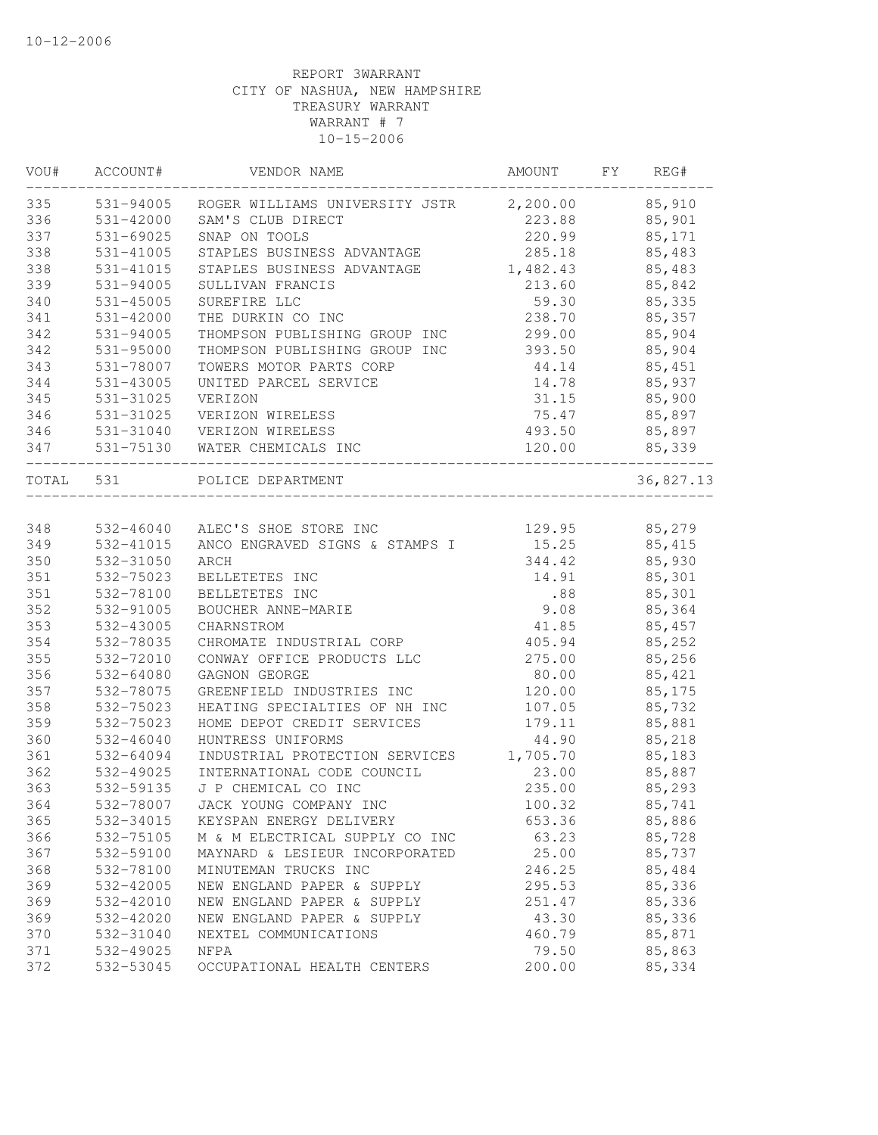| 335<br>531-94005<br>2,200.00<br>85,910<br>ROGER WILLIAMS UNIVERSITY JSTR<br>531-42000<br>223.88<br>85,901<br>SAM'S CLUB DIRECT<br>220.99<br>531-69025<br>SNAP ON TOOLS<br>85,171<br>531-41005<br>285.18<br>85,483<br>STAPLES BUSINESS ADVANTAGE<br>531-41015<br>1,482.43<br>STAPLES BUSINESS ADVANTAGE<br>85,483<br>531-94005<br>213.60<br>85,842<br>SULLIVAN FRANCIS<br>340<br>531-45005<br>SUREFIRE LLC<br>59.30<br>85,335<br>$531 - 42000$<br>238.70<br>85,357<br>THE DURKIN CO INC<br>531-94005<br>299.00<br>85,904<br>THOMPSON PUBLISHING GROUP INC<br>531-95000<br>393.50<br>85,904<br>THOMPSON PUBLISHING GROUP INC<br>531-78007<br>TOWERS MOTOR PARTS CORP<br>85,451<br>44.14<br>531-43005<br>85,937<br>UNITED PARCEL SERVICE<br>14.78<br>531-31025<br>85,900<br>VERIZON<br>31.15<br>531-31025<br>VERIZON WIRELESS<br>75.47<br>85,897<br>346<br>493.50<br>85,897<br>531-31040<br>VERIZON WIRELESS<br>531-75130<br>120.00<br>85,339<br>WATER CHEMICALS INC<br>TOTAL 531<br>POLICE DEPARTMENT<br>36,827.13<br>348<br>85,279<br>532-46040<br>ALEC'S SHOE STORE INC<br>129.95<br>349<br>ANCO ENGRAVED SIGNS & STAMPS I<br>15.25<br>85, 415<br>532-41015<br>350<br>344.42<br>85,930<br>532-31050<br>ARCH<br>351<br>532-75023<br>14.91<br>85,301<br>BELLETETES INC<br>351<br>532-78100<br>.88<br>85,301<br>BELLETETES INC<br>352<br>532-91005<br>9.08<br>85,364<br>BOUCHER ANNE-MARIE<br>353<br>532-43005<br>85,457<br>CHARNSTROM<br>41.85<br>532-78035<br>CHROMATE INDUSTRIAL CORP<br>405.94<br>85,252<br>532-72010<br>CONWAY OFFICE PRODUCTS LLC<br>275.00<br>85,256<br>532-64080<br>80.00<br>85,421<br>GAGNON GEORGE<br>532-78075<br>GREENFIELD INDUSTRIES INC<br>120.00<br>85,175<br>532-75023<br>HEATING SPECIALTIES OF NH INC<br>107.05<br>85,732<br>85,881<br>532-75023<br>HOME DEPOT CREDIT SERVICES<br>179.11<br>$532 - 46040$<br>HUNTRESS UNIFORMS<br>44.90<br>85,218<br>532-64094<br>INDUSTRIAL PROTECTION SERVICES<br>1,705.70<br>85,183<br>532-49025<br>23.00<br>85,887<br>INTERNATIONAL CODE COUNCIL<br>532-59135<br>J P CHEMICAL CO INC<br>235.00<br>85,293<br>532-78007<br>JACK YOUNG COMPANY INC<br>100.32<br>85,741<br>365<br>532-34015<br>653.36<br>85,886<br>KEYSPAN ENERGY DELIVERY<br>366<br>532-75105<br>M & M ELECTRICAL SUPPLY CO INC<br>63.23<br>85,728<br>367<br>532-59100<br>MAYNARD & LESIEUR INCORPORATED<br>25.00<br>85,737<br>246.25<br>85,484<br>368<br>532-78100<br>MINUTEMAN TRUCKS INC<br>85,336<br>369<br>532-42005<br>NEW ENGLAND PAPER & SUPPLY<br>295.53<br>85,336<br>369<br>532-42010<br>NEW ENGLAND PAPER & SUPPLY<br>251.47<br>85,336<br>369<br>532-42020<br>NEW ENGLAND PAPER & SUPPLY<br>43.30<br>370<br>532-31040<br>460.79<br>85,871<br>NEXTEL COMMUNICATIONS<br>85,863<br>371<br>532-49025<br>79.50<br>NFPA<br>200.00<br>372<br>532-53045<br>85,334<br>OCCUPATIONAL HEALTH CENTERS | VOU# | ACCOUNT# | VENDOR NAME | AMOUNT | FY | REG# |
|--------------------------------------------------------------------------------------------------------------------------------------------------------------------------------------------------------------------------------------------------------------------------------------------------------------------------------------------------------------------------------------------------------------------------------------------------------------------------------------------------------------------------------------------------------------------------------------------------------------------------------------------------------------------------------------------------------------------------------------------------------------------------------------------------------------------------------------------------------------------------------------------------------------------------------------------------------------------------------------------------------------------------------------------------------------------------------------------------------------------------------------------------------------------------------------------------------------------------------------------------------------------------------------------------------------------------------------------------------------------------------------------------------------------------------------------------------------------------------------------------------------------------------------------------------------------------------------------------------------------------------------------------------------------------------------------------------------------------------------------------------------------------------------------------------------------------------------------------------------------------------------------------------------------------------------------------------------------------------------------------------------------------------------------------------------------------------------------------------------------------------------------------------------------------------------------------------------------------------------------------------------------------------------------------------------------------------------------------------------------------------------------------------------------------------------------------------------------------------------------------------------------------------------------------------------------------------------------------------------------------------------------------------------------------------------------------------------------------------------------------------------------------------------------------------------------------------------|------|----------|-------------|--------|----|------|
|                                                                                                                                                                                                                                                                                                                                                                                                                                                                                                                                                                                                                                                                                                                                                                                                                                                                                                                                                                                                                                                                                                                                                                                                                                                                                                                                                                                                                                                                                                                                                                                                                                                                                                                                                                                                                                                                                                                                                                                                                                                                                                                                                                                                                                                                                                                                                                                                                                                                                                                                                                                                                                                                                                                                                                                                                                      |      |          |             |        |    |      |
|                                                                                                                                                                                                                                                                                                                                                                                                                                                                                                                                                                                                                                                                                                                                                                                                                                                                                                                                                                                                                                                                                                                                                                                                                                                                                                                                                                                                                                                                                                                                                                                                                                                                                                                                                                                                                                                                                                                                                                                                                                                                                                                                                                                                                                                                                                                                                                                                                                                                                                                                                                                                                                                                                                                                                                                                                                      | 336  |          |             |        |    |      |
|                                                                                                                                                                                                                                                                                                                                                                                                                                                                                                                                                                                                                                                                                                                                                                                                                                                                                                                                                                                                                                                                                                                                                                                                                                                                                                                                                                                                                                                                                                                                                                                                                                                                                                                                                                                                                                                                                                                                                                                                                                                                                                                                                                                                                                                                                                                                                                                                                                                                                                                                                                                                                                                                                                                                                                                                                                      | 337  |          |             |        |    |      |
|                                                                                                                                                                                                                                                                                                                                                                                                                                                                                                                                                                                                                                                                                                                                                                                                                                                                                                                                                                                                                                                                                                                                                                                                                                                                                                                                                                                                                                                                                                                                                                                                                                                                                                                                                                                                                                                                                                                                                                                                                                                                                                                                                                                                                                                                                                                                                                                                                                                                                                                                                                                                                                                                                                                                                                                                                                      | 338  |          |             |        |    |      |
|                                                                                                                                                                                                                                                                                                                                                                                                                                                                                                                                                                                                                                                                                                                                                                                                                                                                                                                                                                                                                                                                                                                                                                                                                                                                                                                                                                                                                                                                                                                                                                                                                                                                                                                                                                                                                                                                                                                                                                                                                                                                                                                                                                                                                                                                                                                                                                                                                                                                                                                                                                                                                                                                                                                                                                                                                                      | 338  |          |             |        |    |      |
|                                                                                                                                                                                                                                                                                                                                                                                                                                                                                                                                                                                                                                                                                                                                                                                                                                                                                                                                                                                                                                                                                                                                                                                                                                                                                                                                                                                                                                                                                                                                                                                                                                                                                                                                                                                                                                                                                                                                                                                                                                                                                                                                                                                                                                                                                                                                                                                                                                                                                                                                                                                                                                                                                                                                                                                                                                      | 339  |          |             |        |    |      |
|                                                                                                                                                                                                                                                                                                                                                                                                                                                                                                                                                                                                                                                                                                                                                                                                                                                                                                                                                                                                                                                                                                                                                                                                                                                                                                                                                                                                                                                                                                                                                                                                                                                                                                                                                                                                                                                                                                                                                                                                                                                                                                                                                                                                                                                                                                                                                                                                                                                                                                                                                                                                                                                                                                                                                                                                                                      |      |          |             |        |    |      |
|                                                                                                                                                                                                                                                                                                                                                                                                                                                                                                                                                                                                                                                                                                                                                                                                                                                                                                                                                                                                                                                                                                                                                                                                                                                                                                                                                                                                                                                                                                                                                                                                                                                                                                                                                                                                                                                                                                                                                                                                                                                                                                                                                                                                                                                                                                                                                                                                                                                                                                                                                                                                                                                                                                                                                                                                                                      | 341  |          |             |        |    |      |
|                                                                                                                                                                                                                                                                                                                                                                                                                                                                                                                                                                                                                                                                                                                                                                                                                                                                                                                                                                                                                                                                                                                                                                                                                                                                                                                                                                                                                                                                                                                                                                                                                                                                                                                                                                                                                                                                                                                                                                                                                                                                                                                                                                                                                                                                                                                                                                                                                                                                                                                                                                                                                                                                                                                                                                                                                                      | 342  |          |             |        |    |      |
|                                                                                                                                                                                                                                                                                                                                                                                                                                                                                                                                                                                                                                                                                                                                                                                                                                                                                                                                                                                                                                                                                                                                                                                                                                                                                                                                                                                                                                                                                                                                                                                                                                                                                                                                                                                                                                                                                                                                                                                                                                                                                                                                                                                                                                                                                                                                                                                                                                                                                                                                                                                                                                                                                                                                                                                                                                      | 342  |          |             |        |    |      |
|                                                                                                                                                                                                                                                                                                                                                                                                                                                                                                                                                                                                                                                                                                                                                                                                                                                                                                                                                                                                                                                                                                                                                                                                                                                                                                                                                                                                                                                                                                                                                                                                                                                                                                                                                                                                                                                                                                                                                                                                                                                                                                                                                                                                                                                                                                                                                                                                                                                                                                                                                                                                                                                                                                                                                                                                                                      | 343  |          |             |        |    |      |
|                                                                                                                                                                                                                                                                                                                                                                                                                                                                                                                                                                                                                                                                                                                                                                                                                                                                                                                                                                                                                                                                                                                                                                                                                                                                                                                                                                                                                                                                                                                                                                                                                                                                                                                                                                                                                                                                                                                                                                                                                                                                                                                                                                                                                                                                                                                                                                                                                                                                                                                                                                                                                                                                                                                                                                                                                                      | 344  |          |             |        |    |      |
|                                                                                                                                                                                                                                                                                                                                                                                                                                                                                                                                                                                                                                                                                                                                                                                                                                                                                                                                                                                                                                                                                                                                                                                                                                                                                                                                                                                                                                                                                                                                                                                                                                                                                                                                                                                                                                                                                                                                                                                                                                                                                                                                                                                                                                                                                                                                                                                                                                                                                                                                                                                                                                                                                                                                                                                                                                      | 345  |          |             |        |    |      |
|                                                                                                                                                                                                                                                                                                                                                                                                                                                                                                                                                                                                                                                                                                                                                                                                                                                                                                                                                                                                                                                                                                                                                                                                                                                                                                                                                                                                                                                                                                                                                                                                                                                                                                                                                                                                                                                                                                                                                                                                                                                                                                                                                                                                                                                                                                                                                                                                                                                                                                                                                                                                                                                                                                                                                                                                                                      | 346  |          |             |        |    |      |
|                                                                                                                                                                                                                                                                                                                                                                                                                                                                                                                                                                                                                                                                                                                                                                                                                                                                                                                                                                                                                                                                                                                                                                                                                                                                                                                                                                                                                                                                                                                                                                                                                                                                                                                                                                                                                                                                                                                                                                                                                                                                                                                                                                                                                                                                                                                                                                                                                                                                                                                                                                                                                                                                                                                                                                                                                                      |      |          |             |        |    |      |
|                                                                                                                                                                                                                                                                                                                                                                                                                                                                                                                                                                                                                                                                                                                                                                                                                                                                                                                                                                                                                                                                                                                                                                                                                                                                                                                                                                                                                                                                                                                                                                                                                                                                                                                                                                                                                                                                                                                                                                                                                                                                                                                                                                                                                                                                                                                                                                                                                                                                                                                                                                                                                                                                                                                                                                                                                                      | 347  |          |             |        |    |      |
|                                                                                                                                                                                                                                                                                                                                                                                                                                                                                                                                                                                                                                                                                                                                                                                                                                                                                                                                                                                                                                                                                                                                                                                                                                                                                                                                                                                                                                                                                                                                                                                                                                                                                                                                                                                                                                                                                                                                                                                                                                                                                                                                                                                                                                                                                                                                                                                                                                                                                                                                                                                                                                                                                                                                                                                                                                      |      |          |             |        |    |      |
|                                                                                                                                                                                                                                                                                                                                                                                                                                                                                                                                                                                                                                                                                                                                                                                                                                                                                                                                                                                                                                                                                                                                                                                                                                                                                                                                                                                                                                                                                                                                                                                                                                                                                                                                                                                                                                                                                                                                                                                                                                                                                                                                                                                                                                                                                                                                                                                                                                                                                                                                                                                                                                                                                                                                                                                                                                      |      |          |             |        |    |      |
|                                                                                                                                                                                                                                                                                                                                                                                                                                                                                                                                                                                                                                                                                                                                                                                                                                                                                                                                                                                                                                                                                                                                                                                                                                                                                                                                                                                                                                                                                                                                                                                                                                                                                                                                                                                                                                                                                                                                                                                                                                                                                                                                                                                                                                                                                                                                                                                                                                                                                                                                                                                                                                                                                                                                                                                                                                      |      |          |             |        |    |      |
|                                                                                                                                                                                                                                                                                                                                                                                                                                                                                                                                                                                                                                                                                                                                                                                                                                                                                                                                                                                                                                                                                                                                                                                                                                                                                                                                                                                                                                                                                                                                                                                                                                                                                                                                                                                                                                                                                                                                                                                                                                                                                                                                                                                                                                                                                                                                                                                                                                                                                                                                                                                                                                                                                                                                                                                                                                      |      |          |             |        |    |      |
|                                                                                                                                                                                                                                                                                                                                                                                                                                                                                                                                                                                                                                                                                                                                                                                                                                                                                                                                                                                                                                                                                                                                                                                                                                                                                                                                                                                                                                                                                                                                                                                                                                                                                                                                                                                                                                                                                                                                                                                                                                                                                                                                                                                                                                                                                                                                                                                                                                                                                                                                                                                                                                                                                                                                                                                                                                      |      |          |             |        |    |      |
|                                                                                                                                                                                                                                                                                                                                                                                                                                                                                                                                                                                                                                                                                                                                                                                                                                                                                                                                                                                                                                                                                                                                                                                                                                                                                                                                                                                                                                                                                                                                                                                                                                                                                                                                                                                                                                                                                                                                                                                                                                                                                                                                                                                                                                                                                                                                                                                                                                                                                                                                                                                                                                                                                                                                                                                                                                      |      |          |             |        |    |      |
|                                                                                                                                                                                                                                                                                                                                                                                                                                                                                                                                                                                                                                                                                                                                                                                                                                                                                                                                                                                                                                                                                                                                                                                                                                                                                                                                                                                                                                                                                                                                                                                                                                                                                                                                                                                                                                                                                                                                                                                                                                                                                                                                                                                                                                                                                                                                                                                                                                                                                                                                                                                                                                                                                                                                                                                                                                      |      |          |             |        |    |      |
|                                                                                                                                                                                                                                                                                                                                                                                                                                                                                                                                                                                                                                                                                                                                                                                                                                                                                                                                                                                                                                                                                                                                                                                                                                                                                                                                                                                                                                                                                                                                                                                                                                                                                                                                                                                                                                                                                                                                                                                                                                                                                                                                                                                                                                                                                                                                                                                                                                                                                                                                                                                                                                                                                                                                                                                                                                      |      |          |             |        |    |      |
|                                                                                                                                                                                                                                                                                                                                                                                                                                                                                                                                                                                                                                                                                                                                                                                                                                                                                                                                                                                                                                                                                                                                                                                                                                                                                                                                                                                                                                                                                                                                                                                                                                                                                                                                                                                                                                                                                                                                                                                                                                                                                                                                                                                                                                                                                                                                                                                                                                                                                                                                                                                                                                                                                                                                                                                                                                      |      |          |             |        |    |      |
|                                                                                                                                                                                                                                                                                                                                                                                                                                                                                                                                                                                                                                                                                                                                                                                                                                                                                                                                                                                                                                                                                                                                                                                                                                                                                                                                                                                                                                                                                                                                                                                                                                                                                                                                                                                                                                                                                                                                                                                                                                                                                                                                                                                                                                                                                                                                                                                                                                                                                                                                                                                                                                                                                                                                                                                                                                      | 354  |          |             |        |    |      |
|                                                                                                                                                                                                                                                                                                                                                                                                                                                                                                                                                                                                                                                                                                                                                                                                                                                                                                                                                                                                                                                                                                                                                                                                                                                                                                                                                                                                                                                                                                                                                                                                                                                                                                                                                                                                                                                                                                                                                                                                                                                                                                                                                                                                                                                                                                                                                                                                                                                                                                                                                                                                                                                                                                                                                                                                                                      | 355  |          |             |        |    |      |
|                                                                                                                                                                                                                                                                                                                                                                                                                                                                                                                                                                                                                                                                                                                                                                                                                                                                                                                                                                                                                                                                                                                                                                                                                                                                                                                                                                                                                                                                                                                                                                                                                                                                                                                                                                                                                                                                                                                                                                                                                                                                                                                                                                                                                                                                                                                                                                                                                                                                                                                                                                                                                                                                                                                                                                                                                                      | 356  |          |             |        |    |      |
|                                                                                                                                                                                                                                                                                                                                                                                                                                                                                                                                                                                                                                                                                                                                                                                                                                                                                                                                                                                                                                                                                                                                                                                                                                                                                                                                                                                                                                                                                                                                                                                                                                                                                                                                                                                                                                                                                                                                                                                                                                                                                                                                                                                                                                                                                                                                                                                                                                                                                                                                                                                                                                                                                                                                                                                                                                      | 357  |          |             |        |    |      |
|                                                                                                                                                                                                                                                                                                                                                                                                                                                                                                                                                                                                                                                                                                                                                                                                                                                                                                                                                                                                                                                                                                                                                                                                                                                                                                                                                                                                                                                                                                                                                                                                                                                                                                                                                                                                                                                                                                                                                                                                                                                                                                                                                                                                                                                                                                                                                                                                                                                                                                                                                                                                                                                                                                                                                                                                                                      | 358  |          |             |        |    |      |
|                                                                                                                                                                                                                                                                                                                                                                                                                                                                                                                                                                                                                                                                                                                                                                                                                                                                                                                                                                                                                                                                                                                                                                                                                                                                                                                                                                                                                                                                                                                                                                                                                                                                                                                                                                                                                                                                                                                                                                                                                                                                                                                                                                                                                                                                                                                                                                                                                                                                                                                                                                                                                                                                                                                                                                                                                                      | 359  |          |             |        |    |      |
|                                                                                                                                                                                                                                                                                                                                                                                                                                                                                                                                                                                                                                                                                                                                                                                                                                                                                                                                                                                                                                                                                                                                                                                                                                                                                                                                                                                                                                                                                                                                                                                                                                                                                                                                                                                                                                                                                                                                                                                                                                                                                                                                                                                                                                                                                                                                                                                                                                                                                                                                                                                                                                                                                                                                                                                                                                      | 360  |          |             |        |    |      |
|                                                                                                                                                                                                                                                                                                                                                                                                                                                                                                                                                                                                                                                                                                                                                                                                                                                                                                                                                                                                                                                                                                                                                                                                                                                                                                                                                                                                                                                                                                                                                                                                                                                                                                                                                                                                                                                                                                                                                                                                                                                                                                                                                                                                                                                                                                                                                                                                                                                                                                                                                                                                                                                                                                                                                                                                                                      | 361  |          |             |        |    |      |
|                                                                                                                                                                                                                                                                                                                                                                                                                                                                                                                                                                                                                                                                                                                                                                                                                                                                                                                                                                                                                                                                                                                                                                                                                                                                                                                                                                                                                                                                                                                                                                                                                                                                                                                                                                                                                                                                                                                                                                                                                                                                                                                                                                                                                                                                                                                                                                                                                                                                                                                                                                                                                                                                                                                                                                                                                                      | 362  |          |             |        |    |      |
|                                                                                                                                                                                                                                                                                                                                                                                                                                                                                                                                                                                                                                                                                                                                                                                                                                                                                                                                                                                                                                                                                                                                                                                                                                                                                                                                                                                                                                                                                                                                                                                                                                                                                                                                                                                                                                                                                                                                                                                                                                                                                                                                                                                                                                                                                                                                                                                                                                                                                                                                                                                                                                                                                                                                                                                                                                      | 363  |          |             |        |    |      |
|                                                                                                                                                                                                                                                                                                                                                                                                                                                                                                                                                                                                                                                                                                                                                                                                                                                                                                                                                                                                                                                                                                                                                                                                                                                                                                                                                                                                                                                                                                                                                                                                                                                                                                                                                                                                                                                                                                                                                                                                                                                                                                                                                                                                                                                                                                                                                                                                                                                                                                                                                                                                                                                                                                                                                                                                                                      | 364  |          |             |        |    |      |
|                                                                                                                                                                                                                                                                                                                                                                                                                                                                                                                                                                                                                                                                                                                                                                                                                                                                                                                                                                                                                                                                                                                                                                                                                                                                                                                                                                                                                                                                                                                                                                                                                                                                                                                                                                                                                                                                                                                                                                                                                                                                                                                                                                                                                                                                                                                                                                                                                                                                                                                                                                                                                                                                                                                                                                                                                                      |      |          |             |        |    |      |
|                                                                                                                                                                                                                                                                                                                                                                                                                                                                                                                                                                                                                                                                                                                                                                                                                                                                                                                                                                                                                                                                                                                                                                                                                                                                                                                                                                                                                                                                                                                                                                                                                                                                                                                                                                                                                                                                                                                                                                                                                                                                                                                                                                                                                                                                                                                                                                                                                                                                                                                                                                                                                                                                                                                                                                                                                                      |      |          |             |        |    |      |
|                                                                                                                                                                                                                                                                                                                                                                                                                                                                                                                                                                                                                                                                                                                                                                                                                                                                                                                                                                                                                                                                                                                                                                                                                                                                                                                                                                                                                                                                                                                                                                                                                                                                                                                                                                                                                                                                                                                                                                                                                                                                                                                                                                                                                                                                                                                                                                                                                                                                                                                                                                                                                                                                                                                                                                                                                                      |      |          |             |        |    |      |
|                                                                                                                                                                                                                                                                                                                                                                                                                                                                                                                                                                                                                                                                                                                                                                                                                                                                                                                                                                                                                                                                                                                                                                                                                                                                                                                                                                                                                                                                                                                                                                                                                                                                                                                                                                                                                                                                                                                                                                                                                                                                                                                                                                                                                                                                                                                                                                                                                                                                                                                                                                                                                                                                                                                                                                                                                                      |      |          |             |        |    |      |
|                                                                                                                                                                                                                                                                                                                                                                                                                                                                                                                                                                                                                                                                                                                                                                                                                                                                                                                                                                                                                                                                                                                                                                                                                                                                                                                                                                                                                                                                                                                                                                                                                                                                                                                                                                                                                                                                                                                                                                                                                                                                                                                                                                                                                                                                                                                                                                                                                                                                                                                                                                                                                                                                                                                                                                                                                                      |      |          |             |        |    |      |
|                                                                                                                                                                                                                                                                                                                                                                                                                                                                                                                                                                                                                                                                                                                                                                                                                                                                                                                                                                                                                                                                                                                                                                                                                                                                                                                                                                                                                                                                                                                                                                                                                                                                                                                                                                                                                                                                                                                                                                                                                                                                                                                                                                                                                                                                                                                                                                                                                                                                                                                                                                                                                                                                                                                                                                                                                                      |      |          |             |        |    |      |
|                                                                                                                                                                                                                                                                                                                                                                                                                                                                                                                                                                                                                                                                                                                                                                                                                                                                                                                                                                                                                                                                                                                                                                                                                                                                                                                                                                                                                                                                                                                                                                                                                                                                                                                                                                                                                                                                                                                                                                                                                                                                                                                                                                                                                                                                                                                                                                                                                                                                                                                                                                                                                                                                                                                                                                                                                                      |      |          |             |        |    |      |
|                                                                                                                                                                                                                                                                                                                                                                                                                                                                                                                                                                                                                                                                                                                                                                                                                                                                                                                                                                                                                                                                                                                                                                                                                                                                                                                                                                                                                                                                                                                                                                                                                                                                                                                                                                                                                                                                                                                                                                                                                                                                                                                                                                                                                                                                                                                                                                                                                                                                                                                                                                                                                                                                                                                                                                                                                                      |      |          |             |        |    |      |
|                                                                                                                                                                                                                                                                                                                                                                                                                                                                                                                                                                                                                                                                                                                                                                                                                                                                                                                                                                                                                                                                                                                                                                                                                                                                                                                                                                                                                                                                                                                                                                                                                                                                                                                                                                                                                                                                                                                                                                                                                                                                                                                                                                                                                                                                                                                                                                                                                                                                                                                                                                                                                                                                                                                                                                                                                                      |      |          |             |        |    |      |
|                                                                                                                                                                                                                                                                                                                                                                                                                                                                                                                                                                                                                                                                                                                                                                                                                                                                                                                                                                                                                                                                                                                                                                                                                                                                                                                                                                                                                                                                                                                                                                                                                                                                                                                                                                                                                                                                                                                                                                                                                                                                                                                                                                                                                                                                                                                                                                                                                                                                                                                                                                                                                                                                                                                                                                                                                                      |      |          |             |        |    |      |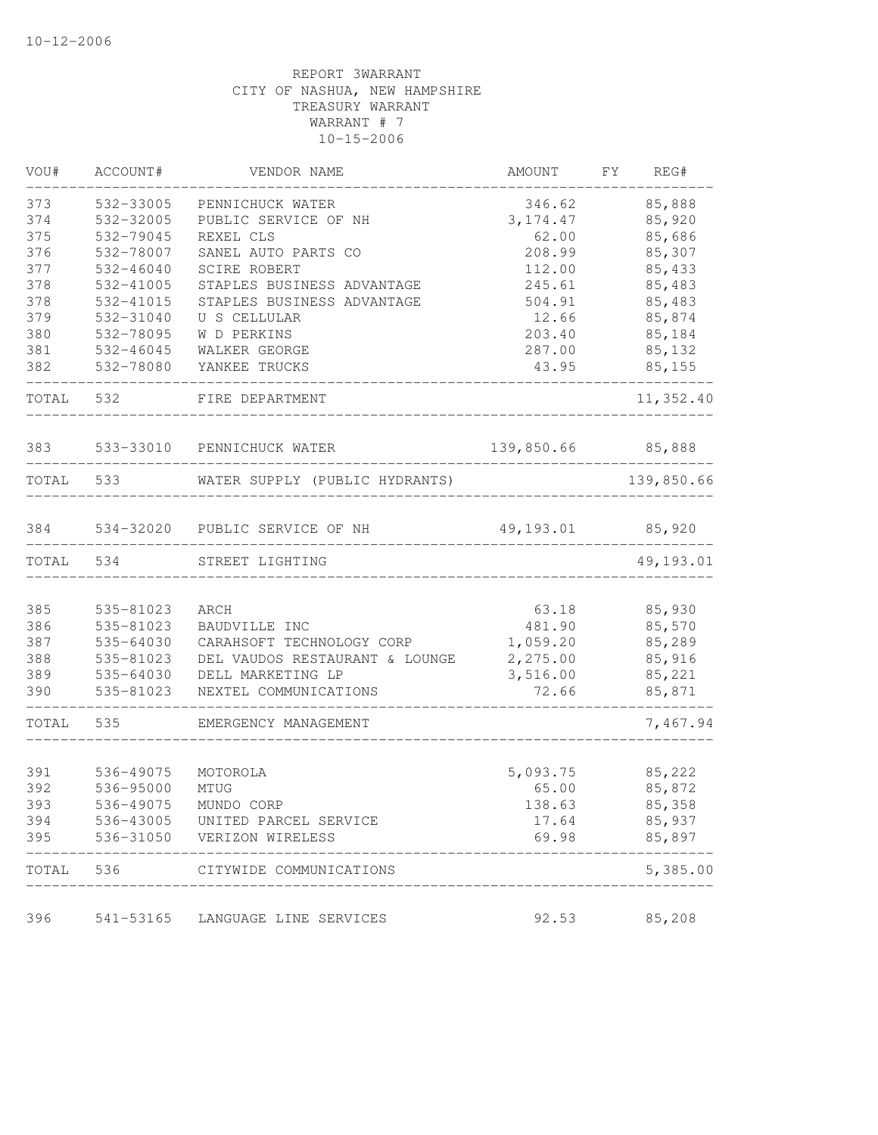| VOU#  | ACCOUNT#  | VENDOR NAME                    | AMOUNT     | FY.<br>REG# |
|-------|-----------|--------------------------------|------------|-------------|
| 373   | 532-33005 | PENNICHUCK WATER               | 346.62     | 85,888      |
| 374   | 532-32005 | PUBLIC SERVICE OF NH           | 3, 174.47  | 85,920      |
| 375   | 532-79045 | REXEL CLS                      | 62.00      | 85,686      |
| 376   | 532-78007 | SANEL AUTO PARTS CO            | 208.99     | 85,307      |
| 377   | 532-46040 | SCIRE ROBERT                   | 112.00     | 85,433      |
| 378   | 532-41005 | STAPLES BUSINESS ADVANTAGE     | 245.61     | 85,483      |
| 378   | 532-41015 | STAPLES BUSINESS ADVANTAGE     | 504.91     | 85,483      |
| 379   | 532-31040 | U S CELLULAR                   | 12.66      | 85,874      |
| 380   | 532-78095 | W D PERKINS                    | 203.40     | 85,184      |
| 381   | 532-46045 | WALKER GEORGE                  | 287.00     | 85,132      |
| 382   | 532-78080 | YANKEE TRUCKS                  | 43.95      | 85,155      |
| TOTAL | 532       | FIRE DEPARTMENT                |            | 11,352.40   |
| 383   | 533-33010 | PENNICHUCK WATER               | 139,850.66 | 85,888      |
| TOTAL | 533       | WATER SUPPLY (PUBLIC HYDRANTS) |            | 139,850.66  |
| 384   |           | 534-32020 PUBLIC SERVICE OF NH | 49,193.01  | 85,920      |
| TOTAL | 534       | STREET LIGHTING                |            | 49,193.01   |
|       |           |                                |            |             |
| 385   | 535-81023 | ARCH                           | 63.18      | 85,930      |
| 386   | 535-81023 | BAUDVILLE INC                  | 481.90     | 85,570      |
| 387   | 535-64030 | CARAHSOFT TECHNOLOGY CORP      | 1,059.20   | 85,289      |
| 388   | 535-81023 | DEL VAUDOS RESTAURANT & LOUNGE | 2,275.00   | 85,916      |
| 389   | 535-64030 | DELL MARKETING LP              | 3,516.00   | 85,221      |
| 390   | 535-81023 | NEXTEL COMMUNICATIONS          | 72.66      | 85,871      |
| TOTAL | 535       | EMERGENCY MANAGEMENT           |            | 7,467.94    |
|       |           |                                |            |             |
| 391   | 536-49075 | MOTOROLA                       | 5,093.75   | 85,222      |
| 392   | 536-95000 | MTUG                           | 65.00      | 85,872      |
| 393   | 536-49075 | MUNDO CORP                     | 138.63     | 85,358      |
| 394   | 536-43005 | UNITED PARCEL SERVICE          | 17.64      | 85,937      |
| 395   | 536-31050 | VERIZON WIRELESS               | 69.98      | 85,897      |
| TOTAL | 536       | CITYWIDE COMMUNICATIONS        |            | 5,385.00    |
| 396   | 541-53165 | LANGUAGE LINE SERVICES         | 92.53      | 85,208      |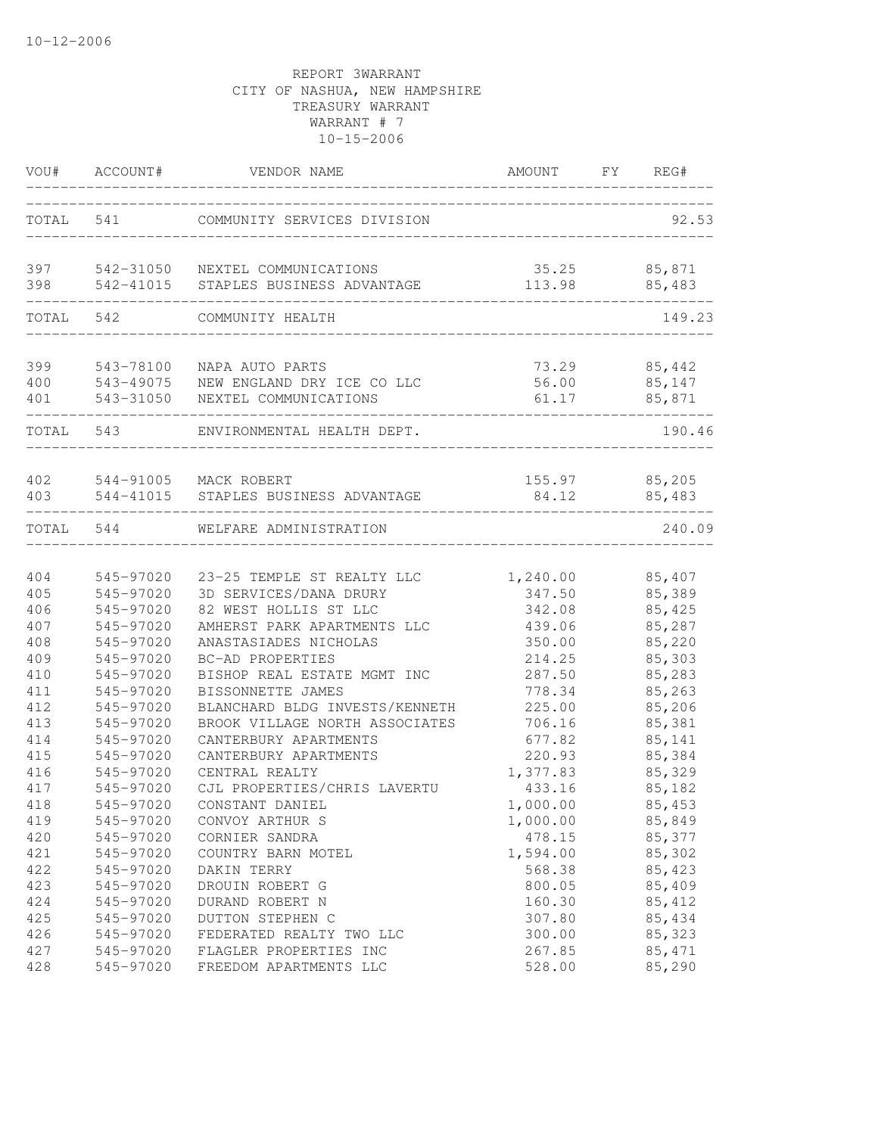| VOU#  | ACCOUNT#  | VENDOR NAME                    | AMOUNT   | FY REG# |
|-------|-----------|--------------------------------|----------|---------|
|       | TOTAL 541 | COMMUNITY SERVICES DIVISION    |          | 92.53   |
| 397   | 542-31050 | NEXTEL COMMUNICATIONS          | 35.25    | 85,871  |
| 398   | 542-41015 | STAPLES BUSINESS ADVANTAGE     | 113.98   | 85,483  |
| TOTAL | 542       | COMMUNITY HEALTH               |          | 149.23  |
| 399   | 543-78100 | NAPA AUTO PARTS                | 73.29    | 85,442  |
| 400   | 543-49075 | NEW ENGLAND DRY ICE CO LLC     | 56.00    | 85,147  |
| 401   | 543-31050 | NEXTEL COMMUNICATIONS          | 61.17    | 85,871  |
| TOTAL | 543       | ENVIRONMENTAL HEALTH DEPT.     |          | 190.46  |
| 402   | 544-91005 | MACK ROBERT                    | 155.97   | 85,205  |
| 403   | 544-41015 | STAPLES BUSINESS ADVANTAGE     | 84.12    | 85,483  |
| TOTAL | 544       | WELFARE ADMINISTRATION         |          | 240.09  |
| 404   | 545-97020 | 23-25 TEMPLE ST REALTY LLC     | 1,240.00 | 85,407  |
| 405   | 545-97020 | 3D SERVICES/DANA DRURY         | 347.50   | 85,389  |
| 406   | 545-97020 | 82 WEST HOLLIS ST LLC          | 342.08   | 85,425  |
| 407   | 545-97020 | AMHERST PARK APARTMENTS LLC    | 439.06   | 85,287  |
| 408   | 545-97020 | ANASTASIADES NICHOLAS          | 350.00   | 85,220  |
| 409   | 545-97020 | BC-AD PROPERTIES               | 214.25   | 85,303  |
| 410   | 545-97020 | BISHOP REAL ESTATE MGMT INC    | 287.50   | 85,283  |
| 411   | 545-97020 | BISSONNETTE JAMES              | 778.34   | 85,263  |
| 412   | 545-97020 | BLANCHARD BLDG INVESTS/KENNETH | 225.00   | 85,206  |
| 413   | 545-97020 | BROOK VILLAGE NORTH ASSOCIATES | 706.16   | 85,381  |
| 414   | 545-97020 | CANTERBURY APARTMENTS          | 677.82   | 85,141  |
| 415   | 545-97020 | CANTERBURY APARTMENTS          | 220.93   | 85,384  |
| 416   | 545-97020 | CENTRAL REALTY                 | 1,377.83 | 85,329  |
| 417   | 545-97020 | CJL PROPERTIES/CHRIS LAVERTU   | 433.16   | 85,182  |
| 418   | 545-97020 | CONSTANT DANIEL                | 1,000.00 | 85,453  |
| 419   | 545-97020 | CONVOY ARTHUR S                | 1,000.00 | 85,849  |
| 420   | 545-97020 | CORNIER SANDRA                 | 478.15   | 85,377  |
| 421   | 545-97020 | COUNTRY BARN MOTEL             | 1,594.00 | 85,302  |
| 422   | 545-97020 | DAKIN TERRY                    | 568.38   | 85,423  |
| 423   | 545-97020 | DROUIN ROBERT G                | 800.05   | 85,409  |
| 424   | 545-97020 | DURAND ROBERT N                | 160.30   | 85, 412 |
| 425   | 545-97020 | DUTTON STEPHEN C               | 307.80   | 85,434  |
| 426   | 545-97020 | FEDERATED REALTY TWO LLC       | 300.00   | 85,323  |
| 427   | 545-97020 | FLAGLER PROPERTIES INC         | 267.85   | 85, 471 |
| 428   | 545-97020 | FREEDOM APARTMENTS LLC         | 528.00   | 85,290  |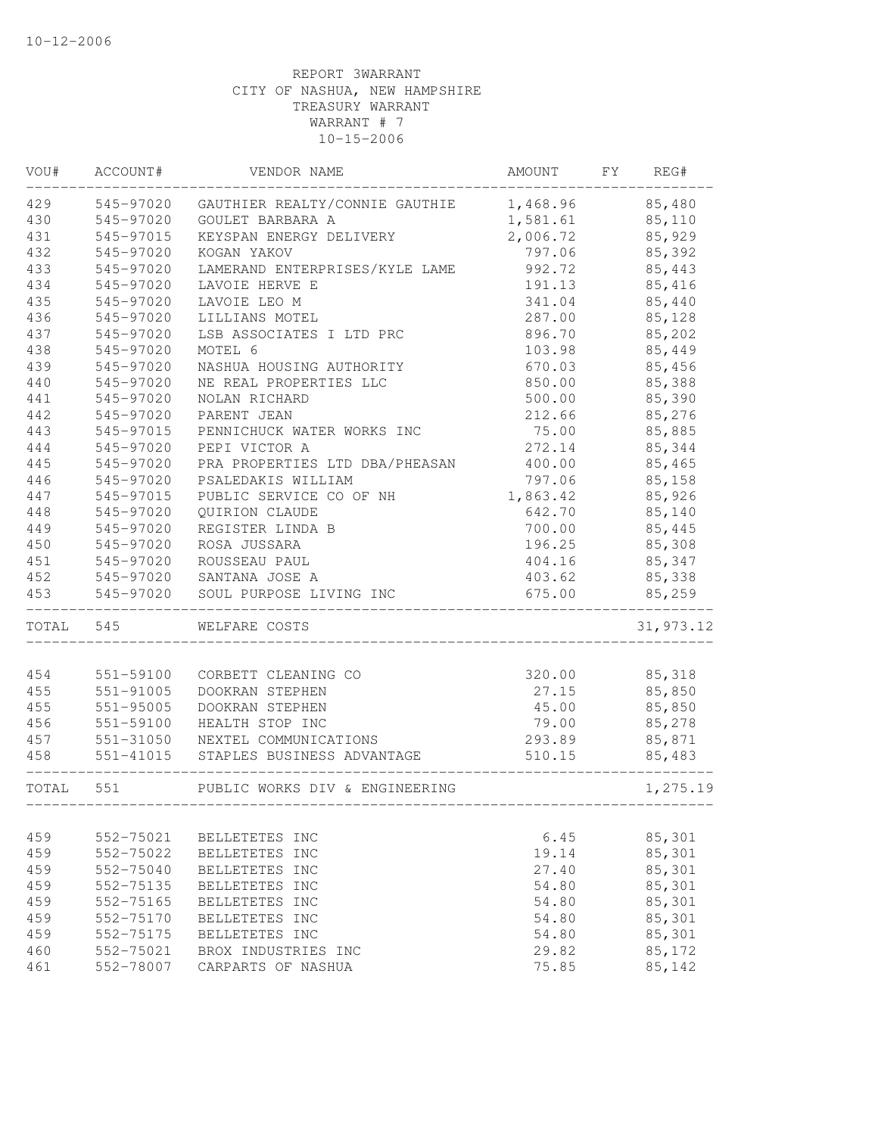| VOU#      | ACCOUNT#  | VENDOR NAME                             | AMOUNT   | FY | REG#          |
|-----------|-----------|-----------------------------------------|----------|----|---------------|
| 429       | 545-97020 | GAUTHIER REALTY/CONNIE GAUTHIE 1,468.96 |          |    | 85,480        |
| 430       | 545-97020 | GOULET BARBARA A                        | 1,581.61 |    | 85,110        |
| 431       | 545-97015 | KEYSPAN ENERGY DELIVERY                 | 2,006.72 |    | 85,929        |
| 432       | 545-97020 | KOGAN YAKOV                             | 797.06   |    | 85,392        |
| 433       | 545-97020 | LAMERAND ENTERPRISES/KYLE LAME          | 992.72   |    | 85,443        |
| 434       | 545-97020 | LAVOIE HERVE E                          | 191.13   |    | 85,416        |
| 435       | 545-97020 | LAVOIE LEO M                            | 341.04   |    | 85,440        |
| 436       | 545-97020 | LILLIANS MOTEL                          | 287.00   |    | 85,128        |
| 437       | 545-97020 | LSB ASSOCIATES I LTD PRC                | 896.70   |    | 85,202        |
| 438       | 545-97020 | MOTEL 6                                 | 103.98   |    | 85,449        |
| 439       | 545-97020 | NASHUA HOUSING AUTHORITY                | 670.03   |    | 85,456        |
| 440       | 545-97020 | NE REAL PROPERTIES LLC                  | 850.00   |    | 85,388        |
| 441       | 545-97020 | NOLAN RICHARD                           | 500.00   |    | 85,390        |
| 442       | 545-97020 | PARENT JEAN                             | 212.66   |    | 85,276        |
| 443       | 545-97015 | PENNICHUCK WATER WORKS INC              | 75.00    |    | 85,885        |
| 444       | 545-97020 | PEPI VICTOR A                           | 272.14   |    | 85,344        |
| 445       | 545-97020 | PRA PROPERTIES LTD DBA/PHEASAN          | 400.00   |    | 85,465        |
| 446       | 545-97020 | PSALEDAKIS WILLIAM                      | 797.06   |    | 85,158        |
| 447       | 545-97015 | PUBLIC SERVICE CO OF NH                 | 1,863.42 |    | 85,926        |
| 448       | 545-97020 | QUIRION CLAUDE                          | 642.70   |    | 85,140        |
| 449       | 545-97020 | REGISTER LINDA B                        | 700.00   |    | 85,445        |
| 450       | 545-97020 | ROSA JUSSARA                            | 196.25   |    | 85,308        |
| 451       | 545-97020 | ROUSSEAU PAUL                           | 404.16   |    | 85,347        |
| 452       | 545-97020 | SANTANA JOSE A                          | 403.62   |    | 85,338        |
| 453       | 545-97020 | SOUL PURPOSE LIVING INC                 | 675.00   |    | 85,259        |
| TOTAL 545 |           | WELFARE COSTS                           |          |    | 31, 973.12    |
|           |           |                                         |          |    |               |
| 454       | 551-59100 | CORBETT CLEANING CO                     |          |    | 320.00 85,318 |
| 455       | 551-91005 | DOOKRAN STEPHEN                         | 27.15    |    | 85,850        |
| 455       | 551-95005 | DOOKRAN STEPHEN                         | 45.00    |    | 85,850        |
| 456       | 551-59100 | HEALTH STOP INC                         | 79.00    |    | 85,278        |
| 457       | 551-31050 | NEXTEL COMMUNICATIONS                   | 293.89   |    | 85,871        |
| 458       | 551-41015 | STAPLES BUSINESS ADVANTAGE              | 510.15   |    | 85,483        |
| TOTAL 551 |           | PUBLIC WORKS DIV & ENGINEERING          |          |    | 1,275.19      |
|           |           |                                         |          |    |               |
| 459       | 552-75021 | BELLETETES INC                          | 6.45     |    | 85,301        |
| 459       | 552-75022 | BELLETETES INC                          | 19.14    |    | 85,301        |
| 459       | 552-75040 | BELLETETES INC                          | 27.40    |    | 85,301        |
| 459       | 552-75135 | BELLETETES INC                          | 54.80    |    | 85,301        |
| 459       | 552-75165 | BELLETETES INC                          | 54.80    |    | 85,301        |
| 459       | 552-75170 | BELLETETES INC                          | 54.80    |    | 85,301        |
| 459       | 552-75175 | BELLETETES INC                          | 54.80    |    | 85,301        |
| 460       | 552-75021 | BROX INDUSTRIES INC                     | 29.82    |    | 85,172        |
| 461       | 552-78007 | CARPARTS OF NASHUA                      | 75.85    |    | 85,142        |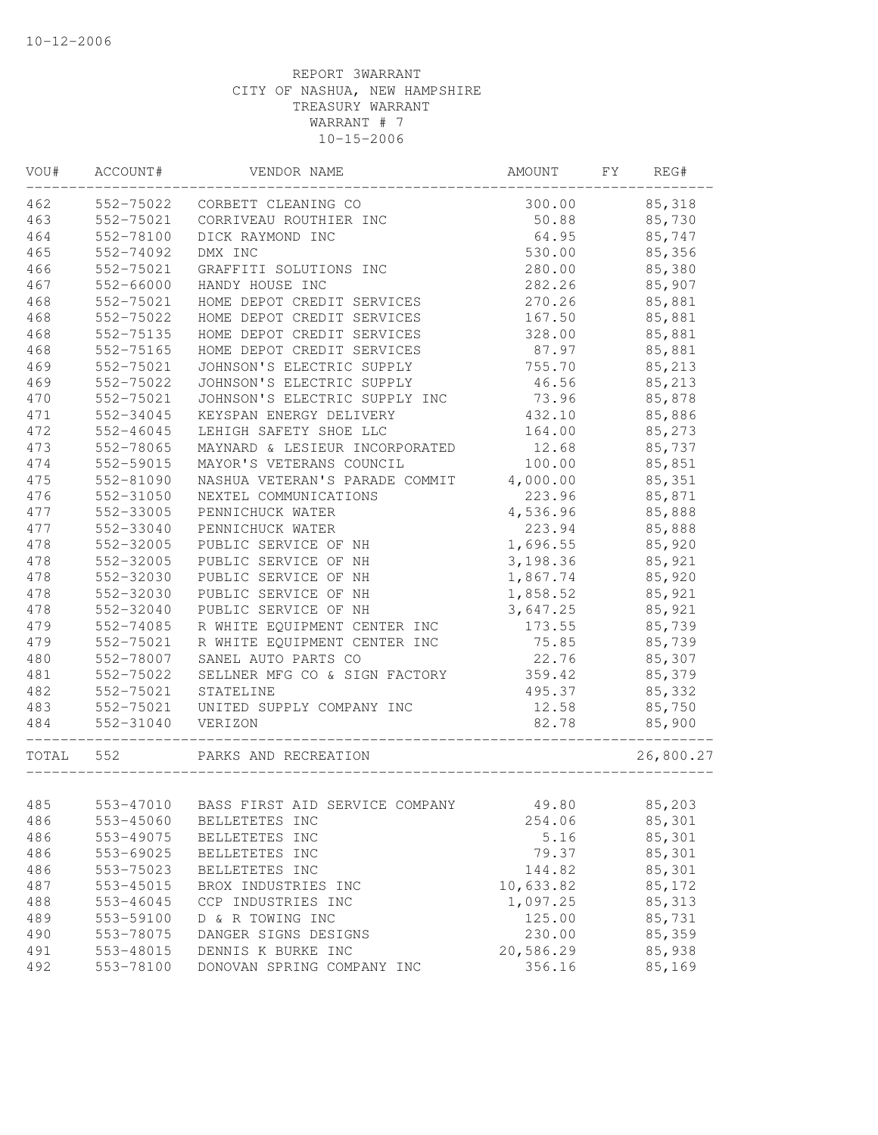| VOU#  | ACCOUNT#  | VENDOR NAME                    | AMOUNT    | FΥ | REG#      |
|-------|-----------|--------------------------------|-----------|----|-----------|
| 462   | 552-75022 | CORBETT CLEANING CO            | 300.00    |    | 85,318    |
| 463   | 552-75021 | CORRIVEAU ROUTHIER INC         | 50.88     |    | 85,730    |
| 464   | 552-78100 | DICK RAYMOND INC               | 64.95     |    | 85,747    |
| 465   | 552-74092 | DMX INC                        | 530.00    |    | 85,356    |
| 466   | 552-75021 | GRAFFITI SOLUTIONS INC         | 280.00    |    | 85,380    |
| 467   | 552-66000 | HANDY HOUSE INC                | 282.26    |    | 85,907    |
| 468   | 552-75021 | HOME DEPOT CREDIT SERVICES     | 270.26    |    | 85,881    |
| 468   | 552-75022 | HOME DEPOT CREDIT SERVICES     | 167.50    |    | 85,881    |
| 468   | 552-75135 | HOME DEPOT CREDIT SERVICES     | 328.00    |    | 85,881    |
| 468   | 552-75165 | HOME DEPOT CREDIT SERVICES     | 87.97     |    | 85,881    |
| 469   | 552-75021 | JOHNSON'S ELECTRIC SUPPLY      | 755.70    |    | 85,213    |
| 469   | 552-75022 | JOHNSON'S ELECTRIC SUPPLY      | 46.56     |    | 85,213    |
| 470   | 552-75021 | JOHNSON'S ELECTRIC SUPPLY INC  | 73.96     |    | 85,878    |
| 471   | 552-34045 | KEYSPAN ENERGY DELIVERY        | 432.10    |    | 85,886    |
| 472   | 552-46045 | LEHIGH SAFETY SHOE LLC         | 164.00    |    | 85,273    |
| 473   | 552-78065 | MAYNARD & LESIEUR INCORPORATED | 12.68     |    | 85,737    |
| 474   | 552-59015 | MAYOR'S VETERANS COUNCIL       | 100.00    |    | 85,851    |
| 475   | 552-81090 | NASHUA VETERAN'S PARADE COMMIT | 4,000.00  |    | 85,351    |
| 476   | 552-31050 | NEXTEL COMMUNICATIONS          | 223.96    |    | 85,871    |
| 477   | 552-33005 | PENNICHUCK WATER               | 4,536.96  |    | 85,888    |
| 477   | 552-33040 | PENNICHUCK WATER               | 223.94    |    | 85,888    |
| 478   | 552-32005 | PUBLIC SERVICE OF NH           | 1,696.55  |    | 85,920    |
| 478   | 552-32005 | PUBLIC SERVICE OF NH           | 3,198.36  |    | 85,921    |
| 478   | 552-32030 | PUBLIC SERVICE OF NH           | 1,867.74  |    | 85,920    |
| 478   | 552-32030 | PUBLIC SERVICE OF NH           | 1,858.52  |    | 85,921    |
| 478   | 552-32040 | PUBLIC SERVICE OF NH           | 3,647.25  |    | 85,921    |
| 479   | 552-74085 | R WHITE EQUIPMENT CENTER INC   | 173.55    |    | 85,739    |
| 479   | 552-75021 | R WHITE EQUIPMENT CENTER INC   | 75.85     |    | 85,739    |
| 480   | 552-78007 | SANEL AUTO PARTS CO            | 22.76     |    | 85,307    |
| 481   | 552-75022 | SELLNER MFG CO & SIGN FACTORY  | 359.42    |    | 85,379    |
| 482   | 552-75021 | STATELINE                      | 495.37    |    | 85,332    |
| 483   | 552-75021 | UNITED SUPPLY COMPANY INC      | 12.58     |    | 85,750    |
| 484   | 552-31040 | VERIZON                        | 82.78     |    | 85,900    |
| TOTAL | 552       | PARKS AND RECREATION           |           |    | 26,800.27 |
|       |           |                                |           |    |           |
| 485   | 553-47010 | BASS FIRST AID SERVICE COMPANY | 49.80     |    | 85,203    |
| 486   | 553-45060 | BELLETETES INC                 | 254.06    |    | 85,301    |
| 486   | 553-49075 | BELLETETES INC                 | 5.16      |    | 85,301    |
| 486   | 553-69025 | BELLETETES INC                 | 79.37     |    | 85,301    |
| 486   | 553-75023 | BELLETETES INC                 | 144.82    |    | 85,301    |
| 487   | 553-45015 | BROX INDUSTRIES INC            | 10,633.82 |    | 85,172    |
| 488   | 553-46045 | CCP INDUSTRIES INC             | 1,097.25  |    | 85, 313   |
| 489   | 553-59100 | D & R TOWING INC               | 125.00    |    | 85,731    |
| 490   | 553-78075 | DANGER SIGNS DESIGNS           | 230.00    |    | 85,359    |
| 491   | 553-48015 | DENNIS K BURKE INC             | 20,586.29 |    | 85,938    |
| 492   | 553-78100 | DONOVAN SPRING COMPANY INC     | 356.16    |    | 85,169    |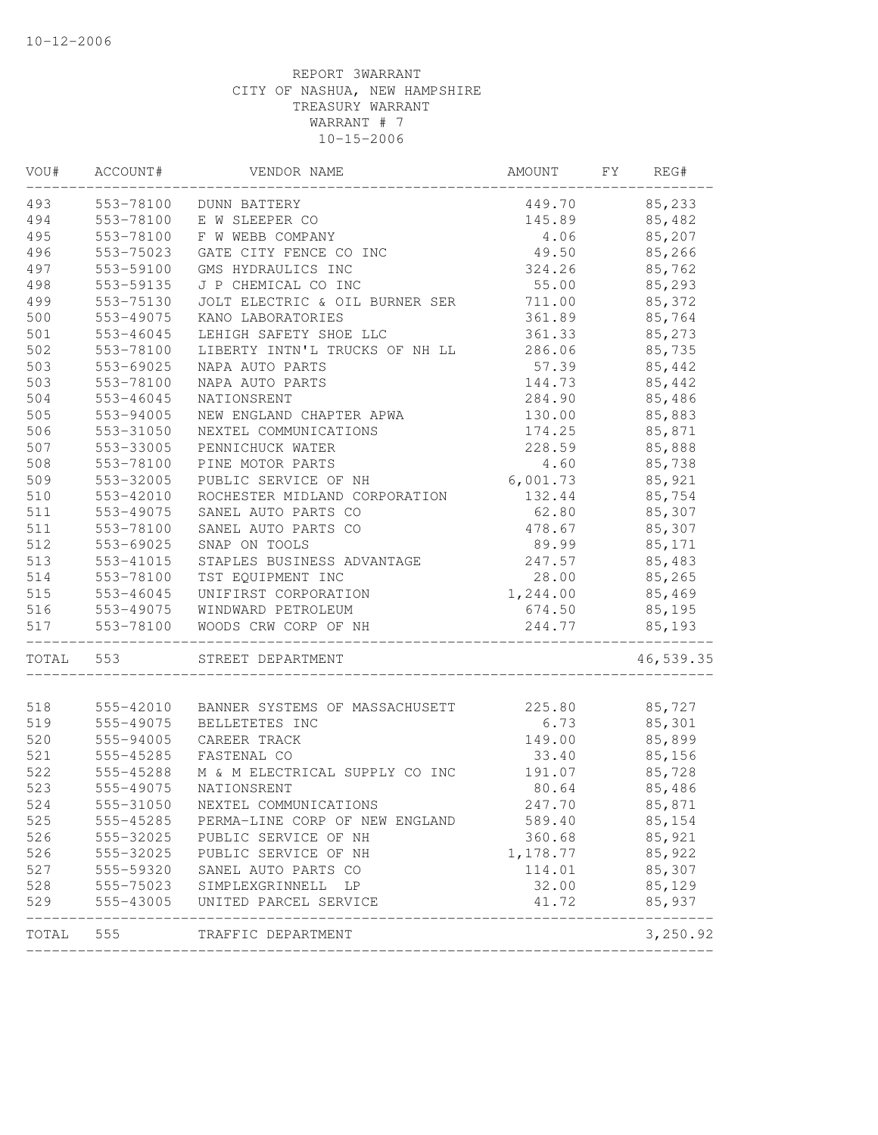| VOU#  | ACCOUNT#  | VENDOR NAME                     | AMOUNT   | FΥ | REG#      |
|-------|-----------|---------------------------------|----------|----|-----------|
| 493   | 553-78100 | DUNN BATTERY                    | 449.70   |    | 85,233    |
| 494   | 553-78100 | E W SLEEPER CO                  | 145.89   |    | 85,482    |
| 495   | 553-78100 | F W WEBB COMPANY                | 4.06     |    | 85,207    |
| 496   | 553-75023 | GATE CITY FENCE CO INC          | 49.50    |    | 85,266    |
| 497   | 553-59100 | GMS HYDRAULICS INC              | 324.26   |    | 85,762    |
| 498   | 553-59135 | J P CHEMICAL CO INC             | 55.00    |    | 85,293    |
| 499   | 553-75130 | JOLT ELECTRIC & OIL BURNER SER  | 711.00   |    | 85,372    |
| 500   | 553-49075 | KANO LABORATORIES               | 361.89   |    | 85,764    |
| $501$ | 553-46045 | LEHIGH SAFETY SHOE LLC          | 361.33   |    | 85,273    |
| 502   | 553-78100 | LIBERTY INTN'L TRUCKS OF NH LL  | 286.06   |    | 85,735    |
| 503   | 553-69025 | NAPA AUTO PARTS                 | 57.39    |    | 85,442    |
| 503   | 553-78100 | NAPA AUTO PARTS                 | 144.73   |    | 85,442    |
| 504   | 553-46045 | NATIONSRENT                     | 284.90   |    | 85,486    |
| 505   | 553-94005 | NEW ENGLAND CHAPTER APWA        | 130.00   |    | 85,883    |
| 506   | 553-31050 | NEXTEL COMMUNICATIONS           | 174.25   |    | 85,871    |
| 507   | 553-33005 | PENNICHUCK WATER                | 228.59   |    | 85,888    |
| 508   | 553-78100 | PINE MOTOR PARTS                | 4.60     |    | 85,738    |
| 509   | 553-32005 | PUBLIC SERVICE OF NH            | 6,001.73 |    | 85,921    |
| 510   | 553-42010 | ROCHESTER MIDLAND CORPORATION   | 132.44   |    | 85,754    |
| 511   | 553-49075 | SANEL AUTO PARTS CO             | 62.80    |    | 85,307    |
| 511   | 553-78100 | SANEL AUTO PARTS CO             | 478.67   |    | 85,307    |
| 512   | 553-69025 | SNAP ON TOOLS                   | 89.99    |    | 85,171    |
| 513   | 553-41015 | STAPLES BUSINESS ADVANTAGE      | 247.57   |    | 85,483    |
| 514   | 553-78100 | TST EQUIPMENT INC               | 28.00    |    | 85,265    |
| 515   | 553-46045 | UNIFIRST CORPORATION            | 1,244.00 |    | 85,469    |
| 516   | 553-49075 | WINDWARD PETROLEUM              | 674.50   |    | 85,195    |
| 517   | 553-78100 | WOODS CRW CORP OF NH            | 244.77   |    | 85,193    |
| TOTAL | 553       | STREET DEPARTMENT               |          |    | 46,539.35 |
| 518   | 555-42010 | BANNER SYSTEMS OF MASSACHUSETT  | 225.80   |    | 85,727    |
| 519   | 555-49075 | BELLETETES INC                  | 6.73     |    | 85,301    |
| 520   | 555-94005 | CAREER TRACK                    | 149.00   |    | 85,899    |
| 521   | 555-45285 | FASTENAL CO                     | 33.40    |    | 85,156    |
| 522   | 555-45288 | M & M ELECTRICAL SUPPLY CO INC  | 191.07   |    | 85,728    |
| 523   | 555-49075 | NATIONSRENT                     | 80.64    |    | 85,486    |
| 524   | 555-31050 | NEXTEL COMMUNICATIONS           | 247.70   |    | 85,871    |
| 525   | 555-45285 | PERMA-LINE CORP OF NEW ENGLAND  | 589.40   |    | 85,154    |
| 526   | 555-32025 | PUBLIC SERVICE OF NH            | 360.68   |    | 85,921    |
| 526   | 555-32025 | PUBLIC SERVICE OF NH            | 1,178.77 |    | 85,922    |
| 527   | 555-59320 | SANEL AUTO PARTS CO             | 114.01   |    | 85,307    |
| 528   |           | 555-75023 SIMPLEXGRINNELL<br>LP | 32.00    |    | 85,129    |
| 529   |           | 555-43005 UNITED PARCEL SERVICE | 41.72    |    | 85,937    |
| TOTAL | 555       | TRAFFIC DEPARTMENT              |          |    | 3,250.92  |
|       |           |                                 |          |    |           |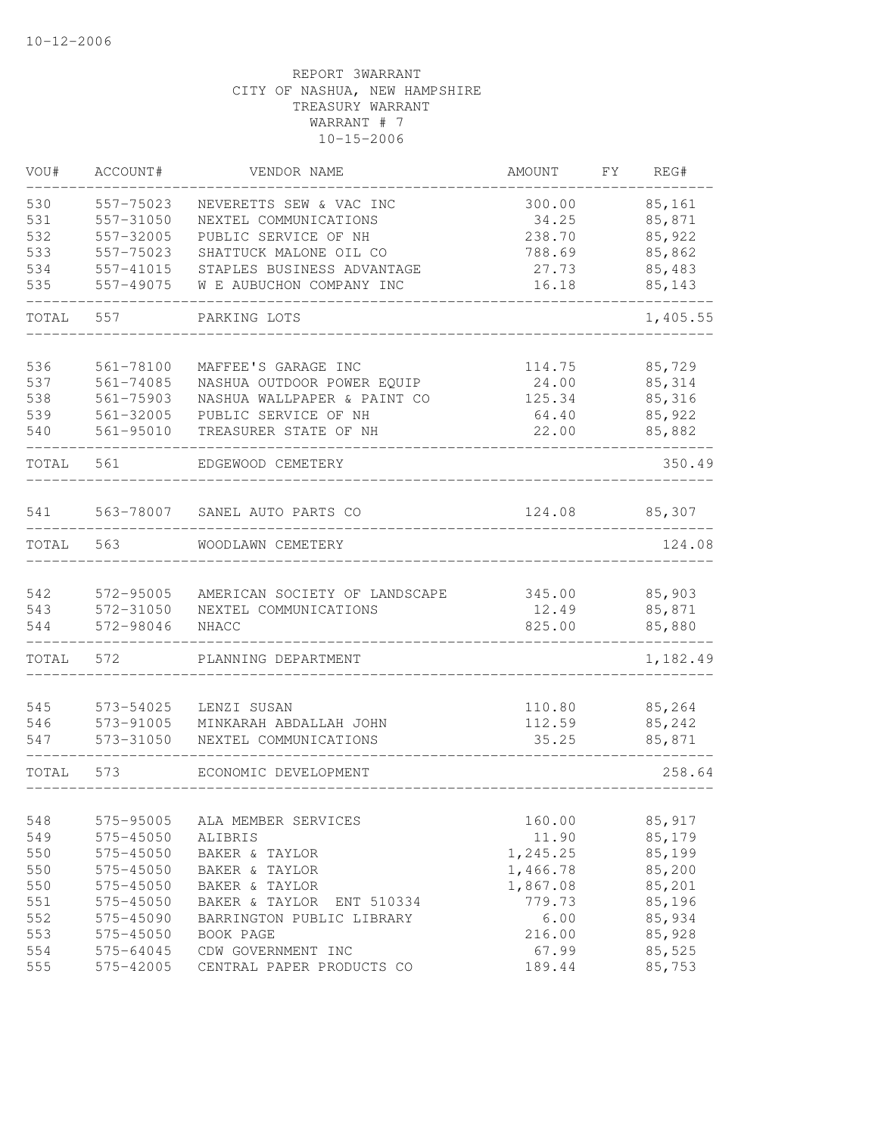| VOU#       | ACCOUNT#               | VENDOR NAME                   | AMOUNT          | FY | REG#     |
|------------|------------------------|-------------------------------|-----------------|----|----------|
| 530        | 557-75023              | NEVERETTS SEW & VAC INC       | 300.00          |    | 85,161   |
| 531        | 557-31050              | NEXTEL COMMUNICATIONS         | 34.25           |    | 85,871   |
| 532        | 557-32005              | PUBLIC SERVICE OF NH          | 238.70          |    | 85,922   |
| 533        | 557-75023              | SHATTUCK MALONE OIL CO        | 788.69          |    | 85,862   |
| 534        | 557-41015              | STAPLES BUSINESS ADVANTAGE    | 27.73           |    | 85,483   |
| 535        | 557-49075              | W E AUBUCHON COMPANY INC      | 16.18           |    | 85,143   |
| TOTAL      | 557                    | PARKING LOTS                  |                 |    | 1,405.55 |
|            |                        |                               |                 |    |          |
| 536<br>537 | 561-78100              | MAFFEE'S GARAGE INC           | 114.75          |    | 85,729   |
|            | 561-74085              | NASHUA OUTDOOR POWER EQUIP    | 24.00           |    | 85,314   |
| 538<br>539 | 561-75903<br>561-32005 | NASHUA WALLPAPER & PAINT CO   | 125.34<br>64.40 |    | 85,316   |
|            |                        | PUBLIC SERVICE OF NH          |                 |    | 85,922   |
| 540        | 561-95010              | TREASURER STATE OF NH         | 22.00           |    | 85,882   |
| TOTAL      | 561                    | EDGEWOOD CEMETERY             |                 |    | 350.49   |
| 541        |                        | 563-78007 SANEL AUTO PARTS CO | 124.08          |    | 85,307   |
| TOTAL      | 563                    | WOODLAWN CEMETERY             |                 |    | 124.08   |
|            |                        |                               |                 |    |          |
| 542        | 572-95005              | AMERICAN SOCIETY OF LANDSCAPE | 345.00          |    | 85,903   |
| 543        | 572-31050              | NEXTEL COMMUNICATIONS         | 12.49           |    | 85,871   |
| 544        | 572-98046              | NHACC                         | 825.00          |    | 85,880   |
| TOTAL      | 572                    | PLANNING DEPARTMENT           |                 |    | 1,182.49 |
| 545        | 573-54025              | LENZI SUSAN                   | 110.80          |    | 85,264   |
| 546        | 573-91005              | MINKARAH ABDALLAH JOHN        | 112.59          |    | 85,242   |
| 547        | 573-31050              | NEXTEL COMMUNICATIONS         | 35.25           |    | 85,871   |
| TOTAL      | 573                    | ECONOMIC DEVELOPMENT          |                 |    | 258.64   |
|            |                        |                               |                 |    |          |
| 548        | 575-95005              | ALA MEMBER SERVICES           | 160.00          |    | 85,917   |
| 549        | 575-45050              | ALIBRIS                       | 11.90           |    | 85,179   |
| 550        | 575-45050              | BAKER & TAYLOR                | 1,245.25        |    | 85,199   |
| 550        | 575-45050              | BAKER & TAYLOR                | 1,466.78        |    | 85,200   |
| 550        | 575-45050              | BAKER & TAYLOR                | 1,867.08        |    | 85,201   |
| 551        | 575-45050              | BAKER & TAYLOR<br>ENT 510334  | 779.73          |    | 85,196   |
| 552        | 575-45090              | BARRINGTON PUBLIC LIBRARY     | 6.00            |    | 85,934   |
| 553        | 575-45050              | BOOK PAGE                     | 216.00          |    | 85,928   |
| 554        | 575-64045              | CDW GOVERNMENT INC            | 67.99           |    | 85,525   |
| 555        | 575-42005              | CENTRAL PAPER PRODUCTS CO     | 189.44          |    | 85,753   |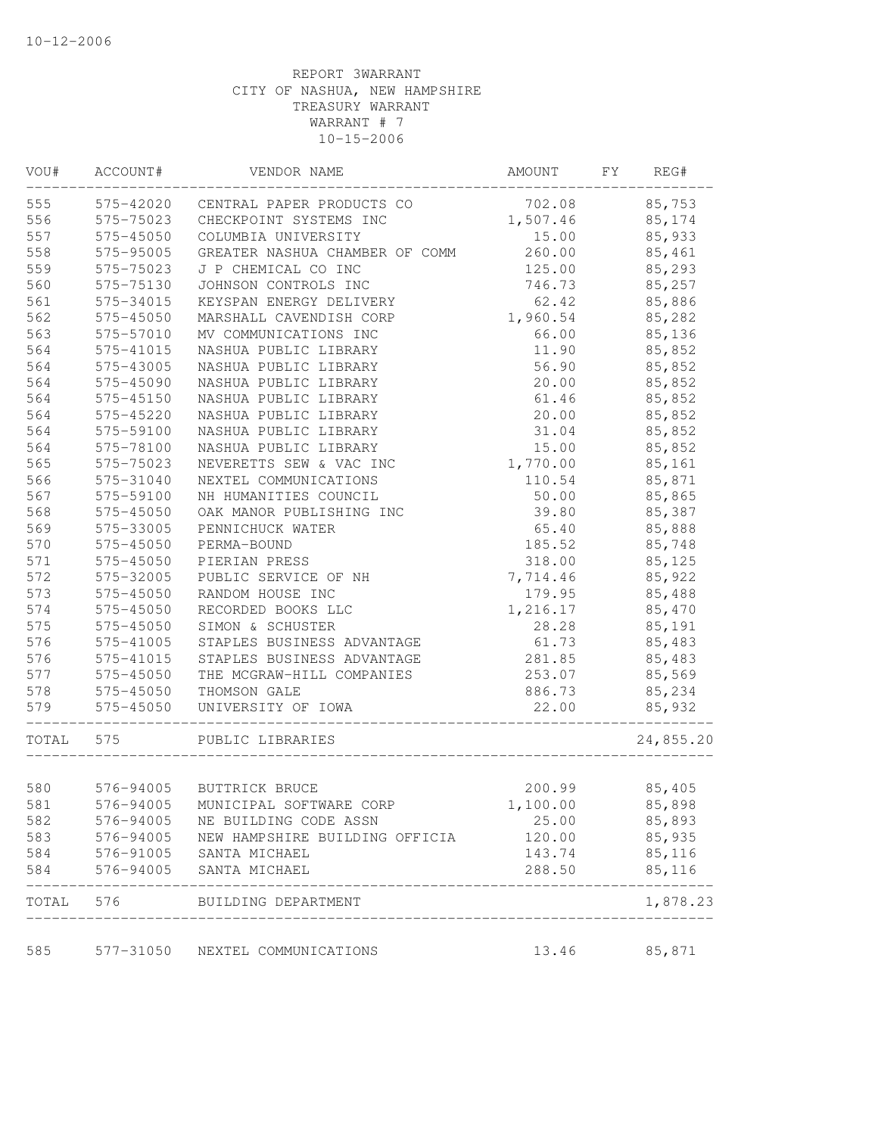| WOU#  | ACCOUNT#  | VENDOR NAME                       | AMOUNT   | FY | REG#      |
|-------|-----------|-----------------------------------|----------|----|-----------|
| 555   | 575-42020 | CENTRAL PAPER PRODUCTS CO         | 702.08   |    | 85,753    |
| 556   | 575-75023 | CHECKPOINT SYSTEMS INC            | 1,507.46 |    | 85,174    |
| 557   | 575-45050 | COLUMBIA UNIVERSITY               | 15.00    |    | 85,933    |
| 558   | 575-95005 | GREATER NASHUA CHAMBER OF COMM    | 260.00   |    | 85,461    |
| 559   | 575-75023 | J P CHEMICAL CO INC               | 125.00   |    | 85,293    |
| 560   | 575-75130 | JOHNSON CONTROLS INC              | 746.73   |    | 85,257    |
| 561   | 575-34015 | KEYSPAN ENERGY DELIVERY           | 62.42    |    | 85,886    |
| 562   | 575-45050 | MARSHALL CAVENDISH CORP           | 1,960.54 |    | 85,282    |
| 563   | 575-57010 | MV COMMUNICATIONS INC             | 66.00    |    | 85,136    |
| 564   | 575-41015 | NASHUA PUBLIC LIBRARY             | 11.90    |    | 85,852    |
| 564   | 575-43005 | NASHUA PUBLIC LIBRARY             | 56.90    |    | 85,852    |
| 564   | 575-45090 | NASHUA PUBLIC LIBRARY             | 20.00    |    | 85,852    |
| 564   | 575-45150 | NASHUA PUBLIC LIBRARY             | 61.46    |    | 85,852    |
| 564   | 575-45220 | NASHUA PUBLIC LIBRARY             | 20.00    |    | 85,852    |
| 564   | 575-59100 | NASHUA PUBLIC LIBRARY             | 31.04    |    | 85,852    |
| 564   | 575-78100 | NASHUA PUBLIC LIBRARY             | 15.00    |    | 85,852    |
| 565   | 575-75023 | NEVERETTS SEW & VAC INC           | 1,770.00 |    | 85,161    |
| 566   | 575-31040 | NEXTEL COMMUNICATIONS             | 110.54   |    | 85,871    |
| 567   | 575-59100 | NH HUMANITIES COUNCIL             | 50.00    |    | 85,865    |
| 568   | 575-45050 | OAK MANOR PUBLISHING INC          | 39.80    |    | 85,387    |
| 569   | 575-33005 | PENNICHUCK WATER                  | 65.40    |    | 85,888    |
| 570   | 575-45050 | PERMA-BOUND                       | 185.52   |    | 85,748    |
| 571   | 575-45050 | PIERIAN PRESS                     | 318.00   |    | 85,125    |
| 572   | 575-32005 | PUBLIC SERVICE OF NH              | 7,714.46 |    | 85,922    |
| 573   | 575-45050 | RANDOM HOUSE INC                  | 179.95   |    | 85,488    |
| 574   | 575-45050 | RECORDED BOOKS LLC                | 1,216.17 |    | 85,470    |
| 575   | 575-45050 | SIMON & SCHUSTER                  | 28.28    |    | 85,191    |
| 576   | 575-41005 | STAPLES BUSINESS ADVANTAGE        | 61.73    |    | 85,483    |
| 576   | 575-41015 | STAPLES BUSINESS ADVANTAGE        | 281.85   |    | 85,483    |
| 577   | 575-45050 | THE MCGRAW-HILL COMPANIES         | 253.07   |    | 85,569    |
| 578   | 575-45050 | THOMSON GALE                      | 886.73   |    | 85,234    |
| 579   | 575-45050 | UNIVERSITY OF IOWA                | 22.00    |    | 85,932    |
| TOTAL | 575       | PUBLIC LIBRARIES                  |          |    | 24,855.20 |
| 580   | 576-94005 | BUTTRICK BRUCE                    | 200.99   |    | 85,405    |
| 581   |           | 576-94005 MUNICIPAL SOFTWARE CORP | 1,100.00 |    | 85,898    |
| 582   | 576-94005 | NE BUILDING CODE ASSN             | 25.00    |    | 85,893    |
| 583   | 576-94005 | NEW HAMPSHIRE BUILDING OFFICIA    | 120.00   |    | 85,935    |
| 584   | 576-91005 | SANTA MICHAEL                     | 143.74   |    | 85,116    |
| 584   | 576-94005 | SANTA MICHAEL                     | 288.50   |    | 85,116    |
|       |           |                                   |          |    |           |
| TOTAL |           | 576 BUILDING DEPARTMENT           |          |    | 1,878.23  |
| 585   | 577-31050 | NEXTEL COMMUNICATIONS             | 13.46    |    | 85,871    |
|       |           |                                   |          |    |           |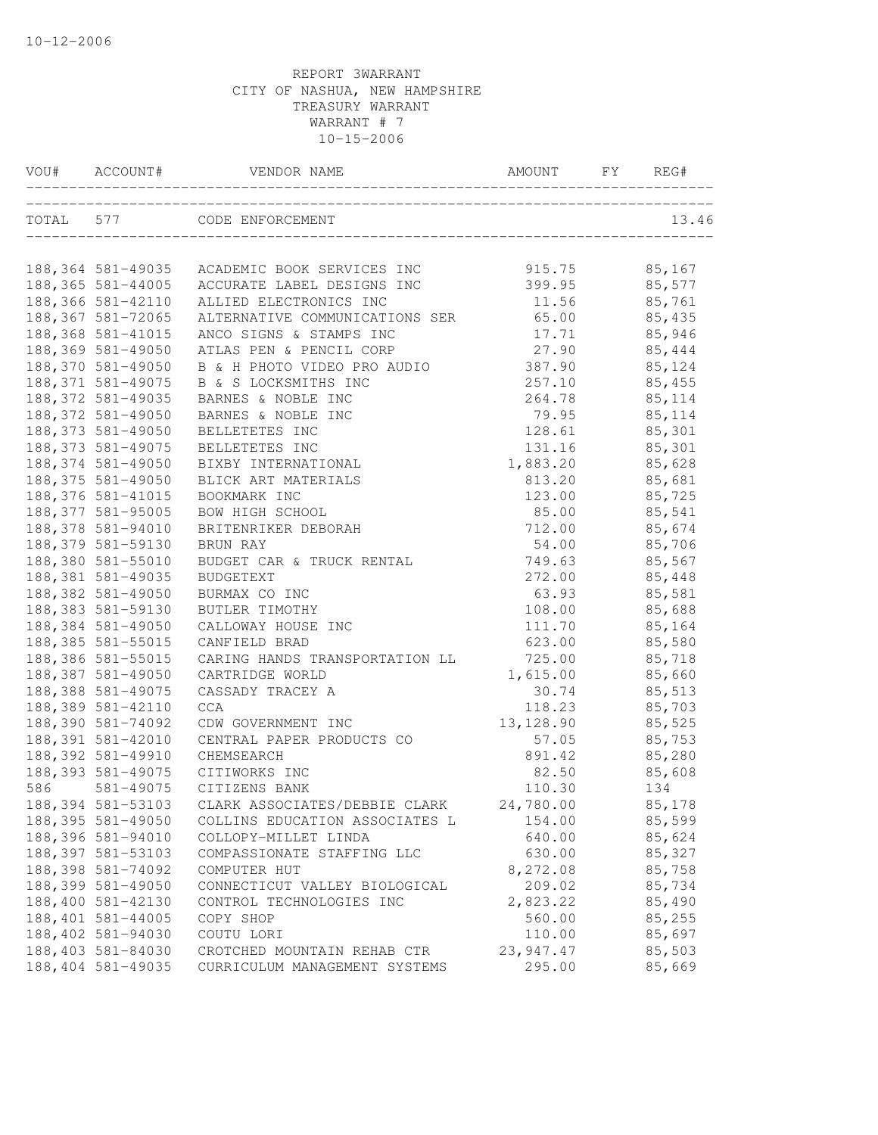| VOU# | ACCOUNT#           | VENDOR NAME                                                      | AMOUNT     | FY | REG#    |
|------|--------------------|------------------------------------------------------------------|------------|----|---------|
|      |                    | TOTAL 577 CODE ENFORCEMENT<br>__________________________________ |            |    | 13.46   |
|      | 188,364 581-49035  | ACADEMIC BOOK SERVICES INC                                       | 915.75     |    | 85,167  |
|      | 188,365 581-44005  | ACCURATE LABEL DESIGNS INC                                       | 399.95     |    | 85,577  |
|      | 188,366 581-42110  | ALLIED ELECTRONICS INC                                           | 11.56      |    | 85,761  |
|      | 188, 367 581-72065 | ALTERNATIVE COMMUNICATIONS SER                                   | 65.00      |    | 85,435  |
|      | 188, 368 581-41015 | ANCO SIGNS & STAMPS INC                                          | 17.71      |    | 85,946  |
|      | 188,369 581-49050  | ATLAS PEN & PENCIL CORP                                          | 27.90      |    | 85,444  |
|      | 188,370 581-49050  | B & H PHOTO VIDEO PRO AUDIO                                      | 387.90     |    | 85,124  |
|      | 188, 371 581-49075 | B & S LOCKSMITHS INC                                             | 257.10     |    | 85,455  |
|      | 188, 372 581-49035 | BARNES & NOBLE INC                                               | 264.78     |    | 85,114  |
|      | 188, 372 581-49050 | BARNES & NOBLE INC                                               | 79.95      |    | 85, 114 |
|      | 188, 373 581-49050 | BELLETETES INC                                                   | 128.61     |    | 85,301  |
|      | 188, 373 581-49075 | BELLETETES INC                                                   | 131.16     |    | 85,301  |
|      | 188, 374 581-49050 | BIXBY INTERNATIONAL                                              | 1,883.20   |    | 85,628  |
|      | 188, 375 581-49050 | BLICK ART MATERIALS                                              | 813.20     |    | 85,681  |
|      | 188, 376 581-41015 | BOOKMARK INC                                                     | 123.00     |    | 85,725  |
|      | 188, 377 581-95005 | BOW HIGH SCHOOL                                                  | 85.00      |    | 85,541  |
|      | 188,378 581-94010  | BRITENRIKER DEBORAH                                              | 712.00     |    | 85,674  |
|      | 188, 379 581-59130 | BRUN RAY                                                         | 54.00      |    | 85,706  |
|      | 188,380 581-55010  | BUDGET CAR & TRUCK RENTAL                                        | 749.63     |    | 85,567  |
|      | 188,381 581-49035  | <b>BUDGETEXT</b>                                                 | 272.00     |    | 85,448  |
|      | 188, 382 581-49050 | BURMAX CO INC                                                    | 63.93      |    | 85,581  |
|      | 188, 383 581-59130 | BUTLER TIMOTHY                                                   | 108.00     |    | 85,688  |
|      | 188,384 581-49050  | CALLOWAY HOUSE INC                                               | 111.70     |    | 85,164  |
|      | 188, 385 581-55015 | CANFIELD BRAD                                                    | 623.00     |    | 85,580  |
|      | 188,386 581-55015  | CARING HANDS TRANSPORTATION LL                                   | 725.00     |    | 85,718  |
|      | 188,387 581-49050  | CARTRIDGE WORLD                                                  | 1,615.00   |    | 85,660  |
|      | 188,388 581-49075  | CASSADY TRACEY A                                                 | 30.74      |    | 85,513  |
|      | 188,389 581-42110  | <b>CCA</b>                                                       | 118.23     |    | 85,703  |
|      | 188,390 581-74092  | CDW GOVERNMENT INC                                               | 13, 128.90 |    | 85,525  |
|      | 188, 391 581-42010 | CENTRAL PAPER PRODUCTS CO                                        | 57.05      |    | 85,753  |
|      | 188,392 581-49910  | CHEMSEARCH                                                       | 891.42     |    | 85,280  |
|      | 188, 393 581-49075 | CITIWORKS INC                                                    | 82.50      |    | 85,608  |
| 586  | 581-49075          | CITIZENS BANK                                                    | 110.30     |    | 134     |
|      | 188, 394 581-53103 | CLARK ASSOCIATES/DEBBIE CLARK                                    | 24,780.00  |    | 85,178  |
|      | 188, 395 581-49050 | COLLINS EDUCATION ASSOCIATES L                                   | 154.00     |    | 85,599  |
|      | 188,396 581-94010  | COLLOPY-MILLET LINDA                                             | 640.00     |    | 85,624  |
|      | 188, 397 581-53103 | COMPASSIONATE STAFFING LLC                                       | 630.00     |    | 85,327  |
|      | 188,398 581-74092  | COMPUTER HUT                                                     | 8,272.08   |    | 85,758  |
|      | 188,399 581-49050  | CONNECTICUT VALLEY BIOLOGICAL                                    | 209.02     |    | 85,734  |
|      | 188,400 581-42130  | CONTROL TECHNOLOGIES INC                                         | 2,823.22   |    | 85,490  |
|      | 188,401 581-44005  | COPY SHOP                                                        | 560.00     |    | 85,255  |
|      | 188,402 581-94030  | COUTU LORI                                                       | 110.00     |    | 85,697  |
|      | 188,403 581-84030  | CROTCHED MOUNTAIN REHAB CTR                                      | 23,947.47  |    | 85,503  |
|      | 188,404 581-49035  | CURRICULUM MANAGEMENT SYSTEMS                                    | 295.00     |    | 85,669  |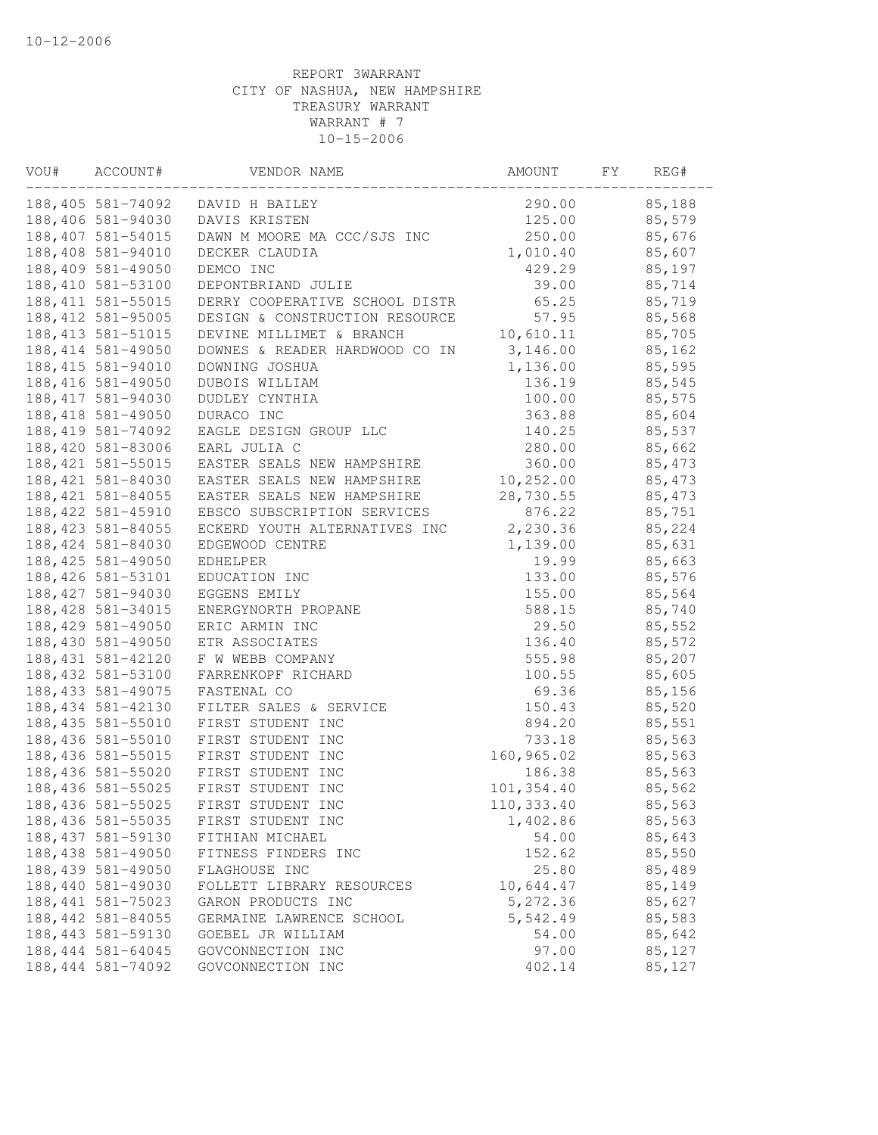| VOU# | ACCOUNT#           | VENDOR NAME                    | AMOUNT     | FY. | REG#    |  |
|------|--------------------|--------------------------------|------------|-----|---------|--|
|      | 188,405 581-74092  | DAVID H BAILEY                 | 290.00     |     | 85,188  |  |
|      | 188,406 581-94030  | DAVIS KRISTEN                  | 125.00     |     | 85,579  |  |
|      | 188, 407 581-54015 | DAWN M MOORE MA CCC/SJS INC    | 250.00     |     | 85,676  |  |
|      | 188,408 581-94010  | DECKER CLAUDIA                 | 1,010.40   |     | 85,607  |  |
|      | 188,409 581-49050  | DEMCO INC                      | 429.29     |     | 85,197  |  |
|      | 188,410 581-53100  | DEPONTBRIAND JULIE             | 39.00      |     | 85,714  |  |
|      | 188, 411 581-55015 | DERRY COOPERATIVE SCHOOL DISTR | 65.25      |     | 85,719  |  |
|      | 188, 412 581-95005 | DESIGN & CONSTRUCTION RESOURCE | 57.95      |     | 85,568  |  |
|      | 188, 413 581-51015 | DEVINE MILLIMET & BRANCH       | 10,610.11  |     | 85,705  |  |
|      | 188, 414 581-49050 | DOWNES & READER HARDWOOD CO IN | 3,146.00   |     | 85,162  |  |
|      | 188, 415 581-94010 | DOWNING JOSHUA                 | 1,136.00   |     | 85,595  |  |
|      | 188, 416 581-49050 | DUBOIS WILLIAM                 | 136.19     |     | 85,545  |  |
|      | 188, 417 581-94030 | DUDLEY CYNTHIA                 | 100.00     |     | 85,575  |  |
|      | 188, 418 581-49050 | DURACO INC                     | 363.88     |     | 85,604  |  |
|      | 188, 419 581-74092 | EAGLE DESIGN GROUP LLC         | 140.25     |     | 85,537  |  |
|      | 188,420 581-83006  | EARL JULIA C                   | 280.00     |     | 85,662  |  |
|      | 188, 421 581-55015 | EASTER SEALS NEW HAMPSHIRE     | 360.00     |     | 85, 473 |  |
|      | 188, 421 581-84030 | EASTER SEALS NEW HAMPSHIRE     | 10, 252.00 |     | 85,473  |  |
|      | 188, 421 581-84055 | EASTER SEALS NEW HAMPSHIRE     | 28,730.55  |     | 85,473  |  |
|      | 188, 422 581-45910 | EBSCO SUBSCRIPTION SERVICES    | 876.22     |     | 85,751  |  |
|      | 188, 423 581-84055 | ECKERD YOUTH ALTERNATIVES INC  | 2,230.36   |     | 85,224  |  |
|      | 188, 424 581-84030 | EDGEWOOD CENTRE                | 1,139.00   |     | 85,631  |  |
|      | 188, 425 581-49050 | EDHELPER                       | 19.99      |     | 85,663  |  |
|      | 188, 426 581-53101 | EDUCATION INC                  | 133.00     |     | 85,576  |  |
|      | 188, 427 581-94030 | EGGENS EMILY                   | 155.00     |     | 85,564  |  |
|      | 188, 428 581-34015 | ENERGYNORTH PROPANE            | 588.15     |     | 85,740  |  |
|      | 188, 429 581-49050 | ERIC ARMIN INC                 | 29.50      |     | 85,552  |  |
|      | 188,430 581-49050  | ETR ASSOCIATES                 | 136.40     |     | 85,572  |  |
|      | 188, 431 581-42120 | F W WEBB COMPANY               | 555.98     |     | 85,207  |  |
|      | 188, 432 581-53100 | FARRENKOPF RICHARD             | 100.55     |     | 85,605  |  |
|      | 188, 433 581-49075 | FASTENAL CO                    | 69.36      |     | 85,156  |  |
|      | 188, 434 581-42130 | FILTER SALES & SERVICE         | 150.43     |     | 85,520  |  |
|      | 188, 435 581-55010 | FIRST STUDENT INC              | 894.20     |     | 85,551  |  |
|      | 188,436 581-55010  | FIRST STUDENT INC              | 733.18     |     | 85,563  |  |
|      | 188,436 581-55015  | FIRST STUDENT INC              | 160,965.02 |     | 85,563  |  |
|      | 188,436 581-55020  | FIRST STUDENT INC              | 186.38     |     | 85,563  |  |
|      | 188, 436 581-55025 | FIRST STUDENT INC              | 101,354.40 |     | 85,562  |  |
|      | 188, 436 581-55025 | FIRST STUDENT INC              | 110,333.40 |     | 85,563  |  |
|      | 188, 436 581-55035 | FIRST STUDENT INC              | 1,402.86   |     | 85,563  |  |
|      | 188, 437 581-59130 | FITHIAN MICHAEL                | 54.00      |     | 85,643  |  |
|      | 188,438 581-49050  | FITNESS FINDERS INC            | 152.62     |     | 85,550  |  |
|      | 188, 439 581-49050 | FLAGHOUSE INC                  | 25.80      |     | 85,489  |  |
|      | 188,440 581-49030  | FOLLETT LIBRARY RESOURCES      | 10,644.47  |     | 85,149  |  |
|      | 188, 441 581-75023 | GARON PRODUCTS INC             | 5,272.36   |     | 85,627  |  |
|      | 188, 442 581-84055 | GERMAINE LAWRENCE SCHOOL       | 5,542.49   |     | 85,583  |  |
|      | 188, 443 581-59130 | GOEBEL JR WILLIAM              | 54.00      |     | 85,642  |  |
|      | 188, 444 581-64045 | GOVCONNECTION INC              | 97.00      |     | 85,127  |  |
|      | 188, 444 581-74092 | GOVCONNECTION INC              | 402.14     |     | 85,127  |  |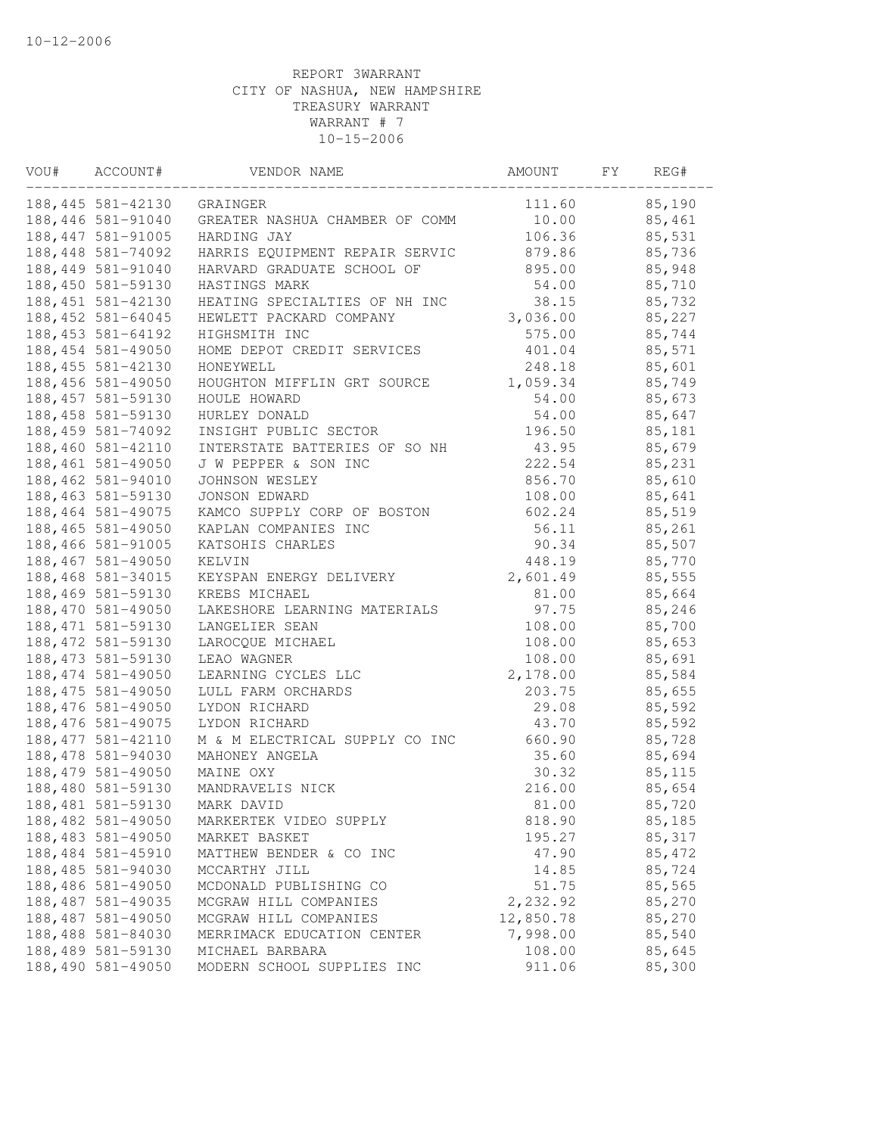| VOU# | ACCOUNT#           | VENDOR NAME                    | AMOUNT    | FΥ | REG#    |  |
|------|--------------------|--------------------------------|-----------|----|---------|--|
|      | 188,445 581-42130  | GRAINGER                       | 111.60    |    | 85,190  |  |
|      | 188,446 581-91040  | GREATER NASHUA CHAMBER OF COMM | 10.00     |    | 85,461  |  |
|      | 188, 447 581-91005 | HARDING JAY                    | 106.36    |    | 85,531  |  |
|      | 188, 448 581-74092 | HARRIS EQUIPMENT REPAIR SERVIC | 879.86    |    | 85,736  |  |
|      | 188, 449 581-91040 | HARVARD GRADUATE SCHOOL OF     | 895.00    |    | 85,948  |  |
|      | 188,450 581-59130  | HASTINGS MARK                  | 54.00     |    | 85,710  |  |
|      | 188, 451 581-42130 | HEATING SPECIALTIES OF NH INC  | 38.15     |    | 85,732  |  |
|      | 188, 452 581-64045 | HEWLETT PACKARD COMPANY        | 3,036.00  |    | 85,227  |  |
|      | 188, 453 581-64192 | HIGHSMITH INC                  | 575.00    |    | 85,744  |  |
|      | 188, 454 581-49050 | HOME DEPOT CREDIT SERVICES     | 401.04    |    | 85,571  |  |
|      | 188, 455 581-42130 | HONEYWELL                      | 248.18    |    | 85,601  |  |
|      | 188,456 581-49050  | HOUGHTON MIFFLIN GRT SOURCE    | 1,059.34  |    | 85,749  |  |
|      | 188, 457 581-59130 | HOULE HOWARD                   | 54.00     |    | 85,673  |  |
|      | 188, 458 581-59130 | HURLEY DONALD                  | 54.00     |    | 85,647  |  |
|      | 188, 459 581-74092 | INSIGHT PUBLIC SECTOR          | 196.50    |    | 85,181  |  |
|      | 188,460 581-42110  | INTERSTATE BATTERIES OF SO NH  | 43.95     |    | 85,679  |  |
|      | 188, 461 581-49050 | J W PEPPER & SON INC           | 222.54    |    | 85,231  |  |
|      | 188,462 581-94010  | JOHNSON WESLEY                 | 856.70    |    | 85,610  |  |
|      | 188, 463 581-59130 | JONSON EDWARD                  | 108.00    |    | 85,641  |  |
|      | 188, 464 581-49075 | KAMCO SUPPLY CORP OF BOSTON    | 602.24    |    | 85,519  |  |
|      | 188,465 581-49050  | KAPLAN COMPANIES INC           | 56.11     |    | 85,261  |  |
|      | 188,466 581-91005  | KATSOHIS CHARLES               | 90.34     |    | 85,507  |  |
|      | 188, 467 581-49050 | KELVIN                         | 448.19    |    | 85,770  |  |
|      | 188,468 581-34015  | KEYSPAN ENERGY DELIVERY        | 2,601.49  |    | 85,555  |  |
|      | 188,469 581-59130  | KREBS MICHAEL                  | 81.00     |    | 85,664  |  |
|      | 188,470 581-49050  | LAKESHORE LEARNING MATERIALS   | 97.75     |    | 85,246  |  |
|      | 188, 471 581-59130 | LANGELIER SEAN                 | 108.00    |    | 85,700  |  |
|      | 188, 472 581-59130 | LAROCQUE MICHAEL               | 108.00    |    | 85,653  |  |
|      | 188, 473 581-59130 | LEAO WAGNER                    | 108.00    |    | 85,691  |  |
|      | 188, 474 581-49050 | LEARNING CYCLES LLC            | 2,178.00  |    | 85,584  |  |
|      | 188, 475 581-49050 | LULL FARM ORCHARDS             | 203.75    |    | 85,655  |  |
|      | 188, 476 581-49050 | LYDON RICHARD                  | 29.08     |    | 85,592  |  |
|      | 188, 476 581-49075 | LYDON RICHARD                  | 43.70     |    | 85,592  |  |
|      | 188, 477 581-42110 | M & M ELECTRICAL SUPPLY CO INC | 660.90    |    | 85,728  |  |
|      | 188, 478 581-94030 | MAHONEY ANGELA                 | 35.60     |    | 85,694  |  |
|      | 188, 479 581-49050 | MAINE OXY                      | 30.32     |    | 85, 115 |  |
|      | 188,480 581-59130  | MANDRAVELIS NICK               | 216.00    |    | 85,654  |  |
|      | 188, 481 581-59130 | MARK DAVID                     | 81.00     |    | 85,720  |  |
|      | 188,482 581-49050  | MARKERTEK VIDEO SUPPLY         | 818.90    |    | 85,185  |  |
|      | 188,483 581-49050  | MARKET BASKET                  | 195.27    |    | 85,317  |  |
|      | 188,484 581-45910  | MATTHEW BENDER & CO INC        | 47.90     |    | 85,472  |  |
|      | 188,485 581-94030  | MCCARTHY JILL                  | 14.85     |    | 85,724  |  |
|      | 188,486 581-49050  | MCDONALD PUBLISHING CO         | 51.75     |    | 85,565  |  |
|      | 188, 487 581-49035 | MCGRAW HILL COMPANIES          | 2,232.92  |    | 85,270  |  |
|      | 188,487 581-49050  | MCGRAW HILL COMPANIES          | 12,850.78 |    | 85,270  |  |
|      | 188,488 581-84030  | MERRIMACK EDUCATION CENTER     | 7,998.00  |    | 85,540  |  |
|      | 188,489 581-59130  | MICHAEL BARBARA                | 108.00    |    | 85,645  |  |
|      | 188,490 581-49050  | MODERN SCHOOL SUPPLIES INC     | 911.06    |    | 85,300  |  |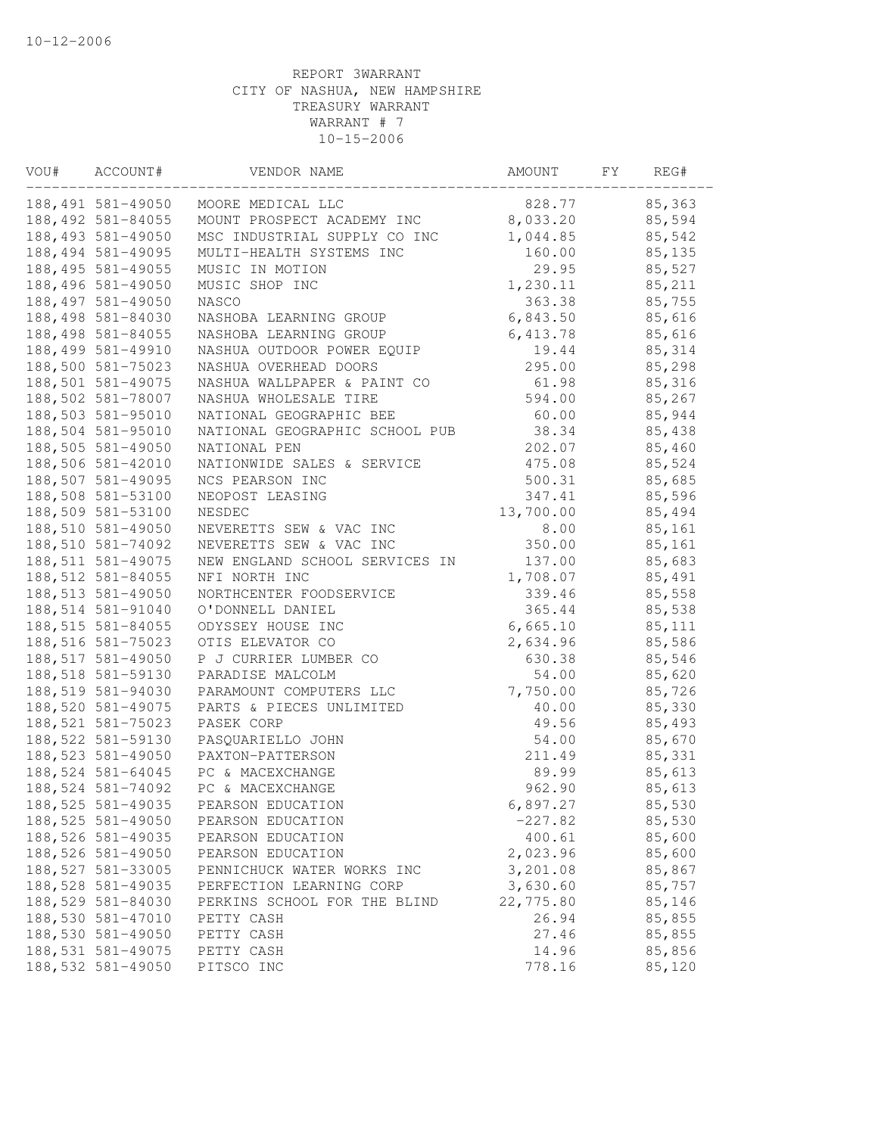| VOU# | ACCOUNT#           | VENDOR NAME                    | AMOUNT    | FY | REG#    |
|------|--------------------|--------------------------------|-----------|----|---------|
|      | 188,491 581-49050  | MOORE MEDICAL LLC              | 828.77    |    | 85,363  |
|      | 188, 492 581-84055 | MOUNT PROSPECT ACADEMY INC     | 8,033.20  |    | 85,594  |
|      | 188,493 581-49050  | MSC INDUSTRIAL SUPPLY CO INC   | 1,044.85  |    | 85,542  |
|      | 188, 494 581-49095 | MULTI-HEALTH SYSTEMS INC       | 160.00    |    | 85,135  |
|      | 188, 495 581-49055 | MUSIC IN MOTION                | 29.95     |    | 85,527  |
|      | 188,496 581-49050  | MUSIC SHOP INC                 | 1,230.11  |    | 85,211  |
|      | 188,497 581-49050  | NASCO                          | 363.38    |    | 85,755  |
|      | 188,498 581-84030  | NASHOBA LEARNING GROUP         | 6,843.50  |    | 85,616  |
|      | 188,498 581-84055  | NASHOBA LEARNING GROUP         | 6,413.78  |    | 85,616  |
|      | 188,499 581-49910  | NASHUA OUTDOOR POWER EQUIP     | 19.44     |    | 85, 314 |
|      | 188,500 581-75023  | NASHUA OVERHEAD DOORS          | 295.00    |    | 85,298  |
|      | 188,501 581-49075  | NASHUA WALLPAPER & PAINT CO    | 61.98     |    | 85,316  |
|      | 188,502 581-78007  | NASHUA WHOLESALE TIRE          | 594.00    |    | 85,267  |
|      | 188,503 581-95010  | NATIONAL GEOGRAPHIC BEE        | 60.00     |    | 85,944  |
|      | 188,504 581-95010  | NATIONAL GEOGRAPHIC SCHOOL PUB | 38.34     |    | 85,438  |
|      | 188,505 581-49050  | NATIONAL PEN                   | 202.07    |    | 85,460  |
|      | 188,506 581-42010  | NATIONWIDE SALES & SERVICE     | 475.08    |    | 85,524  |
|      | 188,507 581-49095  | NCS PEARSON INC                | 500.31    |    | 85,685  |
|      | 188,508 581-53100  | NEOPOST LEASING                | 347.41    |    | 85,596  |
|      | 188,509 581-53100  | NESDEC                         | 13,700.00 |    | 85,494  |
|      | 188,510 581-49050  | NEVERETTS SEW & VAC INC        | 8.00      |    | 85,161  |
|      | 188,510 581-74092  | NEVERETTS SEW & VAC INC        | 350.00    |    | 85,161  |
|      | 188, 511 581-49075 | NEW ENGLAND SCHOOL SERVICES IN | 137.00    |    | 85,683  |
|      | 188, 512 581-84055 | NFI NORTH INC                  | 1,708.07  |    | 85,491  |
|      | 188,513 581-49050  | NORTHCENTER FOODSERVICE        | 339.46    |    | 85,558  |
|      | 188,514 581-91040  | O'DONNELL DANIEL               | 365.44    |    | 85,538  |
|      | 188, 515 581-84055 | ODYSSEY HOUSE INC              | 6,665.10  |    | 85,111  |
|      | 188,516 581-75023  | OTIS ELEVATOR CO               | 2,634.96  |    | 85,586  |
|      | 188,517 581-49050  | P J CURRIER LUMBER CO          | 630.38    |    | 85,546  |
|      | 188,518 581-59130  | PARADISE MALCOLM               | 54.00     |    | 85,620  |
|      | 188,519 581-94030  | PARAMOUNT COMPUTERS LLC        | 7,750.00  |    | 85,726  |
|      | 188,520 581-49075  | PARTS & PIECES UNLIMITED       | 40.00     |    | 85,330  |
|      | 188, 521 581-75023 | PASEK CORP                     | 49.56     |    | 85,493  |
|      | 188,522 581-59130  | PASQUARIELLO JOHN              | 54.00     |    | 85,670  |
|      | 188,523 581-49050  | PAXTON-PATTERSON               | 211.49    |    | 85,331  |
|      | 188, 524 581-64045 | PC & MACEXCHANGE               | 89.99     |    | 85,613  |
|      | 188,524 581-74092  | PC & MACEXCHANGE               | 962.90    |    | 85,613  |
|      | 188, 525 581-49035 | PEARSON EDUCATION              | 6,897.27  |    | 85,530  |
|      | 188, 525 581-49050 | PEARSON EDUCATION              | $-227.82$ |    | 85,530  |
|      | 188,526 581-49035  | PEARSON EDUCATION              | 400.61    |    | 85,600  |
|      | 188,526 581-49050  | PEARSON EDUCATION              | 2,023.96  |    | 85,600  |
|      | 188, 527 581-33005 | PENNICHUCK WATER WORKS INC     | 3,201.08  |    | 85,867  |
|      | 188, 528 581-49035 | PERFECTION LEARNING CORP       | 3,630.60  |    | 85,757  |
|      | 188,529 581-84030  | PERKINS SCHOOL FOR THE BLIND   | 22,775.80 |    | 85,146  |
|      | 188,530 581-47010  | PETTY CASH                     | 26.94     |    | 85,855  |
|      | 188,530 581-49050  | PETTY CASH                     | 27.46     |    | 85,855  |
|      | 188,531 581-49075  | PETTY CASH                     | 14.96     |    | 85,856  |
|      | 188, 532 581-49050 | PITSCO INC                     | 778.16    |    | 85,120  |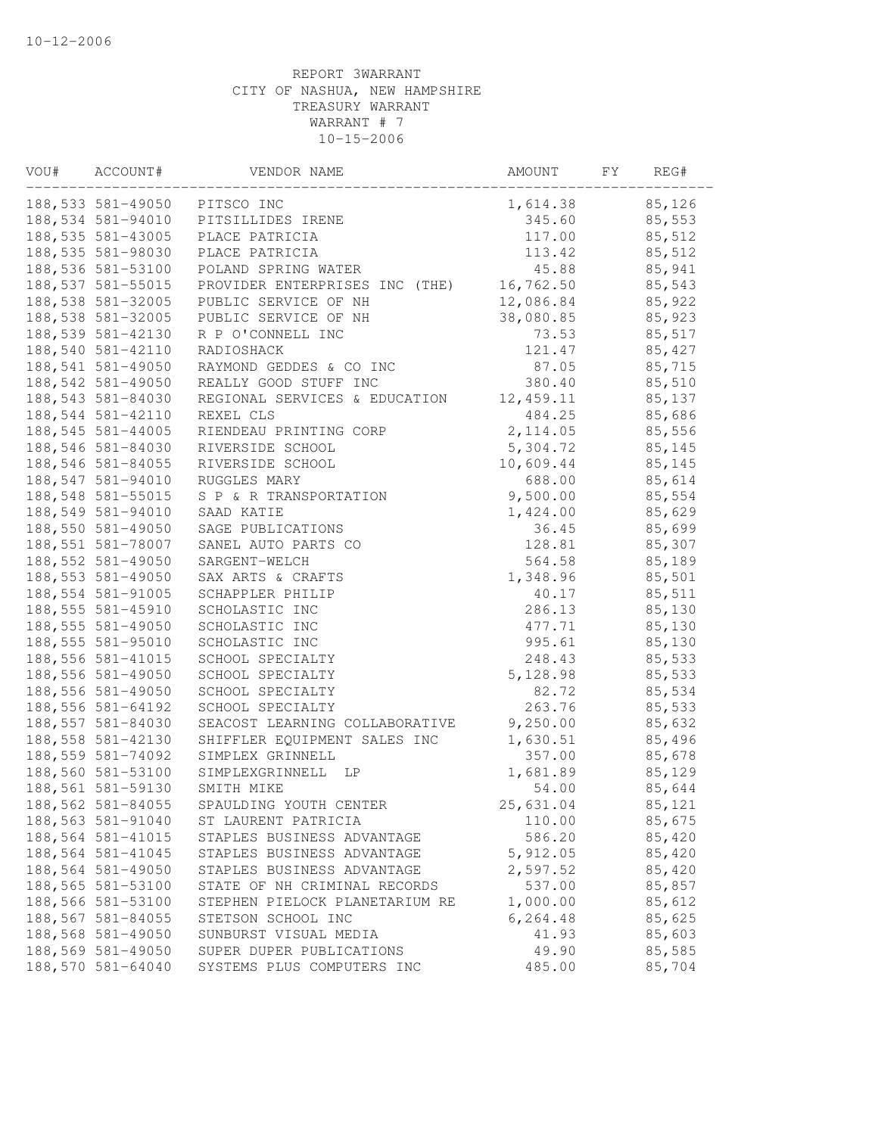| VOU# | ACCOUNT#           | VENDOR NAME                    | AMOUNT    | FY | REG#   |  |
|------|--------------------|--------------------------------|-----------|----|--------|--|
|      | 188,533 581-49050  | PITSCO INC                     | 1,614.38  |    | 85,126 |  |
|      | 188,534 581-94010  | PITSILLIDES IRENE              | 345.60    |    | 85,553 |  |
|      | 188, 535 581-43005 | PLACE PATRICIA                 | 117.00    |    | 85,512 |  |
|      | 188,535 581-98030  | PLACE PATRICIA                 | 113.42    |    | 85,512 |  |
|      | 188,536 581-53100  | POLAND SPRING WATER            | 45.88     |    | 85,941 |  |
|      | 188, 537 581-55015 | PROVIDER ENTERPRISES INC (THE) | 16,762.50 |    | 85,543 |  |
|      | 188,538 581-32005  | PUBLIC SERVICE OF NH           | 12,086.84 |    | 85,922 |  |
|      | 188,538 581-32005  | PUBLIC SERVICE OF NH           | 38,080.85 |    | 85,923 |  |
|      | 188,539 581-42130  | R P O'CONNELL INC              | 73.53     |    | 85,517 |  |
|      | 188,540 581-42110  | RADIOSHACK                     | 121.47    |    | 85,427 |  |
|      | 188,541 581-49050  | RAYMOND GEDDES & CO INC        | 87.05     |    | 85,715 |  |
|      | 188,542 581-49050  | REALLY GOOD STUFF INC          | 380.40    |    | 85,510 |  |
|      | 188,543 581-84030  | REGIONAL SERVICES & EDUCATION  | 12,459.11 |    | 85,137 |  |
|      | 188,544 581-42110  | REXEL CLS                      | 484.25    |    | 85,686 |  |
|      | 188, 545 581-44005 | RIENDEAU PRINTING CORP         | 2, 114.05 |    | 85,556 |  |
|      | 188,546 581-84030  | RIVERSIDE SCHOOL               | 5,304.72  |    | 85,145 |  |
|      | 188,546 581-84055  | RIVERSIDE SCHOOL               | 10,609.44 |    | 85,145 |  |
|      | 188,547 581-94010  | RUGGLES MARY                   | 688.00    |    | 85,614 |  |
|      | 188, 548 581-55015 | S P & R TRANSPORTATION         | 9,500.00  |    | 85,554 |  |
|      | 188,549 581-94010  | SAAD KATIE                     | 1,424.00  |    | 85,629 |  |
|      | 188,550 581-49050  | SAGE PUBLICATIONS              | 36.45     |    | 85,699 |  |
|      | 188,551 581-78007  | SANEL AUTO PARTS CO            | 128.81    |    | 85,307 |  |
|      | 188, 552 581-49050 | SARGENT-WELCH                  | 564.58    |    | 85,189 |  |
|      | 188, 553 581-49050 | SAX ARTS & CRAFTS              | 1,348.96  |    | 85,501 |  |
|      | 188,554 581-91005  | SCHAPPLER PHILIP               | 40.17     |    | 85,511 |  |
|      | 188, 555 581-45910 | SCHOLASTIC INC                 | 286.13    |    | 85,130 |  |
|      | 188, 555 581-49050 | SCHOLASTIC INC                 | 477.71    |    | 85,130 |  |
|      | 188,555 581-95010  | SCHOLASTIC INC                 | 995.61    |    | 85,130 |  |
|      | 188, 556 581-41015 | SCHOOL SPECIALTY               | 248.43    |    | 85,533 |  |
|      | 188,556 581-49050  | SCHOOL SPECIALTY               | 5,128.98  |    | 85,533 |  |
|      | 188,556 581-49050  | SCHOOL SPECIALTY               | 82.72     |    | 85,534 |  |
|      | 188,556 581-64192  | SCHOOL SPECIALTY               | 263.76    |    | 85,533 |  |
|      | 188,557 581-84030  | SEACOST LEARNING COLLABORATIVE | 9,250.00  |    | 85,632 |  |
|      | 188,558 581-42130  | SHIFFLER EQUIPMENT SALES INC   | 1,630.51  |    | 85,496 |  |
|      | 188,559 581-74092  | SIMPLEX GRINNELL               | 357.00    |    | 85,678 |  |
|      | 188,560 581-53100  | SIMPLEXGRINNELL LP             | 1,681.89  |    | 85,129 |  |
|      | 188,561 581-59130  | SMITH MIKE                     | 54.00     |    | 85,644 |  |
|      | 188,562 581-84055  | SPAULDING YOUTH CENTER         | 25,631.04 |    | 85,121 |  |
|      | 188,563 581-91040  | ST LAURENT PATRICIA            | 110.00    |    | 85,675 |  |
|      | 188, 564 581-41015 | STAPLES BUSINESS ADVANTAGE     | 586.20    |    | 85,420 |  |
|      | 188,564 581-41045  | STAPLES BUSINESS ADVANTAGE     | 5,912.05  |    | 85,420 |  |
|      | 188,564 581-49050  | STAPLES BUSINESS ADVANTAGE     | 2,597.52  |    | 85,420 |  |
|      | 188,565 581-53100  | STATE OF NH CRIMINAL RECORDS   | 537.00    |    | 85,857 |  |
|      | 188,566 581-53100  | STEPHEN PIELOCK PLANETARIUM RE | 1,000.00  |    | 85,612 |  |
|      | 188, 567 581-84055 | STETSON SCHOOL INC             | 6,264.48  |    | 85,625 |  |
|      | 188,568 581-49050  | SUNBURST VISUAL MEDIA          | 41.93     |    | 85,603 |  |
|      | 188,569 581-49050  | SUPER DUPER PUBLICATIONS       | 49.90     |    | 85,585 |  |
|      | 188,570 581-64040  | SYSTEMS PLUS COMPUTERS INC     | 485.00    |    | 85,704 |  |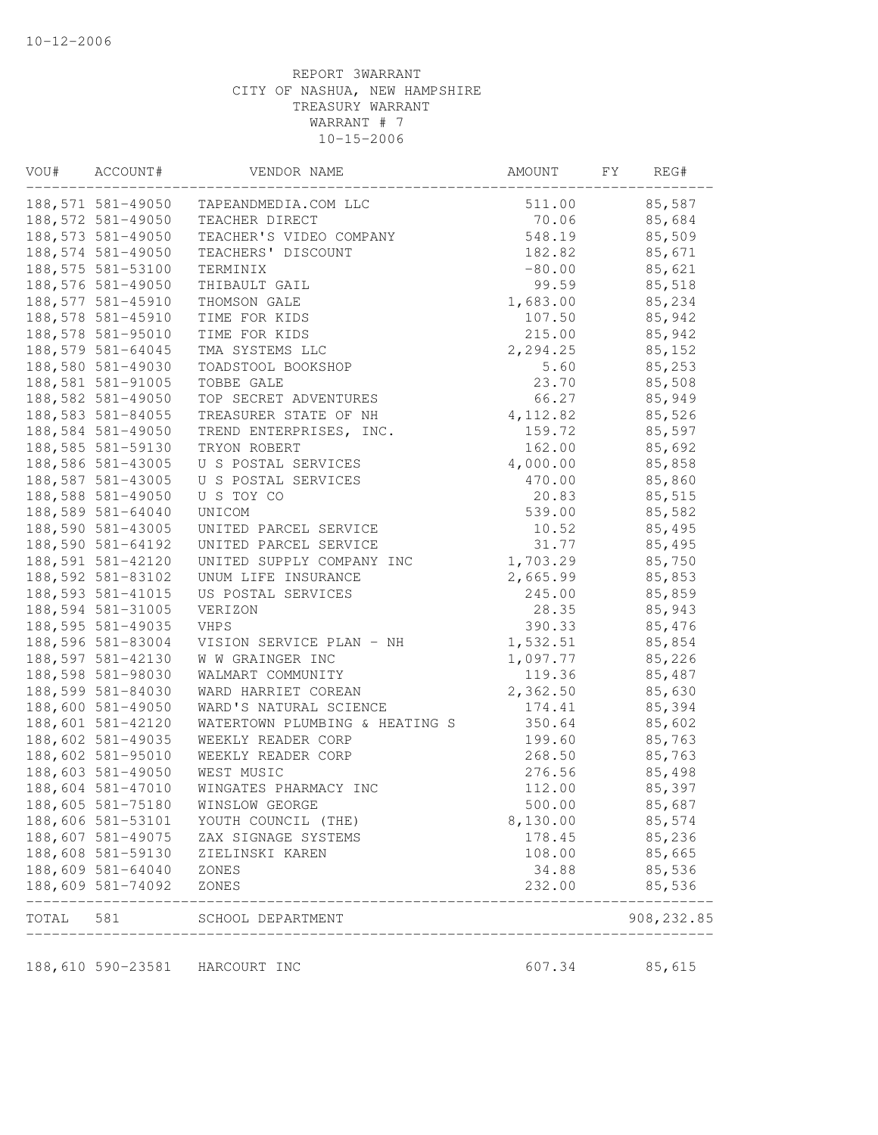| VOU#      | ACCOUNT#           | VENDOR NAME                    | AMOUNT   | FY | REG#       |
|-----------|--------------------|--------------------------------|----------|----|------------|
|           | 188,571 581-49050  | TAPEANDMEDIA.COM LLC           | 511.00   |    | 85,587     |
|           | 188,572 581-49050  | TEACHER DIRECT                 | 70.06    |    | 85,684     |
|           | 188,573 581-49050  | TEACHER'S VIDEO COMPANY        | 548.19   |    | 85,509     |
|           | 188, 574 581-49050 | TEACHERS' DISCOUNT             | 182.82   |    | 85,671     |
|           | 188,575 581-53100  | TERMINIX                       | $-80.00$ |    | 85,621     |
|           | 188,576 581-49050  | THIBAULT GAIL                  | 99.59    |    | 85,518     |
|           | 188,577 581-45910  | THOMSON GALE                   | 1,683.00 |    | 85,234     |
|           | 188,578 581-45910  | TIME FOR KIDS                  | 107.50   |    | 85,942     |
|           | 188,578 581-95010  | TIME FOR KIDS                  | 215.00   |    | 85,942     |
|           | 188,579 581-64045  | TMA SYSTEMS LLC                | 2,294.25 |    | 85,152     |
|           | 188,580 581-49030  | TOADSTOOL BOOKSHOP             | 5.60     |    | 85,253     |
|           | 188,581 581-91005  | TOBBE GALE                     | 23.70    |    | 85,508     |
|           | 188,582 581-49050  | TOP SECRET ADVENTURES          | 66.27    |    | 85,949     |
|           | 188, 583 581-84055 | TREASURER STATE OF NH          | 4,112.82 |    | 85,526     |
|           | 188,584 581-49050  | TREND ENTERPRISES, INC.        | 159.72   |    | 85,597     |
|           | 188,585 581-59130  | TRYON ROBERT                   | 162.00   |    | 85,692     |
|           | 188,586 581-43005  | U S POSTAL SERVICES            | 4,000.00 |    | 85,858     |
|           | 188,587 581-43005  | U S POSTAL SERVICES            | 470.00   |    | 85,860     |
|           | 188,588 581-49050  | U S TOY CO                     | 20.83    |    | 85,515     |
|           | 188,589 581-64040  | UNICOM                         | 539.00   |    | 85,582     |
|           | 188,590 581-43005  | UNITED PARCEL SERVICE          | 10.52    |    | 85,495     |
|           | 188,590 581-64192  | UNITED PARCEL SERVICE          | 31.77    |    | 85,495     |
|           | 188,591 581-42120  | UNITED SUPPLY COMPANY INC      | 1,703.29 |    | 85,750     |
|           | 188,592 581-83102  | UNUM LIFE INSURANCE            | 2,665.99 |    | 85,853     |
|           | 188,593 581-41015  | US POSTAL SERVICES             | 245.00   |    | 85,859     |
|           | 188,594 581-31005  | VERIZON                        | 28.35    |    | 85,943     |
|           | 188,595 581-49035  | VHPS                           | 390.33   |    | 85,476     |
|           | 188,596 581-83004  | VISION SERVICE PLAN - NH       | 1,532.51 |    | 85,854     |
|           | 188,597 581-42130  | W W GRAINGER INC               | 1,097.77 |    | 85,226     |
|           | 188,598 581-98030  | WALMART COMMUNITY              | 119.36   |    | 85,487     |
|           | 188,599 581-84030  | WARD HARRIET COREAN            | 2,362.50 |    | 85,630     |
|           | 188,600 581-49050  | WARD'S NATURAL SCIENCE         | 174.41   |    | 85,394     |
|           | 188,601 581-42120  | WATERTOWN PLUMBING & HEATING S | 350.64   |    | 85,602     |
|           | 188,602 581-49035  | WEEKLY READER CORP             | 199.60   |    | 85,763     |
|           | 188,602 581-95010  | WEEKLY READER CORP             | 268.50   |    | 85,763     |
|           | 188,603 581-49050  | WEST MUSIC                     | 276.56   |    | 85,498     |
|           | 188,604 581-47010  | WINGATES PHARMACY INC          | 112.00   |    | 85,397     |
|           | 188,605 581-75180  | WINSLOW GEORGE                 | 500.00   |    | 85,687     |
|           | 188,606 581-53101  | YOUTH COUNCIL (THE)            | 8,130.00 |    | 85,574     |
|           | 188,607 581-49075  | ZAX SIGNAGE SYSTEMS            | 178.45   |    | 85,236     |
|           | 188,608 581-59130  | ZIELINSKI KAREN                | 108.00   |    | 85,665     |
|           | 188,609 581-64040  | ZONES                          | 34.88    |    | 85,536     |
|           | 188,609 581-74092  | ZONES                          | 232.00   |    | 85,536     |
| TOTAL 581 |                    | SCHOOL DEPARTMENT              |          |    | 908,232.85 |
|           |                    |                                |          |    |            |
|           |                    | 188,610 590-23581 HARCOURT INC | 607.34   |    | 85,615     |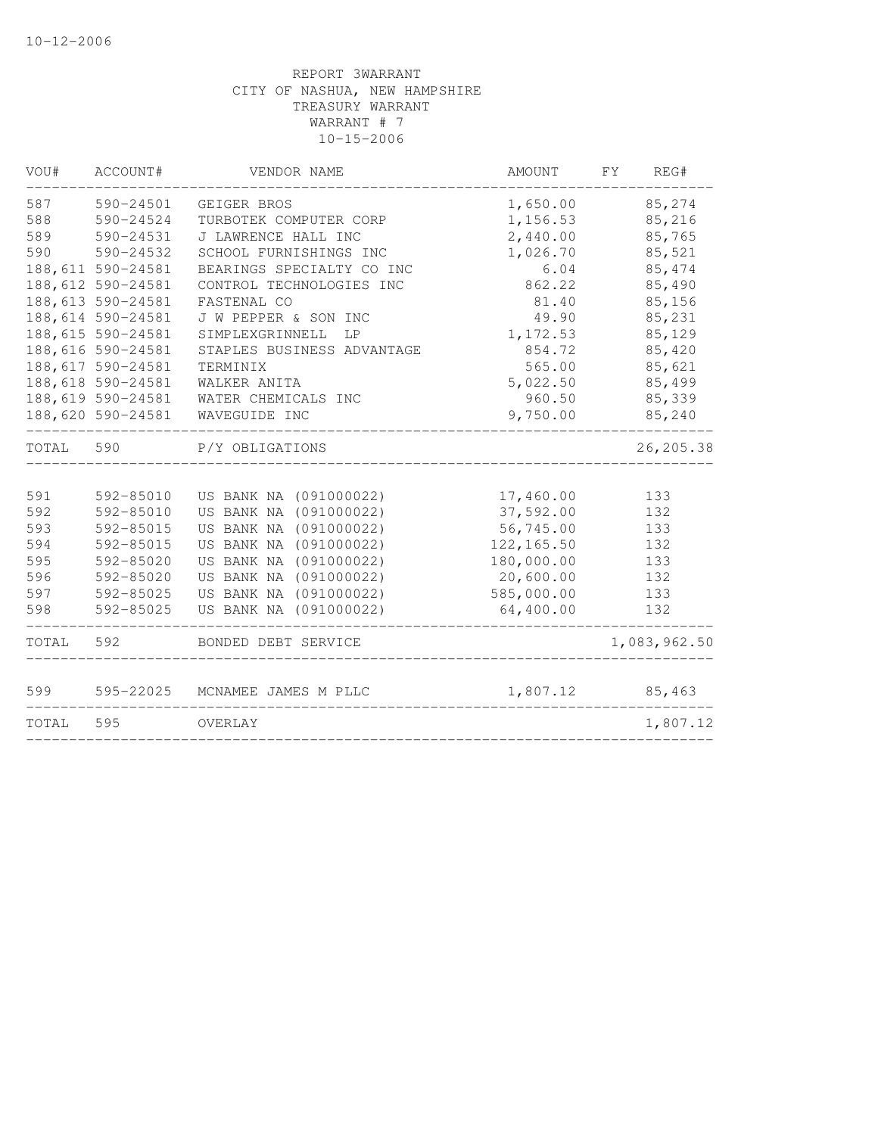| VOU#  | ACCOUNT#           | VENDOR NAME                | AMOUNT      | FY.<br>REG#  |
|-------|--------------------|----------------------------|-------------|--------------|
| 587   | 590-24501          | GEIGER BROS                | 1,650.00    | 85,274       |
| 588   | 590-24524          | TURBOTEK COMPUTER CORP     | 1,156.53    | 85,216       |
| 589   | 590-24531          | J LAWRENCE HALL INC        | 2,440.00    | 85,765       |
| 590   | 590-24532          | SCHOOL FURNISHINGS INC     | 1,026.70    | 85,521       |
|       | 188,611 590-24581  | BEARINGS SPECIALTY CO INC  | 6.04        | 85, 474      |
|       | 188, 612 590-24581 | CONTROL TECHNOLOGIES INC   | 862.22      | 85,490       |
|       | 188, 613 590-24581 | FASTENAL CO                | 81.40       | 85,156       |
|       | 188,614 590-24581  | J W PEPPER & SON INC       | 49.90       | 85,231       |
|       | 188,615 590-24581  | SIMPLEXGRINNELL<br>LP      | 1,172.53    | 85,129       |
|       | 188,616 590-24581  | STAPLES BUSINESS ADVANTAGE | 854.72      | 85,420       |
|       | 188, 617 590-24581 | TERMINIX                   | 565.00      | 85,621       |
|       | 188,618 590-24581  | WALKER ANITA               | 5,022.50    | 85,499       |
|       | 188,619 590-24581  | WATER CHEMICALS INC        | 960.50      | 85,339       |
|       | 188,620 590-24581  | WAVEGUIDE INC              | 9,750.00    | 85,240       |
| TOTAL | 590                | P/Y OBLIGATIONS            |             | 26, 205.38   |
|       |                    |                            |             |              |
| 591   | 592-85010          | US BANK NA (091000022)     | 17,460.00   | 133          |
| 592   | 592-85010          | US BANK NA (091000022)     | 37,592.00   | 132          |
| 593   | 592-85015          | US BANK NA (091000022)     | 56,745.00   | 133          |
| 594   | 592-85015          | US BANK NA (091000022)     | 122, 165.50 | 132          |
| 595   | 592-85020          | US BANK NA (091000022)     | 180,000.00  | 133          |
| 596   | 592-85020          | US BANK NA (091000022)     | 20,600.00   | 132          |
| 597   | 592-85025          | US BANK NA (091000022)     | 585,000.00  | 133          |
| 598   | 592-85025          | US BANK NA (091000022)     | 64,400.00   | 132          |
| TOTAL | 592                | BONDED DEBT SERVICE        |             | 1,083,962.50 |
| 599   | 595-22025          | MCNAMEE JAMES M PLLC       | 1,807.12    | 85,463       |
| TOTAL | 595                | OVERLAY                    |             | 1,807.12     |
|       |                    |                            |             |              |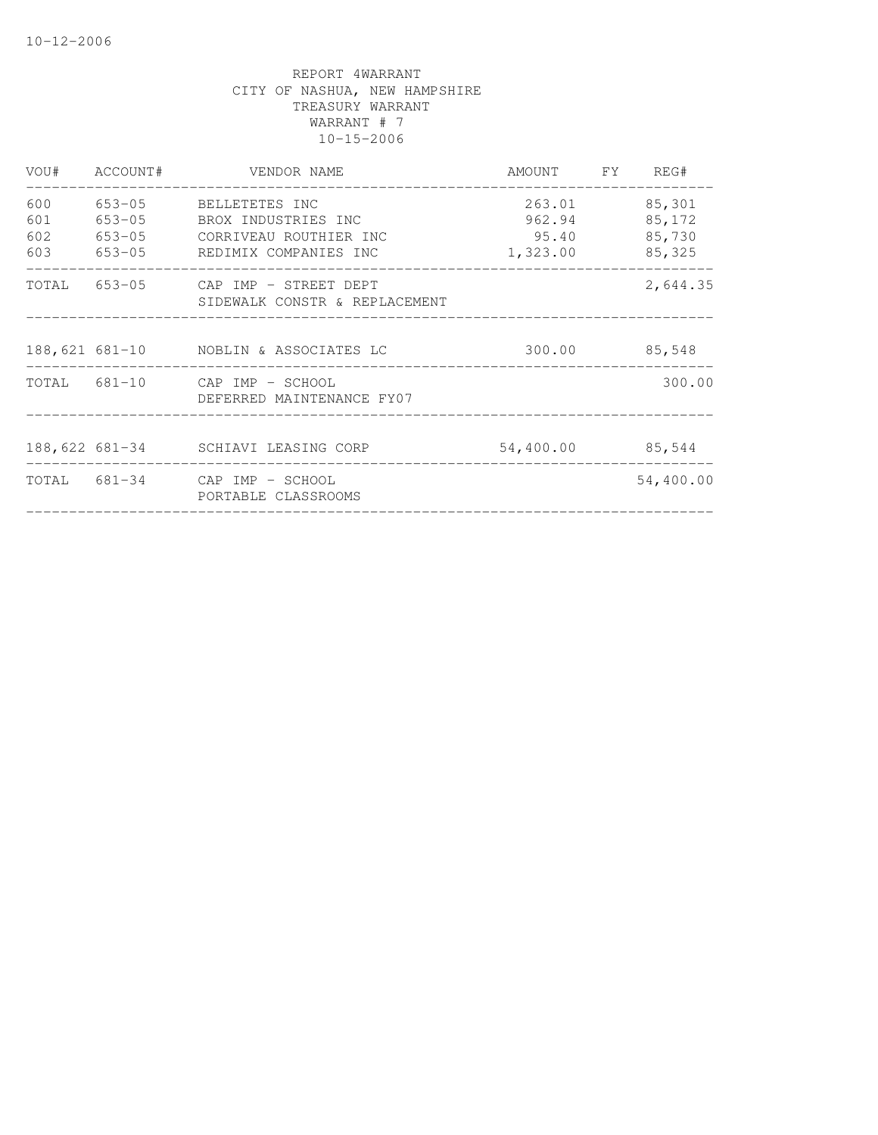| VOU#                     | ACCOUNT#             | VENDOR NAME                                                                                            | AMOUNT FY REG#                        |                                      |
|--------------------------|----------------------|--------------------------------------------------------------------------------------------------------|---------------------------------------|--------------------------------------|
| 600<br>601<br>602<br>603 | 653-05<br>$653 - 05$ | BELLETETES INC<br>BROX INDUSTRIES INC<br>653-05 CORRIVEAU ROUTHIER INC<br>653-05 REDIMIX COMPANIES INC | 263.01<br>962.94<br>95.40<br>1,323.00 | 85,301<br>85,172<br>85,730<br>85,325 |
|                          |                      | TOTAL 653-05 CAP IMP - STREET DEPT<br>SIDEWALK CONSTR & REPLACEMENT                                    |                                       | 2,644.35                             |
|                          |                      | 188, 621 681-10 NOBLIN & ASSOCIATES LC                                                                 |                                       | 300.00 85,548                        |
|                          |                      | TOTAL 681-10 CAP IMP - SCHOOL<br>DEFERRED MAINTENANCE FY07                                             |                                       | 300.00                               |
|                          |                      | 188,622 681-34 SCHIAVI LEASING CORP                                                                    | 54,400.00                             | 85,544                               |
|                          |                      | TOTAL 681-34 CAP IMP - SCHOOL<br>PORTABLE CLASSROOMS                                                   |                                       | 54,400.00                            |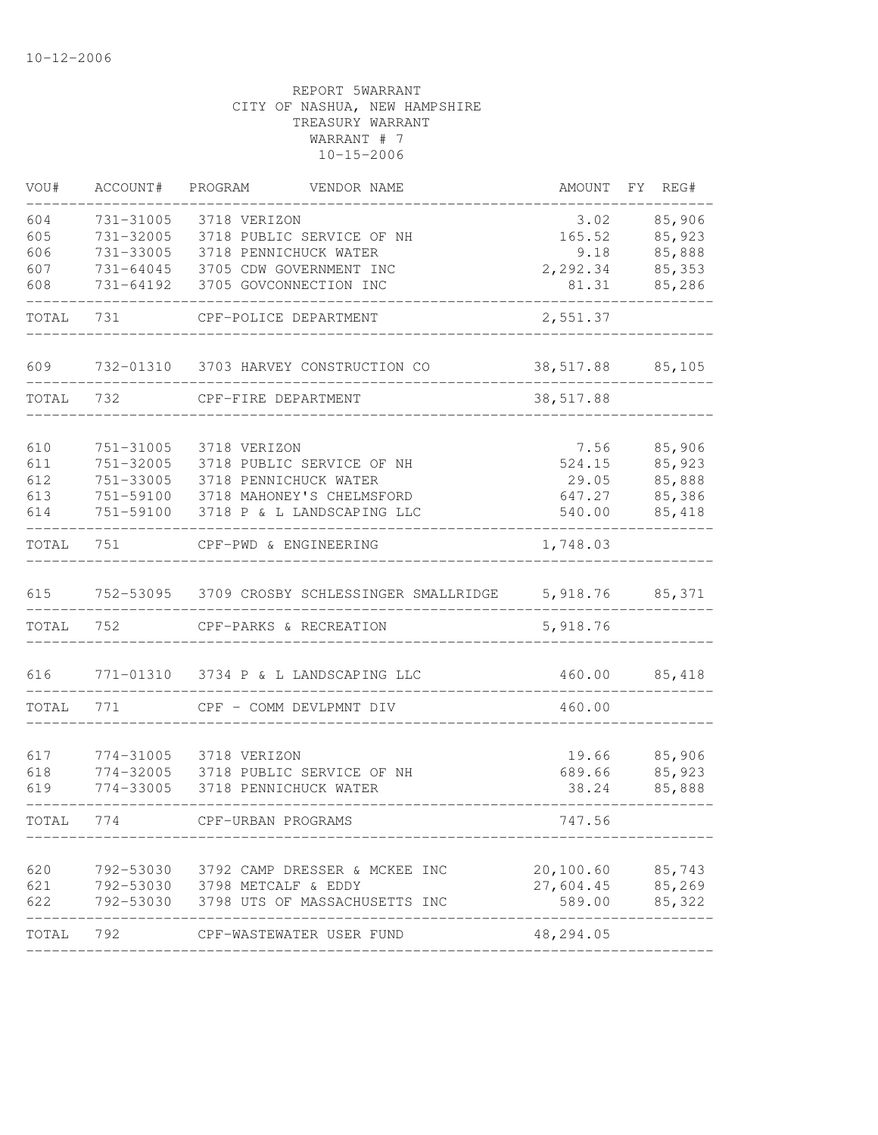| VOU#   | ACCOUNT#  | PROGRAM                       | VENDOR NAME                                   | AMOUNT          | FY REG# |
|--------|-----------|-------------------------------|-----------------------------------------------|-----------------|---------|
| 604    | 731-31005 | 3718 VERIZON                  |                                               | 3.02            | 85,906  |
| 605    | 731-32005 |                               | 3718 PUBLIC SERVICE OF NH                     | 165.52          | 85,923  |
| 606    | 731-33005 |                               | 3718 PENNICHUCK WATER                         | 9.18            | 85,888  |
| 607    | 731-64045 |                               | 3705 CDW GOVERNMENT INC                       | 2,292.34        | 85,353  |
| 608    | 731-64192 |                               | 3705 GOVCONNECTION INC                        | 81.31           | 85,286  |
| TOTAL  | 731       |                               | CPF-POLICE DEPARTMENT                         | 2,551.37        |         |
| 609    |           |                               | 732-01310 3703 HARVEY CONSTRUCTION CO         | 38,517.88       | 85,105  |
| TOTAL  | 732       | CPF-FIRE DEPARTMENT           |                                               | 38,517.88       |         |
|        |           |                               |                                               |                 |         |
| 610    | 751-31005 | 3718 VERIZON                  |                                               | 7.56            | 85,906  |
| 611    | 751-32005 |                               | 3718 PUBLIC SERVICE OF NH                     | 524.15          | 85,923  |
| 612    | 751-33005 |                               | 3718 PENNICHUCK WATER                         | 29.05           | 85,888  |
| 613    | 751-59100 |                               | 3718 MAHONEY'S CHELMSFORD                     | 647.27          | 85,386  |
| 614    | 751-59100 |                               | 3718 P & L LANDSCAPING LLC                    | 540.00          | 85,418  |
| TOTAL  | 751       |                               | CPF-PWD & ENGINEERING                         | 1,748.03        |         |
| 615    |           |                               | 752-53095 3709 CROSBY SCHLESSINGER SMALLRIDGE | 5,918.76 85,371 |         |
| TOTAL  | 752       |                               | CPF-PARKS & RECREATION                        | 5,918.76        |         |
| 616    |           |                               | 771-01310 3734 P & L LANDSCAPING LLC          | 460.00          | 85,418  |
|        |           |                               |                                               |                 |         |
| TOTAL  | 771       |                               | CPF - COMM DEVLPMNT DIV                       | 460.00          |         |
| 617    | 774-31005 | 3718 VERIZON                  |                                               | 19.66           | 85,906  |
| 618    | 774-32005 |                               | 3718 PUBLIC SERVICE OF NH                     | 689.66          | 85,923  |
| 619    | 774-33005 |                               | 3718 PENNICHUCK WATER                         | 38.24           | 85,888  |
| TOTAL. | 774       | CPF-URBAN PROGRAMS            |                                               | 747.56          |         |
|        |           |                               |                                               |                 |         |
| 620    | 792-53030 |                               | 3792 CAMP DRESSER & MCKEE INC                 | 20,100.60       | 85,743  |
| 621    |           | 792-53030 3798 METCALF & EDDY |                                               | 27,604.45       | 85,269  |
| 622    |           |                               | 792-53030 3798 UTS OF MASSACHUSETTS INC       | 589.00          | 85,322  |
| TOTAL  | 792       |                               | CPF-WASTEWATER USER FUND                      | 48,294.05       |         |
|        |           |                               |                                               |                 |         |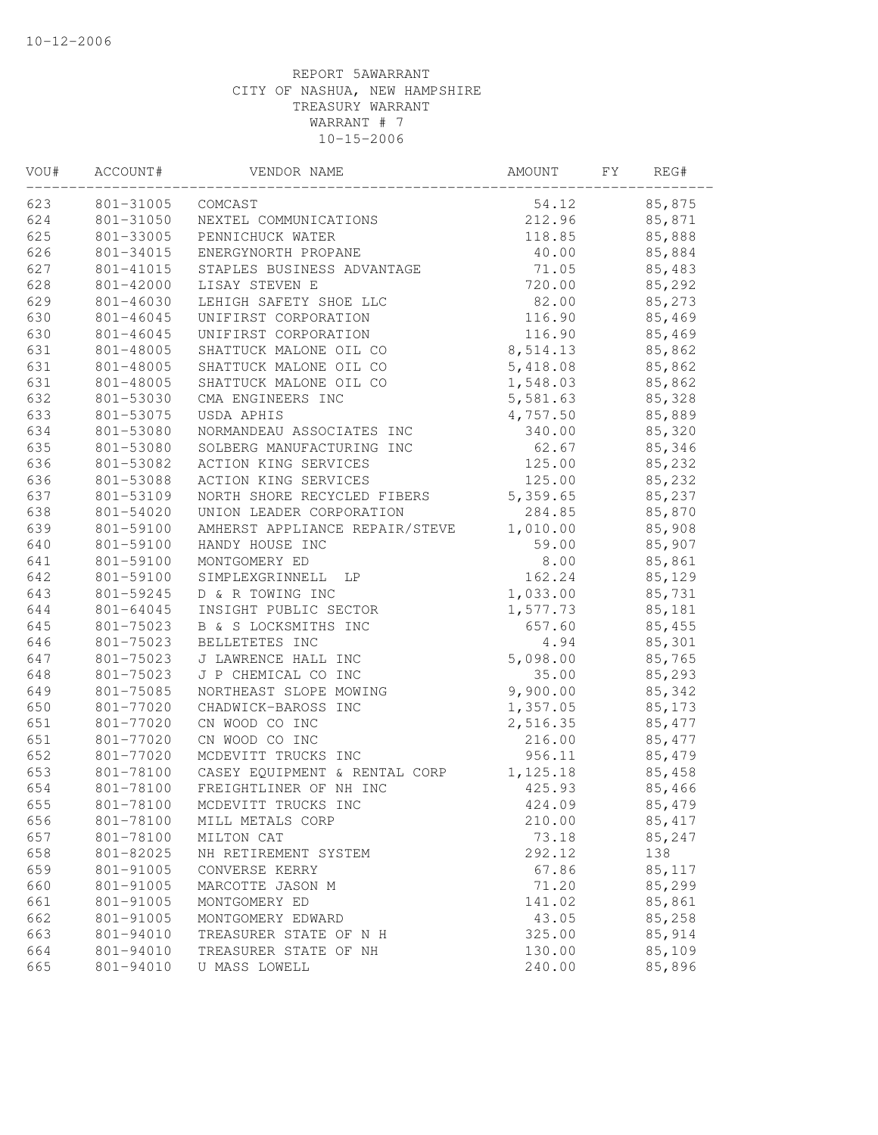| VOU# | ACCOUNT#  | VENDOR NAME                    | AMOUNT   | FΥ | REG#    |  |
|------|-----------|--------------------------------|----------|----|---------|--|
| 623  | 801-31005 | COMCAST                        | 54.12    |    | 85,875  |  |
| 624  | 801-31050 | NEXTEL COMMUNICATIONS          | 212.96   |    | 85,871  |  |
| 625  | 801-33005 | PENNICHUCK WATER               | 118.85   |    | 85,888  |  |
| 626  | 801-34015 | ENERGYNORTH PROPANE            | 40.00    |    | 85,884  |  |
| 627  | 801-41015 | STAPLES BUSINESS ADVANTAGE     | 71.05    |    | 85,483  |  |
| 628  | 801-42000 | LISAY STEVEN E                 | 720.00   |    | 85,292  |  |
| 629  | 801-46030 | LEHIGH SAFETY SHOE LLC         | 82.00    |    | 85,273  |  |
| 630  | 801-46045 | UNIFIRST CORPORATION           | 116.90   |    | 85,469  |  |
| 630  | 801-46045 | UNIFIRST CORPORATION           | 116.90   |    | 85,469  |  |
| 631  | 801-48005 | SHATTUCK MALONE OIL CO         | 8,514.13 |    | 85,862  |  |
| 631  | 801-48005 | SHATTUCK MALONE OIL CO         | 5,418.08 |    | 85,862  |  |
| 631  | 801-48005 | SHATTUCK MALONE OIL CO         | 1,548.03 |    | 85,862  |  |
| 632  | 801-53030 | CMA ENGINEERS INC              | 5,581.63 |    | 85,328  |  |
| 633  | 801-53075 | USDA APHIS                     | 4,757.50 |    | 85,889  |  |
| 634  | 801-53080 | NORMANDEAU ASSOCIATES INC      | 340.00   |    | 85,320  |  |
| 635  | 801-53080 | SOLBERG MANUFACTURING INC      | 62.67    |    | 85,346  |  |
| 636  | 801-53082 | ACTION KING SERVICES           | 125.00   |    | 85,232  |  |
| 636  | 801-53088 | ACTION KING SERVICES           | 125.00   |    | 85,232  |  |
| 637  | 801-53109 | NORTH SHORE RECYCLED FIBERS    | 5,359.65 |    | 85,237  |  |
| 638  | 801-54020 | UNION LEADER CORPORATION       | 284.85   |    | 85,870  |  |
| 639  | 801-59100 | AMHERST APPLIANCE REPAIR/STEVE | 1,010.00 |    | 85,908  |  |
| 640  | 801-59100 | HANDY HOUSE INC                | 59.00    |    | 85,907  |  |
| 641  | 801-59100 | MONTGOMERY ED                  | 8.00     |    | 85,861  |  |
| 642  | 801-59100 | SIMPLEXGRINNELL<br>LP          | 162.24   |    | 85,129  |  |
| 643  | 801-59245 | D & R TOWING INC               | 1,033.00 |    | 85,731  |  |
| 644  | 801-64045 | INSIGHT PUBLIC SECTOR          | 1,577.73 |    | 85,181  |  |
| 645  | 801-75023 | B & S LOCKSMITHS INC           | 657.60   |    | 85,455  |  |
| 646  | 801-75023 | BELLETETES INC                 | 4.94     |    | 85,301  |  |
| 647  | 801-75023 | J LAWRENCE HALL INC            | 5,098.00 |    | 85,765  |  |
| 648  | 801-75023 | J P CHEMICAL CO INC            | 35.00    |    | 85,293  |  |
| 649  | 801-75085 | NORTHEAST SLOPE MOWING         | 9,900.00 |    | 85,342  |  |
| 650  | 801-77020 | CHADWICK-BAROSS INC            | 1,357.05 |    | 85,173  |  |
| 651  | 801-77020 | CN WOOD CO INC                 | 2,516.35 |    | 85, 477 |  |
| 651  | 801-77020 | CN WOOD CO INC                 | 216.00   |    | 85, 477 |  |
| 652  | 801-77020 | MCDEVITT TRUCKS INC            | 956.11   |    | 85,479  |  |
| 653  | 801-78100 | CASEY EQUIPMENT & RENTAL CORP  | 1,125.18 |    | 85,458  |  |
| 654  | 801-78100 | FREIGHTLINER OF NH INC         | 425.93   |    | 85,466  |  |
| 655  | 801-78100 | MCDEVITT TRUCKS INC            | 424.09   |    | 85,479  |  |
| 656  | 801-78100 | MILL METALS CORP               | 210.00   |    | 85, 417 |  |
| 657  | 801-78100 | MILTON CAT                     | 73.18    |    | 85,247  |  |
| 658  | 801-82025 | NH RETIREMENT SYSTEM           | 292.12   |    | 138     |  |
| 659  | 801-91005 | CONVERSE KERRY                 | 67.86    |    | 85,117  |  |
| 660  | 801-91005 | MARCOTTE JASON M               | 71.20    |    | 85,299  |  |
| 661  | 801-91005 | MONTGOMERY ED                  | 141.02   |    | 85,861  |  |
| 662  | 801-91005 | MONTGOMERY EDWARD              | 43.05    |    | 85,258  |  |
| 663  | 801-94010 | TREASURER STATE OF N H         | 325.00   |    | 85,914  |  |
| 664  | 801-94010 | TREASURER STATE OF NH          | 130.00   |    | 85,109  |  |
| 665  | 801-94010 | U MASS LOWELL                  | 240.00   |    | 85,896  |  |
|      |           |                                |          |    |         |  |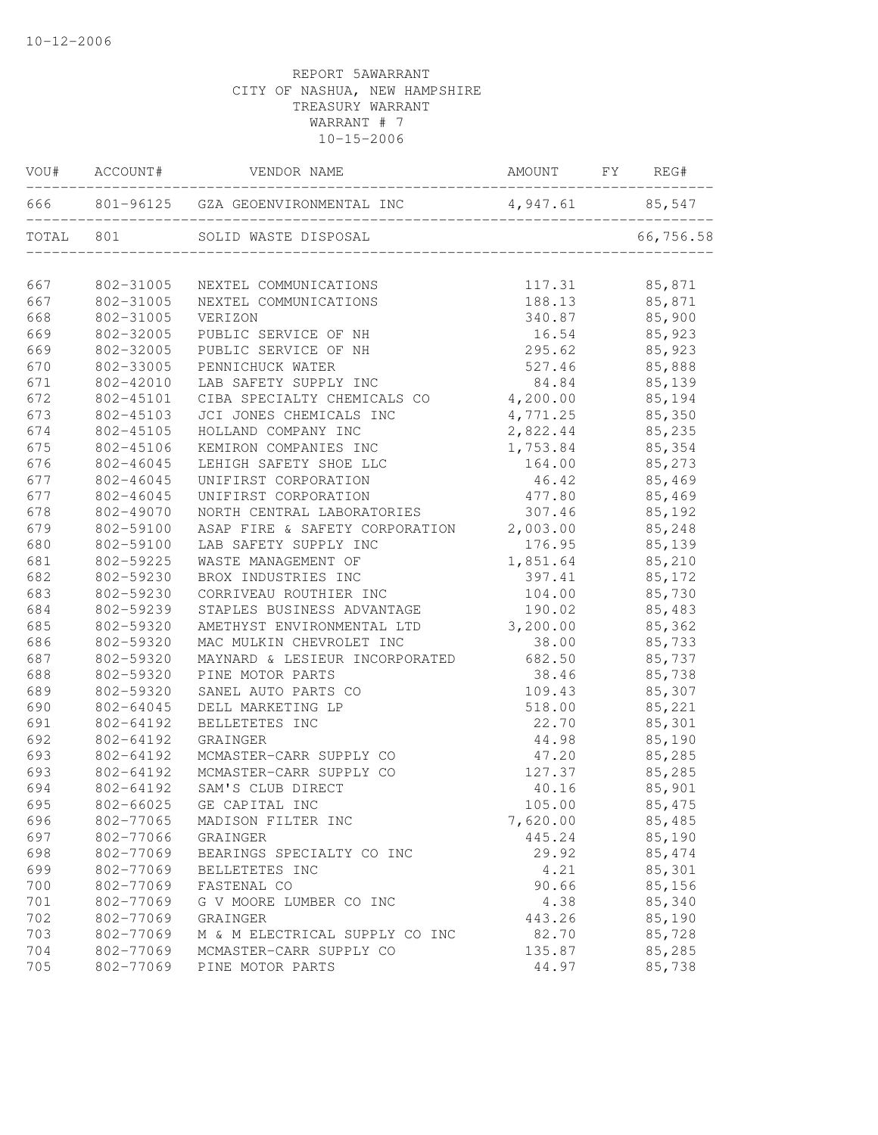| VOU#  | ACCOUNT#  | VENDOR NAME                             | AMOUNT   | FY | REG#      |
|-------|-----------|-----------------------------------------|----------|----|-----------|
| 666   |           | 801-96125 GZA GEOENVIRONMENTAL INC      | 4,947.61 |    | 85,547    |
| TOTAL | 801       | SOLID WASTE DISPOSAL                    |          |    | 66,756.58 |
| 667   | 802-31005 | NEXTEL COMMUNICATIONS                   | 117.31   |    | 85,871    |
| 667   | 802-31005 | NEXTEL COMMUNICATIONS                   | 188.13   |    | 85,871    |
| 668   | 802-31005 | VERIZON                                 | 340.87   |    | 85,900    |
| 669   | 802-32005 | PUBLIC SERVICE OF NH                    | 16.54    |    | 85,923    |
| 669   | 802-32005 | PUBLIC SERVICE OF NH                    | 295.62   |    | 85,923    |
| 670   | 802-33005 | PENNICHUCK WATER                        | 527.46   |    | 85,888    |
| 671   | 802-42010 | LAB SAFETY SUPPLY INC                   | 84.84    |    | 85,139    |
| 672   | 802-45101 | CIBA SPECIALTY CHEMICALS CO             | 4,200.00 |    | 85,194    |
| 673   | 802-45103 | JCI JONES CHEMICALS INC                 | 4,771.25 |    | 85,350    |
| 674   | 802-45105 | HOLLAND COMPANY INC                     | 2,822.44 |    | 85,235    |
| 675   | 802-45106 | KEMIRON COMPANIES INC                   | 1,753.84 |    | 85,354    |
| 676   | 802-46045 | LEHIGH SAFETY SHOE LLC                  | 164.00   |    | 85,273    |
| 677   | 802-46045 | UNIFIRST CORPORATION                    | 46.42    |    | 85,469    |
| 677   | 802-46045 | UNIFIRST CORPORATION                    | 477.80   |    | 85,469    |
| 678   | 802-49070 | NORTH CENTRAL LABORATORIES              | 307.46   |    | 85,192    |
| 679   | 802-59100 | ASAP FIRE & SAFETY CORPORATION 2,003.00 |          |    | 85,248    |
| 680   | 802-59100 | LAB SAFETY SUPPLY INC                   | 176.95   |    | 85,139    |
| 681   | 802-59225 | WASTE MANAGEMENT OF                     | 1,851.64 |    | 85,210    |
| 682   | 802-59230 | BROX INDUSTRIES INC                     | 397.41   |    | 85,172    |
| 683   | 802-59230 | CORRIVEAU ROUTHIER INC                  | 104.00   |    | 85,730    |
| 684   | 802-59239 | STAPLES BUSINESS ADVANTAGE              | 190.02   |    | 85,483    |
| 685   | 802-59320 | AMETHYST ENVIRONMENTAL LTD              | 3,200.00 |    | 85,362    |
| 686   | 802-59320 | MAC MULKIN CHEVROLET INC                | 38.00    |    | 85,733    |
| 687   | 802-59320 | MAYNARD & LESIEUR INCORPORATED          | 682.50   |    | 85,737    |
| 688   | 802-59320 | PINE MOTOR PARTS                        | 38.46    |    | 85,738    |
| 689   | 802-59320 | SANEL AUTO PARTS CO                     | 109.43   |    | 85,307    |
| 690   | 802-64045 | DELL MARKETING LP                       | 518.00   |    | 85,221    |
| 691   | 802-64192 | BELLETETES INC                          | 22.70    |    | 85,301    |
| 692   | 802-64192 | GRAINGER                                | 44.98    |    | 85,190    |
| 693   | 802-64192 | MCMASTER-CARR SUPPLY CO                 | 47.20    |    | 85,285    |
| 693   | 802-64192 | MCMASTER-CARR SUPPLY CO                 | 127.37   |    | 85,285    |
| 694   | 802-64192 | SAM'S CLUB DIRECT                       | 40.16    |    | 85,901    |
| 695   | 802-66025 | GE CAPITAL INC                          | 105.00   |    | 85, 475   |
| 696   | 802-77065 | MADISON FILTER INC                      | 7,620.00 |    | 85,485    |
| 697   | 802-77066 | GRAINGER                                | 445.24   |    | 85,190    |
| 698   | 802-77069 | BEARINGS SPECIALTY CO INC               | 29.92    |    | 85, 474   |
| 699   | 802-77069 | BELLETETES INC                          | 4.21     |    | 85,301    |
| 700   | 802-77069 | FASTENAL CO                             | 90.66    |    | 85,156    |
| 701   | 802-77069 | G V MOORE LUMBER CO INC                 | 4.38     |    | 85,340    |
| 702   | 802-77069 | GRAINGER                                | 443.26   |    | 85,190    |
| 703   | 802-77069 | M & M ELECTRICAL SUPPLY CO INC          | 82.70    |    | 85,728    |
| 704   | 802-77069 | MCMASTER-CARR SUPPLY CO                 | 135.87   |    | 85,285    |
| 705   | 802-77069 | PINE MOTOR PARTS                        | 44.97    |    | 85,738    |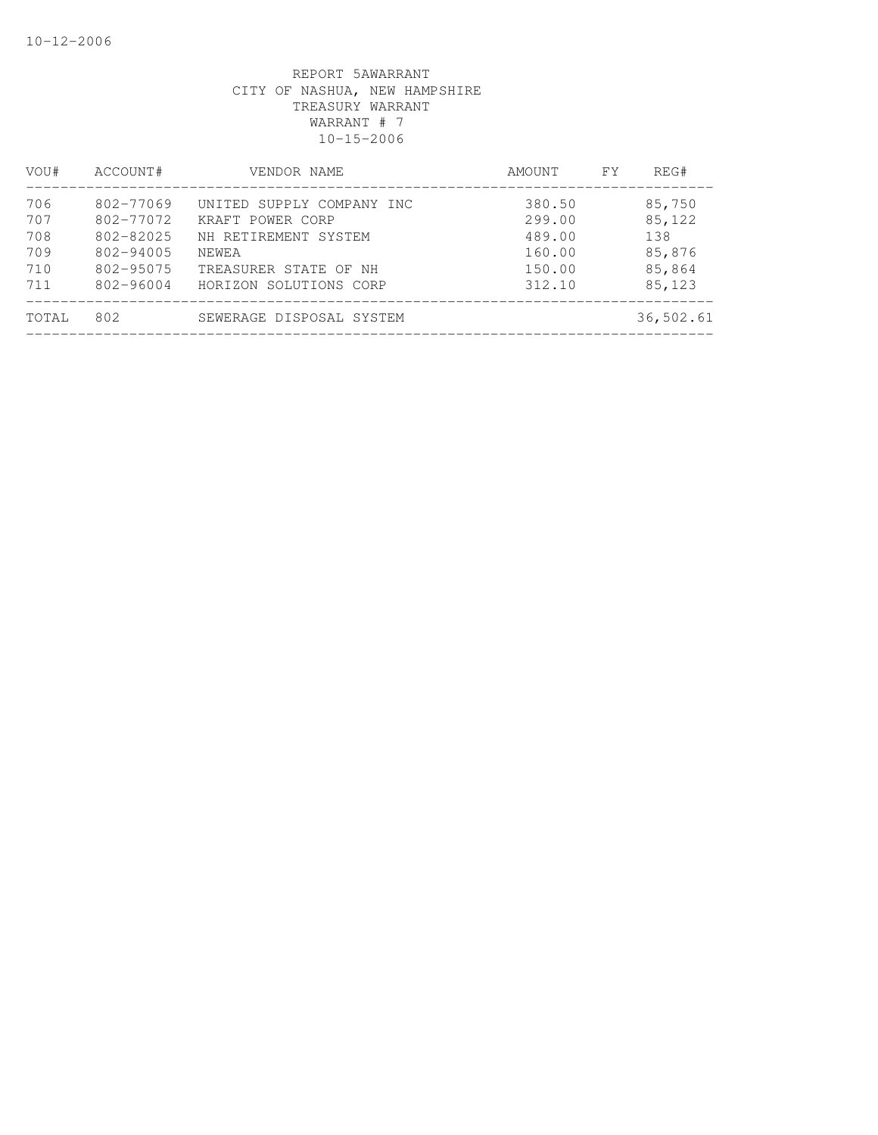| VOU#  | ACCOUNT#  | VENDOR NAME               | AMOUNT | FY. | REG#      |  |
|-------|-----------|---------------------------|--------|-----|-----------|--|
| 706   | 802-77069 | UNITED SUPPLY COMPANY INC | 380.50 |     | 85,750    |  |
| 707   | 802-77072 | KRAFT POWER CORP          | 299.00 |     | 85,122    |  |
| 708   | 802-82025 | NH RETIREMENT SYSTEM      | 489.00 |     | 138       |  |
| 709   | 802-94005 | NEWEA                     | 160.00 |     | 85,876    |  |
| 710   | 802-95075 | TREASURER STATE OF NH     | 150.00 |     | 85,864    |  |
| 711   | 802-96004 | HORIZON SOLUTIONS CORP    | 312.10 |     | 85,123    |  |
| TOTAL | 802       | SEWERAGE DISPOSAL SYSTEM  |        |     | 36,502.61 |  |
|       |           |                           |        |     |           |  |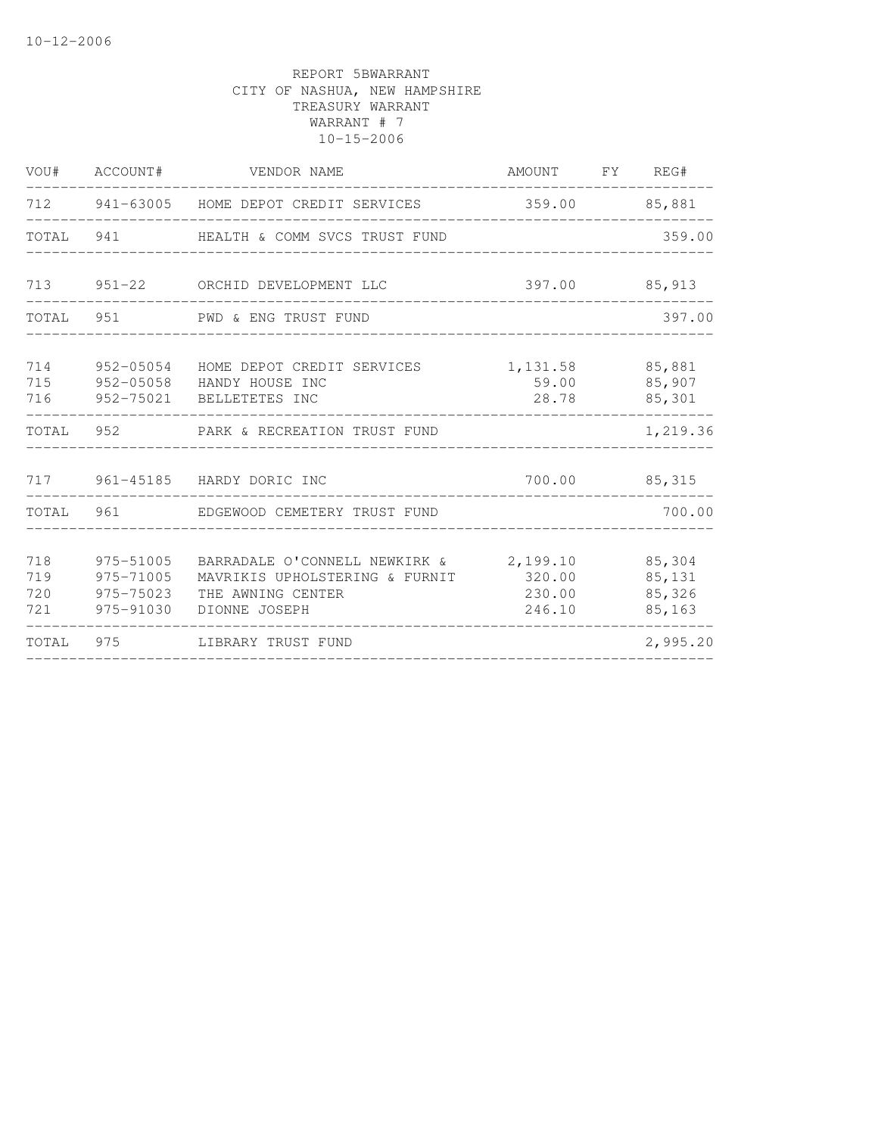|                          | VOU# ACCOUNT#                                    | VENDOR NAME                                                                                                           | AMOUNT FY REG#             |                                      |
|--------------------------|--------------------------------------------------|-----------------------------------------------------------------------------------------------------------------------|----------------------------|--------------------------------------|
|                          |                                                  | 712 941-63005 HOME DEPOT CREDIT SERVICES                                                                              |                            | 359.00 85,881                        |
|                          |                                                  | TOTAL 941 HEALTH & COMM SVCS TRUST FUND                                                                               |                            | 359.00                               |
|                          |                                                  | 713 951-22 ORCHID DEVELOPMENT LLC                                                                                     |                            | 397.00 85,913                        |
|                          |                                                  | TOTAL 951 PWD & ENG TRUST FUND                                                                                        |                            | 397.00                               |
| 714<br>715<br>716        |                                                  | 952-05054 HOME DEPOT CREDIT SERVICES<br>952-05058 HANDY HOUSE INC<br>952-75021 BELLETETES INC                         | 1,131.58<br>59.00<br>28.78 | 85,881<br>85,907<br>85,301           |
| TOTAL                    |                                                  |                                                                                                                       |                            | 1,219.36                             |
|                          |                                                  | 717 961-45185 HARDY DORIC INC                                                                                         |                            | 700.00 85,315                        |
| TOTAL                    |                                                  | 961 EDGEWOOD CEMETERY TRUST FUND                                                                                      |                            | 700.00                               |
| 718<br>719<br>720<br>721 | 975-51005<br>975-71005<br>975-75023<br>975-91030 | BARRADALE O'CONNELL NEWKIRK & 2,199.10<br>MAVRIKIS UPHOLSTERING & FURNIT 320.00<br>THE AWNING CENTER<br>DIONNE JOSEPH | 230.00<br>246.10           | 85,304<br>85,131<br>85,326<br>85,163 |
| TOTAL 975                |                                                  | LIBRARY TRUST FUND                                                                                                    |                            | 2,995.20                             |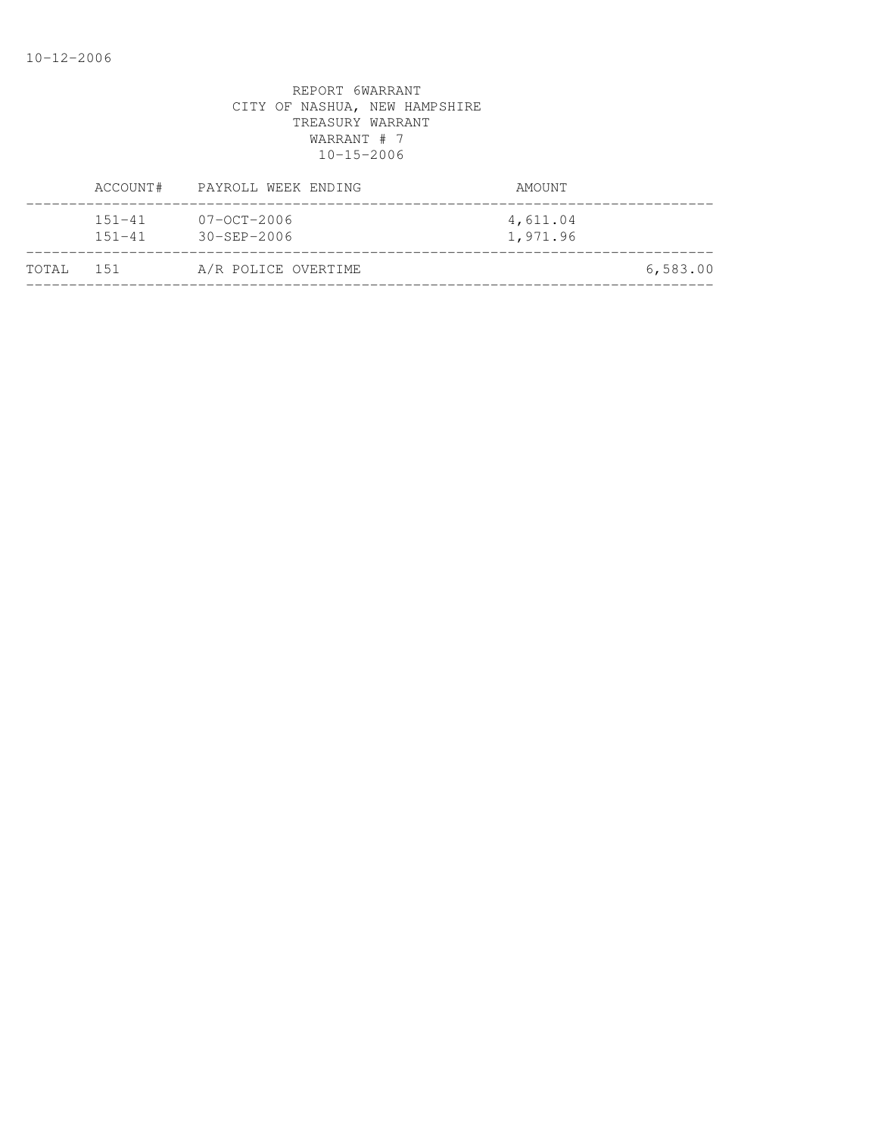|           | ACCOUNT#                 | PAYROLL WEEK ENDING                      | AMOUNT               |          |
|-----------|--------------------------|------------------------------------------|----------------------|----------|
|           | $151 - 41$<br>$151 - 41$ | $07 - 0C$ T $-2006$<br>$30 - SEP - 2006$ | 4,611.04<br>1,971.96 |          |
| TOTAL 151 |                          | A/R POLICE OVERTIME                      |                      | 6,583.00 |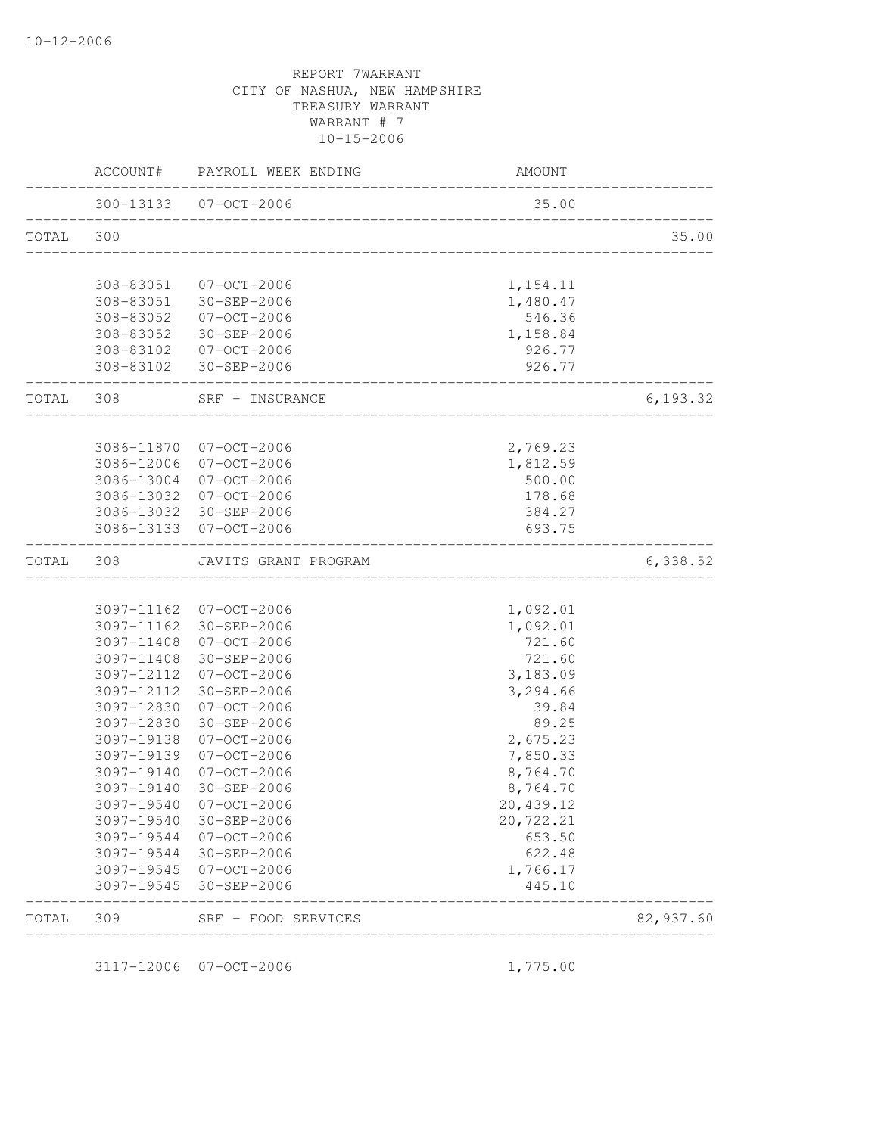|           | AMOUNT                 | PAYROLL WEEK ENDING                                          | ACCOUNT#   |           |
|-----------|------------------------|--------------------------------------------------------------|------------|-----------|
|           | 35.00                  | 300-13133  07-OCT-2006<br>__________________________________ |            |           |
| 35.00     |                        |                                                              |            | TOTAL 300 |
|           | 1,154.11               | 308-83051 07-OCT-2006                                        |            |           |
|           | 1,480.47               | 308-83051 30-SEP-2006                                        |            |           |
|           | 546.36                 | 308-83052 07-OCT-2006                                        |            |           |
|           | 1,158.84               | 308-83052 30-SEP-2006                                        |            |           |
|           | 926.77                 | 308-83102 07-OCT-2006                                        |            |           |
|           | 926.77                 | 308-83102 30-SEP-2006                                        |            |           |
| 6,193.32  | ______________________ | SRF - INSURANCE                                              |            | TOTAL 308 |
|           |                        |                                                              |            |           |
|           | 2,769.23               | 3086-11870 07-OCT-2006                                       |            |           |
|           | 1,812.59               | 07-OCT-2006                                                  | 3086-12006 |           |
|           | 500.00<br>178.68       | 07-OCT-2006<br>3086-13032 07-OCT-2006                        | 3086-13004 |           |
|           | 384.27                 | 3086-13032 30-SEP-2006                                       |            |           |
|           | 693.75                 | 3086-13133 07-OCT-2006                                       |            |           |
| 6,338.52  |                        | JAVITS GRANT PROGRAM                                         | 308        | TOTAL     |
|           |                        |                                                              |            |           |
|           | 1,092.01               | 3097-11162 07-OCT-2006                                       |            |           |
|           | 1,092.01               | 3097-11162 30-SEP-2006                                       |            |           |
|           | 721.60                 | 07-OCT-2006                                                  | 3097-11408 |           |
|           | 721.60                 | 30-SEP-2006                                                  | 3097-11408 |           |
|           | 3,183.09               | 3097-12112 07-OCT-2006                                       |            |           |
|           | 3,294.66               | 30-SEP-2006                                                  | 3097-12112 |           |
|           | 39.84                  | 07-OCT-2006                                                  | 3097-12830 |           |
|           | 89.25                  | 30-SEP-2006                                                  | 3097-12830 |           |
|           | 2,675.23               | $07 - OCT - 2006$                                            | 3097-19138 |           |
|           | 7,850.33               | $07 - 0CT - 2006$                                            | 3097-19139 |           |
|           | 8,764.70               | $07 - OCT - 2006$                                            | 3097-19140 |           |
|           | 8,764.70               | 30-SEP-2006                                                  | 3097-19140 |           |
|           | 20,439.12              | $07 - OCT - 2006$                                            | 3097-19540 |           |
|           | 20,722.21              | 30-SEP-2006                                                  | 3097-19540 |           |
|           | 653.50                 | $07 - OCT - 2006$                                            | 3097-19544 |           |
|           | 622.48                 | 30-SEP-2006                                                  | 3097-19544 |           |
|           | 1,766.17               | 07-OCT-2006                                                  | 3097-19545 |           |
|           | 445.10                 | 30-SEP-2006                                                  | 3097-19545 |           |
| 82,937.60 |                        | SRF - FOOD SERVICES                                          | 309        | TOTAL     |

3117-12006 07-OCT-2006 1,775.00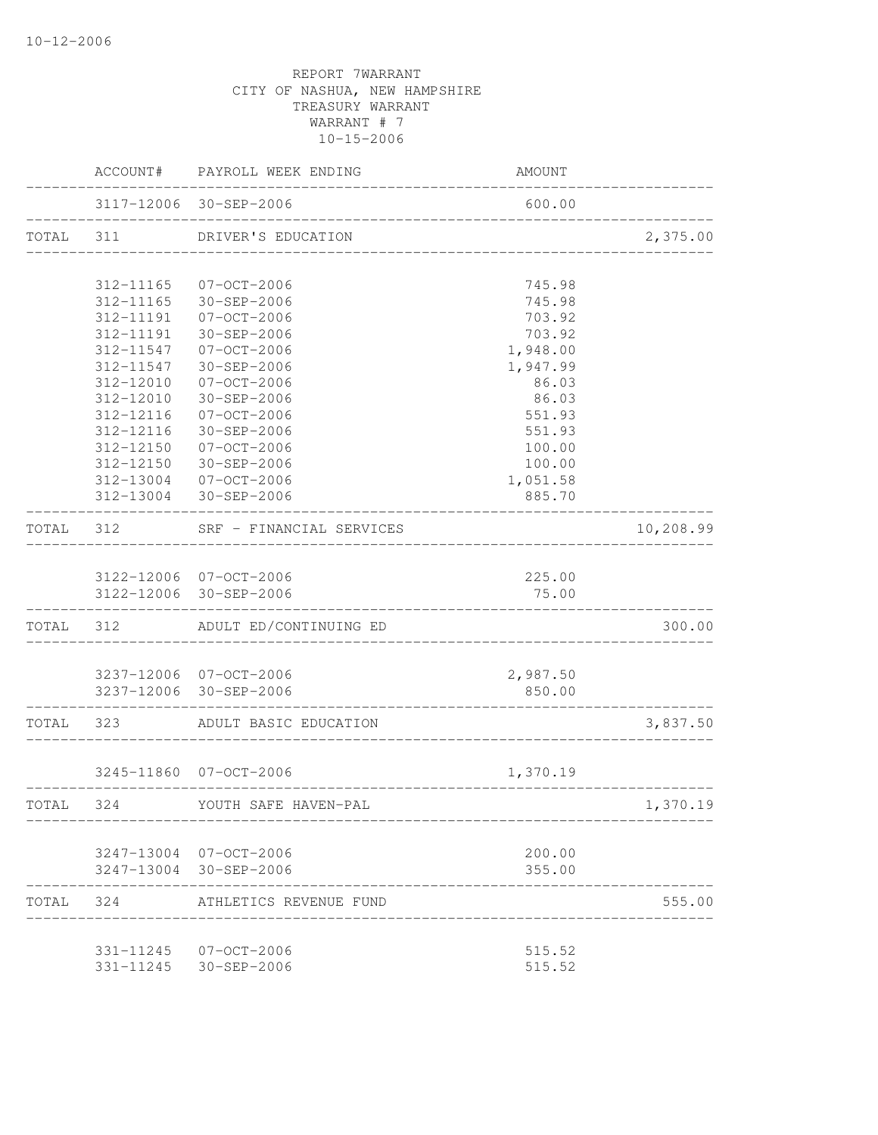|           |                        | ACCOUNT# PAYROLL WEEK ENDING                         | AMOUNT                         |           |
|-----------|------------------------|------------------------------------------------------|--------------------------------|-----------|
|           |                        | 3117-12006 30-SEP-2006<br>__________________________ | 600.00                         |           |
| TOTAL 311 |                        | DRIVER'S EDUCATION                                   |                                | 2,375.00  |
|           |                        |                                                      |                                |           |
|           | 312-11165              | 07-OCT-2006                                          | 745.98                         |           |
|           | 312-11165              | 30-SEP-2006                                          | 745.98                         |           |
|           | 312-11191              | 07-OCT-2006                                          | 703.92                         |           |
|           | 312-11191              | 30-SEP-2006                                          | 703.92                         |           |
|           |                        | 312-11547 07-OCT-2006                                | 1,948.00                       |           |
|           | 312-11547              | 30-SEP-2006                                          | 1,947.99                       |           |
|           | 312-12010<br>312-12010 | 07-OCT-2006<br>30-SEP-2006                           | 86.03<br>86.03                 |           |
|           | 312-12116              | 07-OCT-2006                                          | 551.93                         |           |
|           | 312-12116              | $30 - SEP - 2006$                                    | 551.93                         |           |
|           | 312-12150              | 07-OCT-2006                                          | 100.00                         |           |
|           | 312-12150              | 30-SEP-2006                                          | 100.00                         |           |
|           |                        | 312-13004 07-OCT-2006                                | 1,051.58                       |           |
|           |                        | 312-13004 30-SEP-2006                                | 885.70                         |           |
| TOTAL 312 |                        | SRF - FINANCIAL SERVICES                             | ____________________           | 10,208.99 |
|           |                        |                                                      |                                |           |
|           |                        | 3122-12006 07-OCT-2006                               | 225.00                         |           |
|           |                        | 3122-12006 30-SEP-2006                               | 75.00                          |           |
|           |                        | TOTAL 312 ADULT ED/CONTINUING ED                     |                                | 300.00    |
|           |                        |                                                      |                                |           |
|           |                        | 3237-12006 07-OCT-2006                               | 2,987.50                       |           |
|           |                        | 3237-12006 30-SEP-2006                               | 850.00<br>____________________ |           |
| TOTAL 323 |                        | ADULT BASIC EDUCATION                                | ______________________         | 3,837.50  |
|           |                        |                                                      |                                |           |
|           |                        | 3245-11860 07-OCT-2006                               | 1,370.19                       |           |
| TOTAL 324 |                        | YOUTH SAFE HAVEN-PAL                                 |                                | 1,370.19  |
|           |                        | 3247-13004 07-OCT-2006                               | 200.00                         |           |
|           |                        | 3247-13004 30-SEP-2006                               | 355.00                         |           |
| TOTAL 324 |                        | ATHLETICS REVENUE FUND                               |                                | 555.00    |
|           |                        |                                                      |                                |           |
|           |                        | 331-11245 07-OCT-2006<br>331-11245 30-SEP-2006       | 515.52<br>515.52               |           |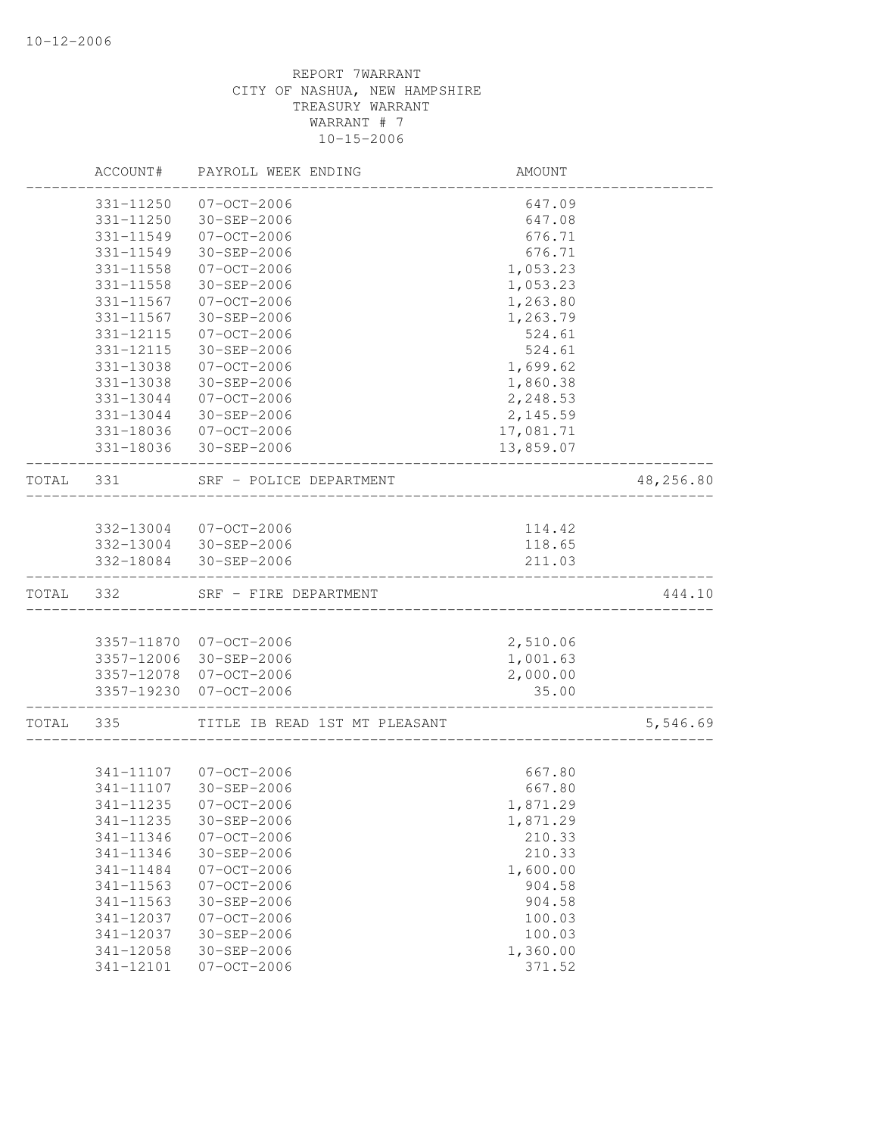|       | ACCOUNT#   | PAYROLL WEEK ENDING                  | AMOUNT             |           |
|-------|------------|--------------------------------------|--------------------|-----------|
|       | 331-11250  | $07 - OCT - 2006$                    | 647.09             |           |
|       | 331-11250  | 30-SEP-2006                          | 647.08             |           |
|       | 331-11549  | $07 - OCT - 2006$                    | 676.71             |           |
|       | 331-11549  | 30-SEP-2006                          | 676.71             |           |
|       | 331-11558  | $07 - OCT - 2006$                    | 1,053.23           |           |
|       | 331-11558  | 30-SEP-2006                          | 1,053.23           |           |
|       | 331-11567  | $07 - OCT - 2006$                    | 1,263.80           |           |
|       | 331-11567  | 30-SEP-2006                          | 1,263.79           |           |
|       | 331-12115  | $07 - OCT - 2006$                    | 524.61             |           |
|       | 331-12115  | 30-SEP-2006                          | 524.61             |           |
|       | 331-13038  | $07 - OCT - 2006$                    | 1,699.62           |           |
|       | 331-13038  | 30-SEP-2006                          | 1,860.38           |           |
|       | 331-13044  | $07 - OCT - 2006$                    | 2,248.53           |           |
|       | 331-13044  | 30-SEP-2006                          | 2,145.59           |           |
|       | 331-18036  | 07-OCT-2006                          | 17,081.71          |           |
|       | 331-18036  | 30-SEP-2006                          | 13,859.07          |           |
| TOTAL | 331        | SRF - POLICE DEPARTMENT              |                    | 48,256.80 |
|       |            |                                      |                    |           |
|       |            | 332-13004 07-OCT-2006                | 114.42             |           |
|       |            | 332-13004 30-SEP-2006                | 118.65             |           |
|       | 332-18084  | 30-SEP-2006                          | 211.03             |           |
| TOTAL | 332        | SRF - FIRE DEPARTMENT                |                    | 444.10    |
|       |            |                                      |                    |           |
|       |            | 3357-11870 07-OCT-2006               | 2,510.06           |           |
|       |            | 3357-12006 30-SEP-2006               | 1,001.63           |           |
|       |            | 3357-12078 07-OCT-2006               | 2,000.00           |           |
|       | 3357-19230 | $07 - OCT - 2006$                    | 35.00              |           |
| TOTAL | 335        | TITLE IB READ 1ST MT PLEASANT        |                    | 5,546.69  |
|       |            |                                      |                    |           |
|       | 341-11107  | 341-11107 07-OCT-2006<br>30-SEP-2006 | 667.80<br>667.80   |           |
|       |            | 341-11235 07-OCT-2006                |                    |           |
|       | 341-11235  | 30-SEP-2006                          | 1,871.29           |           |
|       | 341-11346  | $07 - OCT - 2006$                    | 1,871.29<br>210.33 |           |
|       | 341-11346  |                                      |                    |           |
|       | 341-11484  | 30-SEP-2006<br>$07 - OCT - 2006$     | 210.33<br>1,600.00 |           |
|       | 341-11563  | $07 - OCT - 2006$                    | 904.58             |           |
|       | 341-11563  | 30-SEP-2006                          | 904.58             |           |
|       | 341-12037  | $07 - OCT - 2006$                    | 100.03             |           |
|       | 341-12037  | 30-SEP-2006                          | 100.03             |           |
|       | 341-12058  | 30-SEP-2006                          | 1,360.00           |           |
|       | 341-12101  | $07 - 0CT - 2006$                    | 371.52             |           |
|       |            |                                      |                    |           |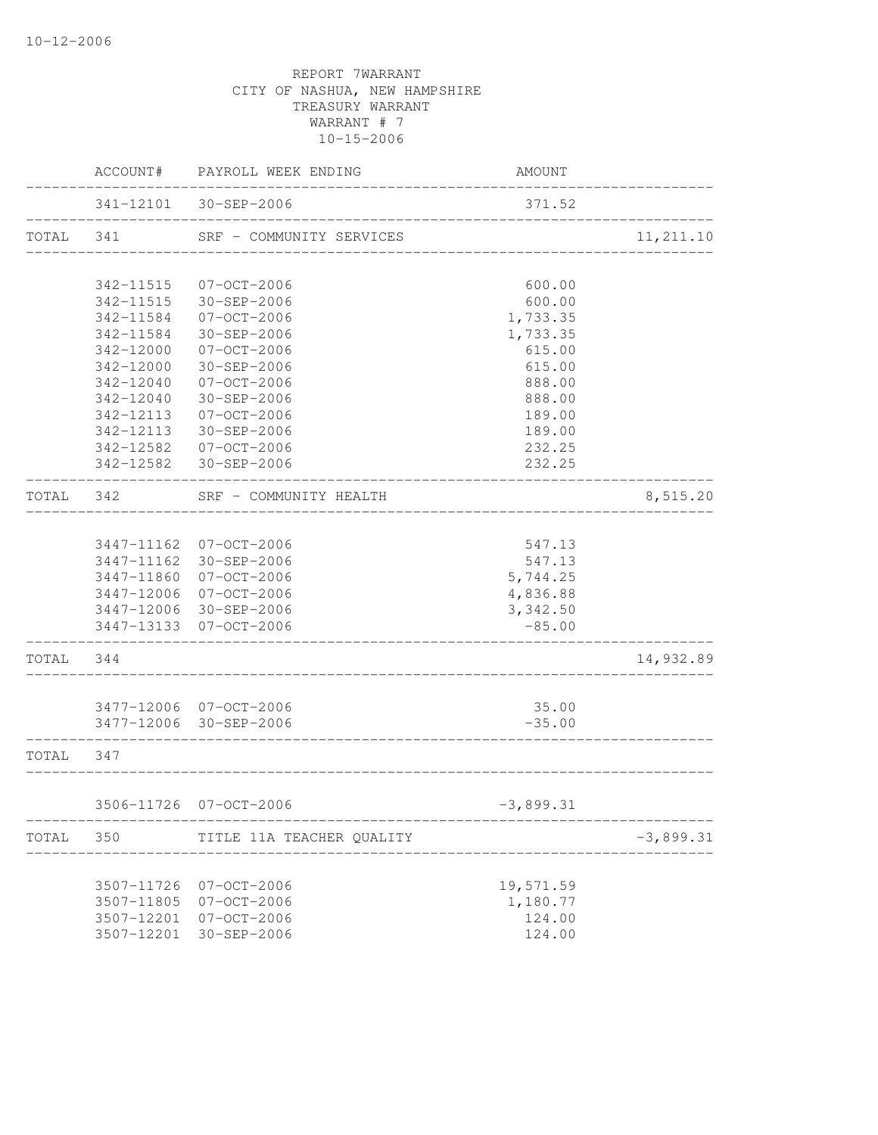|           |               | ACCOUNT# PAYROLL WEEK ENDING | <b>AMOUNT</b>                          |             |
|-----------|---------------|------------------------------|----------------------------------------|-------------|
|           |               |                              | 371.52                                 |             |
| TOTAL 341 |               | SRF - COMMUNITY SERVICES     | ______________________________________ | 11, 211.10  |
|           |               |                              |                                        |             |
|           | 342-11515     | 07-OCT-2006                  | 600.00                                 |             |
|           | 342-11515     | 30-SEP-2006                  | 600.00                                 |             |
|           | 342-11584     | 07-OCT-2006                  | 1,733.35                               |             |
|           | 342-11584     | 30-SEP-2006                  | 1,733.35                               |             |
|           | $342 - 12000$ | 07-OCT-2006                  | 615.00                                 |             |
|           | 342-12000     | 30-SEP-2006                  | 615.00                                 |             |
|           | 342-12040     | 07-OCT-2006                  | 888.00                                 |             |
|           | 342-12040     | 30-SEP-2006                  | 888.00                                 |             |
|           | 342-12113     | $07 - OCT - 2006$            | 189.00                                 |             |
|           | 342-12113     | 30-SEP-2006                  | 189.00                                 |             |
|           | 342-12582     | 07-OCT-2006                  | 232.25                                 |             |
|           | 342-12582     | 30-SEP-2006                  | 232.25                                 |             |
| TOTAL     | 342           | SRF - COMMUNITY HEALTH       | ____________________                   | 8,515.20    |
|           |               |                              |                                        |             |
|           |               | 3447-11162 07-OCT-2006       | 547.13                                 |             |
|           |               | 3447-11162 30-SEP-2006       | 547.13                                 |             |
|           | 3447-11860    | 07-OCT-2006                  | 5,744.25                               |             |
|           | 3447-12006    | 07-OCT-2006                  | 4,836.88                               |             |
|           |               | 3447-12006 30-SEP-2006       | 3,342.50                               |             |
|           |               | 3447-13133 07-OCT-2006       | $-85.00$                               |             |
| TOTAL 344 |               |                              |                                        | 14,932.89   |
|           |               |                              |                                        |             |
|           |               | 3477-12006 07-OCT-2006       | 35.00                                  |             |
|           |               | 3477-12006 30-SEP-2006       | $-35.00$                               |             |
| TOTAL 347 |               |                              |                                        |             |
|           |               | 3506-11726 07-OCT-2006       | $-3,899.31$                            |             |
| TOTAL     | 350           | TITLE 11A TEACHER QUALITY    | ------------                           | $-3,899.31$ |
|           |               |                              |                                        |             |
|           | 3507-11726    | $07 - OCT - 2006$            | 19,571.59                              |             |
|           | 3507-11805    | $07 - OCT - 2006$            | 1,180.77                               |             |
|           | 3507-12201    | $07 - OCT - 2006$            | 124.00                                 |             |
|           | 3507-12201    | 30-SEP-2006                  | 124.00                                 |             |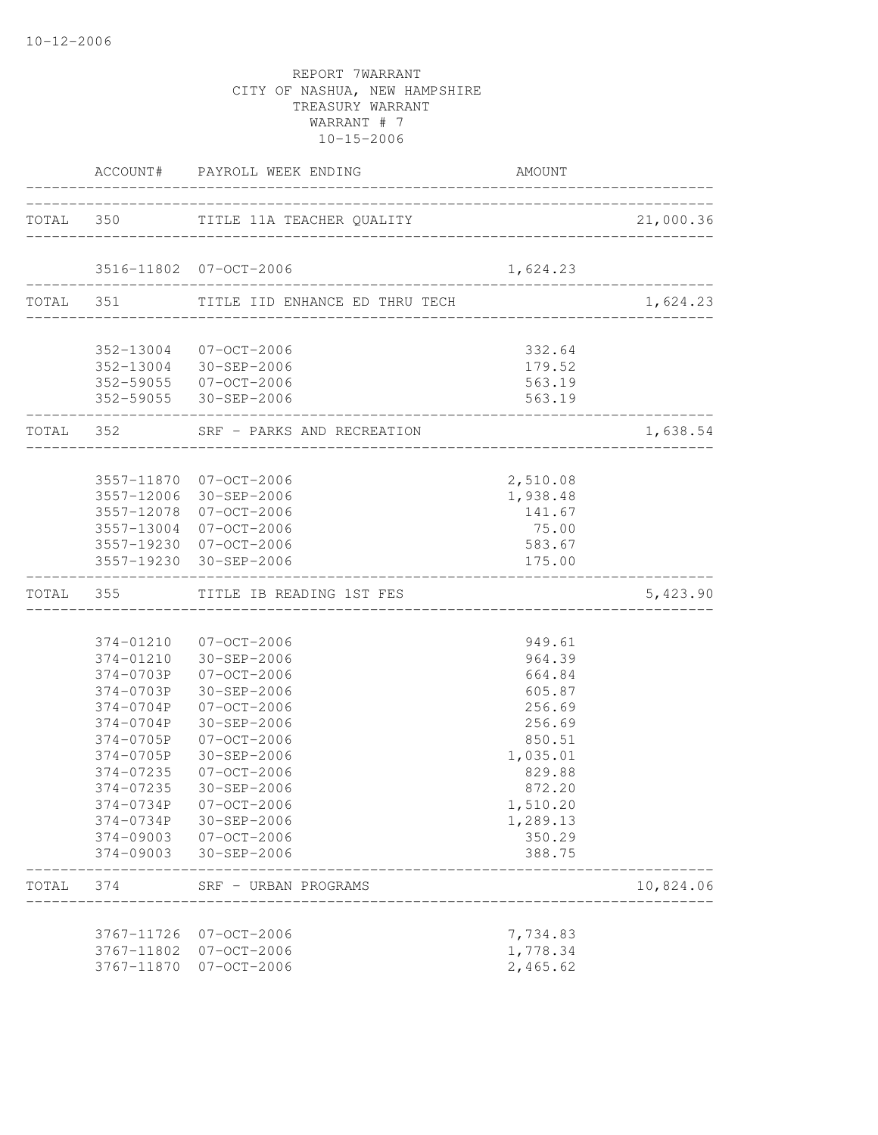|           | ACCOUNT# PAYROLL WEEK ENDING                     | <b>AMOUNT</b><br>______________________________ |           |
|-----------|--------------------------------------------------|-------------------------------------------------|-----------|
|           |                                                  |                                                 |           |
|           | 3516-11802 07-OCT-2006                           | 1,624.23                                        |           |
|           | TOTAL 351 TITLE IID ENHANCE ED THRU TECH         |                                                 | 1,624.23  |
|           |                                                  |                                                 |           |
|           | 352-13004 07-OCT-2006<br>352-13004 30-SEP-2006   | 332.64                                          |           |
|           | 352-59055 07-OCT-2006                            | 179.52<br>563.19                                |           |
|           | 352-59055 30-SEP-2006                            | 563.19                                          |           |
|           | TOTAL 352 SRF - PARKS AND RECREATION             | ____________________________                    | 1,638.54  |
|           |                                                  |                                                 |           |
|           | 3557-11870 07-OCT-2006                           | 2,510.08                                        |           |
|           | 3557-12006 30-SEP-2006                           | 1,938.48                                        |           |
|           | 3557-12078 07-OCT-2006                           | 141.67                                          |           |
|           | 3557-13004 07-OCT-2006<br>3557-19230 07-OCT-2006 | 75.00<br>583.67                                 |           |
|           | 3557-19230 30-SEP-2006                           | 175.00                                          |           |
|           | TOTAL 355 TITLE IB READING 1ST FES               | ____________________________                    | 5,423.90  |
|           |                                                  |                                                 |           |
|           | 374-01210 07-OCT-2006                            | 949.61                                          |           |
|           | 374-01210 30-SEP-2006                            | 964.39                                          |           |
|           | 374-0703P 07-OCT-2006<br>374-0703P 30-SEP-2006   | 664.84<br>605.87                                |           |
|           | 374-0704P 07-OCT-2006                            | 256.69                                          |           |
|           | 374-0704P 30-SEP-2006                            | 256.69                                          |           |
| 374-0705P | 07-OCT-2006                                      | 850.51                                          |           |
| 374-0705P | 30-SEP-2006                                      | 1,035.01                                        |           |
| 374-07235 | 07-OCT-2006                                      | 829.88                                          |           |
| 374-07235 | 30-SEP-2006                                      | 872.20                                          |           |
|           | 374-0734P 07-OCT-2006                            | 1,510.20                                        |           |
|           | 374-0734P 30-SEP-2006                            | 1,289.13                                        |           |
|           | 374-09003 07-OCT-2006                            | 350.29                                          |           |
|           | 374-09003 30-SEP-2006                            | 388.75                                          |           |
| TOTAL 374 | SRF - URBAN PROGRAMS<br>------------------       |                                                 | 10,824.06 |
|           | 3767-11726 07-OCT-2006                           | 7,734.83                                        |           |
|           | 3767-11802 07-OCT-2006                           | 1,778.34                                        |           |
|           | 3767-11870 07-OCT-2006                           | 2,465.62                                        |           |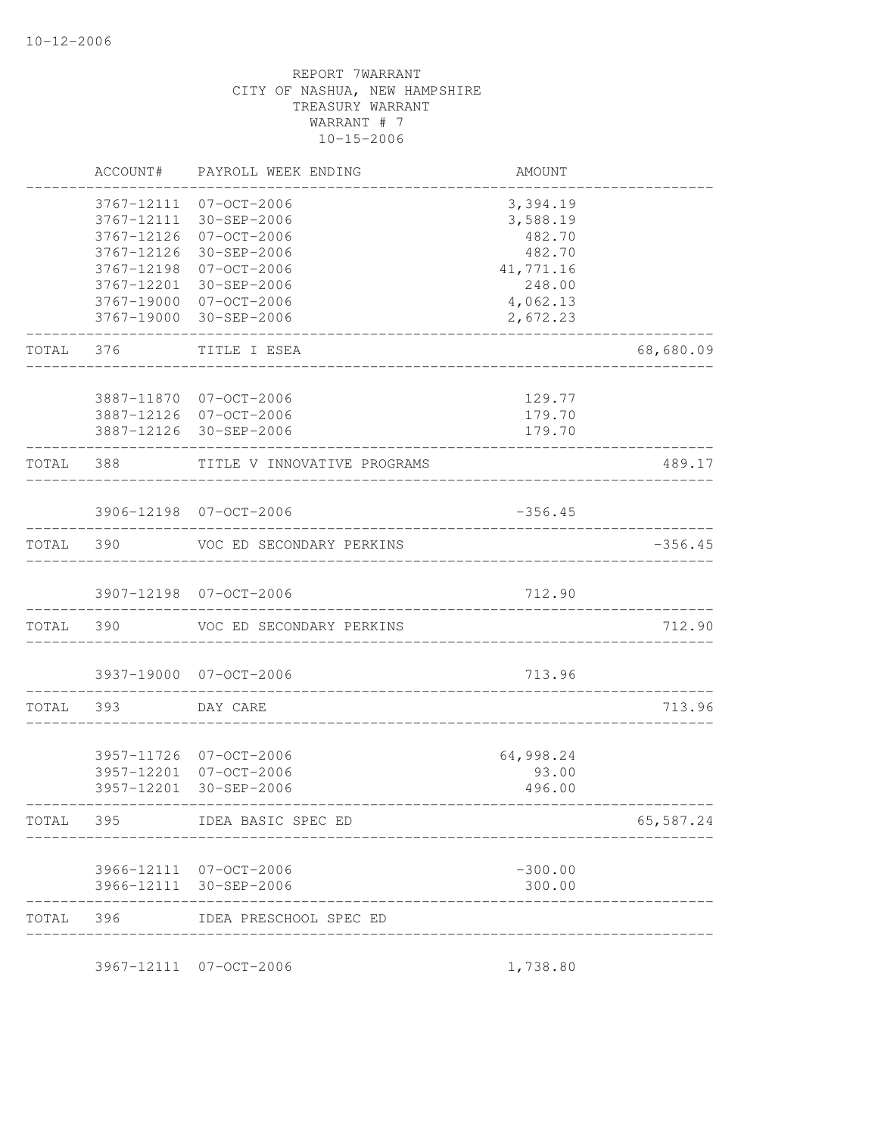|       | ACCOUNT#   | PAYROLL WEEK ENDING                   | AMOUNT             |           |
|-------|------------|---------------------------------------|--------------------|-----------|
|       | 3767-12111 | 07-OCT-2006                           | 3,394.19           |           |
|       | 3767-12111 | 30-SEP-2006                           | 3,588.19           |           |
|       | 3767-12126 | 07-OCT-2006                           | 482.70             |           |
|       | 3767-12126 | 30-SEP-2006                           | 482.70             |           |
|       | 3767-12198 | 07-OCT-2006                           | 41,771.16          |           |
|       | 3767-12201 | 30-SEP-2006<br>3767-19000 07-OCT-2006 | 248.00<br>4,062.13 |           |
|       |            | 3767-19000 30-SEP-2006                | 2,672.23           |           |
| TOTAL | 376        | TITLE I ESEA                          |                    | 68,680.09 |
|       |            |                                       |                    |           |
|       |            | 3887-11870 07-OCT-2006                | 129.77             |           |
|       |            | 3887-12126 07-OCT-2006                | 179.70             |           |
|       |            | 3887-12126 30-SEP-2006                | 179.70             |           |
| TOTAL | 388        | TITLE V INNOVATIVE PROGRAMS           |                    | 489.17    |
|       |            | 3906-12198 07-OCT-2006                | $-356.45$          |           |
|       |            |                                       |                    |           |
| TOTAL | 390        | VOC ED SECONDARY PERKINS              |                    | $-356.45$ |
|       |            | 3907-12198 07-OCT-2006                | 712.90             |           |
| TOTAL | 390        | VOC ED SECONDARY PERKINS              |                    | 712.90    |
|       |            | 3937-19000 07-OCT-2006                | 713.96             |           |
| TOTAL | 393        | DAY CARE                              |                    | 713.96    |
|       |            |                                       |                    |           |
|       |            | 3957-11726 07-OCT-2006                | 64,998.24          |           |
|       |            | 3957-12201 07-OCT-2006                | 93.00              |           |
|       |            | 3957-12201 30-SEP-2006                | 496.00             |           |
| TOTAL | 395        | IDEA BASIC SPEC ED                    |                    | 65,587.24 |
|       |            | 3966-12111 07-OCT-2006                | $-300.00$          |           |
|       | 3966-12111 | 30-SEP-2006                           | 300.00             |           |
| TOTAL | 396        | IDEA PRESCHOOL SPEC ED                |                    |           |
|       |            | 3967-12111 07-OCT-2006                | 1,738.80           |           |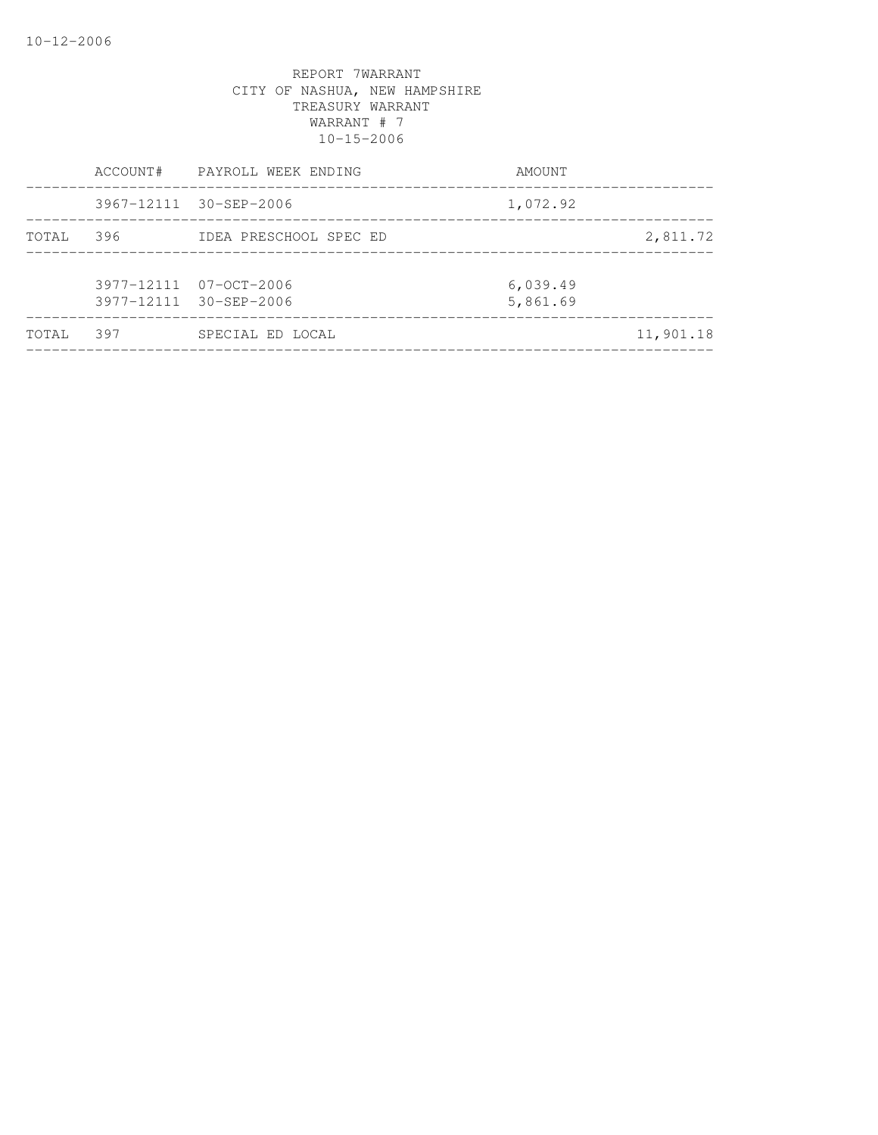|        |     | ACCOUNT# PAYROLL WEEK ENDING                     | AMOUNT               |           |
|--------|-----|--------------------------------------------------|----------------------|-----------|
|        |     | 3967-12111 30-SEP-2006                           | 1,072.92             |           |
| TOTAL  | 396 | IDEA PRESCHOOL SPEC ED                           |                      | 2,811.72  |
|        |     | 3977-12111 07-OCT-2006<br>3977-12111 30-SEP-2006 | 6,039.49<br>5,861.69 |           |
| TOTAL. | 397 | SPECIAL ED LOCAL                                 |                      | 11,901.18 |
|        |     |                                                  |                      |           |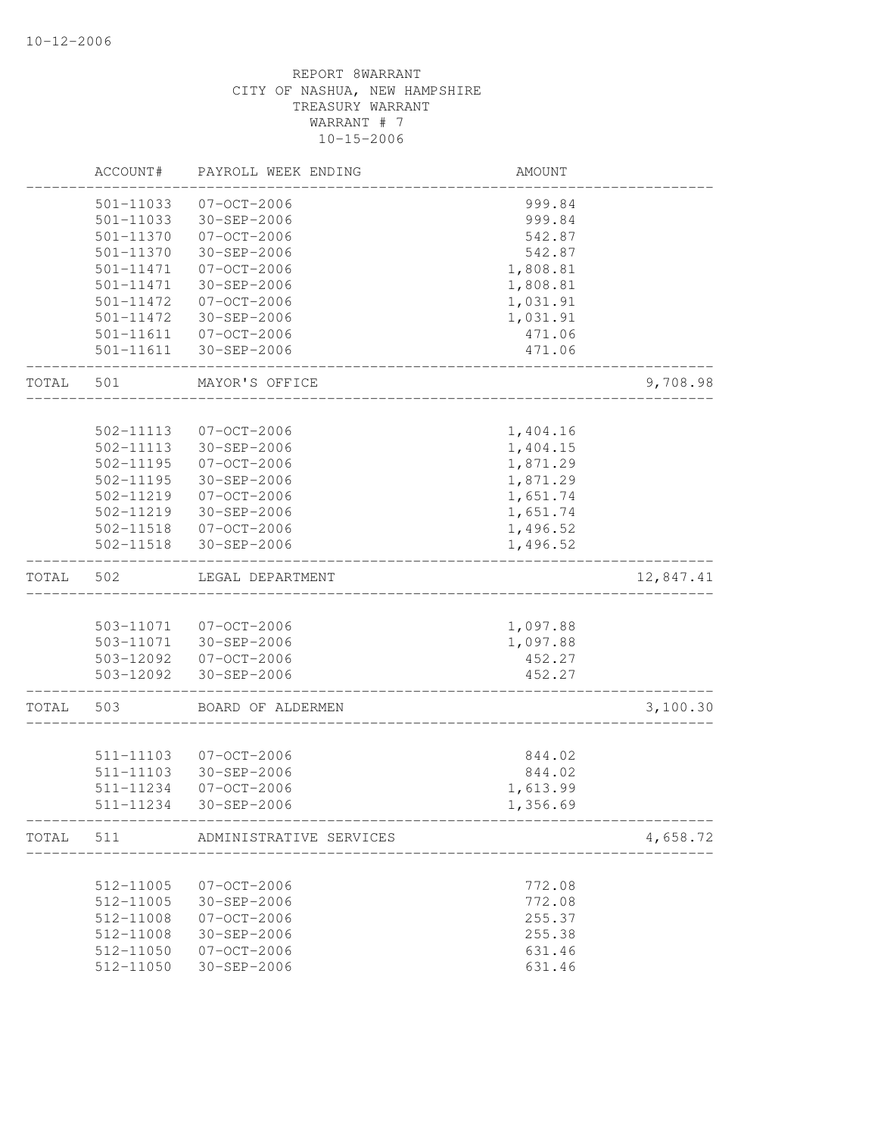|       | ACCOUNT#  | PAYROLL WEEK ENDING                            | AMOUNT                     |           |
|-------|-----------|------------------------------------------------|----------------------------|-----------|
|       | 501-11033 | $07 - OCT - 2006$                              | 999.84                     |           |
|       | 501-11033 | 30-SEP-2006                                    | 999.84                     |           |
|       | 501-11370 | $07 - OCT - 2006$                              | 542.87                     |           |
|       | 501-11370 | 30-SEP-2006                                    | 542.87                     |           |
|       | 501-11471 | $07 - OCT - 2006$                              | 1,808.81                   |           |
|       | 501-11471 | 30-SEP-2006                                    | 1,808.81                   |           |
|       | 501-11472 | $07 - OCT - 2006$                              | 1,031.91                   |           |
|       | 501-11472 | 30-SEP-2006                                    | 1,031.91                   |           |
|       | 501-11611 | $07 - OCT - 2006$                              | 471.06                     |           |
|       | 501-11611 | 30-SEP-2006                                    | 471.06                     |           |
| TOTAL | 501       | MAYOR'S OFFICE                                 |                            | 9,708.98  |
|       |           |                                                |                            |           |
|       | 502-11113 | $07 - OCT - 2006$                              | 1,404.16                   |           |
|       | 502-11113 | 30-SEP-2006                                    | 1,404.15                   |           |
|       | 502-11195 | $07 - OCT - 2006$                              | 1,871.29                   |           |
|       | 502-11195 | $30 - SEP - 2006$                              | 1,871.29                   |           |
|       | 502-11219 | $07 - OCT - 2006$                              | 1,651.74                   |           |
|       | 502-11219 | 30-SEP-2006                                    | 1,651.74                   |           |
|       | 502-11518 | $07 - OCT - 2006$                              | 1,496.52                   |           |
|       | 502-11518 | 30-SEP-2006                                    | 1,496.52                   |           |
| TOTAL | 502       | LEGAL DEPARTMENT                               |                            | 12,847.41 |
|       |           |                                                |                            |           |
|       | 503-11071 | 07-OCT-2006                                    | 1,097.88                   |           |
|       |           | 503-11071 30-SEP-2006                          | 1,097.88                   |           |
|       |           | 503-12092 07-OCT-2006<br>503-12092 30-SEP-2006 | 452.27<br>452.27           |           |
|       |           |                                                |                            |           |
| TOTAL | 503       | BOARD OF ALDERMEN                              |                            | 3,100.30  |
|       |           |                                                |                            |           |
|       | 511-11103 | $07 - OCT - 2006$                              | 844.02                     |           |
|       | 511-11103 | $30 - SEP - 2006$                              | 844.02                     |           |
|       | 511-11234 | $07 - OCT - 2006$                              | 1,613.99                   |           |
|       | 511-11234 | $30 - SEP - 2006$                              | 1,356.69<br>______________ |           |
| TOTAL | 511       | ADMINISTRATIVE SERVICES                        |                            | 4,658.72  |
|       |           |                                                |                            |           |
|       | 512-11005 | $07 - OCT - 2006$                              | 772.08                     |           |
|       | 512-11005 | $30 - SEP - 2006$                              | 772.08                     |           |
|       | 512-11008 | $07 - OCT - 2006$                              | 255.37                     |           |
|       | 512-11008 | 30-SEP-2006                                    | 255.38                     |           |
|       | 512-11050 | $07 - OCT - 2006$<br>$30 - SEP - 2006$         | 631.46                     |           |
|       | 512-11050 |                                                | 631.46                     |           |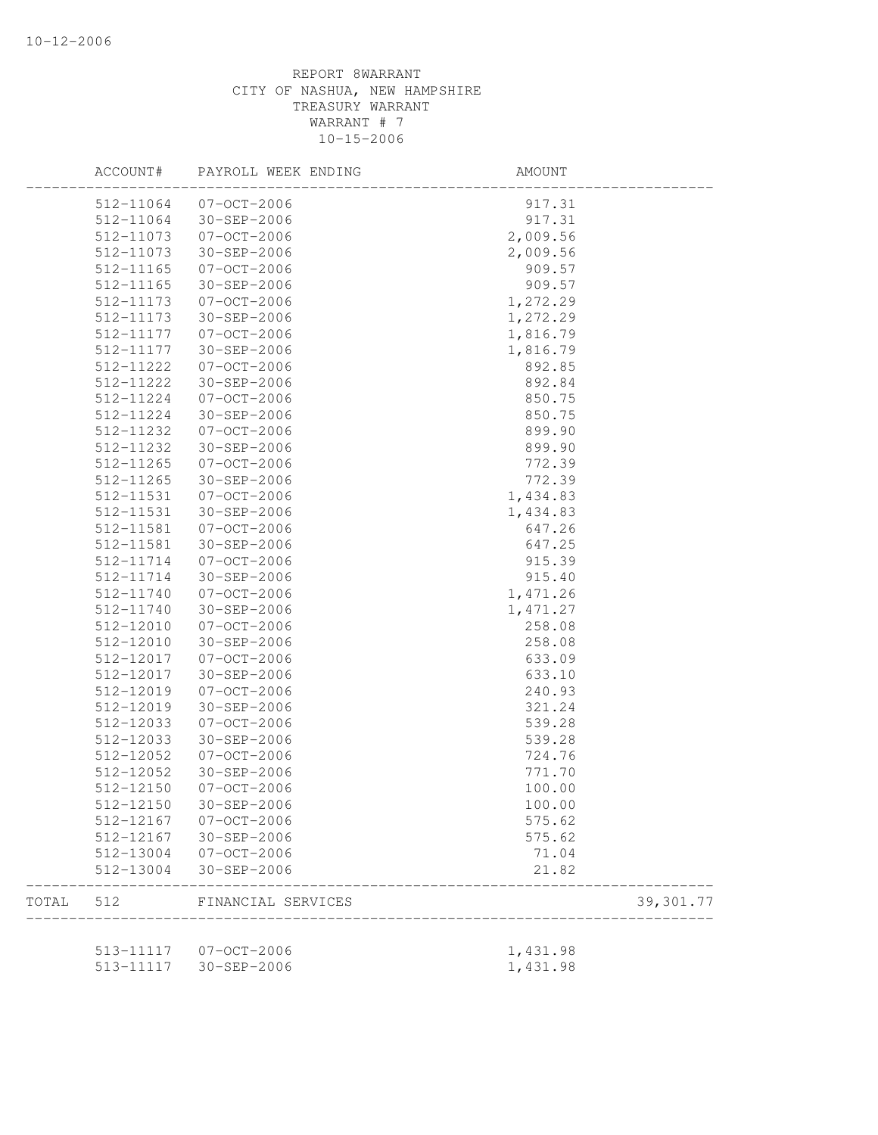|       | ACCOUNT#  | PAYROLL WEEK ENDING   | AMOUNT   |            |
|-------|-----------|-----------------------|----------|------------|
|       | 512-11064 | 07-OCT-2006           | 917.31   |            |
|       | 512-11064 | 30-SEP-2006           | 917.31   |            |
|       | 512-11073 | $07 - OCT - 2006$     | 2,009.56 |            |
|       | 512-11073 | 30-SEP-2006           | 2,009.56 |            |
|       | 512-11165 | $07 - OCT - 2006$     | 909.57   |            |
|       | 512-11165 | 30-SEP-2006           | 909.57   |            |
|       | 512-11173 | $07 - OCT - 2006$     | 1,272.29 |            |
|       | 512-11173 | 30-SEP-2006           | 1,272.29 |            |
|       | 512-11177 | $07 - OCT - 2006$     | 1,816.79 |            |
|       | 512-11177 | 30-SEP-2006           | 1,816.79 |            |
|       | 512-11222 | 07-OCT-2006           | 892.85   |            |
|       | 512-11222 | 30-SEP-2006           | 892.84   |            |
|       | 512-11224 | $07 - OCT - 2006$     | 850.75   |            |
|       | 512-11224 | 30-SEP-2006           | 850.75   |            |
|       | 512-11232 | $07 - OCT - 2006$     | 899.90   |            |
|       | 512-11232 | 30-SEP-2006           | 899.90   |            |
|       | 512-11265 | $07 - 0CT - 2006$     | 772.39   |            |
|       | 512-11265 | 30-SEP-2006           | 772.39   |            |
|       | 512-11531 | $07 - OCT - 2006$     | 1,434.83 |            |
|       | 512-11531 | 30-SEP-2006           | 1,434.83 |            |
|       | 512-11581 | 07-OCT-2006           | 647.26   |            |
|       | 512-11581 | 30-SEP-2006           | 647.25   |            |
|       | 512-11714 | $07 - OCT - 2006$     | 915.39   |            |
|       | 512-11714 | 30-SEP-2006           | 915.40   |            |
|       | 512-11740 | $07 - OCT - 2006$     | 1,471.26 |            |
|       | 512-11740 | 30-SEP-2006           | 1,471.27 |            |
|       | 512-12010 | $07 - OCT - 2006$     | 258.08   |            |
|       | 512-12010 | 30-SEP-2006           | 258.08   |            |
|       | 512-12017 | 07-OCT-2006           | 633.09   |            |
|       | 512-12017 | 30-SEP-2006           | 633.10   |            |
|       | 512-12019 | $07 - OCT - 2006$     | 240.93   |            |
|       | 512-12019 | 30-SEP-2006           | 321.24   |            |
|       | 512-12033 | $07 - OCT - 2006$     | 539.28   |            |
|       | 512-12033 | $30 - SEP - 2006$     | 539.28   |            |
|       | 512-12052 | $07 - OCT - 2006$     | 724.76   |            |
|       | 512-12052 | $30 - SEP - 2006$     | 771.70   |            |
|       | 512-12150 | $07 - OCT - 2006$     | 100.00   |            |
|       |           |                       |          |            |
|       | 512-12150 | 30-SEP-2006           | 100.00   |            |
|       | 512-12167 | 07-OCT-2006           | 575.62   |            |
|       | 512-12167 | 30-SEP-2006           | 575.62   |            |
|       | 512-13004 | 07-OCT-2006           | 71.04    |            |
|       | 512-13004 | 30-SEP-2006           | 21.82    |            |
| TOTAL | 512       | FINANCIAL SERVICES    |          | 39, 301.77 |
|       |           | 513-11117 07-OCT-2006 | 1,431.98 |            |
|       | 513-11117 | 30-SEP-2006           | 1,431.98 |            |
|       |           |                       |          |            |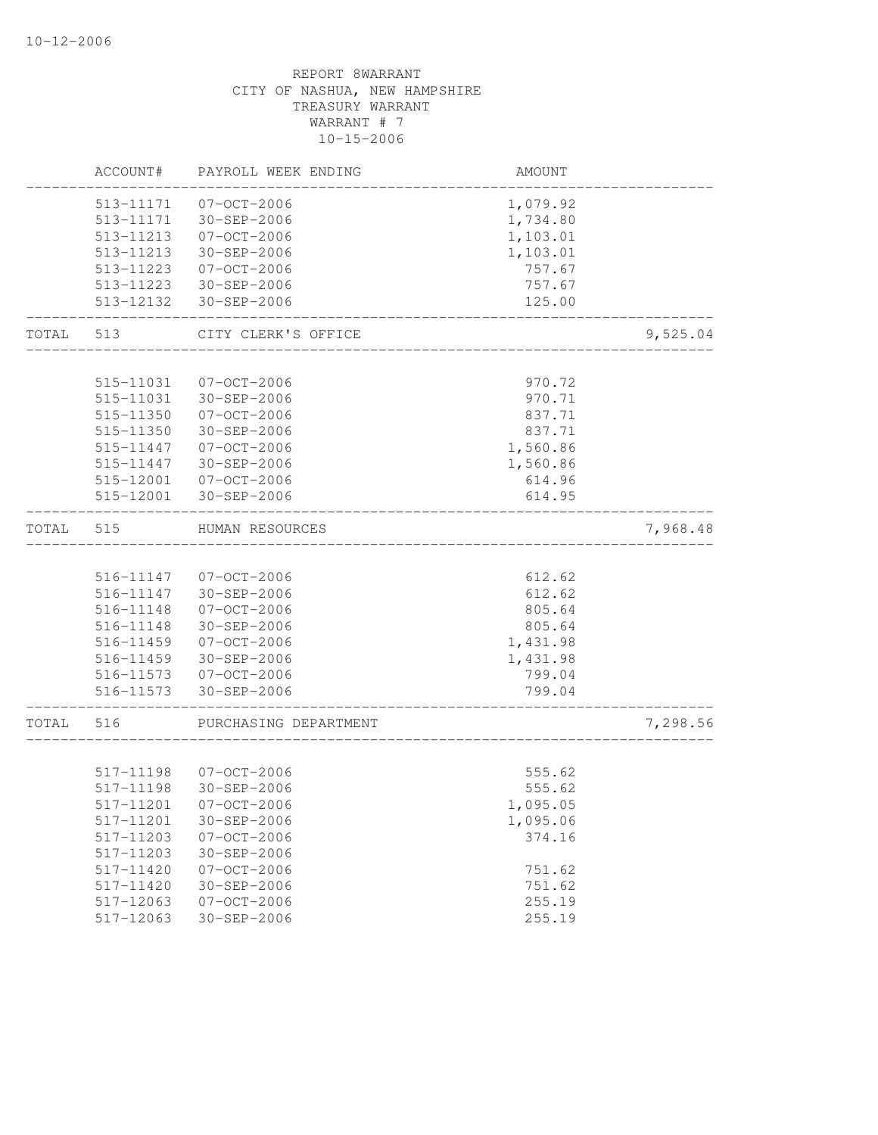|           | ACCOUNT#               | PAYROLL WEEK ENDING   | AMOUNT                 |          |
|-----------|------------------------|-----------------------|------------------------|----------|
|           |                        | 513-11171 07-OCT-2006 | 1,079.92               |          |
|           |                        | 513-11171 30-SEP-2006 | 1,734.80               |          |
|           |                        | 513-11213 07-OCT-2006 | 1,103.01               |          |
|           | 513-11213              | 30-SEP-2006           | 1,103.01               |          |
|           | 513-11223              | $07 - 0CT - 2006$     | 757.67                 |          |
|           |                        | 513-11223 30-SEP-2006 | 757.67                 |          |
|           | 513-12132              | 30-SEP-2006           | 125.00<br>____________ |          |
| TOTAL     | 513                    | CITY CLERK'S OFFICE   |                        | 9,525.04 |
|           |                        |                       |                        |          |
|           | 515-11031              | 07-OCT-2006           | 970.72                 |          |
|           | 515-11031              | 30-SEP-2006           | 970.71                 |          |
|           | 515-11350              | $07 - OCT - 2006$     | 837.71                 |          |
|           | 515-11350              | 30-SEP-2006           | 837.71                 |          |
|           | 515-11447<br>515-11447 | $07 - 0CT - 2006$     | 1,560.86               |          |
|           |                        | 30-SEP-2006           | 1,560.86               |          |
|           | 515-12001<br>515-12001 | 07-OCT-2006           | 614.96                 |          |
|           |                        | 30-SEP-2006           | 614.95                 |          |
| TOTAL     | 515                    | HUMAN RESOURCES       |                        | 7,968.48 |
|           |                        |                       |                        |          |
|           |                        | 516-11147 07-OCT-2006 | 612.62                 |          |
|           | 516-11147              | 30-SEP-2006           | 612.62                 |          |
|           | 516-11148              | 07-OCT-2006           | 805.64                 |          |
|           | 516-11148              | 30-SEP-2006           | 805.64                 |          |
|           |                        | 516-11459 07-OCT-2006 | 1,431.98               |          |
|           |                        | 516-11459 30-SEP-2006 | 1,431.98               |          |
|           |                        | 516-11573 07-OCT-2006 | 799.04                 |          |
|           |                        | 516-11573 30-SEP-2006 | 799.04                 |          |
| TOTAL 516 |                        | PURCHASING DEPARTMENT |                        | 7,298.56 |
|           |                        |                       |                        |          |
|           |                        | 517-11198 07-OCT-2006 | 555.62                 |          |
|           | 517-11198              | 30-SEP-2006           | 555.62                 |          |
|           | 517-11201              | 07-OCT-2006           | 1,095.05               |          |
|           | 517-11201              | 30-SEP-2006           | 1,095.06               |          |
|           | 517-11203              | $07 - OCT - 2006$     | 374.16                 |          |
|           | 517-11203              | 30-SEP-2006           |                        |          |
|           | 517-11420              | $07 - OCT - 2006$     | 751.62                 |          |
|           | 517-11420              | $30 - SEP - 2006$     | 751.62                 |          |
|           | 517-12063              | $07 - OCT - 2006$     | 255.19                 |          |
|           | 517-12063              | $30 - SEP - 2006$     | 255.19                 |          |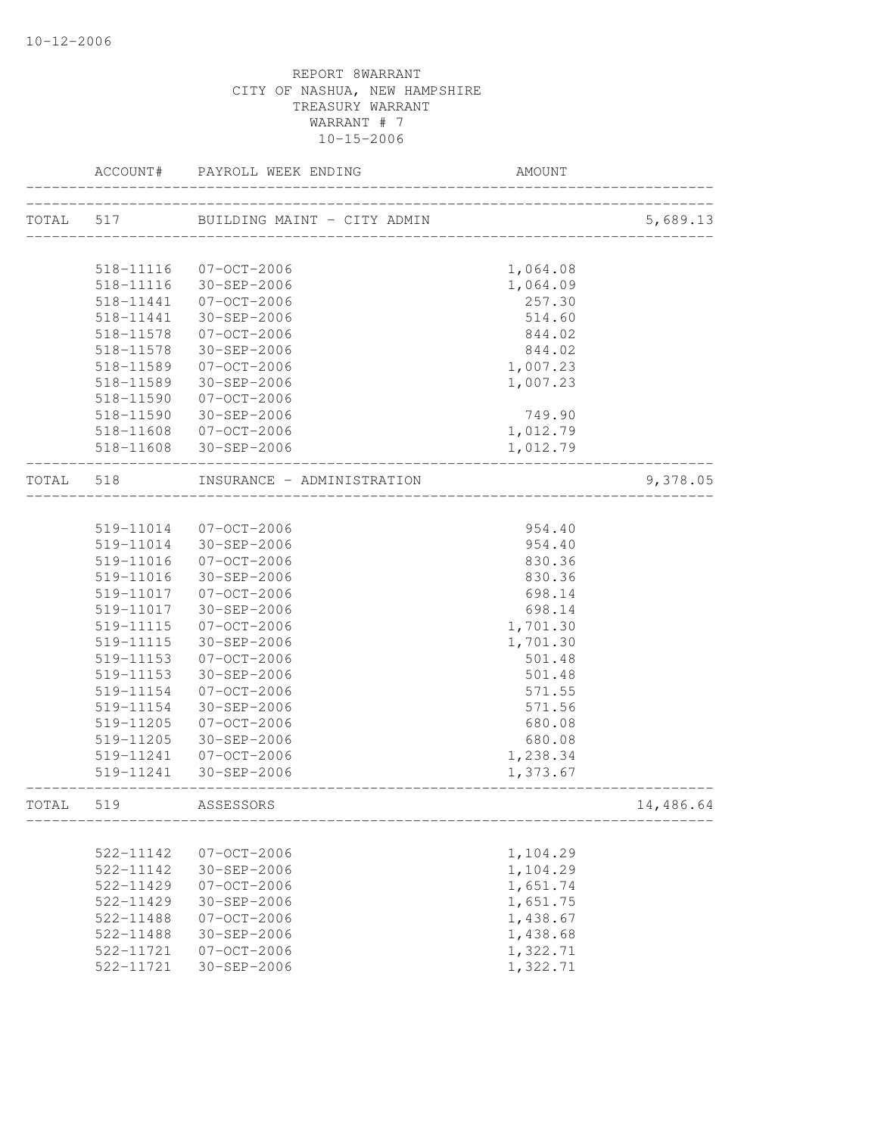|           | ACCOUNT#  | PAYROLL WEEK ENDING                                            | <b>AMOUNT</b>               |           |
|-----------|-----------|----------------------------------------------------------------|-----------------------------|-----------|
|           |           | ---------------------<br>TOTAL 517 BUILDING MAINT - CITY ADMIN |                             | 5,689.13  |
|           |           |                                                                | ___________________________ |           |
|           | 518-11116 | 07-OCT-2006                                                    | 1,064.08                    |           |
|           | 518-11116 | 30-SEP-2006                                                    | 1,064.09                    |           |
|           | 518-11441 | 07-OCT-2006                                                    | 257.30                      |           |
|           | 518-11441 | 30-SEP-2006                                                    | 514.60                      |           |
|           | 518-11578 | 07-OCT-2006                                                    | 844.02                      |           |
|           | 518-11578 | 30-SEP-2006                                                    | 844.02                      |           |
|           | 518-11589 | 07-OCT-2006                                                    | 1,007.23                    |           |
|           | 518-11589 | 30-SEP-2006                                                    | 1,007.23                    |           |
|           | 518-11590 | 07-OCT-2006                                                    |                             |           |
|           | 518-11590 | 30-SEP-2006                                                    | 749.90                      |           |
|           | 518-11608 | 07-OCT-2006                                                    | 1,012.79                    |           |
|           |           | 518-11608 30-SEP-2006                                          | 1,012.79                    |           |
|           |           |                                                                |                             |           |
| TOTAL 518 |           | INSURANCE - ADMINISTRATION                                     |                             | 9,378.05  |
|           |           |                                                                |                             |           |
|           |           | 519-11014 07-OCT-2006                                          | 954.40                      |           |
|           |           | 519-11014 30-SEP-2006                                          | 954.40                      |           |
|           | 519-11016 | 07-OCT-2006                                                    | 830.36                      |           |
|           | 519-11016 | 30-SEP-2006                                                    | 830.36                      |           |
|           | 519-11017 | 07-OCT-2006                                                    | 698.14                      |           |
|           | 519-11017 | 30-SEP-2006                                                    | 698.14                      |           |
|           | 519-11115 | 07-OCT-2006                                                    | 1,701.30                    |           |
|           | 519-11115 | 30-SEP-2006                                                    | 1,701.30                    |           |
|           | 519-11153 | 07-OCT-2006                                                    | 501.48                      |           |
|           | 519-11153 | 30-SEP-2006                                                    | 501.48                      |           |
|           | 519-11154 | 07-OCT-2006                                                    | 571.55                      |           |
|           | 519-11154 | 30-SEP-2006                                                    | 571.56                      |           |
|           | 519-11205 | 07-OCT-2006                                                    | 680.08                      |           |
|           | 519-11205 | 30-SEP-2006                                                    | 680.08                      |           |
|           | 519-11241 | 07-OCT-2006                                                    | 1,238.34                    |           |
|           |           | 519-11241 30-SEP-2006                                          | 1,373.67                    |           |
| TOTAL 519 |           | ASSESSORS                                                      |                             | 14,486.64 |
|           |           |                                                                |                             |           |
|           | 522-11142 | $07 - OCT - 2006$                                              | 1,104.29                    |           |
|           | 522-11142 | 30-SEP-2006                                                    | 1,104.29                    |           |
|           | 522-11429 | $07 - OCT - 2006$                                              | 1,651.74                    |           |
|           | 522-11429 | $30 - SEP - 2006$                                              | 1,651.75                    |           |
|           | 522-11488 | $07 - OCT - 2006$                                              | 1,438.67                    |           |
|           | 522-11488 | 30-SEP-2006                                                    | 1,438.68                    |           |
|           | 522-11721 | $07 - OCT - 2006$                                              | 1,322.71                    |           |
|           | 522-11721 | $30 - SEP - 2006$                                              | 1,322.71                    |           |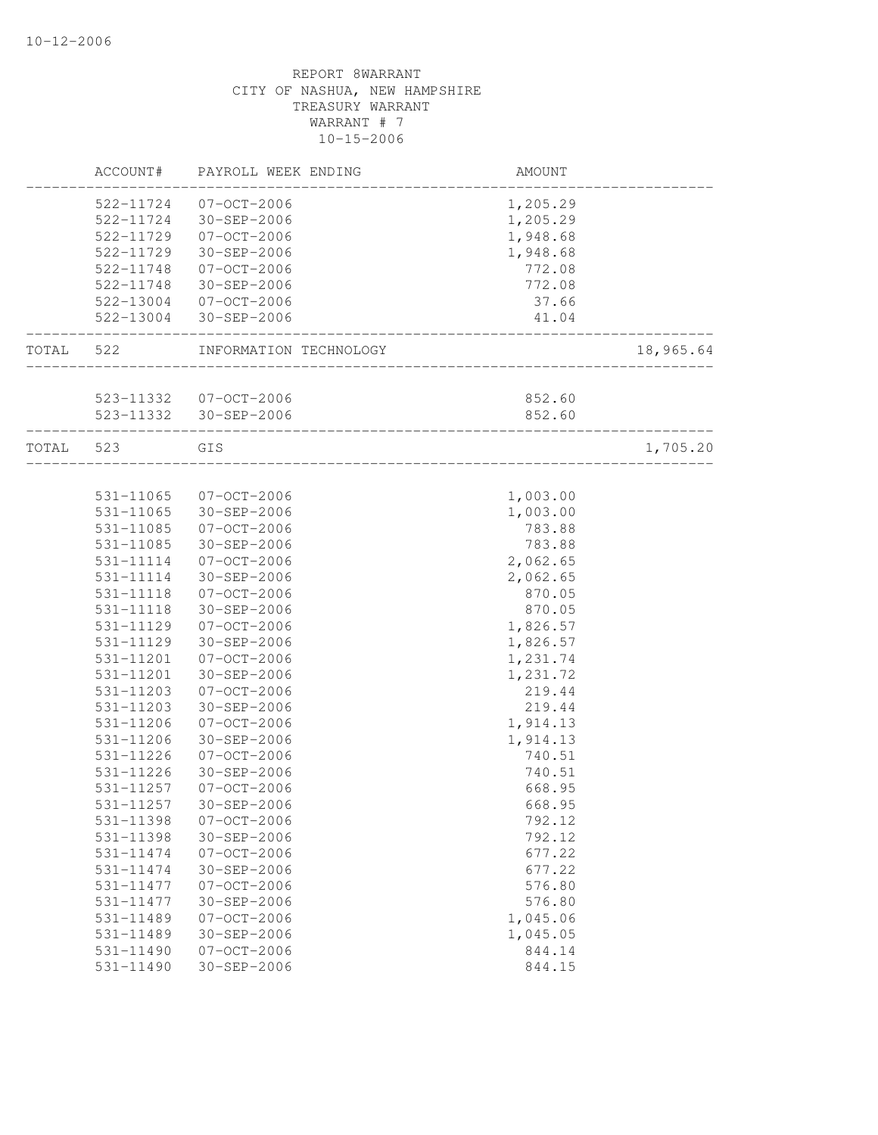|           |               | ACCOUNT# PAYROLL WEEK ENDING                                 | AMOUNT                          |           |
|-----------|---------------|--------------------------------------------------------------|---------------------------------|-----------|
|           |               | 522-11724 07-OCT-2006                                        | 1,205.29                        |           |
|           |               | 522-11724 30-SEP-2006                                        | 1,205.29                        |           |
|           |               | 522-11729 07-OCT-2006                                        | 1,948.68                        |           |
|           | 522-11729     | 30-SEP-2006                                                  | 1,948.68                        |           |
|           |               | 522-11748 07-OCT-2006                                        | 772.08                          |           |
|           |               | 522-11748 30-SEP-2006                                        | 772.08                          |           |
|           |               | 522-13004 07-OCT-2006                                        | 37.66                           |           |
|           |               | 522-13004 30-SEP-2006                                        | 41.04<br>______________________ |           |
| TOTAL 522 |               | INFORMATION TECHNOLOGY<br>__________________________________ |                                 | 18,965.64 |
|           |               |                                                              |                                 |           |
|           |               | 523-11332 07-OCT-2006                                        | 852.60                          |           |
|           |               | 523-11332 30-SEP-2006<br>_____________________________       | 852.60                          |           |
|           | TOTAL 523     | GIS<br>___________________________________                   |                                 | 1,705.20  |
|           |               |                                                              |                                 |           |
|           |               | 531-11065 07-OCT-2006                                        | 1,003.00                        |           |
|           |               | 531-11065 30-SEP-2006                                        | 1,003.00                        |           |
|           |               | 531-11085 07-OCT-2006                                        | 783.88                          |           |
|           | 531-11085     | 30-SEP-2006                                                  | 783.88                          |           |
|           | 531-11114     | 07-OCT-2006                                                  | 2,062.65                        |           |
|           | 531-11114     | 30-SEP-2006                                                  | 2,062.65                        |           |
|           | 531-11118     | 07-OCT-2006                                                  | 870.05                          |           |
|           | 531-11118     | 30-SEP-2006                                                  | 870.05                          |           |
|           | 531-11129     | 07-OCT-2006                                                  | 1,826.57                        |           |
|           | 531-11129     | 30-SEP-2006                                                  | 1,826.57                        |           |
|           | 531-11201     | 07-OCT-2006                                                  | 1,231.74                        |           |
|           | 531-11201     | 30-SEP-2006                                                  | 1,231.72                        |           |
|           | 531-11203     | $07 - OCT - 2006$                                            | 219.44                          |           |
|           | 531-11203     | 30-SEP-2006                                                  | 219.44                          |           |
|           | 531-11206     | 07-OCT-2006                                                  | 1,914.13                        |           |
|           | 531-11206     | 30-SEP-2006                                                  | 1,914.13                        |           |
|           | 531-11226     | 07-OCT-2006                                                  | 740.51                          |           |
|           | 531-11226     | 30-SEP-2006                                                  | 740.51                          |           |
|           | 531-11257     | 07-OCT-2006                                                  | 668.95                          |           |
|           | 531-11257     | 30-SEP-2006                                                  | 668.95                          |           |
|           | 531-11398     | $07 - OCT - 2006$                                            | 792.12                          |           |
|           | 531-11398     | 30-SEP-2006                                                  | 792.12                          |           |
|           | 531-11474     | $07 - 0CT - 2006$                                            | 677.22                          |           |
|           | 531-11474     | $30 - SEP - 2006$                                            | 677.22                          |           |
|           | 531-11477     | $07 - OCT - 2006$                                            | 576.80                          |           |
|           | 531-11477     | $30 - SEP - 2006$                                            | 576.80                          |           |
|           | 531-11489     | $07 - 0CT - 2006$                                            | 1,045.06                        |           |
|           | 531-11489     | $30 - SEP - 2006$                                            | 1,045.05                        |           |
|           | 531-11490     | $07 - OCT - 2006$                                            | 844.14                          |           |
|           | $531 - 11490$ | $30 - SEP - 2006$                                            | 844.15                          |           |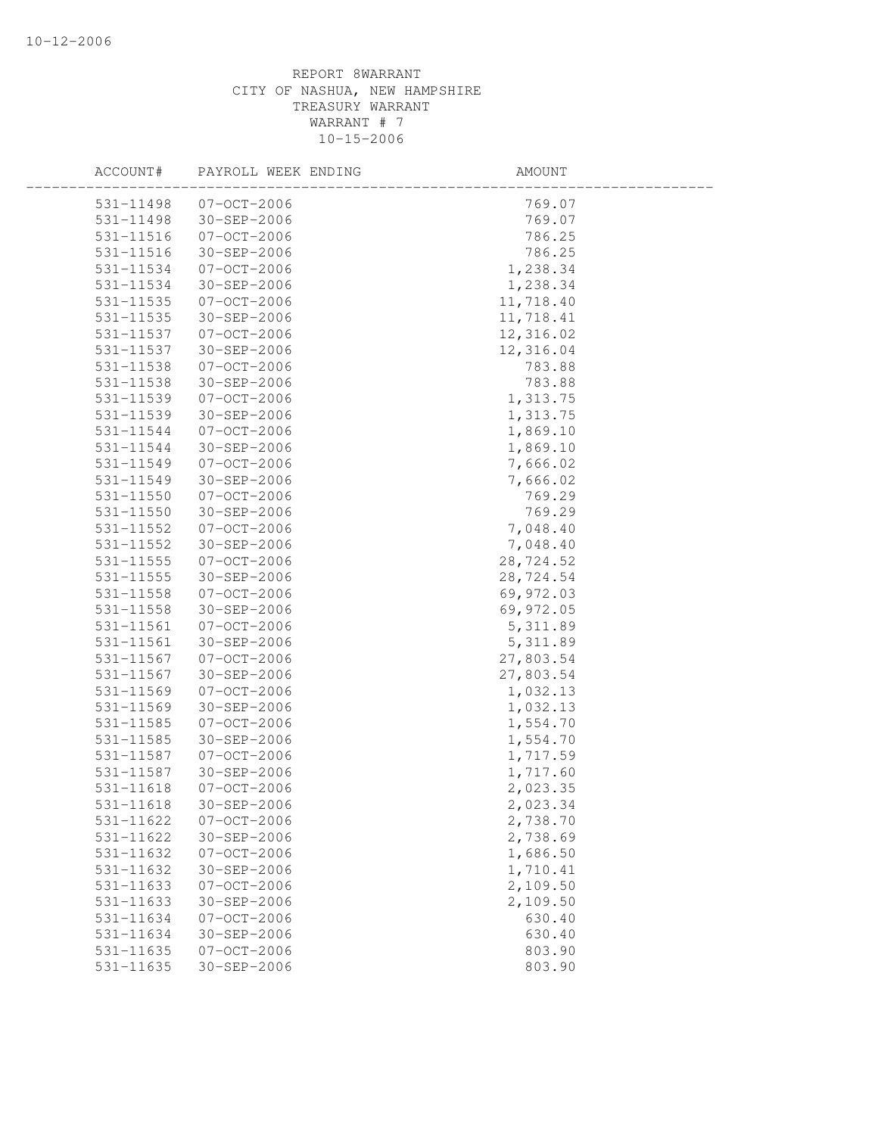| ACCOUNT#      | PAYROLL WEEK ENDING | AMOUNT    |  |
|---------------|---------------------|-----------|--|
| 531-11498     | $07 - 0CT - 2006$   | 769.07    |  |
| 531-11498     | 30-SEP-2006         | 769.07    |  |
| $531 - 11516$ | $07 - OCT - 2006$   | 786.25    |  |
| $531 - 11516$ | 30-SEP-2006         | 786.25    |  |
| 531-11534     | $07 - OCT - 2006$   | 1,238.34  |  |
| 531-11534     | 30-SEP-2006         | 1,238.34  |  |
| 531-11535     | $07 - OCT - 2006$   | 11,718.40 |  |
| 531-11535     | 30-SEP-2006         | 11,718.41 |  |
| 531-11537     | 07-OCT-2006         | 12,316.02 |  |
| 531-11537     | $30 - SEP - 2006$   | 12,316.04 |  |
| 531-11538     | $07-0CT-2006$       | 783.88    |  |
| 531-11538     | 30-SEP-2006         | 783.88    |  |
| 531-11539     | $07 - OCT - 2006$   | 1,313.75  |  |
| 531-11539     | 30-SEP-2006         | 1,313.75  |  |
| 531-11544     | $07 - OCT - 2006$   | 1,869.10  |  |
| 531-11544     | 30-SEP-2006         | 1,869.10  |  |
| 531-11549     | $07 - OCT - 2006$   | 7,666.02  |  |
| 531-11549     | $30 - SEP - 2006$   | 7,666.02  |  |
| 531-11550     | $07 - OCT - 2006$   | 769.29    |  |
| 531-11550     | 30-SEP-2006         | 769.29    |  |
| 531-11552     | $07 - OCT - 2006$   | 7,048.40  |  |
| 531-11552     | 30-SEP-2006         | 7,048.40  |  |
| $531 - 11555$ | $07 - OCT - 2006$   | 28,724.52 |  |
| $531 - 11555$ | 30-SEP-2006         | 28,724.54 |  |
| 531-11558     | $07 - OCT - 2006$   | 69,972.03 |  |
| 531-11558     | 30-SEP-2006         | 69,972.05 |  |
| 531-11561     | 07-OCT-2006         | 5, 311.89 |  |
| 531-11561     | 30-SEP-2006         | 5, 311.89 |  |
| 531-11567     | $07-0CT-2006$       | 27,803.54 |  |
| 531-11567     | 30-SEP-2006         | 27,803.54 |  |
| 531-11569     | $07 - OCT - 2006$   | 1,032.13  |  |
| 531-11569     | 30-SEP-2006         | 1,032.13  |  |
| 531-11585     | $07 - OCT - 2006$   | 1,554.70  |  |
| 531-11585     | 30-SEP-2006         | 1,554.70  |  |
| 531-11587     | $07 - OCT - 2006$   | 1,717.59  |  |
| 531-11587     | 30-SEP-2006         | 1,717.60  |  |
| 531-11618     | $07 - OCT - 2006$   | 2,023.35  |  |
| 531-11618     | $30 - SEP - 2006$   | 2,023.34  |  |
| 531-11622     | $07 - OCT - 2006$   | 2,738.70  |  |
| 531-11622     | 30-SEP-2006         | 2,738.69  |  |
| 531-11632     | $07 - OCT - 2006$   | 1,686.50  |  |
| 531-11632     | 30-SEP-2006         | 1,710.41  |  |
| 531-11633     | $07 - OCT - 2006$   | 2,109.50  |  |
| $531 - 11633$ | 30-SEP-2006         | 2,109.50  |  |
| 531-11634     | $07 - OCT - 2006$   | 630.40    |  |
| 531-11634     | $30 - SEP - 2006$   | 630.40    |  |
| 531-11635     | $07 - OCT - 2006$   | 803.90    |  |
| 531-11635     | 30-SEP-2006         | 803.90    |  |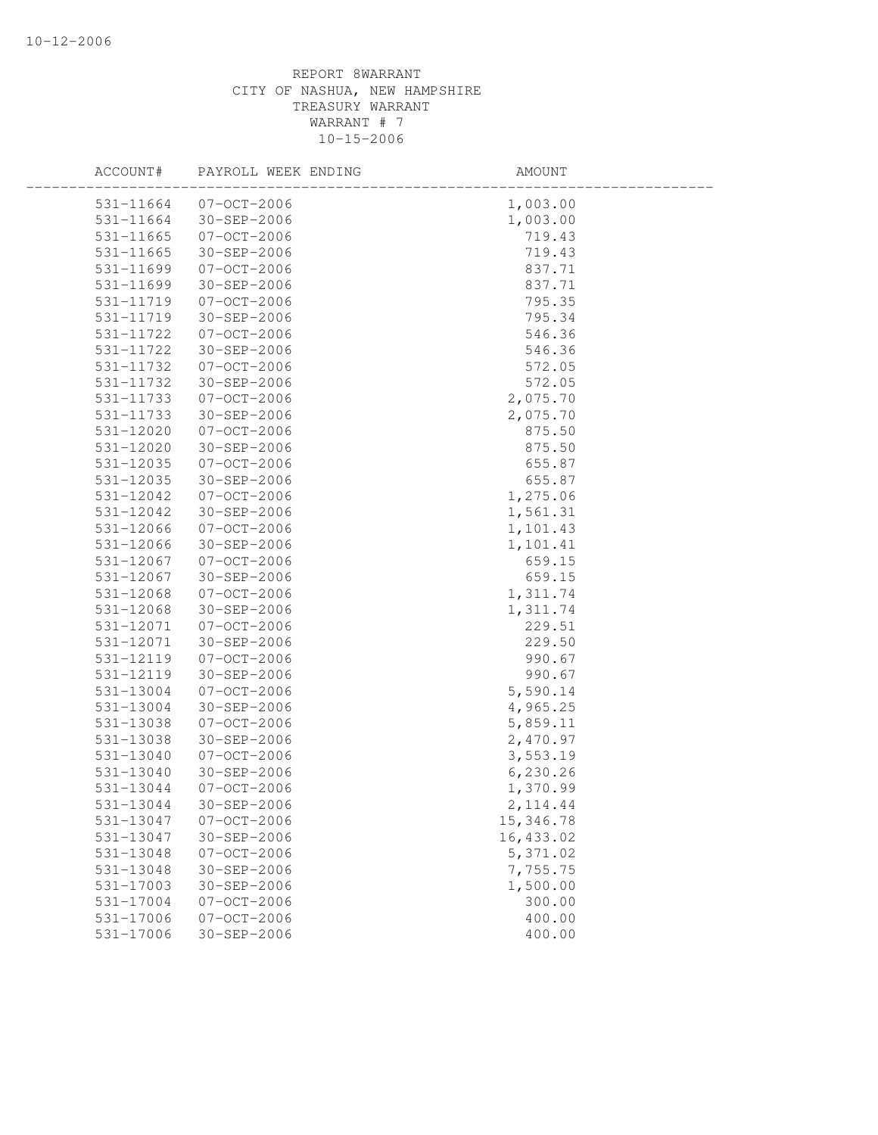| ACCOUNT#      | PAYROLL WEEK ENDING | AMOUNT     |
|---------------|---------------------|------------|
| 531-11664     | $07 - 0C$ T $-2006$ | 1,003.00   |
| 531-11664     | 30-SEP-2006         | 1,003.00   |
| 531-11665     | $07 - OCT - 2006$   | 719.43     |
| $531 - 11665$ | 30-SEP-2006         | 719.43     |
| 531-11699     | $07 - OCT - 2006$   | 837.71     |
| 531-11699     | 30-SEP-2006         | 837.71     |
| 531-11719     | $07 - OCT - 2006$   | 795.35     |
| 531-11719     | 30-SEP-2006         | 795.34     |
| 531-11722     | 07-OCT-2006         | 546.36     |
| 531-11722     | $30 - SEP - 2006$   | 546.36     |
| 531-11732     | $07 - OCT - 2006$   | 572.05     |
| 531-11732     | 30-SEP-2006         | 572.05     |
| 531-11733     | $07 - OCT - 2006$   | 2,075.70   |
| 531-11733     | 30-SEP-2006         | 2,075.70   |
| 531-12020     | $07 - OCT - 2006$   | 875.50     |
| 531-12020     | 30-SEP-2006         | 875.50     |
| 531-12035     | $07 - OCT - 2006$   | 655.87     |
| 531-12035     | $30 - SEP - 2006$   | 655.87     |
| 531-12042     | $07-0CT-2006$       | 1,275.06   |
| 531-12042     | 30-SEP-2006         | 1,561.31   |
| 531-12066     | $07-0CT-2006$       | 1,101.43   |
| 531-12066     | 30-SEP-2006         | 1,101.41   |
| 531-12067     | $07 - OCT - 2006$   | 659.15     |
| 531-12067     | 30-SEP-2006         | 659.15     |
| 531-12068     | $07 - OCT - 2006$   | 1,311.74   |
| 531-12068     | 30-SEP-2006         | 1,311.74   |
| 531-12071     | 07-OCT-2006         | 229.51     |
| 531-12071     | $30 - SEP - 2006$   | 229.50     |
| 531-12119     | $07 - OCT - 2006$   | 990.67     |
| 531-12119     | 30-SEP-2006         | 990.67     |
| 531-13004     | $07 - OCT - 2006$   | 5,590.14   |
| 531-13004     | 30-SEP-2006         | 4,965.25   |
| 531-13038     | $07 - OCT - 2006$   | 5,859.11   |
| 531-13038     | 30-SEP-2006         | 2,470.97   |
| 531-13040     | $07 - OCT - 2006$   | 3,553.19   |
| 531-13040     | 30-SEP-2006         | 6,230.26   |
| 531-13044     | $07 - OCT - 2006$   | 1,370.99   |
| 531-13044     | $30 - SEP - 2006$   | 2, 114.44  |
| 531-13047     | $07 - OCT - 2006$   | 15, 346.78 |
| 531-13047     | 30-SEP-2006         | 16,433.02  |
| 531-13048     | $07 - OCT - 2006$   | 5,371.02   |
| 531-13048     | 30-SEP-2006         | 7,755.75   |
| 531-17003     | 30-SEP-2006         | 1,500.00   |
| 531-17004     | $07 - OCT - 2006$   | 300.00     |
| 531-17006     | $07 - OCT - 2006$   | 400.00     |
| 531-17006     | 30-SEP-2006         | 400.00     |
|               |                     |            |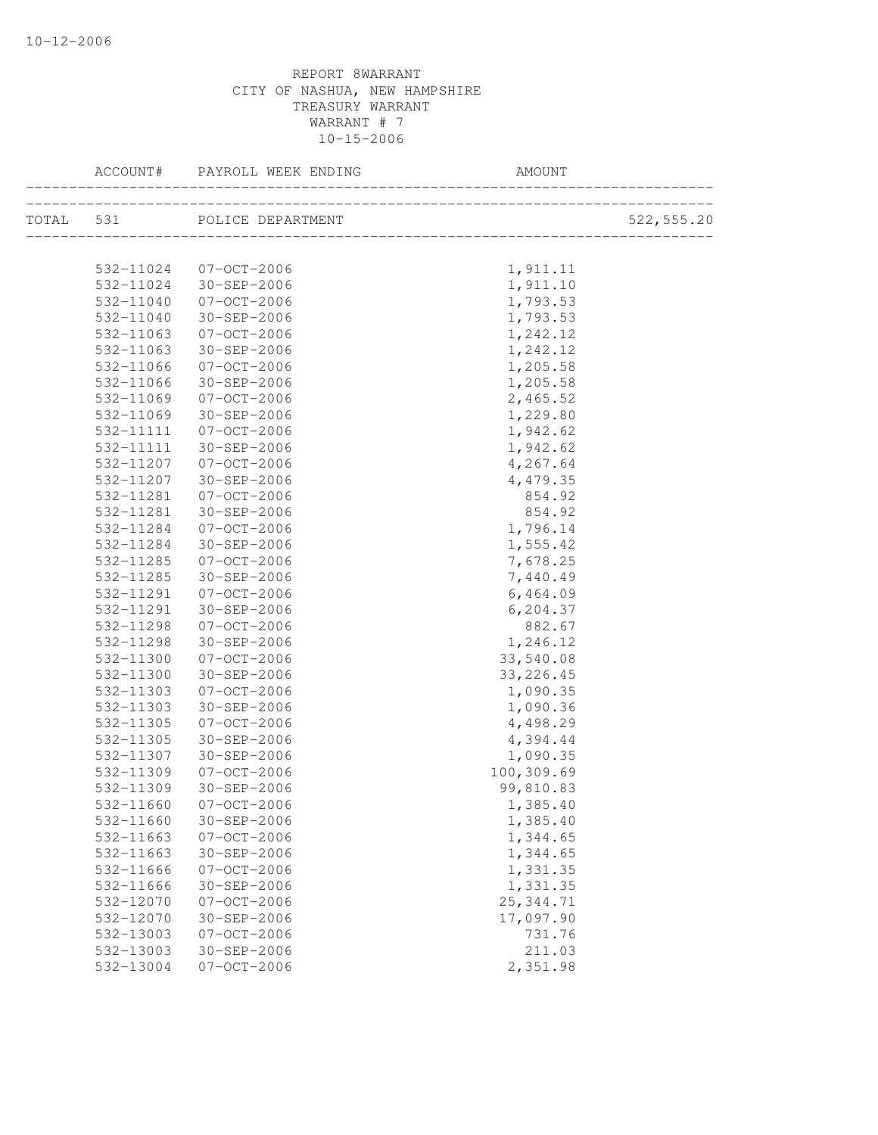| ACCOUNT#  | PAYROLL WEEK ENDING         | AMOUNT     |             |
|-----------|-----------------------------|------------|-------------|
|           | TOTAL 531 POLICE DEPARTMENT |            | 522, 555.20 |
|           |                             |            |             |
|           | 532-11024 07-OCT-2006       | 1,911.11   |             |
|           | 532-11024 30-SEP-2006       | 1,911.10   |             |
| 532-11040 | $07 - OCT - 2006$           | 1,793.53   |             |
| 532-11040 | 30-SEP-2006                 | 1,793.53   |             |
| 532-11063 | $07 - 00T - 2006$           | 1,242.12   |             |
| 532-11063 | 30-SEP-2006                 | 1,242.12   |             |
| 532-11066 | 07-OCT-2006                 | 1,205.58   |             |
| 532-11066 | 30-SEP-2006                 | 1,205.58   |             |
| 532-11069 | 07-OCT-2006                 | 2,465.52   |             |
| 532-11069 | 30-SEP-2006                 | 1,229.80   |             |
| 532-11111 | 07-OCT-2006                 | 1,942.62   |             |
| 532-11111 | 30-SEP-2006                 | 1,942.62   |             |
| 532-11207 | 07-OCT-2006                 | 4,267.64   |             |
| 532-11207 | 30-SEP-2006                 | 4,479.35   |             |
| 532-11281 | 07-OCT-2006                 | 854.92     |             |
| 532-11281 | 30-SEP-2006                 | 854.92     |             |
| 532-11284 | 07-OCT-2006                 | 1,796.14   |             |
| 532-11284 | 30-SEP-2006                 | 1,555.42   |             |
| 532-11285 | 07-OCT-2006                 | 7,678.25   |             |
| 532-11285 | 30-SEP-2006                 | 7,440.49   |             |
| 532-11291 | 07-OCT-2006                 | 6,464.09   |             |
| 532-11291 | $30 - SEP - 2006$           | 6,204.37   |             |
| 532-11298 | 07-OCT-2006                 | 882.67     |             |
| 532-11298 | $30 - SEP - 2006$           | 1,246.12   |             |
| 532-11300 | 07-OCT-2006                 | 33,540.08  |             |
| 532-11300 | 30-SEP-2006                 | 33, 226.45 |             |
| 532-11303 | $07 - OCT - 2006$           | 1,090.35   |             |
| 532-11303 | 30-SEP-2006                 | 1,090.36   |             |
| 532-11305 | $07 - OCT - 2006$           | 4,498.29   |             |
| 532-11305 | 30-SEP-2006                 | 4,394.44   |             |
| 532-11307 | 30-SEP-2006                 | 1,090.35   |             |
| 532-11309 | $07 - 00T - 2006$           | 100,309.69 |             |
| 532-11309 | 30-SEP-2006                 | 99,810.83  |             |
| 532-11660 | $07 - OCT - 2006$           | 1,385.40   |             |
| 532-11660 | 30-SEP-2006                 | 1,385.40   |             |
| 532-11663 | $07 - OCT - 2006$           | 1,344.65   |             |
| 532-11663 | 30-SEP-2006                 | 1,344.65   |             |
| 532-11666 | $07 - OCT - 2006$           | 1,331.35   |             |
| 532-11666 | 30-SEP-2006                 | 1,331.35   |             |
| 532-12070 | $07 - OCT - 2006$           | 25, 344.71 |             |
| 532-12070 | $30 - SEP - 2006$           | 17,097.90  |             |
| 532-13003 | $07 - OCT - 2006$           | 731.76     |             |
| 532-13003 | $30 - SEP - 2006$           | 211.03     |             |
| 532-13004 | $07 - OCT - 2006$           | 2,351.98   |             |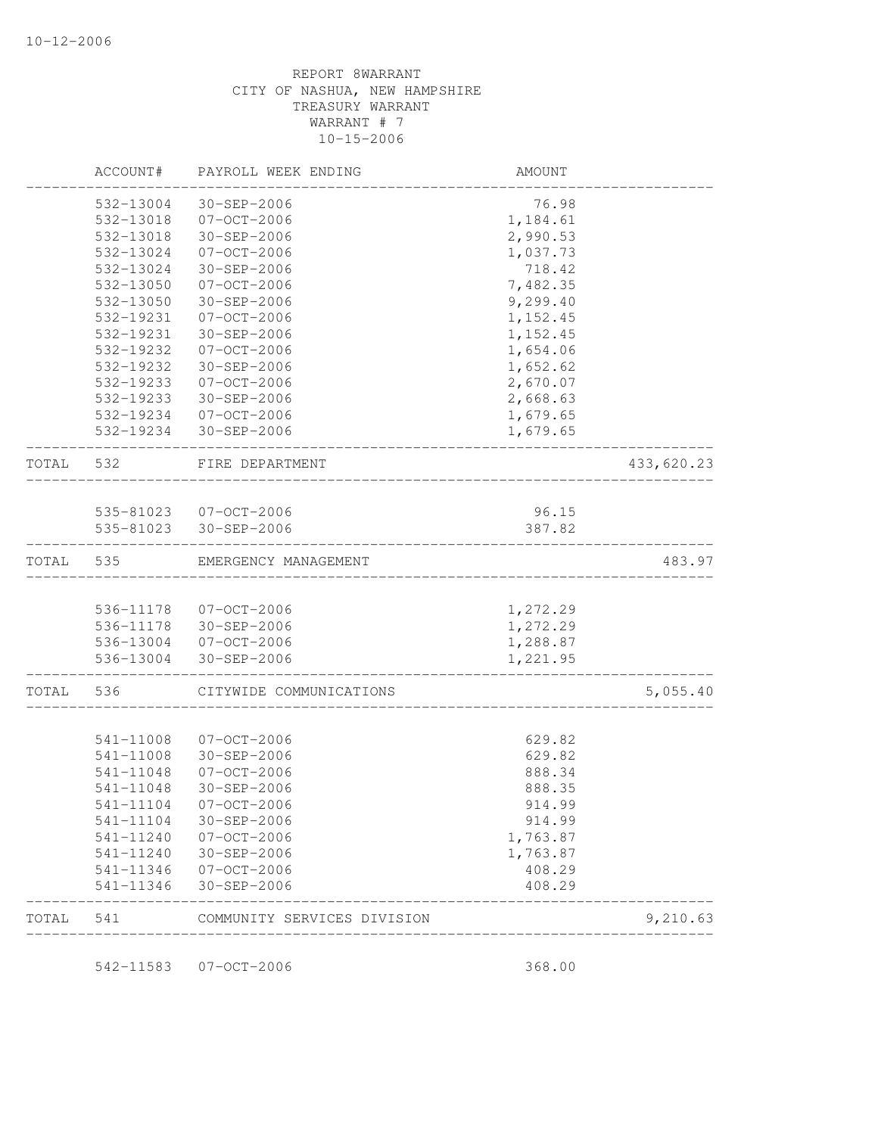|           | ACCOUNT#  | PAYROLL WEEK ENDING              | AMOUNT    |            |
|-----------|-----------|----------------------------------|-----------|------------|
|           | 532-13004 | 30-SEP-2006                      | 76.98     |            |
|           | 532-13018 | $07 - OCT - 2006$                | 1,184.61  |            |
|           | 532-13018 | 30-SEP-2006                      | 2,990.53  |            |
|           | 532-13024 | $07 - 0CT - 2006$                | 1,037.73  |            |
|           | 532-13024 | 30-SEP-2006                      | 718.42    |            |
|           | 532-13050 | $07 - OCT - 2006$                | 7,482.35  |            |
|           | 532-13050 | 30-SEP-2006                      | 9,299.40  |            |
|           | 532-19231 | $07 - OCT - 2006$                | 1, 152.45 |            |
|           | 532-19231 | 30-SEP-2006                      | 1,152.45  |            |
|           | 532-19232 | $07 - OCT - 2006$                | 1,654.06  |            |
|           | 532-19232 | 30-SEP-2006                      | 1,652.62  |            |
|           | 532-19233 | $07 - OCT - 2006$                | 2,670.07  |            |
|           | 532-19233 | 30-SEP-2006                      | 2,668.63  |            |
|           | 532-19234 | 07-OCT-2006                      | 1,679.65  |            |
|           | 532-19234 | 30-SEP-2006                      | 1,679.65  |            |
| TOTAL 532 |           | FIRE DEPARTMENT                  |           | 433,620.23 |
|           |           |                                  |           |            |
|           |           | 535-81023 07-OCT-2006            | 96.15     |            |
|           |           | 535-81023 30-SEP-2006            | 387.82    |            |
| TOTAL     | 535       | EMERGENCY MANAGEMENT             |           | 483.97     |
|           |           |                                  |           |            |
|           |           | 536-11178 07-OCT-2006            | 1,272.29  |            |
|           |           | 536-11178 30-SEP-2006            | 1,272.29  |            |
|           |           | 536-13004 07-OCT-2006            | 1,288.87  |            |
|           |           | 536-13004 30-SEP-2006            | 1,221.95  |            |
| TOTAL     | 536       | CITYWIDE COMMUNICATIONS          |           | 5,055.40   |
|           |           |                                  |           |            |
|           | 541-11008 | $07 - OCT - 2006$                | 629.82    |            |
|           | 541-11008 | 30-SEP-2006<br>$07 - OCT - 2006$ | 629.82    |            |
|           | 541-11048 |                                  | 888.34    |            |
|           | 541-11048 | 30-SEP-2006                      | 888.35    |            |
|           | 541-11104 | $07 - OCT - 2006$                | 914.99    |            |
|           | 541-11104 | 30-SEP-2006                      | 914.99    |            |
|           | 541-11240 | 07-OCT-2006                      | 1,763.87  |            |
|           | 541-11240 | 30-SEP-2006                      | 1,763.87  |            |
|           | 541-11346 | 07-OCT-2006                      | 408.29    |            |
|           | 541-11346 | 30-SEP-2006                      | 408.29    |            |
| TOTAL     | 541       | COMMUNITY SERVICES DIVISION      |           | 9,210.63   |

542-11583 07-OCT-2006 368.00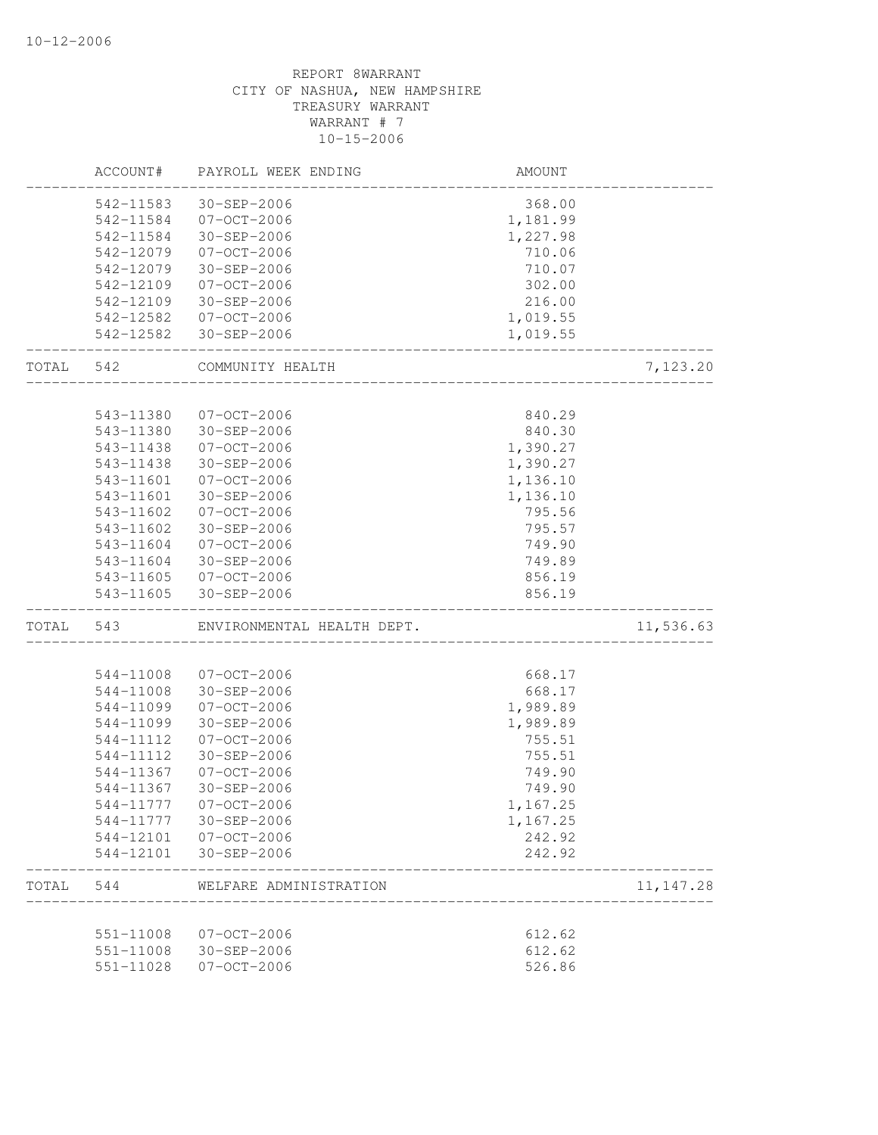|       | ACCOUNT#  | PAYROLL WEEK ENDING        | AMOUNT   |            |
|-------|-----------|----------------------------|----------|------------|
|       | 542-11583 | 30-SEP-2006                | 368.00   |            |
|       |           | 542-11584 07-OCT-2006      | 1,181.99 |            |
|       | 542-11584 | 30-SEP-2006                | 1,227.98 |            |
|       | 542-12079 | $07 - OCT - 2006$          | 710.06   |            |
|       | 542-12079 | 30-SEP-2006                | 710.07   |            |
|       | 542-12109 | $07 - OCT - 2006$          | 302.00   |            |
|       | 542-12109 | 30-SEP-2006                | 216.00   |            |
|       | 542-12582 | 07-OCT-2006                | 1,019.55 |            |
|       |           | 542-12582 30-SEP-2006      | 1,019.55 |            |
| TOTAL | 542       | COMMUNITY HEALTH           |          | 7,123.20   |
|       |           |                            |          |            |
|       | 543-11380 | $07 - OCT - 2006$          | 840.29   |            |
|       | 543-11380 | 30-SEP-2006                | 840.30   |            |
|       | 543-11438 | $07 - OCT - 2006$          | 1,390.27 |            |
|       | 543-11438 | 30-SEP-2006                | 1,390.27 |            |
|       | 543-11601 | $07 - OCT - 2006$          | 1,136.10 |            |
|       | 543-11601 | 30-SEP-2006                | 1,136.10 |            |
|       | 543-11602 | $07 - OCT - 2006$          | 795.56   |            |
|       | 543-11602 | 30-SEP-2006                | 795.57   |            |
|       | 543-11604 | 07-OCT-2006                | 749.90   |            |
|       | 543-11604 | 30-SEP-2006                | 749.89   |            |
|       |           | 543-11605 07-OCT-2006      | 856.19   |            |
|       | 543-11605 | $30 - SEP - 2006$          | 856.19   |            |
| TOTAL | 543       | ENVIRONMENTAL HEALTH DEPT. |          | 11,536.63  |
|       |           |                            |          |            |
|       | 544-11008 | $07 - OCT - 2006$          | 668.17   |            |
|       | 544-11008 | 30-SEP-2006                | 668.17   |            |
|       | 544-11099 | $07 - OCT - 2006$          | 1,989.89 |            |
|       | 544-11099 | 30-SEP-2006                | 1,989.89 |            |
|       | 544-11112 | $07 - OCT - 2006$          | 755.51   |            |
|       | 544-11112 | 30-SEP-2006                | 755.51   |            |
|       | 544-11367 | $07 - OCT - 2006$          | 749.90   |            |
|       | 544-11367 | $30 - SEP - 2006$          | 749.90   |            |
|       | 544-11777 | $07 - OCT - 2006$          | 1,167.25 |            |
|       |           | 544-11777 30-SEP-2006      | 1,167.25 |            |
|       |           | 544-12101 07-OCT-2006      | 242.92   |            |
|       |           | 544-12101 30-SEP-2006      | 242.92   |            |
| TOTAL | 544       | WELFARE ADMINISTRATION     |          | 11, 147.28 |
|       | 551-11008 | $07 - OCT - 2006$          | 612.62   |            |
|       | 551-11008 | 30-SEP-2006                | 612.62   |            |
|       |           |                            |          |            |
|       | 551-11028 | $07 - OCT - 2006$          | 526.86   |            |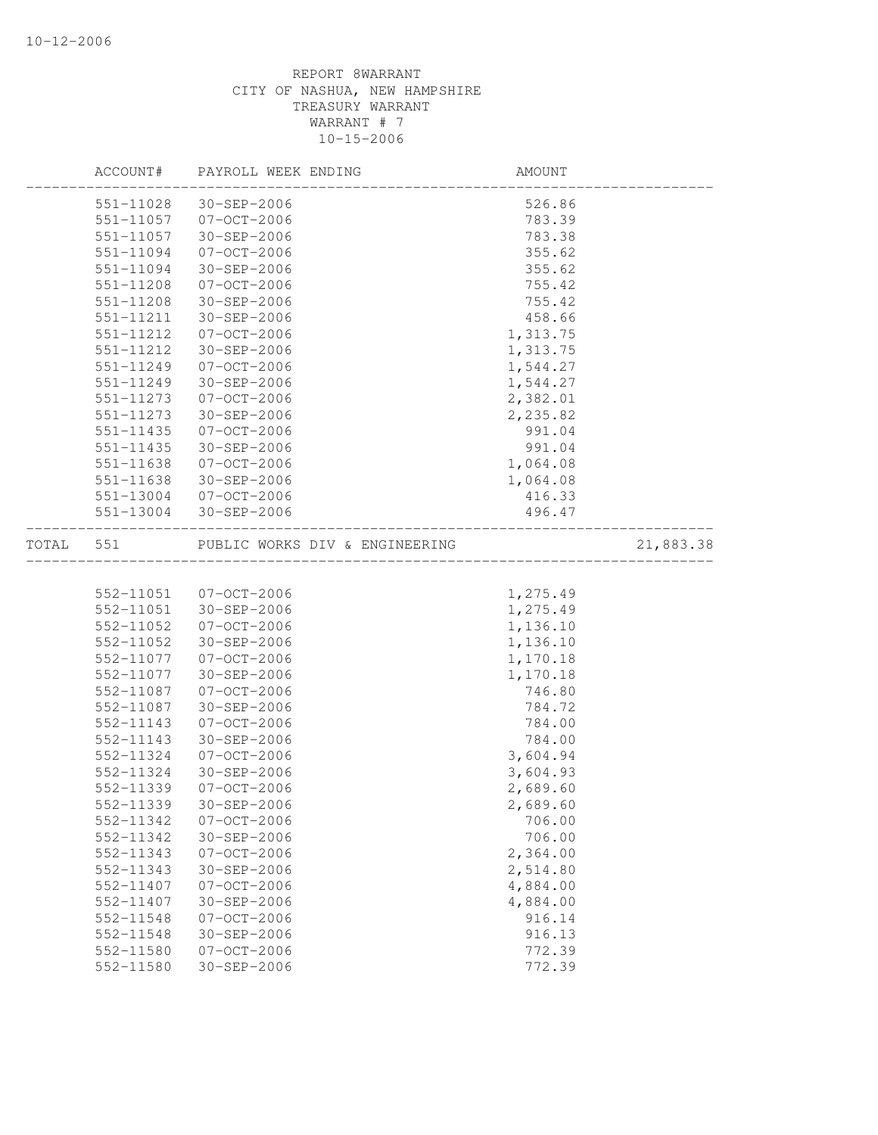|       | ACCOUNT#      | PAYROLL WEEK ENDING              | AMOUNT   |           |
|-------|---------------|----------------------------------|----------|-----------|
|       | 551-11028     | 30-SEP-2006                      | 526.86   |           |
|       | 551-11057     | 07-OCT-2006                      | 783.39   |           |
|       | 551-11057     | $30 - SEP - 2006$                | 783.38   |           |
|       | 551-11094     | $07 - OCT - 2006$                | 355.62   |           |
|       | 551-11094     | 30-SEP-2006                      | 355.62   |           |
|       | 551-11208     | $07 - OCT - 2006$                | 755.42   |           |
|       | 551-11208     | 30-SEP-2006                      | 755.42   |           |
|       | 551-11211     | 30-SEP-2006                      | 458.66   |           |
|       | 551-11212     | $07 - OCT - 2006$                | 1,313.75 |           |
|       | 551-11212     | 30-SEP-2006                      | 1,313.75 |           |
|       | 551-11249     | $07 - OCT - 2006$                | 1,544.27 |           |
|       | 551-11249     | 30-SEP-2006                      | 1,544.27 |           |
|       | 551-11273     | $07 - OCT - 2006$                | 2,382.01 |           |
|       | 551-11273     | 30-SEP-2006                      | 2,235.82 |           |
|       | 551-11435     | $07 - OCT - 2006$                | 991.04   |           |
|       | $551 - 11435$ | $30 - SEP - 2006$                | 991.04   |           |
|       | 551-11638     | $07 - OCT - 2006$                | 1,064.08 |           |
|       | 551-11638     | 30-SEP-2006                      | 1,064.08 |           |
|       | 551-13004     | $07 - 0CT - 2006$                | 416.33   |           |
|       | 551-13004     | 30-SEP-2006                      | 496.47   |           |
| TOTAL | 551           | PUBLIC WORKS DIV & ENGINEERING   |          | 21,883.38 |
|       |               |                                  |          |           |
|       | 552-11051     | 07-OCT-2006                      | 1,275.49 |           |
|       | 552-11051     | 30-SEP-2006                      | 1,275.49 |           |
|       | 552-11052     | $07 - OCT - 2006$                | 1,136.10 |           |
|       | 552-11052     | $30 - SEP - 2006$                | 1,136.10 |           |
|       | 552-11077     | $07 - OCT - 2006$                | 1,170.18 |           |
|       | 552-11077     | 30-SEP-2006                      | 1,170.18 |           |
|       | 552-11087     | $07 - OCT - 2006$                | 746.80   |           |
|       | 552-11087     | 30-SEP-2006                      | 784.72   |           |
|       | 552-11143     | $07 - OCT - 2006$                | 784.00   |           |
|       | 552-11143     | 30-SEP-2006                      | 784.00   |           |
|       | 552-11324     | $07 - OCT - 2006$                | 3,604.94 |           |
|       | 552-11324     | 30-SEP-2006                      | 3,604.93 |           |
|       | 552-11339     | $07 - OCT - 2006$                | 2,689.60 |           |
|       | 552-11339     | $30 - SEP - 2006$                | 2,689.60 |           |
|       | 552-11342     | $07 - OCT - 2006$                | 706.00   |           |
|       | 552-11342     | 30-SEP-2006                      | 706.00   |           |
|       | 552-11343     | $07 - OCT - 2006$                | 2,364.00 |           |
|       | 552-11343     | 30-SEP-2006                      | 2,514.80 |           |
|       | 552-11407     | $07 - OCT - 2006$                | 4,884.00 |           |
|       | 552-11407     | $30 - SEP - 2006$                | 4,884.00 |           |
|       | 552-11548     | $07 - OCT - 2006$                | 916.14   |           |
|       | 552-11548     | 30-SEP-2006<br>$07 - OCT - 2006$ | 916.13   |           |
|       | 552-11580     |                                  | 772.39   |           |
|       | 552-11580     | $30 - SEP - 2006$                | 772.39   |           |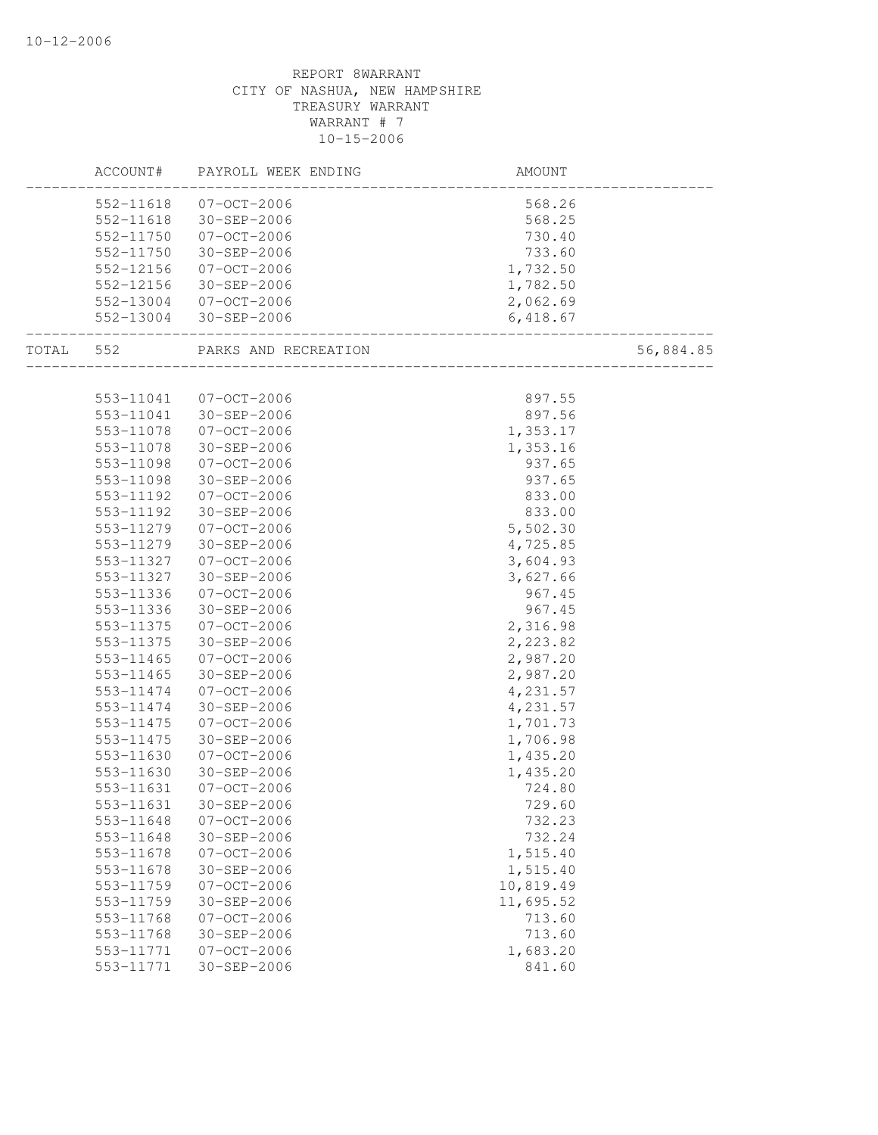|           | ACCOUNT#               | PAYROLL WEEK ENDING                    | AMOUNT             |           |
|-----------|------------------------|----------------------------------------|--------------------|-----------|
|           |                        | 552-11618 07-OCT-2006                  | 568.26             |           |
|           |                        | 552-11618 30-SEP-2006                  | 568.25             |           |
|           | 552-11750              | 07-OCT-2006                            | 730.40             |           |
|           | 552-11750              | 30-SEP-2006                            | 733.60             |           |
|           | 552-12156              | 07-OCT-2006                            | 1,732.50           |           |
|           | 552-12156              | 30-SEP-2006                            | 1,782.50           |           |
|           |                        | 552-13004 07-OCT-2006                  | 2,062.69           |           |
|           |                        | 552-13004 30-SEP-2006                  | 6,418.67           |           |
| TOTAL 552 |                        | PARKS AND RECREATION                   | _______________    | 56,884.85 |
|           |                        |                                        |                    |           |
|           | 553-11041              | 07-OCT-2006                            | 897.55             |           |
|           | 553-11041              | 30-SEP-2006                            | 897.56             |           |
|           | 553-11078              | 07-OCT-2006                            | 1,353.17           |           |
|           | 553-11078              | 30-SEP-2006                            | 1,353.16           |           |
|           | 553-11098              | 07-OCT-2006                            | 937.65             |           |
|           | 553-11098              | 30-SEP-2006                            | 937.65             |           |
|           | 553-11192              | 07-OCT-2006                            | 833.00             |           |
|           | 553-11192              | 30-SEP-2006                            | 833.00             |           |
|           | 553-11279              | 07-OCT-2006                            | 5,502.30           |           |
|           | 553-11279              | 30-SEP-2006                            | 4,725.85           |           |
|           | 553-11327              | 07-OCT-2006                            | 3,604.93           |           |
|           | 553-11327              | 30-SEP-2006                            | 3,627.66           |           |
|           | 553-11336              | 07-OCT-2006                            | 967.45             |           |
|           | 553-11336              | 30-SEP-2006                            | 967.45             |           |
|           | 553-11375              | 07-OCT-2006                            | 2,316.98           |           |
|           | 553-11375              | 30-SEP-2006                            | 2,223.82           |           |
|           | 553-11465              | 07-OCT-2006                            | 2,987.20           |           |
|           | 553-11465              | 30-SEP-2006                            | 2,987.20           |           |
|           | 553-11474              | 07-OCT-2006                            | 4,231.57           |           |
|           | 553-11474              | 30-SEP-2006                            | 4,231.57           |           |
|           | 553-11475              | 07-OCT-2006                            | 1,701.73           |           |
|           | 553-11475              | 30-SEP-2006                            | 1,706.98           |           |
|           | 553-11630              | $07 - 0CT - 2006$                      | 1,435.20           |           |
|           | 553-11630              | 30-SEP-2006                            | 1,435.20           |           |
|           | 553-11631              | $07 - OCT - 2006$                      | 724.80             |           |
|           | 553-11631              | $30 - SEP - 2006$                      | 729.60             |           |
|           | 553-11648              | $07 - OCT - 2006$                      | 732.23             |           |
|           | 553-11648              | 30-SEP-2006                            | 732.24             |           |
|           | 553-11678              | $07 - OCT - 2006$                      | 1,515.40           |           |
|           | 553-11678              | 30-SEP-2006                            | 1,515.40           |           |
|           | 553-11759<br>553-11759 | $07 - OCT - 2006$<br>$30 - SEP - 2006$ | 10,819.49          |           |
|           |                        |                                        | 11,695.52          |           |
|           | 553-11768<br>553-11768 | $07 - OCT - 2006$                      | 713.60             |           |
|           |                        | 30-SEP-2006                            | 713.60             |           |
|           | 553-11771<br>553-11771 | $07 - OCT - 2006$<br>$30 - SEP - 2006$ | 1,683.20<br>841.60 |           |
|           |                        |                                        |                    |           |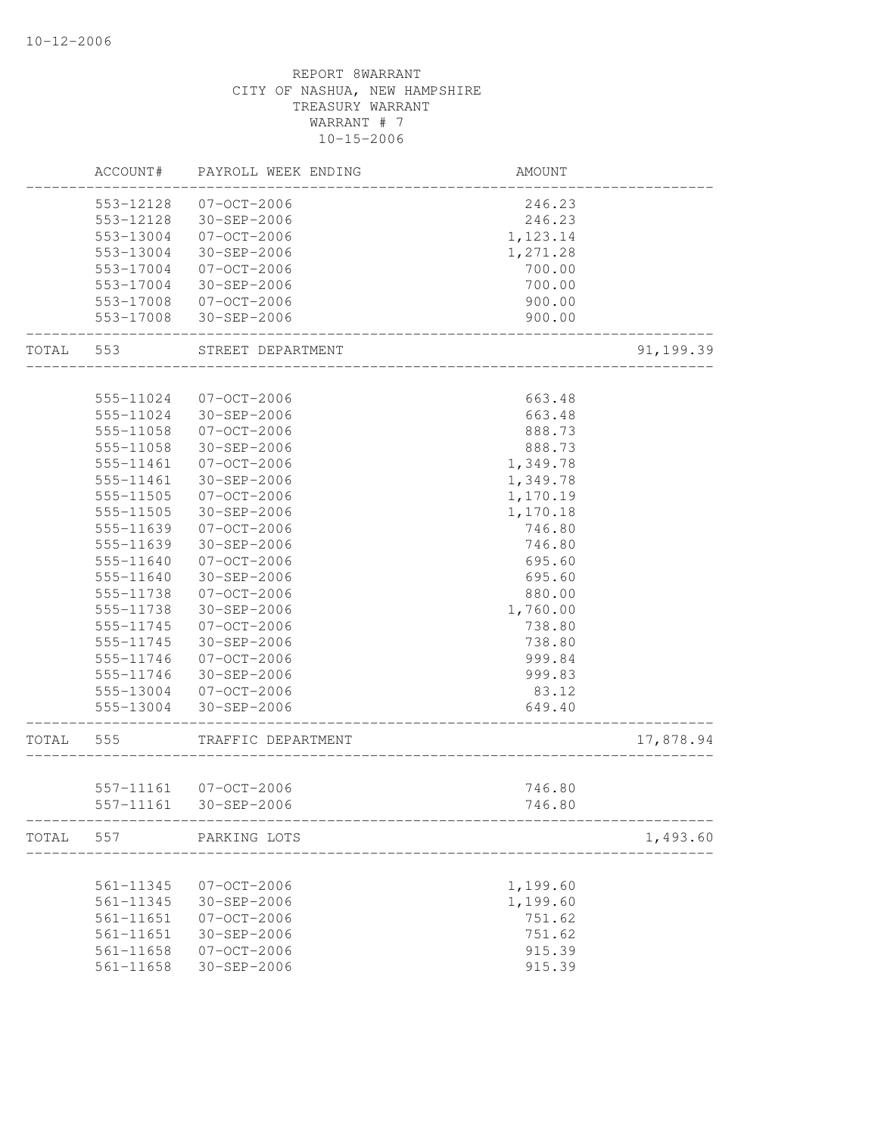|       | ACCOUNT#      | PAYROLL WEEK ENDING                  | AMOUNT           |           |
|-------|---------------|--------------------------------------|------------------|-----------|
|       | 553-12128     | 07-OCT-2006                          | 246.23           |           |
|       | 553-12128     | 30-SEP-2006                          | 246.23           |           |
|       | 553-13004     | 07-OCT-2006                          | 1,123.14         |           |
|       | 553-13004     | 30-SEP-2006                          | 1,271.28         |           |
|       | 553-17004     | 07-OCT-2006                          | 700.00           |           |
|       | 553-17004     | 30-SEP-2006                          | 700.00           |           |
|       | 553-17008     | 07-OCT-2006                          | 900.00           |           |
|       | 553-17008     | 30-SEP-2006                          | 900.00           |           |
| TOTAL | 553           | STREET DEPARTMENT                    |                  | 91,199.39 |
|       |               |                                      |                  |           |
|       | 555-11024     | 07-OCT-2006                          | 663.48           |           |
|       | 555-11024     | 30-SEP-2006                          | 663.48           |           |
|       | 555-11058     | $07 - 0CT - 2006$                    | 888.73           |           |
|       | 555-11058     | 30-SEP-2006                          | 888.73           |           |
|       | 555-11461     | $07 - 0CT - 2006$                    | 1,349.78         |           |
|       | 555-11461     | 30-SEP-2006                          | 1,349.78         |           |
|       | 555-11505     | $07 - 0CT - 2006$                    | 1,170.19         |           |
|       | 555-11505     | 30-SEP-2006                          | 1,170.18         |           |
|       | 555-11639     | 07-OCT-2006                          | 746.80           |           |
|       | 555-11639     | 30-SEP-2006                          | 746.80           |           |
|       | 555-11640     | $07 - OCT - 2006$                    | 695.60           |           |
|       | 555-11640     | 30-SEP-2006                          | 695.60           |           |
|       | 555-11738     | 07-OCT-2006                          | 880.00           |           |
|       | 555-11738     | 30-SEP-2006                          | 1,760.00         |           |
|       | 555-11745     | 07-OCT-2006                          | 738.80           |           |
|       | 555-11745     | 30-SEP-2006                          | 738.80           |           |
|       | 555-11746     | 07-OCT-2006                          | 999.84           |           |
|       | 555-11746     | 30-SEP-2006                          | 999.83           |           |
|       | 555-13004     | 07-OCT-2006                          | 83.12            |           |
|       | 555-13004     | 30-SEP-2006                          | 649.40           |           |
| TOTAL | 555           | TRAFFIC DEPARTMENT                   |                  | 17,878.94 |
|       |               |                                      |                  |           |
|       | 557-11161     | 557-11161 07-OCT-2006<br>30-SEP-2006 | 746.80<br>746.80 |           |
| TOTAL | 557           | PARKING LOTS                         |                  | 1,493.60  |
|       |               |                                      |                  |           |
|       | 561-11345     | $07-0CT-2006$                        | 1,199.60         |           |
|       | 561-11345     | $30 - SEP - 2006$                    | 1,199.60         |           |
|       | 561-11651     | $07 - OCT - 2006$                    | 751.62           |           |
|       | 561-11651     | 30-SEP-2006                          | 751.62           |           |
|       | $561 - 11658$ | $07 - OCT - 2006$                    | 915.39           |           |
|       | 561-11658     | 30-SEP-2006                          | 915.39           |           |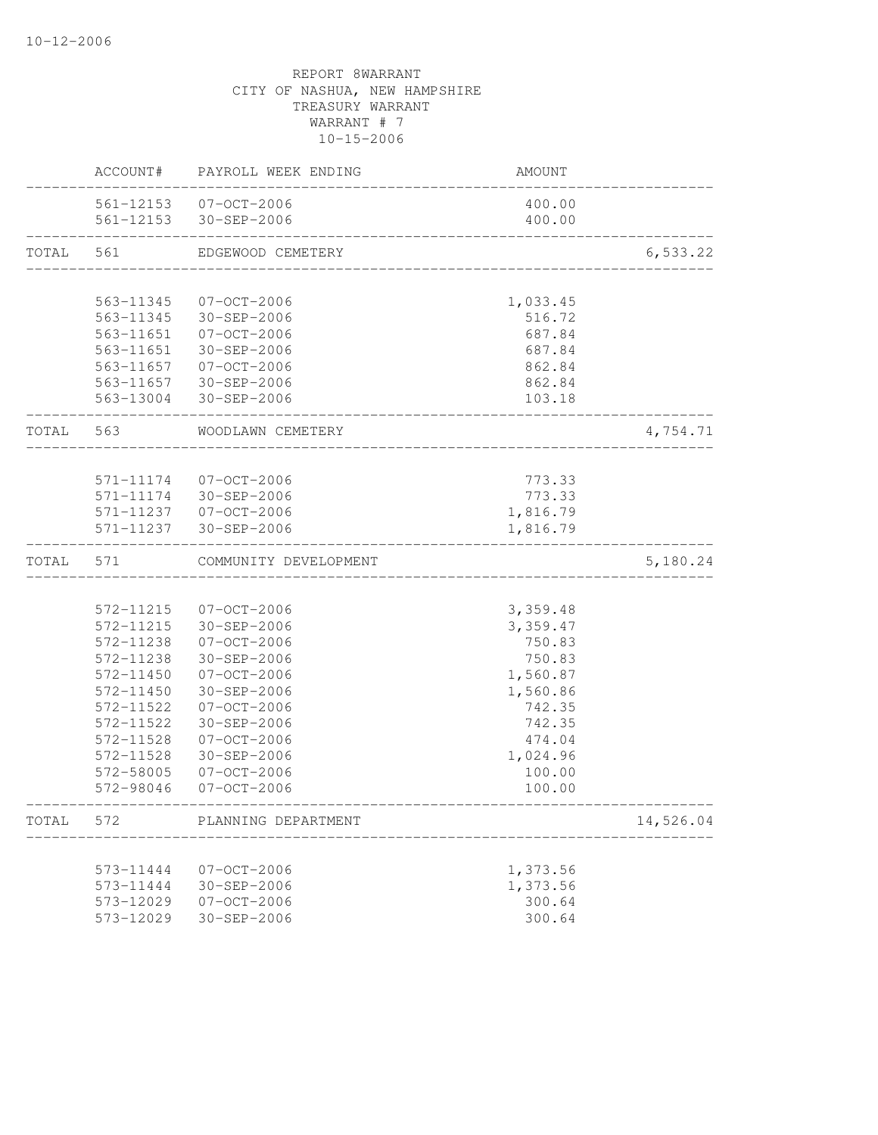|           | ACCOUNT#  | PAYROLL WEEK ENDING                            | <b>AMOUNT</b>    |           |
|-----------|-----------|------------------------------------------------|------------------|-----------|
|           |           | 561-12153 07-OCT-2006<br>561-12153 30-SEP-2006 | 400.00<br>400.00 |           |
| TOTAL     | 561       | EDGEWOOD CEMETERY                              |                  | 6, 533.22 |
|           |           |                                                |                  |           |
|           | 563-11345 | 07-OCT-2006                                    | 1,033.45         |           |
|           | 563-11345 | 30-SEP-2006                                    | 516.72           |           |
|           | 563-11651 | 07-OCT-2006                                    | 687.84           |           |
|           | 563-11651 | 30-SEP-2006                                    | 687.84           |           |
|           |           | 563-11657 07-OCT-2006                          | 862.84           |           |
|           |           | 563-11657 30-SEP-2006                          | 862.84           |           |
|           |           | 563-13004 30-SEP-2006                          | 103.18           |           |
| TOTAL 563 |           | WOODLAWN CEMETERY                              |                  | 4,754.71  |
|           |           |                                                |                  |           |
|           | 571-11174 | 07-OCT-2006                                    | 773.33           |           |
|           | 571-11174 | 30-SEP-2006                                    | 773.33           |           |
|           |           | 571-11237 07-OCT-2006                          | 1,816.79         |           |
|           |           | 571-11237 30-SEP-2006                          | 1,816.79         |           |
| TOTAL     | 571       | COMMUNITY DEVELOPMENT                          |                  | 5,180.24  |
|           |           |                                                |                  |           |
|           | 572-11215 | 07-OCT-2006                                    | 3,359.48         |           |
|           | 572-11215 | 30-SEP-2006                                    | 3,359.47         |           |
|           | 572-11238 | 07-OCT-2006                                    | 750.83           |           |
|           | 572-11238 | $30 - SEP - 2006$                              | 750.83           |           |
|           | 572-11450 | 07-OCT-2006                                    | 1,560.87         |           |
|           | 572-11450 | $30 - SEP - 2006$                              | 1,560.86         |           |
|           | 572-11522 | $07 - OCT - 2006$                              | 742.35           |           |
|           | 572-11522 | $30 - SEP - 2006$                              | 742.35           |           |
|           | 572-11528 | $07 - OCT - 2006$                              | 474.04           |           |
|           | 572-11528 | $30 - SEP - 2006$                              | 1,024.96         |           |
|           | 572-58005 | 07-OCT-2006                                    | 100.00           |           |
|           | 572-98046 | $07 - OCT - 2006$                              | 100.00           |           |
| TOTAL     | 572       | PLANNING DEPARTMENT                            |                  | 14,526.04 |
|           | 573-11444 | $07 - OCT - 2006$                              | 1,373.56         |           |
|           | 573-11444 | 30-SEP-2006                                    | 1,373.56         |           |
|           |           |                                                | 300.64           |           |
|           | 573-12029 | $07 - OCT - 2006$                              | 300.64           |           |
|           | 573-12029 | $30 - SEP - 2006$                              |                  |           |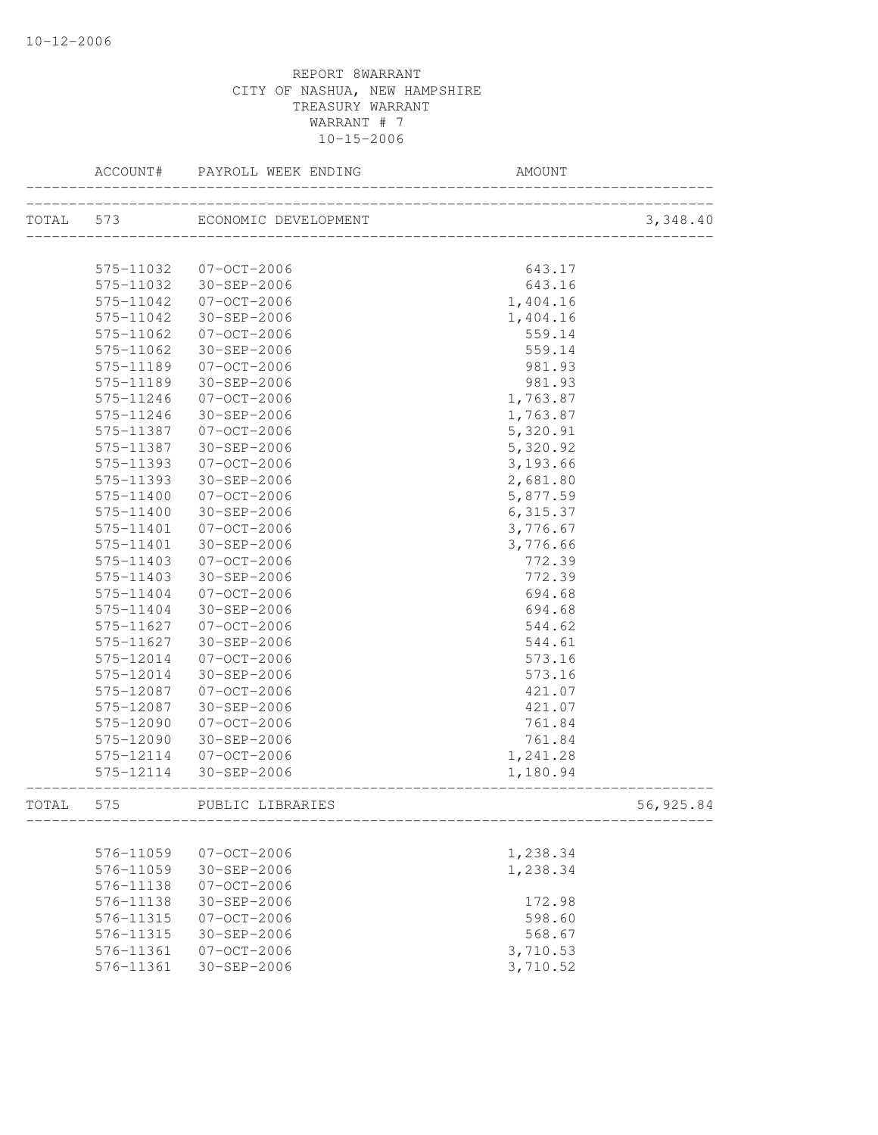|       | ACCOUNT#      | PAYROLL WEEK ENDING   | AMOUNT                                     |           |
|-------|---------------|-----------------------|--------------------------------------------|-----------|
|       | TOTAL 573     | ECONOMIC DEVELOPMENT  | N 1<br>----------------------------------- | 3,348.40  |
|       | 575-11032     | 07-OCT-2006           | 643.17                                     |           |
|       |               | 575-11032 30-SEP-2006 | 643.16                                     |           |
|       | 575-11042     | 07-OCT-2006           | 1,404.16                                   |           |
|       | 575-11042     | 30-SEP-2006           | 1,404.16                                   |           |
|       | 575-11062     | 07-OCT-2006           | 559.14                                     |           |
|       | 575-11062     | 30-SEP-2006           | 559.14                                     |           |
|       | 575-11189     | 07-OCT-2006           | 981.93                                     |           |
|       | 575-11189     | 30-SEP-2006           | 981.93                                     |           |
|       | 575-11246     | 07-OCT-2006           | 1,763.87                                   |           |
|       | 575-11246     | 30-SEP-2006           | 1,763.87                                   |           |
|       | 575-11387     | $07 - 0CT - 2006$     | 5,320.91                                   |           |
|       | 575-11387     | 30-SEP-2006           | 5,320.92                                   |           |
|       | 575-11393     | $07 - 0CT - 2006$     | 3,193.66                                   |           |
|       | 575-11393     | 30-SEP-2006           | 2,681.80                                   |           |
|       | 575-11400     | $07 - 0CT - 2006$     | 5,877.59                                   |           |
|       | $575 - 11400$ | 30-SEP-2006           | 6, 315.37                                  |           |
|       | 575-11401     | $07 - 0CT - 2006$     | 3,776.67                                   |           |
|       | 575-11401     | 30-SEP-2006           | 3,776.66                                   |           |
|       | 575-11403     | 07-OCT-2006           | 772.39                                     |           |
|       | 575-11403     | 30-SEP-2006           | 772.39                                     |           |
|       | 575-11404     | $07 - 0CT - 2006$     | 694.68                                     |           |
|       | 575-11404     | 30-SEP-2006           | 694.68                                     |           |
|       | 575-11627     | $07 - OCT - 2006$     | 544.62                                     |           |
|       | 575-11627     | 30-SEP-2006           | 544.61                                     |           |
|       | 575-12014     | 07-OCT-2006           | 573.16                                     |           |
|       | 575-12014     | 30-SEP-2006           | 573.16                                     |           |
|       | 575-12087     | 07-OCT-2006           | 421.07                                     |           |
|       | 575-12087     | 30-SEP-2006           | 421.07                                     |           |
|       | 575-12090     | $07 - 0CT - 2006$     | 761.84                                     |           |
|       | 575-12090     | 30-SEP-2006           | 761.84                                     |           |
|       | 575-12114     | $07 - 0CT - 2006$     | 1,241.28                                   |           |
|       | 575-12114     | 30-SEP-2006           | 1,180.94                                   |           |
| TOTAL | 575           | PUBLIC LIBRARIES      |                                            | 56,925.84 |
|       |               |                       |                                            |           |
|       | 576-11059     | $07 - OCT - 2006$     | 1,238.34                                   |           |
|       | 576-11059     | 30-SEP-2006           | 1,238.34                                   |           |
|       | 576-11138     | $07 - OCT - 2006$     |                                            |           |
|       | 576-11138     | $30 - SEP - 2006$     | 172.98                                     |           |
|       | 576-11315     | $07 - OCT - 2006$     | 598.60                                     |           |
|       | 576-11315     | 30-SEP-2006           | 568.67                                     |           |
|       | 576-11361     | $07 - OCT - 2006$     | 3,710.53                                   |           |
|       | 576-11361     | $30 - SEP - 2006$     | 3,710.52                                   |           |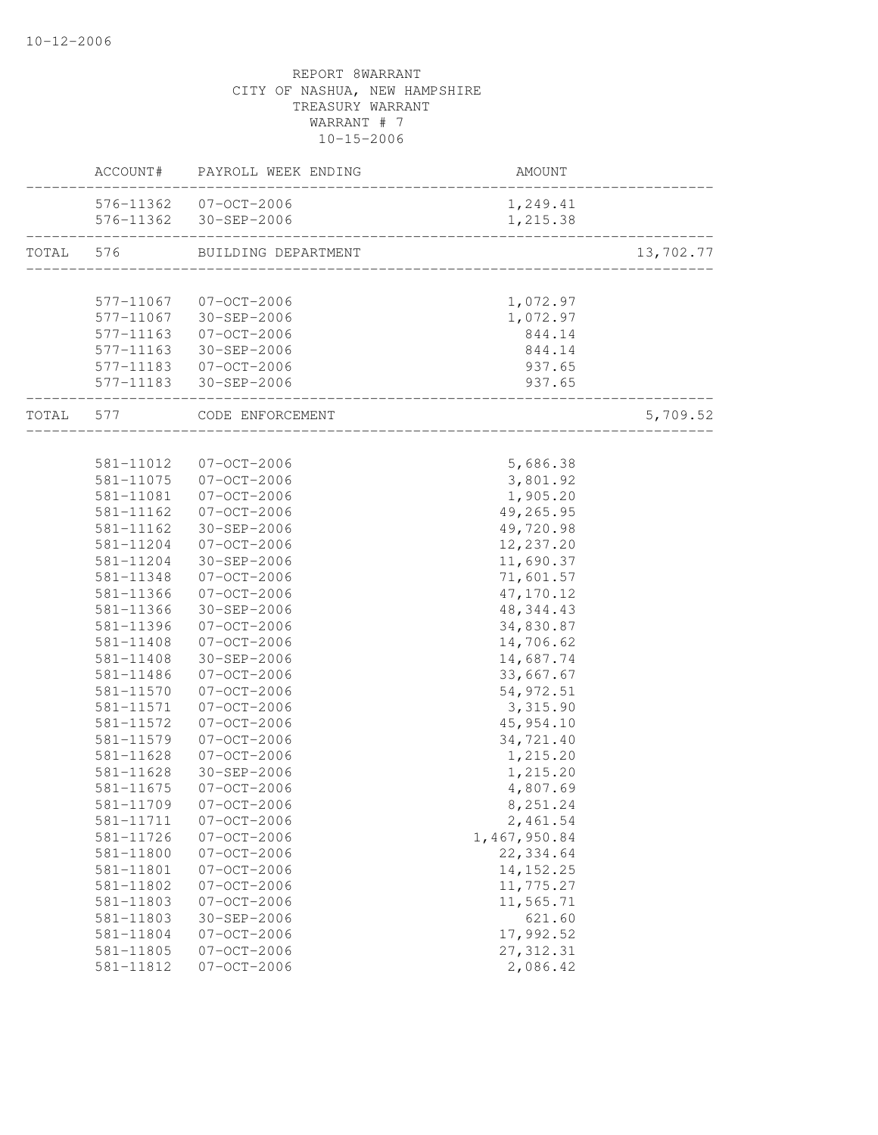# REPORT 8WARRANT CITY OF NASHUA, NEW HAMPSHIRE TREASURY WARRANT WARRANT # 7 10-15-2006 ACCOUNT# PAYROLL WEEK ENDING AMOUNT

|           |               | 576-11362 07-OCT-2006<br>576-11362 30-SEP-2006 | 1,249.41<br>1,215.38    |           |
|-----------|---------------|------------------------------------------------|-------------------------|-----------|
| TOTAL 576 |               | BUILDING DEPARTMENT                            |                         | 13,702.77 |
|           |               |                                                |                         |           |
|           |               | 577-11067 07-OCT-2006                          | 1,072.97                |           |
|           | 577-11067     | $30 - SEP - 2006$                              | 1,072.97                |           |
|           | 577-11163     | $07 - OCT - 2006$                              | 844.14                  |           |
|           | 577-11163     | 30-SEP-2006                                    | 844.14                  |           |
|           |               | 577-11183 07-OCT-2006                          | 937.65                  |           |
|           |               | 577-11183 30-SEP-2006                          | 937.65                  |           |
| TOTAL 577 |               | CODE ENFORCEMENT                               | _______________________ | 5,709.52  |
|           |               |                                                |                         |           |
|           | 581-11012     | 07-OCT-2006                                    | 5,686.38                |           |
|           | 581-11075     | 07-OCT-2006                                    | 3,801.92                |           |
|           | 581-11081     | 07-OCT-2006                                    | 1,905.20                |           |
|           | 581-11162     | 07-OCT-2006                                    | 49,265.95               |           |
|           | $581 - 11162$ | 30-SEP-2006                                    | 49,720.98               |           |
|           | 581-11204     | 07-OCT-2006                                    | 12,237.20               |           |
|           | 581-11204     | 30-SEP-2006                                    | 11,690.37               |           |
|           | 581-11348     | $07 - OCT - 2006$                              | 71,601.57               |           |
|           | 581-11366     | $07 - OCT - 2006$                              | 47,170.12               |           |
|           | 581-11366     | 30-SEP-2006                                    | 48, 344. 43             |           |
|           | 581-11396     | 07-OCT-2006                                    | 34,830.87               |           |
|           | 581-11408     | 07-OCT-2006                                    | 14,706.62               |           |
|           | 581-11408     | 30-SEP-2006                                    | 14,687.74               |           |
|           | 581-11486     | 07-OCT-2006                                    | 33,667.67               |           |
|           | 581-11570     | $07 - OCT - 2006$                              | 54, 972.51              |           |
|           | 581-11571     | $07 - OCT - 2006$                              | 3,315.90                |           |
|           | 581-11572     | $07-0CT-2006$                                  | 45, 954.10              |           |
|           | 581-11579     | $07 - OCT - 2006$                              | 34,721.40               |           |
|           | 581-11628     | $07 - OCT - 2006$                              | 1,215.20                |           |
|           | 581-11628     | 30-SEP-2006                                    | 1,215.20                |           |
|           | 581-11675     | 07-OCT-2006                                    | 4,807.69                |           |
|           | 581-11709     | $07 - OCT - 2006$                              | 8,251.24                |           |
|           | 581-11711     | $07 - OCT - 2006$                              | 2,461.54                |           |
|           | 581-11726     | $07 - OCT - 2006$                              | 1,467,950.84            |           |
|           | 581-11800     | $07 - OCT - 2006$                              | 22, 334.64              |           |
|           | 581-11801     | $07 - OCT - 2006$                              | 14, 152. 25             |           |
|           | 581-11802     | $07 - OCT - 2006$                              | 11,775.27               |           |
|           | 581-11803     | $07 - OCT - 2006$                              | 11,565.71               |           |
|           | 581-11803     | 30-SEP-2006                                    | 621.60                  |           |
|           | 581-11804     | $07 - OCT - 2006$                              | 17,992.52               |           |
|           | 581-11805     | $07 - OCT - 2006$                              | 27, 312.31              |           |
|           | 581-11812     | $07 - OCT - 2006$                              | 2,086.42                |           |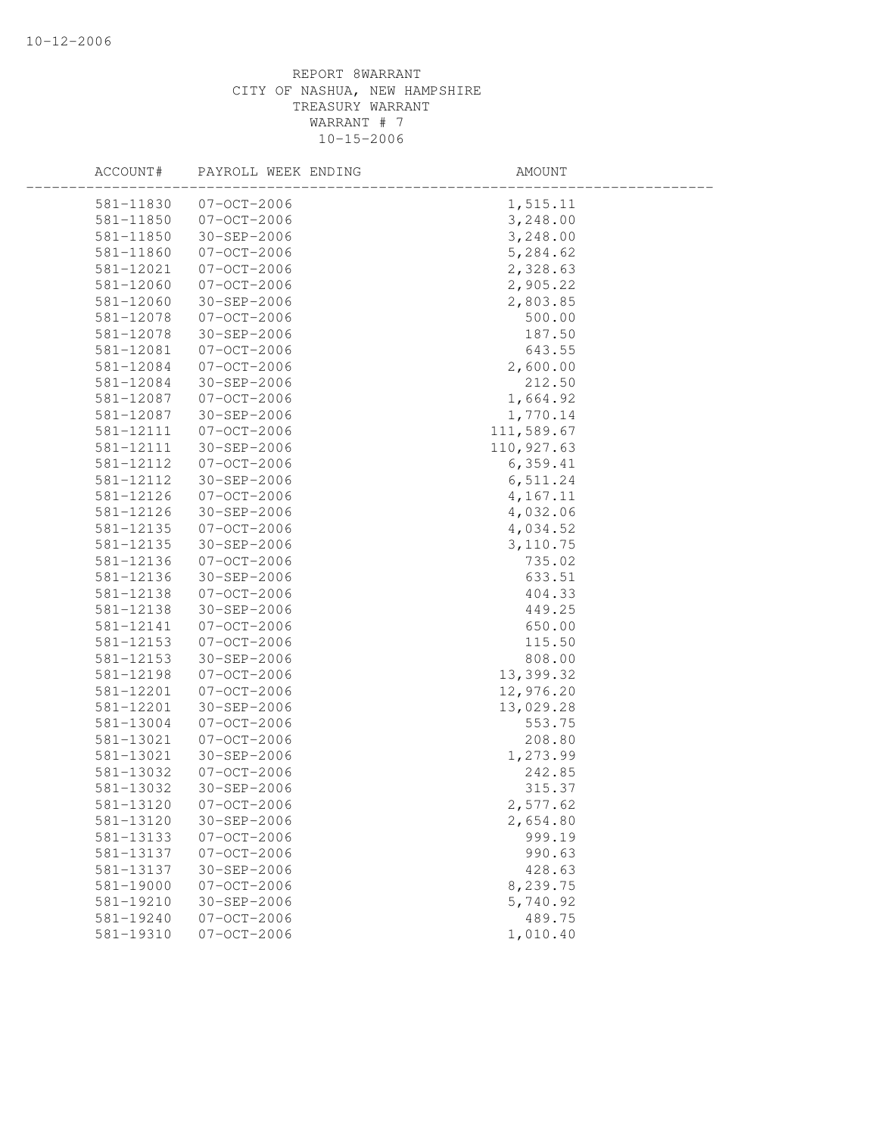| ACCOUNT#               | PAYROLL WEEK ENDING              | AMOUNT             |  |
|------------------------|----------------------------------|--------------------|--|
| 581-11830              | $07 - OCT - 2006$                | 1,515.11           |  |
| 581-11850              | 07-OCT-2006                      | 3,248.00           |  |
| 581-11850              | 30-SEP-2006                      | 3,248.00           |  |
| 581-11860              | $07 - OCT - 2006$                | 5,284.62           |  |
| 581-12021              | $07 - OCT - 2006$                | 2,328.63           |  |
| 581-12060              | $07 - OCT - 2006$                | 2,905.22           |  |
| 581-12060              | 30-SEP-2006                      | 2,803.85           |  |
| 581-12078              | $07 - OCT - 2006$                | 500.00             |  |
| 581-12078              | 30-SEP-2006                      | 187.50             |  |
| 581-12081              | $07 - OCT - 2006$                | 643.55             |  |
| 581-12084              | $07 - OCT - 2006$                | 2,600.00           |  |
| 581-12084              | 30-SEP-2006                      | 212.50             |  |
| 581-12087              | $07 - OCT - 2006$                | 1,664.92           |  |
| 581-12087              | 30-SEP-2006                      | 1,770.14           |  |
| 581-12111              | $07 - OCT - 2006$                | 111,589.67         |  |
| 581-12111              | 30-SEP-2006                      | 110, 927.63        |  |
| 581-12112              | $07 - OCT - 2006$                | 6, 359.41          |  |
| 581-12112              | 30-SEP-2006                      | 6,511.24           |  |
| 581-12126              | $07 - OCT - 2006$                | 4,167.11           |  |
| 581-12126              | 30-SEP-2006                      | 4,032.06           |  |
| 581-12135              | $07 - OCT - 2006$                | 4,034.52           |  |
| 581-12135              | 30-SEP-2006                      | 3,110.75           |  |
| 581-12136              | $07 - OCT - 2006$                | 735.02             |  |
| 581-12136              | 30-SEP-2006                      | 633.51             |  |
| 581-12138              | 07-OCT-2006                      | 404.33             |  |
| 581-12138              | 30-SEP-2006                      | 449.25             |  |
| 581-12141              | $07 - OCT - 2006$                | 650.00             |  |
| 581-12153              | $07 - OCT - 2006$                | 115.50             |  |
| 581-12153              | 30-SEP-2006                      | 808.00             |  |
| 581-12198              | $07 - OCT - 2006$                | 13,399.32          |  |
| 581-12201              | $07 - OCT - 2006$                | 12,976.20          |  |
| 581-12201              | 30-SEP-2006                      | 13,029.28          |  |
| 581-13004              | $07 - OCT - 2006$                | 553.75             |  |
| 581-13021              | $07 - OCT - 2006$                | 208.80             |  |
| 581-13021<br>581-13032 | 30-SEP-2006                      | 1,273.99<br>242.85 |  |
| 581-13032              | $07 - OCT - 2006$<br>30-SEP-2006 | 315.37             |  |
| 581-13120              | $07 - OCT - 2006$                | 2,577.62           |  |
| 581-13120              | $30 - SEP - 2006$                |                    |  |
| 581-13133              | $07 - OCT - 2006$                | 2,654.80<br>999.19 |  |
| 581-13137              | $07 - OCT - 2006$                | 990.63             |  |
| 581-13137              | 30-SEP-2006                      | 428.63             |  |
| 581-19000              | $07 - OCT - 2006$                | 8,239.75           |  |
| 581-19210              | 30-SEP-2006                      | 5,740.92           |  |
| 581-19240              | $07 - OCT - 2006$                | 489.75             |  |
| 581-19310              | $07 - OCT - 2006$                | 1,010.40           |  |
|                        |                                  |                    |  |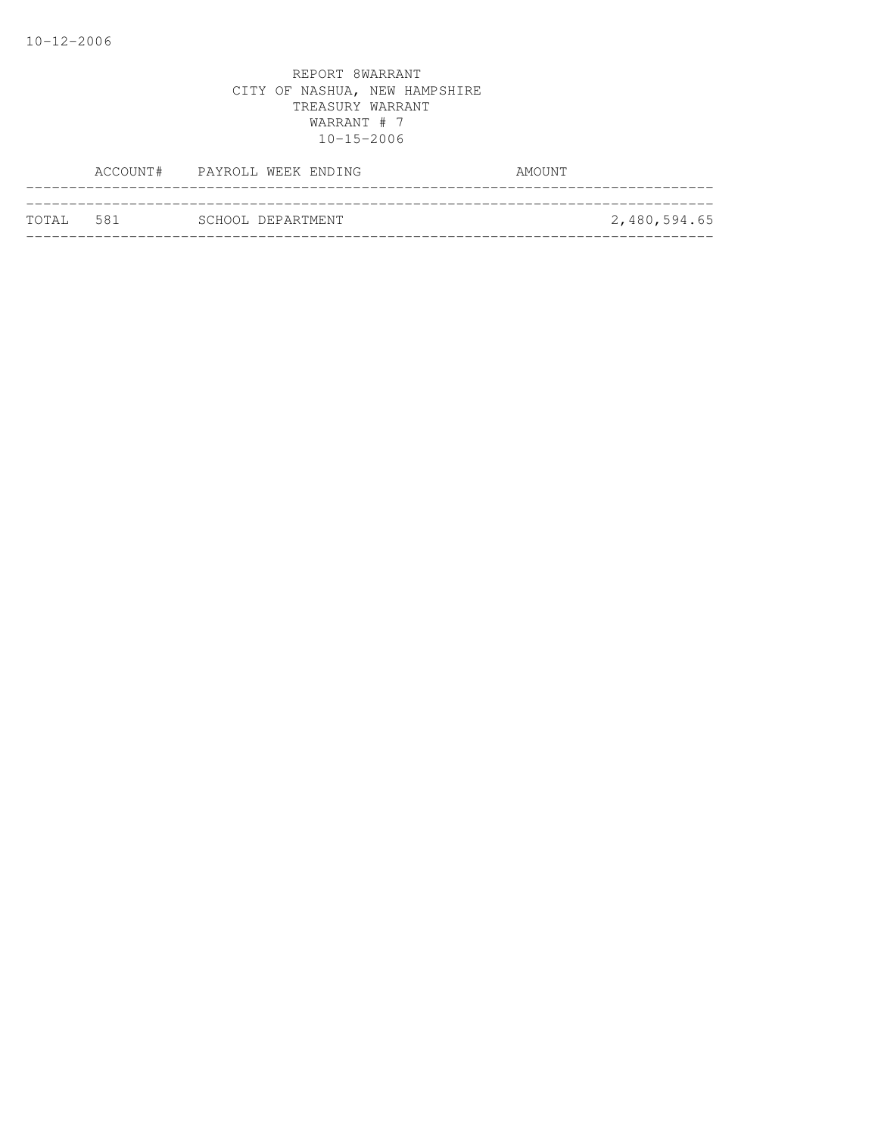|           | ACCOUNT# PAYROLL WEEK ENDING | AMOUNT       |
|-----------|------------------------------|--------------|
| TOTAL 581 | SCHOOL DEPARTMENT            | 2,480,594.65 |
|           |                              |              |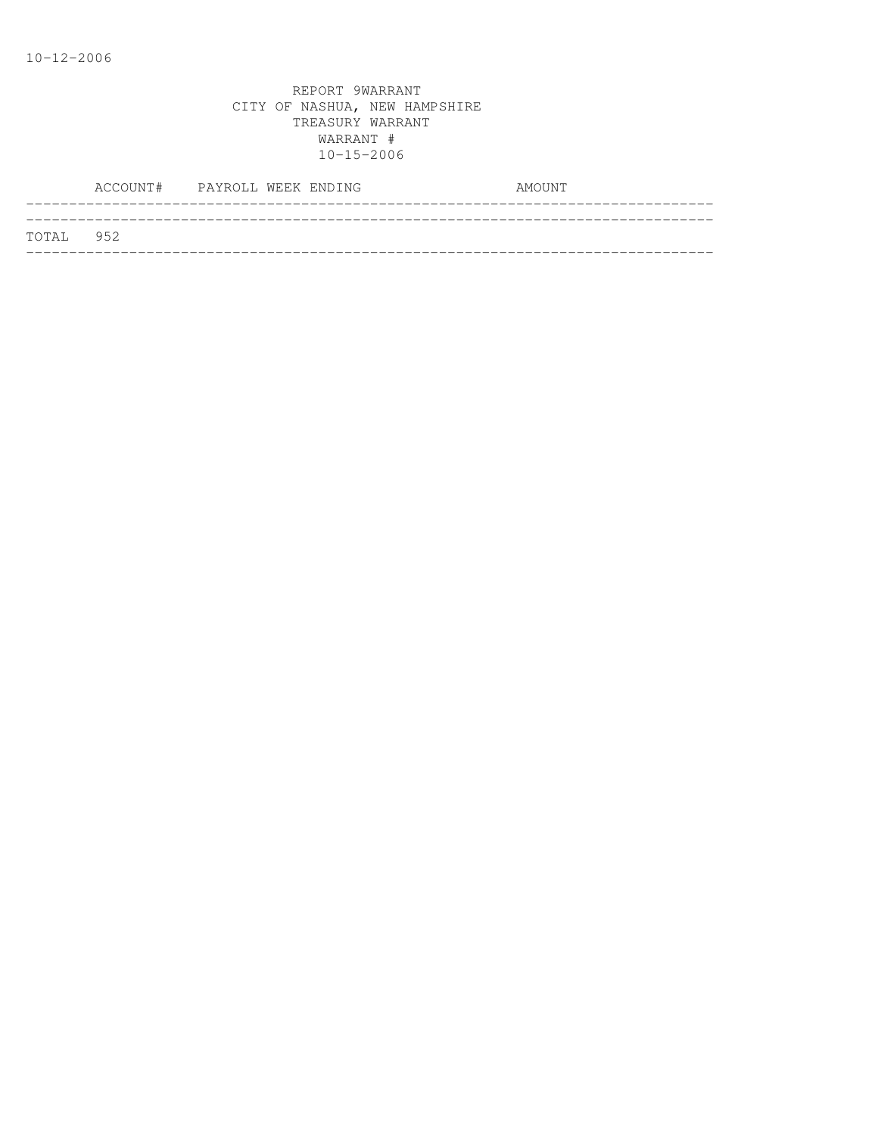|           | ACCOUNT# PAYROLL WEEK ENDING |  | AMOUNT |
|-----------|------------------------------|--|--------|
| TOTAL 952 |                              |  |        |
|           |                              |  |        |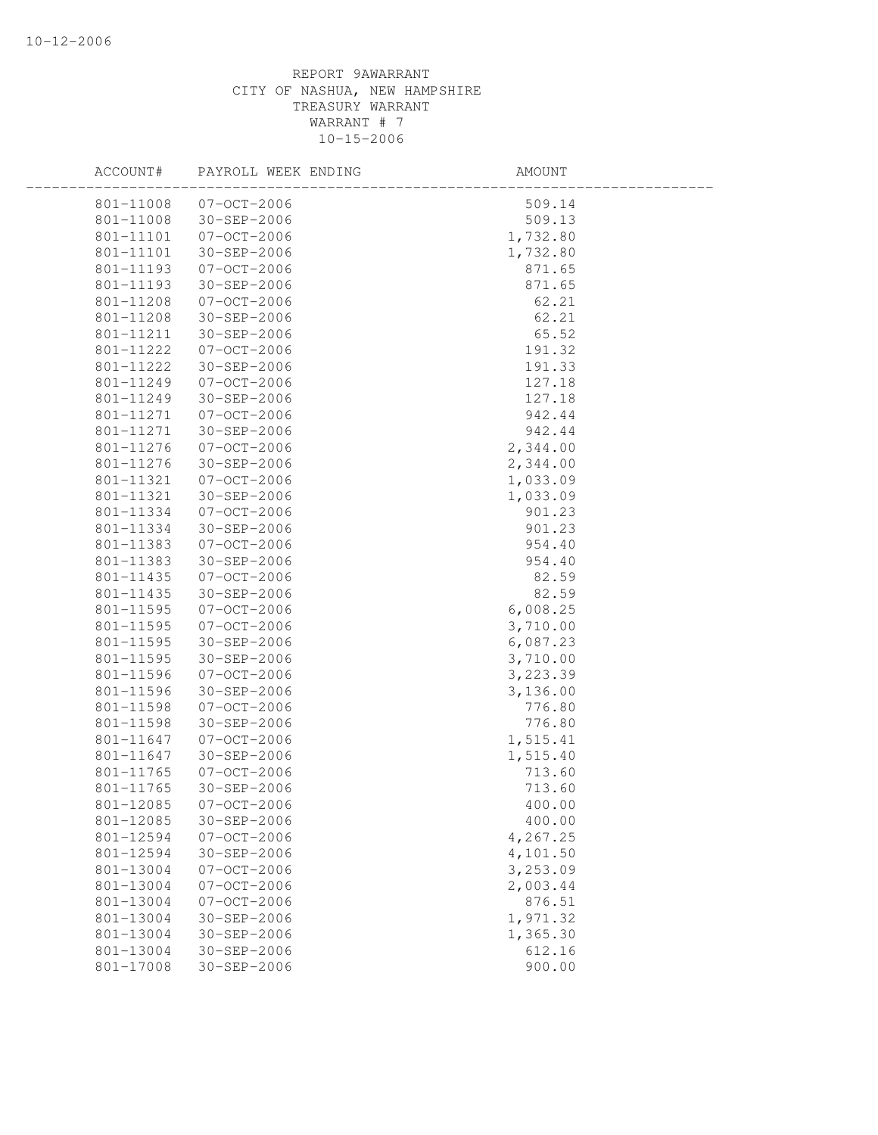| ACCOUNT#  | PAYROLL WEEK ENDING | AMOUNT   |
|-----------|---------------------|----------|
| 801-11008 | $07 - 0CT - 2006$   | 509.14   |
| 801-11008 | 30-SEP-2006         | 509.13   |
| 801-11101 | $07 - OCT - 2006$   | 1,732.80 |
| 801-11101 | 30-SEP-2006         | 1,732.80 |
| 801-11193 | $07 - OCT - 2006$   | 871.65   |
| 801-11193 | 30-SEP-2006         | 871.65   |
| 801-11208 | $07 - OCT - 2006$   | 62.21    |
| 801-11208 | 30-SEP-2006         | 62.21    |
| 801-11211 | $30 - SEP - 2006$   | 65.52    |
| 801-11222 | $07-0CT-2006$       | 191.32   |
| 801-11222 | 30-SEP-2006         | 191.33   |
| 801-11249 | $07-0CT-2006$       | 127.18   |
| 801-11249 | 30-SEP-2006         | 127.18   |
| 801-11271 | $07 - OCT - 2006$   | 942.44   |
| 801-11271 | 30-SEP-2006         | 942.44   |
| 801-11276 | $07 - OCT - 2006$   | 2,344.00 |
| 801-11276 | $30 - SEP - 2006$   | 2,344.00 |
| 801-11321 | $07 - OCT - 2006$   | 1,033.09 |
| 801-11321 | 30-SEP-2006         | 1,033.09 |
| 801-11334 | $07-0CT-2006$       | 901.23   |
| 801-11334 | 30-SEP-2006         | 901.23   |
| 801-11383 | $07 - OCT - 2006$   | 954.40   |
| 801-11383 | 30-SEP-2006         | 954.40   |
| 801-11435 | $07 - OCT - 2006$   | 82.59    |
| 801-11435 | 30-SEP-2006         | 82.59    |
| 801-11595 | $07 - OCT - 2006$   | 6,008.25 |
| 801-11595 | 07-OCT-2006         | 3,710.00 |
| 801-11595 | $30 - SEP - 2006$   | 6,087.23 |
| 801-11595 | 30-SEP-2006         | 3,710.00 |
| 801-11596 | $07 - OCT - 2006$   | 3,223.39 |
| 801-11596 | 30-SEP-2006         | 3,136.00 |
| 801-11598 | $07 - OCT - 2006$   | 776.80   |
| 801-11598 | 30-SEP-2006         | 776.80   |
| 801-11647 | $07 - OCT - 2006$   | 1,515.41 |
| 801-11647 | $30 - SEP - 2006$   | 1,515.40 |
| 801-11765 | $07 - OCT - 2006$   | 713.60   |
| 801-11765 | 30-SEP-2006         | 713.60   |
| 801-12085 | $07 - OCT - 2006$   | 400.00   |
| 801-12085 | 30-SEP-2006         | 400.00   |
| 801-12594 | $07 - OCT - 2006$   | 4,267.25 |
| 801-12594 | 30-SEP-2006         | 4,101.50 |
| 801-13004 | $07 - OCT - 2006$   | 3,253.09 |
| 801-13004 | $07 - OCT - 2006$   | 2,003.44 |
| 801-13004 | $07 - OCT - 2006$   | 876.51   |
| 801-13004 | $30 - SEP - 2006$   | 1,971.32 |
| 801-13004 | $30 - SEP - 2006$   | 1,365.30 |
| 801-13004 | $30 - SEP - 2006$   | 612.16   |
| 801-17008 | 30-SEP-2006         | 900.00   |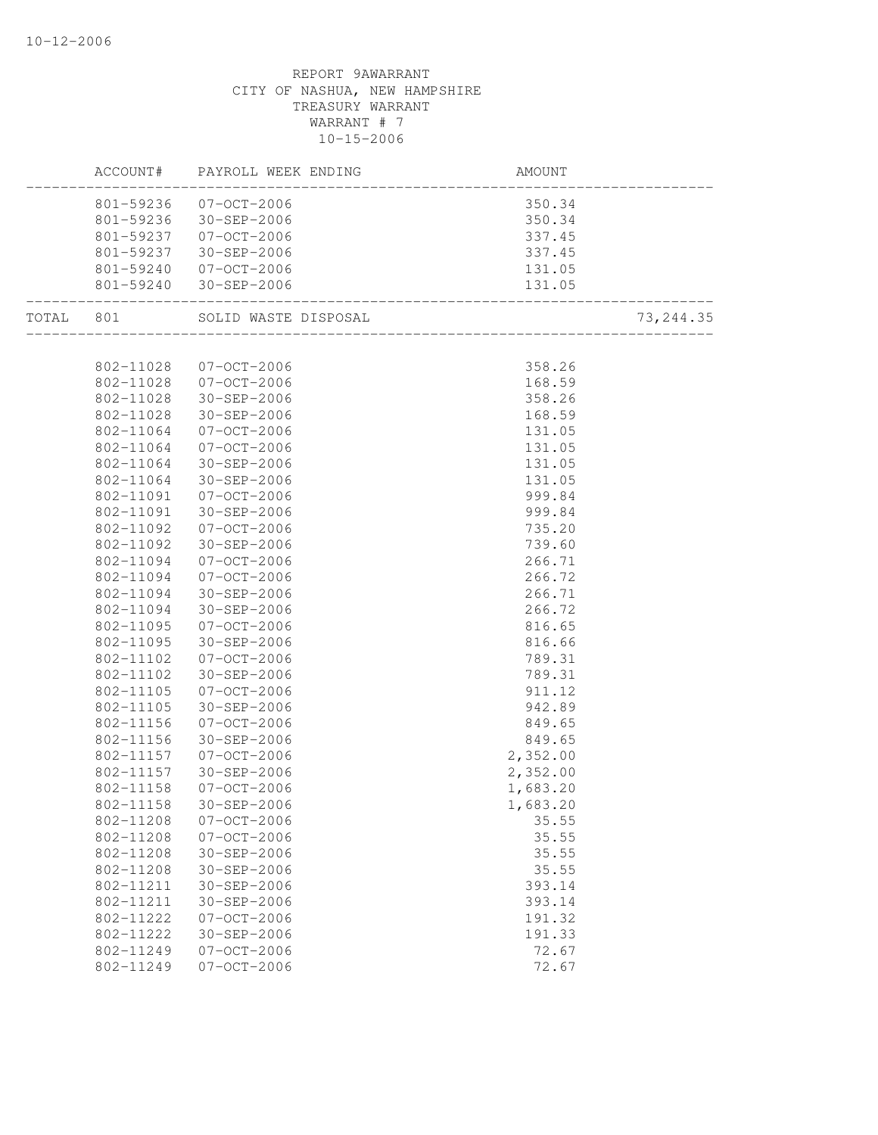| ACCOUNT#               | PAYROLL WEEK ENDING        | AMOUNT                                                   |            |
|------------------------|----------------------------|----------------------------------------------------------|------------|
|                        | 801-59236 07-OCT-2006      | 350.34                                                   |            |
|                        | 801-59236 30-SEP-2006      | $350.34$<br>$337.45$<br>$337.45$<br>$131.05$<br>$131.05$ |            |
|                        | 801-59237 07-OCT-2006      |                                                          |            |
|                        | 801-59237 30-SEP-2006      |                                                          |            |
|                        | 801-59240 07-OCT-2006      |                                                          |            |
|                        | 801-59240 30-SEP-2006      |                                                          |            |
|                        |                            |                                                          | 73, 244.35 |
|                        |                            |                                                          |            |
|                        | 802-11028 07-OCT-2006      | 358.26                                                   |            |
| 802-11028              | $07 - 00T - 2006$          | 168.59                                                   |            |
| 802-11028              | 30-SEP-2006                | 358.26                                                   |            |
| 802-11028              | 30-SEP-2006                | 168.59                                                   |            |
| 802-11064              | 07-OCT-2006                | 131.05                                                   |            |
| 802-11064              | 07-OCT-2006                | 131.05                                                   |            |
| 802-11064              | 30-SEP-2006                | 131.05                                                   |            |
| 802-11064              | 30-SEP-2006                | 131.05                                                   |            |
| 802-11091              | $07 - OCT - 2006$          | 999.84                                                   |            |
| 802-11091              | 30-SEP-2006                | 999.84                                                   |            |
| 802-11092              | 07-OCT-2006                | 735.20                                                   |            |
| 802-11092              | 30-SEP-2006                | 739.60                                                   |            |
| 802-11094              | 07-OCT-2006                | 266.71                                                   |            |
| 802-11094              | 07-OCT-2006                | 266.72                                                   |            |
| 802-11094              | 30-SEP-2006                | 266.71                                                   |            |
| 802-11094              | 30-SEP-2006                | 266.72                                                   |            |
| 802-11095              | 07-OCT-2006                | 816.65                                                   |            |
| 802-11095              | 30-SEP-2006                | 816.66                                                   |            |
| 802-11102              | 07-OCT-2006                | 789.31                                                   |            |
| 802-11102              | 30-SEP-2006                | 789.31                                                   |            |
| 802-11105              | 07-OCT-2006                | 911.12                                                   |            |
| 802-11105              | 30-SEP-2006                | 942.89                                                   |            |
| 802-11156<br>802-11156 | 07-OCT-2006<br>30-SEP-2006 | 849.65                                                   |            |
| 802-11157              | 07-OCT-2006                | 849.65                                                   |            |
| 802-11157              | 30-SEP-2006                | 2,352.00<br>2,352.00                                     |            |
| 802-11158              | 07-OCT-2006                | 1,683.20                                                 |            |
| 802-11158              | $30 - SEP - 2006$          | 1,683.20                                                 |            |
| 802-11208              | $07 - OCT - 2006$          | 35.55                                                    |            |
| 802-11208              | $07 - OCT - 2006$          | 35.55                                                    |            |
| 802-11208              | 30-SEP-2006                | 35.55                                                    |            |
| 802-11208              | $30 - SEP - 2006$          | 35.55                                                    |            |
| 802-11211              | 30-SEP-2006                | 393.14                                                   |            |
| 802-11211              | 30-SEP-2006                | 393.14                                                   |            |
| 802-11222              | $07 - OCT - 2006$          | 191.32                                                   |            |
| 802-11222              | $30 - SEP - 2006$          | 191.33                                                   |            |
| 802-11249              | $07 - OCT - 2006$          | 72.67                                                    |            |
| 802-11249              | $07 - OCT - 2006$          | 72.67                                                    |            |
|                        |                            |                                                          |            |